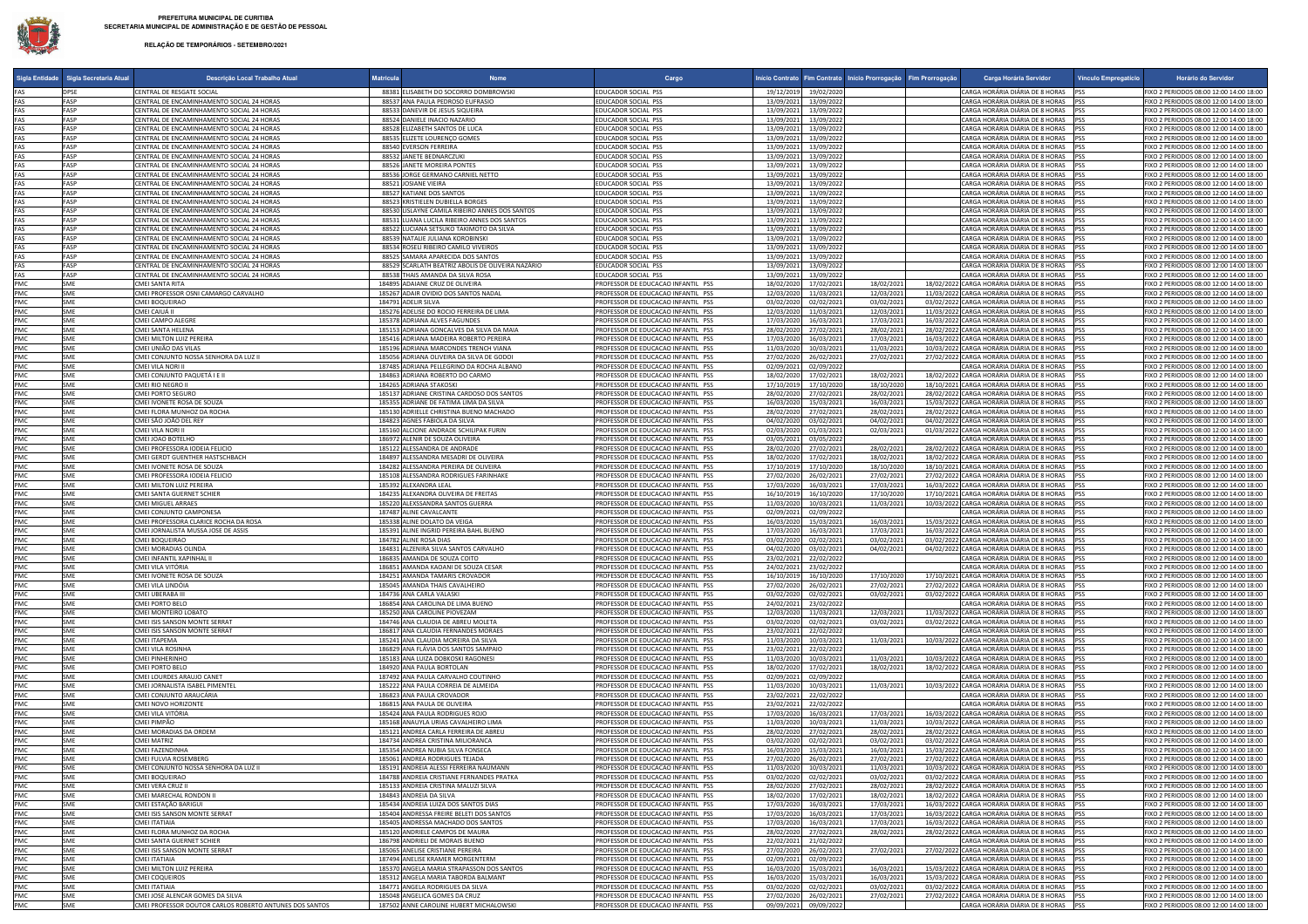## **RELAÇÃO DE TEMPORÁRIOS - SETEMBRO/2021**

|            | Sigla Entidade   Sigla Secretaria Atual | Descrição Local Trabalho Atual                                                         | <b>Matricula</b> | Nome                                                                                   | Cargo                                                                    |                                                      | Início Contrato   Fim Contrato   Início Prorrogação   Fim Prorrogação | Carga Horária Servidor                                                                           | Vínculo Empregatício | Horário do Servidor                                                                |
|------------|-----------------------------------------|----------------------------------------------------------------------------------------|------------------|----------------------------------------------------------------------------------------|--------------------------------------------------------------------------|------------------------------------------------------|-----------------------------------------------------------------------|--------------------------------------------------------------------------------------------------|----------------------|------------------------------------------------------------------------------------|
| FAS        | <b>DPSE</b>                             | CENTRAL DE RESGATE SOCIAL                                                              |                  | 88381 ELISABETH DO SOCORRO DOMBROWSKI                                                  | EDUCADOR SOCIAL PSS                                                      | 19/12/2019<br>19/02/2020                             |                                                                       | CARGA HORÁRIA DIÁRIA DE 8 HORAS                                                                  |                      | FIXO 2 PERIODOS 08:00 12:00 14:00 18:00                                            |
| FAS        | FASP                                    | CENTRAL DE ENCAMINHAMENTO SOCIAL 24 HORAS                                              |                  | 88537 ANA PAULA PEDROSO EUFRASIO                                                       | EDUCADOR SOCIAL PSS                                                      | 13/09/2021<br>13/09/2022                             |                                                                       | CARGA HORÁRIA DIÁRIA DE 8 HORAS                                                                  |                      | FIXO 2 PERIODOS 08:00 12:00 14:00 18:00                                            |
| FAS        | <b>FASP</b><br><b>FASP</b>              | CENTRAL DE ENCAMINHAMENTO SOCIAL 24 HORAS                                              |                  | 88533 DANEVIR DE JESUS SIQUEIRA                                                        | EDUCADOR SOCIAL PSS                                                      | 13/09/2021<br>13/09/2022                             |                                                                       | CARGA HORÁRIA DIÁRIA DE 8 HORAS                                                                  |                      | FIXO 2 PERIODOS 08:00 12:00 14:00 18:00                                            |
| FAS<br>FAS | <b>FASP</b>                             | CENTRAL DE ENCAMINHAMENTO SOCIAL 24 HORAS<br>CENTRAL DE ENCAMINHAMENTO SOCIAL 24 HORAS |                  | 88524 DANIELE INACIO NAZARIO<br>88528 ELIZABETH SANTOS DE LUCA                         | EDUCADOR SOCIAL PSS<br>EDUCADOR SOCIAL PSS                               | 13/09/2021<br>13/09/2022<br>13/09/2021<br>13/09/2022 |                                                                       | CARGA HORÁRIA DIÁRIA DE 8 HORAS<br>CARGA HORÁRIA DIÁRIA DE 8 HORAS                               | <b>PSS</b>           | FIXO 2 PERIODOS 08:00 12:00 14:00 18:00<br>FIXO 2 PERIODOS 08:00 12:00 14:00 18:00 |
| FAS        | FASP                                    | CENTRAL DE ENCAMINHAMENTO SOCIAL 24 HORAS                                              |                  | 88535 ELIZETE LOURENCO GOMES                                                           | EDUCADOR SOCIAL PSS                                                      | 13/09/2021<br>13/09/2022                             |                                                                       | CARGA HORÁRIA DIÁRIA DE 8 HORAS                                                                  |                      | FIXO 2 PERIODOS 08:00 12:00 14:00 18:00                                            |
| FAS        | FASP                                    | CENTRAL DE ENCAMINHAMENTO SOCIAL 24 HORAS                                              |                  | 88540 EVERSON FERREIRA                                                                 | EDUCADOR SOCIAL PSS                                                      | 13/09/2021<br>13/09/2022                             |                                                                       | CARGA HORÁRIA DIÁRIA DE 8 HORAS                                                                  |                      | FIXO 2 PERIODOS 08:00 12:00 14:00 18:00                                            |
| FAS        | FASP                                    | CENTRAL DE ENCAMINHAMENTO SOCIAL 24 HORAS                                              |                  | 88532 JANETE BEDNARCZUKI                                                               | EDUCADOR SOCIAL PSS                                                      | 13/09/2021<br>13/09/2022                             |                                                                       | CARGA HORÁRIA DIÁRIA DE 8 HORAS                                                                  |                      | FIXO 2 PERIODOS 08:00 12:00 14:00 18:00                                            |
| FAS<br>FAS | FASP<br>FASP                            | CENTRAL DE ENCAMINHAMENTO SOCIAL 24 HORAS                                              |                  | 88526 JANETE MOREIRA PONTES                                                            | EDUCADOR SOCIAL PSS<br>EDUCADOR SOCIAL PSS                               | 13/09/2021<br>13/09/2022                             |                                                                       | ARGA HORÁRIA DIÁRIA DE 8 HORAS:<br>ARGA HORÁRIA DIÁRIA DE 8 HORAS                                |                      | FIXO 2 PERIODOS 08:00 12:00 14:00 18:00                                            |
| FAS        | FASP                                    | CENTRAL DE ENCAMINHAMENTO SOCIAL 24 HORAS<br>CENTRAL DE ENCAMINHAMENTO SOCIAL 24 HORAS |                  | 88536 JORGE GERMANO CARNIEL NETTO<br>88521 JOSIANE VIEIRA                              | EDUCADOR SOCIAL PSS                                                      | 13/09/2021<br>13/09/2022<br>13/09/2021<br>13/09/2022 |                                                                       | CARGA HORÁRIA DIÁRIA DE 8 HORAS                                                                  |                      | FIXO 2 PERIODOS 08:00 12:00 14:00 18:00<br>FIXO 2 PERIODOS 08:00 12:00 14:00 18:00 |
| FAS        | FASP                                    | CENTRAL DE ENCAMINHAMENTO SOCIAL 24 HORAS                                              |                  | 88527 KATIANE DOS SANTOS                                                               | EDUCADOR SOCIAL PSS                                                      | 13/09/2021<br>13/09/2022                             |                                                                       | CARGA HORÁRIA DIÁRIA DE 8 HORAS                                                                  |                      | FIXO 2 PERIODOS 08:00 12:00 14:00 18:00                                            |
| FAS        | FASP                                    | CENTRAL DE ENCAMINHAMENTO SOCIAL 24 HORAS                                              |                  | 88523 KRISTIELEN DUBIELLA BORGES                                                       | EDUCADOR SOCIAL PSS                                                      | 13/09/2021<br>13/09/2022                             |                                                                       | CARGA HORÁRIA DIÁRIA DE 8 HORAS                                                                  |                      | FIXO 2 PERIODOS 08:00 12:00 14:00 18:00                                            |
| FAS        | FASP                                    | CENTRAL DE ENCAMINHAMENTO SOCIAL 24 HORAS                                              |                  | 88530 LISLAYNE CAMILA RIBEIRO ANNES DOS SANTOS                                         | EDUCADOR SOCIAL PSS                                                      | 13/09/2021<br>13/09/2022                             |                                                                       | CARGA HORÁRIA DIÁRIA DE 8 HORAS                                                                  |                      | FIXO 2 PERIODOS 08:00 12:00 14:00 18:00                                            |
| FAS<br>FAS | <b>FASP</b><br><b>FASP</b>              | CENTRAL DE ENCAMINHAMENTO SOCIAL 24 HORAS<br>CENTRAL DE ENCAMINHAMENTO SOCIAL 24 HORAS |                  | 88531 LUANA LUCILA RIBEIRO ANNES DOS SANTOS<br>88522 LUCIANA SETSUKO TAKIMOTO DA SILVA | EDUCADOR SOCIAL PSS<br>EDUCADOR SOCIAL PSS                               | 13/09/2021<br>13/09/2022<br>13/09/2021<br>13/09/2022 |                                                                       | CARGA HORÁRIA DIÁRIA DE 8 HORAS<br>CARGA HORÁRIA DIÁRIA DE 8 HORAS                               |                      | FIXO 2 PERIODOS 08:00 12:00 14:00 18:00<br>FIXO 2 PERIODOS 08:00 12:00 14:00 18:00 |
| FAS        | <b>FASP</b>                             | CENTRAL DE ENCAMINHAMENTO SOCIAL 24 HORAS                                              |                  | 88539 NATALIE JULIANA KOROBINSKI                                                       | EDUCADOR SOCIAL PSS                                                      | 13/09/2022<br>13/09/2021                             |                                                                       | CARGA HORÁRIA DIÁRIA DE 8 HORAS                                                                  |                      | FIXO 2 PERIODOS 08:00 12:00 14:00 18:00                                            |
| FAS        | <b>FASP</b>                             | CENTRAL DE ENCAMINHAMENTO SOCIAL 24 HORAS                                              |                  | 88534 ROSELI RIBEIRO CAMILO VIVEIROS                                                   | EDUCADOR SOCIAL PSS                                                      | 13/09/2022<br>13/09/2021                             |                                                                       | CARGA HORÁRIA DIÁRIA DE 8 HORAS                                                                  |                      | FIXO 2 PERIODOS 08:00 12:00 14:00 18:00                                            |
| FAS        | FASP                                    | CENTRAL DE ENCAMINHAMENTO SOCIAL 24 HORAS                                              |                  | 88525 SAMARA APARECIDA DOS SANTOS                                                      | EDUCADOR SOCIAL PSS                                                      | 13/09/2022<br>13/09/2021                             |                                                                       | CARGA HORÁRIA DIÁRIA DE 8 HORAS                                                                  |                      | FIXO 2 PERIODOS 08:00 12:00 14:00 18:00                                            |
| FAS        | FASP                                    | CENTRAL DE ENCAMINHAMENTO SOCIAL 24 HORAS                                              |                  | 88529 SCARLATH BEATRIZ ABOLIS DE OLIVEIRA NAZÁRIO                                      | EDUCADOR SOCIAL PSS<br>EDUCADOR SOCIAL PSS                               | 13/09/2021<br>13/09/2022                             |                                                                       | CARGA HORÁRIA DIÁRIA DE 8 HORAS                                                                  |                      | FIXO 2 PERIODOS 08:00 12:00 14:00 18:00                                            |
| FAS<br>PMC | FASP<br>SME                             | CENTRAL DE ENCAMINHAMENTO SOCIAL 24 HORAS<br>CMEI SANTA RITA                           |                  | 88538 THAIS AMANDA DA SILVA ROSA<br>184895 ADAIANE CRUZ DE OLIVEIRA                    | PROFESSOR DE EDUCACAO INFANTIL PSS                                       | 13/09/2021<br>13/09/2022<br>18/02/2020<br>17/02/2021 | 18/02/2021                                                            | CARGA HORÁRIA DIÁRIA DE 8 HORAS<br>18/02/2022 CARGA HORÁRIA DIÁRIA DE 8 HORAS PSS                | PSS                  | FIXO 2 PERIODOS 08:00 12:00 14:00 18:00<br>FIXO 2 PERIODOS 08:00 12:00 14:00 18:00 |
| PMC        | SME                                     | CMEI PROFESSOR OSNI CAMARGO CARVALHO                                                   |                  | 185267 ADAIR OVIDIO DOS SANTOS NADAL                                                   | PROFESSOR DE EDUCACAO INFANTIL PSS                                       | 12/03/2020<br>11/03/2021                             | 12/03/2021                                                            | 11/03/2022 CARGA HORÁRIA DIÁRIA DE 8 HORAS                                                       |                      | FIXO 2 PERIODOS 08:00 12:00 14:00 18:00                                            |
| PMC        | SME                                     | CMEI BOQUEIRAO                                                                         |                  | 184791 ADELIR SILVA                                                                    | PROFESSOR DE EDUCACAO INFANTIL PSS                                       | 03/02/2020<br>02/02/2021                             | 03/02/2021                                                            | 03/02/2022 CARGA HORÁRIA DIÁRIA DE 8 HORAS                                                       |                      | FIXO 2 PERIODOS 08:00 12:00 14:00 18:00                                            |
| PMC        | SME                                     | CMEI CAIUÁ II                                                                          |                  | 185276 ADELISE DO ROCIO FERREIRA DE LIMA                                               | PROFESSOR DE EDUCACAO INFANTIL PSS                                       | 12/03/2020<br>11/03/2021                             | 12/03/2021                                                            | 11/03/2022 CARGA HORÁRIA DIÁRIA DE 8 HORAS PSS                                                   |                      | FIXO 2 PERIODOS 08:00 12:00 14:00 18:00                                            |
| PMC        | SME                                     | CMEI CAMPO ALEGRE                                                                      |                  | 185378 ADRIANA ALVES FAGUNDES                                                          | PROFESSOR DE EDUCACAO INFANTIL PSS                                       | 17/03/2020<br>16/03/2021                             | 17/03/2021                                                            | 16/03/2022 CARGA HORÁRIA DIÁRIA DE 8 HORAS                                                       |                      | FIXO 2 PERIODOS 08:00 12:00 14:00 18:00                                            |
| PMC<br>PMC | SME<br>SME                              | CMEI SANTA HELENA<br>CMEI MILTON LUIZ PEREIRA                                          |                  | 185153 ADRIANA GONCALVES DA SILVA DA MAIA<br>185416 ADRIANA MADEIRA ROBERTO PEREIRA    | PROFESSOR DE EDUCACAO INFANTIL PSS<br>PROFESSOR DE EDUCACAO INFANTIL PSS | 28/02/2020<br>27/02/2021<br>17/03/2020<br>16/03/2021 | 28/02/2021<br>17/03/2021                                              | 28/02/2022 CARGA HORÁRIA DIÁRIA DE 8 HORAS<br>16/03/2022 CARGA HORÁRIA DIÁRIA DE 8 HORAS         | <b>PSS</b>           | FIXO 2 PERIODOS 08:00 12:00 14:00 18:00<br>FIXO 2 PERIODOS 08:00 12:00 14:00 18:00 |
| PMC        | SME                                     | CMEI UNIÃO DAS VILAS                                                                   |                  | 185196 ADRIANA MARCONDES TRENCH VIANA                                                  | PROFESSOR DE EDUCACAO INFANTIL PSS                                       | 11/03/2020<br>10/03/2021                             | 11/03/2021                                                            | 10/03/2022 CARGA HORÁRIA DIÁRIA DE 8 HORAS                                                       | <b>IPSS</b>          | FIXO 2 PERIODOS 08:00 12:00 14:00 18:00                                            |
| PMC        | SME                                     | CMEI CONJUNTO NOSSA SENHORA DA LUZ II                                                  |                  | 185056 ADRIANA OLIVEIRA DA SILVA DE GODOI                                              | PROFESSOR DE EDUCACAO INFANTIL PSS                                       | 27/02/2020<br>26/02/2021                             | 27/02/2021                                                            | 27/02/2022 CARGA HORÁRIA DIÁRIA DE 8 HORAS                                                       |                      | FIXO 2 PERIODOS 08:00 12:00 14:00 18:00                                            |
| PMC        | SME                                     | CMEI VILA NORI I                                                                       |                  | 187485 ADRIANA PELLEGRINO DA ROCHA ALBANO                                              | PROFESSOR DE EDUCACAO INFANTIL PSS                                       | 02/09/2021<br>02/09/2022                             |                                                                       | CARGA HORÁRIA DIÁRIA DE 8 HORAS                                                                  |                      | FIXO 2 PERIODOS 08:00 12:00 14:00 18:00                                            |
| PMC<br>PMC | SME<br>SME                              | CMEI CONJUNTO PAQUETÁ I E II<br>MEI RIO NEGRO II                                       |                  | 184863 ADRIANA ROBERTO DO CARMO<br>184265 ADRIANA STAKOSKI                             | PROFESSOR DE EDUCACAO INFANTIL PSS<br>ROFESSOR DE EDUCACAO INFANTIL PSS  | 18/02/2020<br>17/02/2021<br>17/10/2019<br>17/10/2020 | 18/02/2021<br>18/10/2020                                              | 18/02/2022 CARGA HORÁRIA DIÁRIA DE 8 HORAS<br>18/10/2021 CARGA HORÁRIA DIÁRIA DE 8 HORAS         |                      | FIXO 2 PERIODOS 08:00 12:00 14:00 18:00<br>FIXO 2 PERIODOS 08:00 12:00 14:00 18:00 |
| PMC        | SME                                     | CMEI PORTO SEGURO                                                                      |                  | 185137 ADRIANE CRISTINA CARDOSO DOS SANTOS                                             | PROFESSOR DE EDUCACAO INFANTIL PSS                                       | 28/02/2020<br>27/02/2021                             | 28/02/2021                                                            | 28/02/2022 CARGA HORÁRIA DIÁRIA DE 8 HORAS                                                       |                      | IXO 2 PERIODOS 08:00 12:00 14:00 18:00                                             |
| PMC        | SME                                     | CMEI IVONETE ROSA DE SOUZA                                                             |                  | 185355 ADRIANE DE FATIMA LIMA DA SILVA                                                 | PROFESSOR DE EDUCACAO INFANTIL PSS                                       | 16/03/2020<br>15/03/2021                             | 16/03/2021                                                            | 15/03/2022 CARGA HORÁRIA DIÁRIA DE 8 HORAS                                                       |                      | FIXO 2 PERIODOS 08:00 12:00 14:00 18:00                                            |
| PMC        | SME                                     | CMEI FLORA MUNHOZ DA ROCHA                                                             |                  | 185130 ADRIELLE CHRISTINA BUENO MACHADO                                                | PROFESSOR DE EDUCACAO INFANTIL PSS                                       | 28/02/2020<br>27/02/2021                             | 28/02/2021                                                            | 28/02/2022 CARGA HORÁRIA DIÁRIA DE 8 HORAS                                                       |                      | FIXO 2 PERIODOS 08:00 12:00 14:00 18:00                                            |
| PMC        | SME                                     | CMEI SÃO JOÃO DEL REY                                                                  |                  | 184823 AGNES FABIOLA DA SILVA                                                          | PROFESSOR DE EDUCACAO INFANTIL PSS                                       | 04/02/2020<br>03/02/2021                             | 04/02/2021                                                            | 04/02/2022 CARGA HORÁRIA DIÁRIA DE 8 HORAS                                                       |                      | FIXO 2 PERIODOS 08:00 12:00 14:00 18:00                                            |
| PMC        | SME<br>SME                              | CMEI VILA NORI II                                                                      |                  | 185160 ALCIONE ANDRADE SCHILIPAK FURIN                                                 | PROFESSOR DE EDUCACAO INFANTIL PSS                                       | 02/03/2020<br>01/03/2021                             | 02/03/2021                                                            | 01/03/2022 CARGA HORÁRIA DIÁRIA DE 8 HORAS<br>CARGA HORÁRIA DIÁRIA DE 8 HORAS                    |                      | FIXO 2 PERIODOS 08:00 12:00 14:00 18:00                                            |
| PMC<br>PMC | SME                                     | CMEI JOAO BOTELHO<br>CMEI PROFESSORA IODEIA FELICIO                                    |                  | 186972 ALENIR DE SOUZA OLIVEIRA<br>185122 ALESSANDRA DE ANDRADE                        | PROFESSOR DE EDUCACAO INFANTIL PSS<br>PROFESSOR DE EDUCACAO INFANTIL PSS | 03/05/2021<br>03/05/2022<br>28/02/2020<br>27/02/2021 | 28/02/2021                                                            | 28/02/2022 CARGA HORÁRIA DIÁRIA DE 8 HORAS                                                       |                      | FIXO 2 PERIODOS 08:00 12:00 14:00 18:00<br>FIXO 2 PERIODOS 08:00 12:00 14:00 18:00 |
| PMC        | SMF                                     | CMELGERDT GUENTHER HASTSCHRACH                                                         |                  | 184897 ALESSANDRA MESADRI DE OLIVEIRA                                                  | PROFESSOR DE EDUCACAO INFANTIL PSS                                       | 18/02/2020<br>17/02/2021                             | 18/02/2021                                                            | 18/02/2022 CARGA HORÁRIA DIÁRIA DE 8 HORAS                                                       |                      | FIXO 2 PERIODOS 08:00 12:00 14:00 18:00                                            |
| PMC        | SMF                                     | CMEI IVONETE ROSA DE SOUZA                                                             |                  | 184282 ALESSANDRA PEREIRA DE OLIVEIRA                                                  | PROFESSOR DE EDUCACAO INFANTIL PSS                                       | 17/10/2019<br>17/10/2020                             | 18/10/2020                                                            | 18/10/2021 CARGA HORÁRIA DIÁRIA DE 8 HORAS                                                       |                      | EIXO 2 PERIODOS 08:00 12:00 14:00 18:00                                            |
| PMC        | SMF                                     | CMELPROFESSORA IODEIA FELICIO                                                          |                  | 185108 ALESSANDRA RODRIGUES FARINHAKE                                                  | PROFESSOR DE EDUCACAO INFANTIL PSS                                       | 27/02/2020<br>26/02/2021                             | 27/02/2021                                                            | 27/02/2022 CARGA HORÁRIA DIÁRIA DE 8 HORAS                                                       |                      | FIXO 2 PERIODOS 08:00 12:00 14:00 18:00                                            |
| PMC<br>PMC | SME<br>SME                              | CMEI MILTON LUIZ PEREIRA<br>CMEI SANTA GUERNET SCHIER                                  |                  | 185392 ALEXANDRA LEAL<br>184235 ALEXANDRA OLIVEIRA DE FREITAS                          | PROFESSOR DE EDUCACAO INFANTIL PSS<br>PROFESSOR DE EDUCACAO INFANTIL PSS | 17/03/2020<br>16/03/2021<br>16/10/2019<br>16/10/2020 | 17/03/2021<br>17/10/2020                                              | 16/03/2022 CARGA HORÁRIA DIÁRIA DE 8 HORAS<br>17/10/2021 CARGA HORÁRIA DIÁRIA DE 8 HORAS         |                      | FIXO 2 PERIODOS 08:00 12:00 14:00 18:00<br>FIXO 2 PERIODOS 08:00 12:00 14:00 18:00 |
| PMC        | SME                                     | CMEI MIGUEL ARRAES                                                                     |                  | 185220 ALEXSSANDRA SANTOS GUERRA                                                       | PROFESSOR DE EDUCAÇÃO INFANTIL PSS                                       | 11/03/2020<br>10/03/2021                             | 11/03/2021                                                            | 10/03/2022 CARGA HORÁRIA DIÁRIA DE 8 HORAS                                                       |                      | FIXO 2 PERIODOS 08:00 12:00 14:00 18:00                                            |
| PMC        | SME                                     | CMEI CONJUNTO CAMPONESA                                                                |                  | 187487 ALINE CAVALCANTE                                                                | PROFESSOR DE EDUCACAO INFANTIL PSS                                       | 02/09/2021<br>02/09/2022                             |                                                                       | CARGA HORÁRIA DIÁRIA DE 8 HORAS                                                                  |                      | FIXO 2 PERIODOS 08:00 12:00 14:00 18:00                                            |
| PMC        | SME                                     | CMEI PROFESSORA CLARICE ROCHA DA ROSA                                                  |                  | 185338 ALINE DOLATO DA VEIGA                                                           | PROFESSOR DE EDUCACAO INFANTIL PSS                                       | 16/03/2020<br>15/03/2021                             | 16/03/2021                                                            | 15/03/2022 CARGA HORÁRIA DIÁRIA DE 8 HORAS PSS                                                   |                      | FIXO 2 PERIODOS 08:00 12:00 14:00 18:00                                            |
| PMC        | SME                                     | CMEI JORNALISTA MUSSA JOSE DE ASSIS                                                    |                  | 185391 ALINE INGRID PEREIRA BAHL BUENO                                                 | PROFESSOR DE EDUCACAO INFANTIL PSS                                       | 17/03/2020<br>16/03/2021                             | 17/03/2021                                                            | 16/03/2022 CARGA HORÁRIA DIÁRIA DE 8 HORAS PSS                                                   |                      | FIXO 2 PERIODOS 08:00 12:00 14:00 18:00                                            |
| PMC<br>PMC | SME<br>SME                              | CMEI BOQUEIRAO<br>CMEI MORADIAS OLINDA                                                 |                  | 184782 ALINE ROSA DIAS<br>184831 ALZENIRA SILVA SANTOS CARVALHO                        | PROFESSOR DE EDUCACAO INFANTIL PSS<br>PROFESSOR DE EDUCACAO INFANTIL PSS | 03/02/2020<br>02/02/2021<br>04/02/2020<br>03/02/2021 | 03/02/2021                                                            | 03/02/2022 CARGA HORÁRIA DIÁRIA DE 8 HORAS<br>04/02/2022 CARGA HORÁRIA DIÁRIA DE 8 HORAS PSS     | <b>PSS</b>           | FIXO 2 PERIODOS 08:00 12:00 14:00 18:00<br>FIXO 2 PERIODOS 08:00 12:00 14:00 18:00 |
| PMC        | SME                                     | CMEI INFANTIL XAPINHAL II                                                              |                  | 186835 AMANDA DE SOUZA COITO                                                           | PROFESSOR DE EDUCACAO INFANTIL PSS                                       | 23/02/2021<br>22/02/2022                             | 04/02/2021                                                            | CARGA HORÁRIA DIÁRIA DE 8 HORAS                                                                  |                      | FIXO 2 PERIODOS 08:00 12:00 14:00 18:00                                            |
| PMC        | SME                                     | CMEI VILA VITÓRIA                                                                      |                  | 186851 AMANDA KAOANI DE SOUZA CESAR                                                    | PROFESSOR DE EDUCACAO INFANTIL PSS                                       | 24/02/2021<br>23/02/2022                             |                                                                       | CARGA HORÁRIA DIÁRIA DE 8 HORAS                                                                  |                      | FIXO 2 PERIODOS 08:00 12:00 14:00 18:00                                            |
| PMC        | SME                                     | CMEI IVONETE ROSA DE SOUZA                                                             |                  | 184251 AMANDA TAMARIS CROVADOR                                                         | PROFESSOR DE EDUCACAO INFANTIL PSS                                       | 16/10/2019<br>16/10/2020                             | 17/10/2020                                                            | 17/10/2021 CARGA HORÁRIA DIÁRIA DE 8 HORAS                                                       |                      | FIXO 2 PERIODOS 08:00 12:00 14:00 18:00                                            |
| PMC<br>PMC | SME                                     | CMEI VILA LINDÓIA                                                                      |                  | 185045 AMANDA THAIS CAVALHEIRO                                                         | PROFESSOR DE EDUCACAO INFANTIL PSS                                       | 27/02/2020<br>26/02/2021                             | 27/02/2021                                                            | 27/02/2022 CARGA HORÁRIA DIÁRIA DE 8 HORAS                                                       |                      | FIXO 2 PERIODOS 08:00 12:00 14:00 18:00                                            |
| PMC        | SME<br>SME                              | CMEI UBERABA III<br>CMEI PORTO BELO                                                    |                  | 184736 ANA CARLA VALASKI<br>186854 ANA CAROLINA DE LIMA BUENO                          | PROFESSOR DE EDUCACAO INFANTIL PSS<br>PROFESSOR DE EDUCACAO INFANTIL PSS | 03/02/2020<br>02/02/2021<br>24/02/2021<br>23/02/2022 | 03/02/2021                                                            | 03/02/2022 CARGA HORÁRIA DIÁRIA DE 8 HORAS<br>CARGA HORÁRIA DIÁRIA DE 8 HORAS                    |                      | FIXO 2 PERIODOS 08:00 12:00 14:00 18:00<br>FIXO 2 PERIODOS 08:00 12:00 14:00 18:00 |
| PMC        | SME                                     | CMEI MONTEIRO LOBATO                                                                   |                  | 185250 ANA CAROLINE PIOVEZAM                                                           | PROFESSOR DE EDUCACAO INFANTIL PSS                                       | 12/03/2020<br>11/03/2021                             | 12/03/2021                                                            | 11/03/2022 CARGA HORÁRIA DIÁRIA DE 8 HORAS                                                       |                      | FIXO 2 PERIODOS 08:00 12:00 14:00 18:00                                            |
| PMC        | SME                                     | CMEI ISIS SANSON MONTE SERRAT                                                          |                  | 184746 ANA CLAUDIA DE ABREU MOLETA                                                     | PROFESSOR DE EDUCACAO INFANTIL PSS                                       | 03/02/2020<br>02/02/2021                             | 03/02/2021                                                            | 03/02/2022 CARGA HORÁRIA DIÁRIA DE 8 HORAS                                                       |                      | FIXO 2 PERIODOS 08:00 12:00 14:00 18:00                                            |
| PMC        | SME                                     | CMEI ISIS SANSON MONTE SERRAT                                                          |                  | 186817 ANA CLAUDIA FERNANDES MORAES                                                    | PROFESSOR DE EDUCACAO INFANTIL PSS                                       | 23/02/2021<br>22/02/2022                             |                                                                       | CARGA HORÁRIA DIÁRIA DE 8 HORAS                                                                  |                      | FIXO 2 PERIODOS 08:00 12:00 14:00 18:00                                            |
| PMC        | SME                                     | CMEI ITAPEMA                                                                           |                  | 185241 ANA CLAUDIA MOREIRA DA SILVA                                                    | PROFESSOR DE EDUCACAO INFANTIL PSS                                       | 11/03/2020<br>10/03/2021                             | 11/03/202                                                             | 10/03/2022 CARGA HORÁRIA DIÁRIA DE 8 HORAS                                                       |                      | FIXO 2 PERIODOS 08:00 12:00 14:00 18:00                                            |
| PMC<br>PMC | SME<br>SME                              | CMEI VILA ROSINHA<br>CMEI PINHERINHO                                                   |                  | 186829 ANA FLÁVIA DOS SANTOS SAMPAIO<br>185183 ANA LUIZA DOBKOSKI RAGONESI             | PROFESSOR DE EDUCACAO INFANTIL PSS<br>PROFESSOR DE EDUCACAO INFANTIL PSS | 23/02/2021<br>22/02/2022<br>11/03/2020<br>10/03/2021 | 11/03/2021                                                            | CARGA HORÁRIA DIÁRIA DE 8 HORAS<br>10/03/2022 CARGA HORÁRIA DIÁRIA DE 8 HORAS                    |                      | FIXO 2 PERIODOS 08:00 12:00 14:00 18:00<br>FIXO 2 PERIODOS 08:00 12:00 14:00 18:00 |
| PMC        | SME                                     | CMEI PORTO BELO                                                                        |                  | 184920 ANA PAULA BORTOLAN                                                              | PROFESSOR DE EDUCACAO INFANTIL PSS                                       | 18/02/2020<br>17/02/2021                             | 18/02/2021                                                            | 18/02/2022 CARGA HORÁRIA DIÁRIA DE 8 HORAS                                                       |                      | FIXO 2 PERIODOS 08:00 12:00 14:00 18:00                                            |
| PMC        | SME                                     | CMEI LOURDES ARAUJO CANET                                                              |                  | 187492 ANA PAULA CARVALHO COUTINHO                                                     | PROFESSOR DE EDUCACAO INFANTIL PSS                                       | 02/09/2021<br>02/09/2022                             |                                                                       | CARGA HORÁRIA DIÁRIA DE 8 HORAS                                                                  |                      | FIXO 2 PERIODOS 08:00 12:00 14:00 18:00                                            |
| PMC        | SME                                     | CMEI JORNALISTA ISABEL PIMENTEL                                                        |                  | 185222 ANA PAULA CORREIA DE ALMEIDA                                                    | PROFESSOR DE EDUCACAO INFANTIL PSS                                       | 11/03/2020<br>10/03/2021                             | 11/03/2021                                                            | 10/03/2022 CARGA HORÁRIA DIÁRIA DE 8 HORAS                                                       |                      | FIXO 2 PERIODOS 08:00 12:00 14:00 18:00                                            |
| PMC<br>PMC | SME<br>SMF                              | CMEI CONJUNTO ARAUCÁRIA<br>CMEI NOVO HORIZONTE                                         |                  | 186823 ANA PAULA CROVADOR<br>186815 ANA PAULA DE OLIVEIRA                              | PROFESSOR DE EDUCACAO INFANTIL PSS<br>PROFESSOR DE EDUCACAO INFANTIL PSS | 23/02/2021<br>22/02/2022<br>22/02/2022               |                                                                       | CARGA HORÁRIA DIÁRIA DE 8 HORAS<br>CARGA HORÁRIA DIÁRIA DE 8 HORAS                               |                      | FIXO 2 PERIODOS 08:00 12:00 14:00 18:00<br>FIXO 2 PERIODOS 08:00 12:00 14:00 18:00 |
| PMC        | SME                                     | CMEI VILA VITÓRIA                                                                      |                  | 185424 ANA PAULA RODRIGUES ROJO                                                        | PROFESSOR DE EDUCACAO INFANTIL PSS                                       | 23/02/2021<br>17/03/2020<br>16/03/2021               | 17/03/2021                                                            | 16/03/2022 CARGA HORÁRIA DIÁRIA DE 8 HORAS                                                       | <b>IPSS</b>          | FIXO 2 PERIODOS 08:00 12:00 14:00 18:00                                            |
| PMC        | SME                                     | CMEI PIMPÃO                                                                            |                  | 185168 ANAUYLA URIAS CAVALHEIRO LIMA                                                   | PROFESSOR DE EDUCACAO INFANTIL PSS                                       | 11/03/2020<br>10/03/2021                             | 11/03/2021                                                            | 10/03/2022 CARGA HORÁRIA DIÁRIA DE 8 HORAS                                                       |                      | FIXO 2 PERIODOS 08:00 12:00 14:00 18:00                                            |
| PMC        | SME                                     | CMEI MORADIAS DA ORDEM                                                                 |                  | 185121 ANDREA CARLA FERREIRA DE ABREL                                                  | PROFESSOR DE EDUCACAO INFANTIL PSS                                       | 28/02/2020<br>27/02/2021                             | 28/02/2021                                                            | 28/02/2022 CARGA HORÁRIA DIÁRIA DE 8 HORAS                                                       |                      | FIXO 2 PERIODOS 08:00 12:00 14:00 18:00                                            |
| PMC        | SME                                     | CMEI MATRIZ                                                                            |                  | 184734 ANDREA CRISTINA MILIORANCA                                                      | PROFESSOR DE EDUCACAO INFANTIL PSS                                       | 03/02/2020<br>02/02/2021                             | 03/02/2021                                                            | 03/02/2022 CARGA HORÁRIA DIÁRIA DE 8 HORAS PSS                                                   |                      | FIXO 2 PERIODOS 08:00 12:00 14:00 18:00                                            |
| PMC<br>PMC | SME<br>SME                              | CMEI FAZENDINHA<br>CMEI FULVIA ROSEMBERG                                               |                  | 185354 ANDREA NUBIA SILVA FONSECA<br>185061 ANDREA RODRIGUES TEJADA                    | PROFESSOR DE EDUCACAO INFANTIL PSS<br>PROFESSOR DE EDUCACAO INFANTIL PSS | 16/03/2020<br>15/03/2021<br>27/02/2020<br>26/02/2021 | 16/03/2021<br>27/02/2021                                              | 15/03/2022 CARGA HORÁRIA DIÁRIA DE 8 HORAS PSS<br>27/02/2022 CARGA HORÁRIA DIÁRIA DE 8 HORAS PSS |                      | FIXO 2 PERIODOS 08:00 12:00 14:00 18:00<br>FIXO 2 PERIODOS 08:00 12:00 14:00 18:00 |
| PMC        | SME                                     | CMEI CONJUNTO NOSSA SENHORA DA LUZ I                                                   |                  | 185191 ANDREIA ALESSI FERREIRA NAUMANN                                                 | PROFESSOR DE EDUCACAO INFANTIL PSS                                       | 11/03/2020 10/03/202:                                | 11/03/2021                                                            | 10/03/2022 CARGA HORÁRIA DIÁRIA DE 8 HORAS                                                       |                      | FIXO 2 PERIODOS 08:00 12:00 14:00 18:00                                            |
| PMC        | SME                                     | CMEI BOQUEIRAO                                                                         |                  | 184788 ANDREIA CRISTIANE FERNANDES PRATKA                                              | PROFESSOR DE EDUCACAO INFANTIL PSS                                       | 03/02/2020 02/02/2021                                | 03/02/2021                                                            | 03/02/2022 CARGA HORÁRIA DIÁRIA DE 8 HORAS PSS                                                   |                      | FIXO 2 PERIODOS 08:00 12:00 14:00 18:00                                            |
| PMC        | SME                                     | CMEI VERA CRUZ II                                                                      |                  | 185133 ANDREIA CRISTINA MALUZI SILVA                                                   | PROFESSOR DE EDUCACAO INFANTIL PSS                                       | 28/02/2020<br>27/02/2021                             | 28/02/2021                                                            | 28/02/2022 CARGA HORÁRIA DIÁRIA DE 8 HORAS                                                       | <b>IPSS</b>          | FIXO 2 PERIODOS 08:00 12:00 14:00 18:00                                            |
| PMC        | SME                                     | CMEI MARECHAL RONDON II                                                                |                  | 184843 ANDREIA DA SILVA                                                                | PROFESSOR DE EDUCACAO INFANTIL PSS                                       | 18/02/2020<br>17/02/2021                             | 18/02/2021                                                            | 18/02/2022 CARGA HORÁRIA DIÁRIA DE 8 HORAS                                                       | <b>PSS</b>           | FIXO 2 PERIODOS 08:00 12:00 14:00 18:00                                            |
| PMC<br>PMC | SME<br>SME                              | CMEI ESTAÇÃO BARIGUI<br><b>CMEI ISIS SANSON MONTE SERRAT</b>                           |                  | 185434 ANDREIA LUIZA DOS SANTOS DIAS<br>185404 ANDRESSA FREIRE BELETI DOS SANTOS       | PROFESSOR DE EDUCACAO INFANTIL PSS<br>PROFESSOR DE EDUCACAO INFANTIL PSS | 17/03/2020<br>16/03/2021<br>17/03/2020<br>16/03/2021 | 17/03/2021<br>17/03/2021                                              | 16/03/2022 CARGA HORÁRIA DIÁRIA DE 8 HORAS PSS<br>16/03/2022 CARGA HORÁRIA DIÁRIA DE 8 HORAS     | <b>PSS</b>           | FIXO 2 PERIODOS 08:00 12:00 14:00 18:00<br>FIXO 2 PERIODOS 08:00 12:00 14:00 18:00 |
| PMC        | SME                                     | <b>MEI ITATIAIA</b>                                                                    |                  | 185405 ANDRESSA MACHADO DOS SANTOS                                                     | PROFESSOR DE EDUCACAO INFANTIL PSS                                       | 17/03/2020<br>16/03/2021                             | 17/03/2021                                                            | 16/03/2022 CARGA HORÁRIA DIÁRIA DE 8 HORAS                                                       | <b>PSS</b>           | FIXO 2 PERIODOS 08:00 12:00 14:00 18:00                                            |
| PMC        | SME                                     | CMEI FLORA MUNHOZ DA ROCHA                                                             |                  | 185120 ANDRIELE CAMPOS DE MAURA                                                        | PROFESSOR DE EDUCACAO INFANTIL PSS                                       | 28/02/2020<br>27/02/2021                             | 28/02/2021                                                            | 28/02/2022 CARGA HORÁRIA DIÁRIA DE 8 HORAS                                                       |                      | FIXO 2 PERIODOS 08:00 12:00 14:00 18:00                                            |
| PMC        | SME                                     | CMEI SANTA GUERNET SCHIER                                                              |                  | 186798 ANDRIELI DE MORAIS BUENO                                                        | PROFESSOR DE EDUCACAO INFANTIL PSS                                       | 22/02/2021<br>21/02/2022                             |                                                                       | CARGA HORÁRIA DIÁRIA DE 8 HORAS                                                                  |                      | FIXO 2 PERIODOS 08:00 12:00 14:00 18:00                                            |
| PMC        | SME                                     | CMEI ISIS SANSON MONTE SERRAT                                                          |                  | 185065 ANELISE CRISTIANE PEREIRA                                                       | PROFESSOR DE EDUCACAO INFANTIL PSS                                       | 27/02/2020<br>26/02/2021                             | 27/02/2021                                                            | 27/02/2022 CARGA HORÁRIA DIÁRIA DE 8 HORAS                                                       |                      | FIXO 2 PERIODOS 08:00 12:00 14:00 18:00                                            |
| PMC<br>PMC | SME<br>SME                              | CMEI ITATIAIA<br>CMEI MILTON LUIZ PEREIRA                                              |                  | 187494 ANELISE KRAMER MORGENTERM<br>185370 ANGELA MARIA STRAPASSON DOS SANTOS          | PROFESSOR DE EDUCACAO INFANTIL PSS<br>PROFESSOR DE EDUCACAO INFANTIL PSS | 02/09/2021<br>02/09/2022<br>16/03/2020<br>15/03/2021 | 16/03/2021                                                            | CARGA HORÁRIA DIÁRIA DE 8 HORAS<br>15/03/2022 CARGA HORÁRIA DIÁRIA DE 8 HORAS PSS                | <b>PSS</b>           | FIXO 2 PERIODOS 08:00 12:00 14:00 18:00<br>FIXO 2 PERIODOS 08:00 12:00 14:00 18:00 |
| PMC        | SME                                     | CMEI COQUEIROS                                                                         |                  | 185312 ANGELA MARIA TABORDA BALMANT                                                    | PROFESSOR DE EDUCACAO INFANTIL PSS                                       | 16/03/2020<br>15/03/2021                             | 16/03/2021                                                            | 15/03/2022 CARGA HORÁRIA DIÁRIA DE 8 HORAS PSS                                                   |                      | FIXO 2 PERIODOS 08:00 12:00 14:00 18:00                                            |
| PMC        | SME                                     | CMEI ITATIAIA                                                                          |                  | 184771 ANGELA RODRIGUES DA SILVA                                                       | PROFESSOR DE EDUCACAO INFANTIL PSS                                       | 03/02/2020<br>02/02/2021                             | 03/02/2021                                                            | 03/02/2022 CARGA HORÁRIA DIÁRIA DE 8 HORAS                                                       | <b>PSS</b>           | FIXO 2 PERIODOS 08:00 12:00 14:00 18:00                                            |
| PMC        | SME                                     | CMEI JOSE ALENCAR GOMES DA SILVA                                                       |                  | 185048 ANGELICA GOMES DA CRUZ                                                          | PROFESSOR DE EDUCACAO INFANTIL PSS                                       | 27/02/2020<br>26/02/2021                             | 27/02/2021                                                            | 27/02/2022 CARGA HORÁRIA DIÁRIA DE 8 HORAS                                                       | <b>PSS</b>           | FIXO 2 PERIODOS 08:00 12:00 14:00 18:00                                            |
| PMC        | SME                                     | CMEI PROFESSOR DOUTOR CARLOS ROBERTO ANTUNES DOS SANTOS                                |                  | 187502 ANNE CAROLINE HUBERT MICHALOWSKI                                                | PROFESSOR DE EDUCACAO INFANTIL PSS                                       | 09/09/2021<br>09/09/2022                             |                                                                       | CARGA HORÁRIA DIÁRIA DE 8 HORAS                                                                  |                      | FIXO 2 PERIODOS 08:00 12:00 14:00 18:00                                            |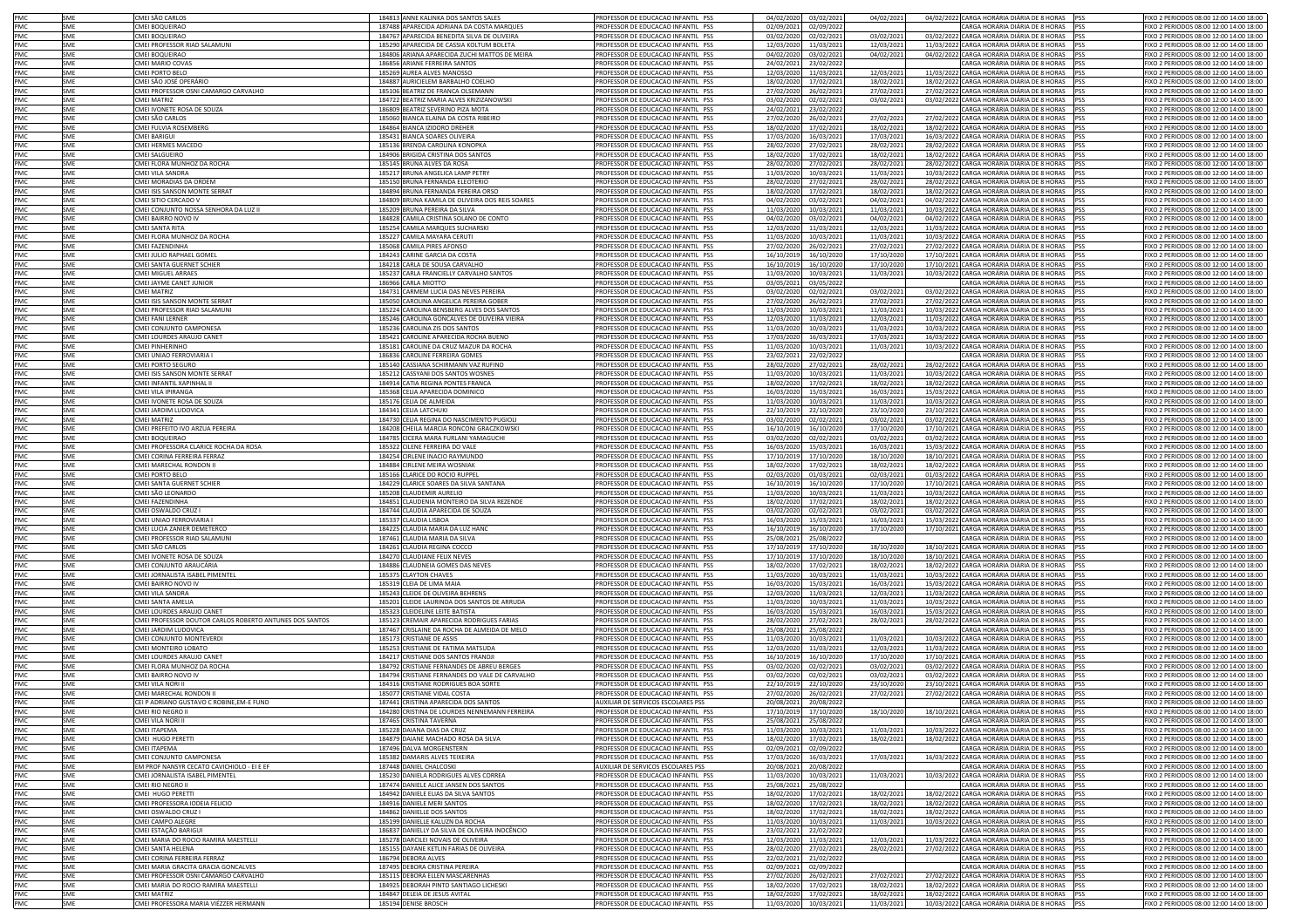| PMC        | SME        | CMEI SÃO CARLOS                                         | 184813 ANNE KALINKA DOS SANTOS SALES                                                      | PROFESSOR DE EDUCACAO INFANTIL PSS                                       | 04/02/2020<br>03/02/2021                             | 04/02/2021               | 04/02/2022 CARGA HORÁRIA DIÁRIA DE 8 HORAS PSS                                                   | FIXO 2 PERIODOS 08:00 12:00 14:00 18:00                                           |
|------------|------------|---------------------------------------------------------|-------------------------------------------------------------------------------------------|--------------------------------------------------------------------------|------------------------------------------------------|--------------------------|--------------------------------------------------------------------------------------------------|-----------------------------------------------------------------------------------|
| PMC        | SME        | CMEI BOQUEIRAO                                          | 187488 APARECIDA ADRIANA DA COSTA MARQUES                                                 | PROFESSOR DE EDUCACAO INFANTIL PSS                                       | 02/09/2021<br>02/09/2022                             |                          | CARGA HORÁRIA DIÁRIA DE 8 HORAS PSS                                                              | IXO 2 PERIODOS 08:00 12:00 14:00 18:00                                            |
| PMC        | SME        | CMEI BOQUEIRAO                                          | 184767 APARECIDA BENEDITA SILVA DE OLIVEIRA                                               | PROFESSOR DE EDUCACAO INFANTIL PSS                                       | 03/02/2020<br>02/02/2021                             | 03/02/2021               | 03/02/2022 CARGA HORÁRIA DIÁRIA DE 8 HORAS PSS                                                   | IXO 2 PERIODOS 08:00 12:00 14:00 18:00                                            |
| PMC        | SME        | CMEI PROFESSOR RIAD SALAMUNI                            | 185290 APARECIDA DE CASSIA KOLTUM BOLETA                                                  | PROFESSOR DE EDUCACAO INFANTIL PSS                                       | 12/03/2020<br>11/03/2021                             | 12/03/2021               | 11/03/2022 CARGA HORÁRIA DIÁRIA DE 8 HORAS PSS                                                   | FIXO 2 PERIODOS 08:00 12:00 14:00 18:00                                           |
| PMC        | SME        | CMEI BOQUEIRAO                                          | 184806 ARIANA APARECIDA ZUCHI MATTOS DE MEIRA                                             | PROFESSOR DE EDUCACAO INFANTIL PSS                                       | 04/02/2020<br>03/02/2021                             | 04/02/2021               | 04/02/2022 CARGA HORÁRIA DIÁRIA DE 8 HORAS PSS                                                   | FIXO 2 PERIODOS 08:00 12:00 14:00 18:00                                           |
| PMC        | SME        | CMEI MARIO COVAS                                        | 186856 ARIANE FERREIRA SANTOS                                                             | PROFESSOR DE EDUCACAO INFANTIL PSS                                       | 24/02/2021<br>23/02/2022                             |                          | CARGA HORÁRIA DIÁRIA DE 8 HORAS PSS                                                              | FIXO 2 PERIODOS 08:00 12:00 14:00 18:00                                           |
| PMC        | SME        | CMEI PORTO BELO                                         | 185269 AUREA ALVES MANOSSO                                                                | PROFESSOR DE EDUCACAO INFANTIL PSS                                       | 12/03/2020<br>11/03/2021                             | 12/03/2021               | 11/03/2022 CARGA HORÁRIA DIÁRIA DE 8 HORAS PSS                                                   | FIXO 2 PERIODOS 08:00 12:00 14:00 18:00                                           |
| PMC        | SME        | CMEI SÃO JOSÉ OPERÁRIO                                  | 184887 AURICIELEM BARBALHO COELHO                                                         | PROFESSOR DE EDUCACAO INFANTIL PSS                                       | 18/02/2020<br>17/02/2021                             | 18/02/2021               | 18/02/2022 CARGA HORÁRIA DIÁRIA DE 8 HORAS PSS                                                   | FIXO 2 PERIODOS 08:00 12:00 14:00 18:00                                           |
| PMC        | SME        | CMEI PROFESSOR OSNI CAMARGO CARVALHO                    | 185106 BEATRIZ DE FRANCA OLSEMANN                                                         | PROFESSOR DE EDUCACAO INFANTIL PSS                                       | 27/02/2020                                           |                          | 27/02/2022 CARGA HORÁRIA DIÁRIA DE 8 HORAS PSS                                                   | FIXO 2 PERIODOS 08:00 12:00 14:00 18:00                                           |
| PMC        | SME        | CMFI MATRIZ                                             | 184722 BEATRIZ MARIA ALVES KRIZIZANOWSKI                                                  | PROFESSOR DE EDUCACAO INFANTIL PSS                                       | 26/02/2021<br>03/02/2020                             | 27/02/2021               | 03/02/2022 CARGA HORÁRIA DIÁRIA DE 8 HORAS PSS                                                   | FIXO 2 PERIODOS 08:00 12:00 14:00 18:00                                           |
| PMC        |            |                                                         |                                                                                           |                                                                          | 02/02/2021                                           | 03/02/2021               |                                                                                                  |                                                                                   |
|            | SME        | CMEI IVONETE ROSA DE SOUZA                              | 186809 BEATRIZ SEVERINO PIZA MOTA                                                         | PROFESSOR DE EDUCACAO INFANTIL PSS                                       | 24/02/2021<br>23/02/2022                             |                          | CARGA HORÁRIA DIÁRIA DE 8 HORAS PSS                                                              | FIXO 2 PERIODOS 08:00 12:00 14:00 18:00                                           |
| PMC        | SME        | CMEI SÃO CARLOS                                         | 185060 BIANCA ELAINA DA COSTA RIBEIRO                                                     | PROFESSOR DE EDUCACAO INFANTIL PSS                                       | 27/02/2020<br>26/02/2021                             | 27/02/2021               | 27/02/2022 CARGA HORÁRIA DIÁRIA DE 8 HORAS PSS                                                   | FIXO 2 PERIODOS 08:00 12:00 14:00 18:00                                           |
| PMC        | SME        | CMEI FULVIA ROSEMBERG                                   | 184864 BIANCA IZIDORO DREHER                                                              | PROFESSOR DE EDUCACAO INFANTIL PSS                                       | 18/02/2020<br>17/02/2021                             | 18/02/2021               | 18/02/2022 CARGA HORÁRIA DIÁRIA DE 8 HORAS PSS                                                   | IXO 2 PERIODOS 08:00 12:00 14:00 18:00                                            |
| PMC        | SME        | CMEI BARIGUI                                            | 185431 BIANCA SOARES OLIVEIRA                                                             | PROFESSOR DE EDUCACAO INFANTIL PSS                                       | 17/03/2020<br>16/03/2021                             | 17/03/2021               | 16/03/2022 CARGA HORÁRIA DIÁRIA DE 8 HORAS PSS                                                   | IXO 2 PERIODOS 08:00 12:00 14:00 18:00                                            |
| PMC        | SME        | CMEI HERMES MACEDO                                      | 185136 BRENDA CAROLINA KONOPKA                                                            | PROFESSOR DE EDUCACAO INFANTIL PSS                                       | 28/02/2020<br>27/02/2021                             | 28/02/2021               | 28/02/2022 CARGA HORÁRIA DIÁRIA DE 8 HORAS PSS                                                   | IXO 2 PERIODOS 08:00 12:00 14:00 18:00                                            |
| PMC        | SME        | CMEI SALGUEIRO                                          | 184906 BRIGIDA CRISTINA DOS SANTOS                                                        | PROFESSOR DE EDUCACAO INFANTIL PSS                                       | 18/02/2020<br>17/02/2021                             | 18/02/2021               | 18/02/2022 CARGA HORÁRIA DIÁRIA DE 8 HORAS PSS                                                   | FIXO 2 PERIODOS 08:00 12:00 14:00 18:00                                           |
| PMC        | SME        | CMEI FLORA MUNHOZ DA ROCHA                              | 185145 BRUNA ALVES DA ROSA                                                                | PROFESSOR DE EDUCACAO INFANTIL PSS                                       | 28/02/2020<br>27/02/2021                             | 28/02/2021               | 28/02/2022 CARGA HORÁRIA DIÁRIA DE 8 HORAS PSS                                                   | IXO 2 PERIODOS 08:00 12:00 14:00 18:00                                            |
| PMC        | SME        | CMEI VILA SANDRA                                        | 185217 BRUNA ANGELICA LAMP PETRY                                                          | PROFESSOR DE EDUCACAO INFANTIL PSS                                       | 11/03/2020<br>10/03/2021                             | 11/03/2021               | 10/03/2022 CARGA HORÁRIA DIÁRIA DE 8 HORAS PSS                                                   | IXO 2 PERIODOS 08:00 12:00 14:00 18:00                                            |
| PMC        | SME        | CMEI MORADIAS DA ORDEM                                  | 185150 BRUNA FERNANDA ELEOTERIO                                                           | PROFESSOR DE EDUCACAO INFANTIL PSS                                       | 28/02/2020 27/02/2021                                | 28/02/2021               | 28/02/2022 CARGA HORÁRIA DIÁRIA DE 8 HORAS PSS                                                   | FIXO 2 PERIODOS 08:00 12:00 14:00 18:00                                           |
| PMC        | SME        | CMEI ISIS SANSON MONTE SERRAT                           | 184894 BRUNA FERNANDA PEREIRA ORSO                                                        | PROFESSOR DE EDUCACAO INFANTIL PSS                                       | 18/02/2020<br>17/02/2021                             | 18/02/2021               | 18/02/2022 CARGA HORÁRIA DIÁRIA DE 8 HORAS PSS                                                   | FIXO 2 PERIODOS 08:00 12:00 14:00 18:00                                           |
| PMC        | SME        | CMEI SITIO CERCADO V                                    | 184809 BRUNA KAMILA DE OLIVEIRA DOS REIS SOARES                                           | PROFESSOR DE EDUCACAO INFANTIL PSS                                       | 04/02/2020<br>03/02/2021                             | 04/02/2021               | 04/02/2022 CARGA HORÁRIA DIÁRIA DE 8 HORAS PSS                                                   | FIXO 2 PERIODOS 08:00 12:00 14:00 18:00                                           |
| PMC        | SME        | CMEI CONJUNTO NOSSA SENHORA DA LUZ II                   | 185209 BRUNA PEREIRA DA SILVA                                                             | PROFESSOR DE EDUCACAO INFANTIL PSS                                       | 10/03/2021<br>11/03/2020                             | 11/03/2021               | 10/03/2022 CARGA HORÁRIA DIÁRIA DE 8 HORAS PSS                                                   | FIXO 2 PERIODOS 08:00 12:00 14:00 18:00                                           |
| PMC        | SME        | CMEI BAIRRO NOVO IV                                     | 184828 CAMILA CRISTINA SOLANO DE CONTO                                                    | PROFESSOR DE EDUCACAO INFANTIL PSS                                       | 04/02/2020<br>03/02/2021                             | 04/02/2021               | 04/02/2022 CARGA HORÁRIA DIÁRIA DE 8 HORAS PSS                                                   | FIXO 2 PERIODOS 08:00 12:00 14:00 18:00                                           |
| <b>PMC</b> | SMF        | CMEI SANTA RITA                                         | 185254 CAMILA MARQUES SUCHARSKI                                                           | PROFESSOR DE EDUCACAO INFANTIL PSS                                       | 12/03/2020<br>11/03/2021                             | 12/03/2021               | 11/03/2022 CARGA HORÁRIA DIÁRIA DE 8 HORAS PSS                                                   | FIXO 2 PERIODOS 08:00 12:00 14:00 18:00                                           |
| PMC        | SME        | CMEI FLORA MUNHOZ DA ROCHA                              | 185227 CAMILA MAYARA CERUT                                                                | PROFESSOR DE EDUCACAO INFANTIL PSS                                       | 11/03/2020<br>10/03/202:                             | 11/03/2021               | 10/03/2022 CARGA HORÁRIA DIÁRIA DE 8 HORAS PSS                                                   | IXO 2 PERIODOS 08:00 12:00 14:00 18:00                                            |
| PMC        | SME        | CMEI FAZENDINHA                                         | 185068 CAMILA PIRES AFONSO                                                                | PROFESSOR DE EDUCACAO INFANTIL PSS                                       | 27/02/2020<br>26/02/2021                             | 27/02/2021               | 27/02/2022 CARGA HORÁRIA DIÁRIA DE 8 HORAS PSS                                                   | IXO 2 PERIODOS 08:00 12:00 14:00 18:00                                            |
|            |            |                                                         |                                                                                           |                                                                          |                                                      |                          |                                                                                                  |                                                                                   |
| PMC        | SME        | CMEI JULIO RAPHAEL GOMEL                                | 184243 CARINE GARCIA DA COSTA                                                             | PROFESSOR DE EDUCACAO INFANTIL PSS                                       | 16/10/2019<br>16/10/2020                             | 17/10/2020               | 17/10/2021 CARGA HORÁRIA DIÁRIA DE 8 HORAS PSS                                                   | IXO 2 PERIODOS 08:00 12:00 14:00 18:00                                            |
| PMC        | SME        | CMEI SANTA GUERNET SCHIER                               | 184218 CARLA DE SOUSA CARVALHO                                                            | PROFESSOR DE EDUCACAO INFANTIL PSS                                       | 16/10/2019<br>16/10/2020                             | 17/10/2020               | 17/10/2021 CARGA HORÁRIA DIÁRIA DE 8 HORAS PSS                                                   | IXO 2 PERIODOS 08:00 12:00 14:00 18:00                                            |
| PMC        | SME        | <b>CMEI MIGUEL ARRAES</b>                               | 185237 CARLA FRANCIELLY CARVALHO SANTOS                                                   | PROFESSOR DE EDUCACAO INFANTIL PSS                                       | 11/03/2020<br>10/03/2021                             | 11/03/2021               | 10/03/2022 CARGA HORÁRIA DIÁRIA DE 8 HORAS PSS                                                   | IXO 2 PERIODOS 08:00 12:00 14:00 18:00                                            |
| PMC        | SME        | CMEI JAYME CANET JUNIOR                                 | 186966 CARLA MIOTTO                                                                       | PROFESSOR DE EDUCACAO INFANTIL PSS                                       | 03/05/2021<br>03/05/2022                             |                          | CARGA HORÁRIA DIÁRIA DE 8 HORAS PSS                                                              | IXO 2 PERIODOS 08:00 12:00 14:00 18:00                                            |
| PMC        | SME        | <b>CMEI MATRIZ</b>                                      | 184731 CARMEM LUCIA DAS NEVES PEREIRA                                                     | PROFESSOR DE EDUCACAO INFANTIL PSS                                       | 03/02/2020<br>02/02/2021                             | 03/02/2021               | 03/02/2022 CARGA HORÁRIA DIÁRIA DE 8 HORAS PSS                                                   | IXO 2 PERIODOS 08:00 12:00 14:00 18:00                                            |
| PMC        | SME        | CMEI ISIS SANSON MONTE SERRAT                           | 185050 CAROLINA ANGELICA PEREIRA GOBER                                                    | PROFESSOR DE EDUCACAO INFANTIL PSS                                       | 27/02/2020<br>26/02/2021                             | 27/02/2021               | 27/02/2022 CARGA HORÁRIA DIÁRIA DE 8 HORAS PSS                                                   | FIXO 2 PERIODOS 08:00 12:00 14:00 18:00                                           |
| PMC        | SME        | CMEI PROFESSOR RIAD SALAMUNI                            | 185224 CAROLINA BENSBERG ALVES DOS SANTOS                                                 | PROFESSOR DE EDUCACAO INFANTIL PSS                                       | 11/03/2020<br>10/03/2021                             | 11/03/2021               | 10/03/2022 CARGA HORÁRIA DIÁRIA DE 8 HORAS PSS                                                   | IXO 2 PERIODOS 08:00 12:00 14:00 18:00                                            |
| PMC        | SME        | <b>CMEI FANI LERNER</b>                                 | 185246 CAROLINA GONCALVES DE OLIVEIRA VIEIRA                                              | PROFESSOR DE EDUCACAO INFANTIL PSS                                       | 12/03/2020<br>11/03/2021                             | 12/03/2021               | 11/03/2022 CARGA HORÁRIA DIÁRIA DE 8 HORAS PSS                                                   | IXO 2 PERIODOS 08:00 12:00 14:00 18:00                                            |
| PMC        | SME        | CMEI CONJUNTO CAMPONESA                                 | 185236 CAROLINA ZIS DOS SANTOS                                                            | PROFESSOR DE EDUCACAO INFANTIL PSS                                       | 11/03/2020<br>10/03/2021                             | 11/03/2021               | 10/03/2022 CARGA HORÁRIA DIÁRIA DE 8 HORAS PSS                                                   | FIXO 2 PERIODOS 08:00 12:00 14:00 18:00                                           |
| PMC        | SME        | CMEI LOURDES ARAUJO CANET                               | 185421 CAROLINE APARECIDA ROCHA BUENO                                                     | PROFESSOR DE EDUCACAO INFANTIL PSS                                       | 17/03/2020<br>16/03/2021                             | 17/03/2021               | 16/03/2022 CARGA HORÁRIA DIÁRIA DE 8 HORAS PSS                                                   | FIXO 2 PERIODOS 08:00 12:00 14:00 18:00                                           |
| PMC        | SME        | CMEI PINHERINHO                                         | 185181 CAROLINE DA CRUZ MAZUR DA ROCHA                                                    | PROFESSOR DE EDUCACAO INFANTIL PSS                                       | 11/03/2020<br>10/03/2021                             | 11/03/2021               | 10/03/2022 CARGA HORÁRIA DIÁRIA DE 8 HORAS                                                       | IXO 2 PERIODOS 08:00 12:00 14:00 18:00<br><b>IPSS</b>                             |
| PMC        | SME        | CMEI UNIAO FERROVIARIA I                                | 186836 CAROLINE FERREIRA GOMES                                                            | PROFESSOR DE EDUCACAO INFANTIL PSS                                       | 23/02/2021<br>22/02/2022                             |                          | CARGA HORÁRIA DIÁRIA DE 8 HORAS PSS                                                              | IXO 2 PERIODOS 08:00 12:00 14:00 18:00                                            |
| PMC        | SME        | CMEI PORTO SEGURO                                       | 185140 CASSIANA SCHIRMANN VAZ RUFINO                                                      | PROFESSOR DE EDUCACAO INFANTIL PSS                                       | 28/02/2020<br>27/02/2021                             | 28/02/2021               | 28/02/2022 CARGA HORÁRIA DIÁRIA DE 8 HORAS PSS                                                   | IXO 2 PERIODOS 08:00 12:00 14:00 18:00                                            |
| PMC        | SME        | CMEI ISIS SANSON MONTE SERRAT                           | 185212 CASSYANI DOS SANTOS WOSNES                                                         | PROFESSOR DE EDUCACAO INFANTIL PSS                                       | 11/03/2020<br>10/03/2021                             | 11/03/2021               | 10/03/2022 CARGA HORÁRIA DIÁRIA DE 8 HORAS                                                       | IXO 2 PERIODOS 08:00 12:00 14:00 18:00<br><b>PSS</b>                              |
| PMC        | SME        | CMEI INFANTIL XAPINHAL II                               | 184914 CATIA REGINA PONTES FRANCA                                                         | PROFESSOR DE EDUCACAO INFANTIL PSS                                       | 18/02/2020<br>17/02/2021                             | 18/02/2021               | 18/02/2022 CARGA HORÁRIA DIÁRIA DE 8 HORAS                                                       | IXO 2 PERIODOS 08:00 12:00 14:00 18:00<br><b>PSS</b>                              |
| PMC        | SME        | MEI VILA IPIRANGA                                       | 185368 CELIA APARECIDA DOMINICO                                                           | PROFESSOR DE EDUCACAO INFANTIL PSS                                       | 16/03/2020<br>15/03/2021                             | 16/03/2021               | 15/03/2022 CARGA HORÁRIA DIÁRIA DE 8 HORAS                                                       | IXO 2 PERIODOS 08:00 12:00 14:00 18:00<br><b>PSS</b>                              |
| PMC        | SME        | CMEI IVONETE ROSA DE SOUZA                              | 185176 CELIA DE ALMEIDA                                                                   | PROFESSOR DE EDUCACAO INFANTIL PSS                                       | 11/03/2020<br>10/03/2021                             | 11/03/2021               | 10/03/2022 CARGA HORÁRIA DIÁRIA DE 8 HORAS                                                       | IXO 2 PERIODOS 08:00 12:00 14:00 18:00<br><b>IPSS</b>                             |
| PMC        | SME        | CMEI JARDIM LUDOVICA                                    | 184341 CELIA LATCHUKI                                                                     | PROFESSOR DE EDUCACAO INFANTIL PSS                                       | 22/10/2019<br>22/10/2020                             | 23/10/2020               | 23/10/2021 CARGA HORÁRIA DIÁRIA DE 8 HORAS PSS                                                   | FIXO 2 PERIODOS 08:00 12:00 14:00 18:00                                           |
| PMC        | SME        | <b>CMEI MATRIZ</b>                                      | 184730 CELIA REGINA DO NASCIMENTO PUGIOLI                                                 | PROFESSOR DE EDUCACAO INFANTIL PSS                                       | 03/02/2020<br>02/02/2021                             | 03/02/2021               | 03/02/2022 CARGA HORÁRIA DIÁRIA DE 8 HORAS                                                       | IXO 2 PERIODOS 08:00 12:00 14:00 18:00                                            |
| PMC        | SME        | CMEI PREFEITO IVO ARZUA PEREIRA                         | 184208 CHEILA MARCIA RONCONI GRACZKOWSKI                                                  | PROFESSOR DE EDUCACAO INFANTIL PSS                                       | 16/10/2019<br>16/10/2020                             | 17/10/2020               | 17/10/2021 CARGA HORÁRIA DIÁRIA DE 8 HORAS PSS                                                   | FIXO 2 PERIODOS 08:00 12:00 14:00 18:00                                           |
| PMC        | SME        | CMEI BOQUEIRAO                                          | 184785 CICERA MARA FURLANI YAMAGUCHI                                                      | PROFESSOR DE EDUCACAO INFANTIL PSS                                       | 03/02/2020                                           |                          | 03/02/2022 CARGA HORÁRIA DIÁRIA DE 8 HORAS PSS                                                   | FIXO 2 PERIODOS 08:00 12:00 14:00 18:00                                           |
| PMC        | SME        | CMEI PROFESSORA CLARICE ROCHA DA ROSA                   | 185322 CILENE FERREIRA DO VALE                                                            |                                                                          | 02/02/202                                            | 03/02/2021               | 15/03/2022 CARGA HORÁRIA DIÁRIA DE 8 HORAS                                                       | FIXO 2 PERIODOS 08:00 12:00 14:00 18:00<br><b>IPSS</b>                            |
| <b>PMC</b> | SMF        |                                                         | 184254 CIRLENE INACIO RAYMUNDO                                                            | PROFESSOR DE EDUCACAO INFANTIL PSS<br>PROFESSOR DE EDUCAÇÃO INFANTIL PSS | 16/03/2020<br>15/03/2021                             | 16/03/2021               |                                                                                                  |                                                                                   |
|            |            | CMFI CORINA FFRRFIRA FFRRAZ                             |                                                                                           |                                                                          | 17/10/2019<br>17/10/2020                             | 18/10/2020               | 18/10/2021 CARGA HORÁRIA DIÁRIA DE 8 HORAS PSS                                                   | FIXO 2 PERIODOS 08:00 12:00 14:00 18:00                                           |
| PMC        | SME        | CMEI MARECHAL RONDON II                                 | 184884 CIRLENE MEIRA WOSNIAK                                                              | PROFESSOR DE EDUCACAO INFANTIL PSS                                       | 18/02/2020<br>17/02/2021                             | 18/02/2021               | 18/02/2022 CARGA HORÁRIA DIÁRIA DE 8 HORAS PSS                                                   | FIXO 2 PERIODOS 08:00 12:00 14:00 18:00                                           |
| PMC        | SME        | <b>CMEI PORTO BELO</b>                                  | 185166 CLARICE DO ROCIO RUPPEL                                                            | PROFESSOR DE EDUCACAO INFANTIL PSS                                       | 02/03/2020<br>01/03/2021                             | 02/03/2021               | 01/03/2022 CARGA HORÁRIA DIÁRIA DE 8 HORAS PSS                                                   | IXO 2 PERIODOS 08:00 12:00 14:00 18:00                                            |
| PMC        | SME        | CMEI SANTA GUERNET SCHIER                               | 184229 CLARICE SOARES DA SILVA SANTANA                                                    | PROFESSOR DE EDUCACAO INFANTIL PSS                                       | 16/10/2019<br>16/10/2020                             | 17/10/2020               | 17/10/2021 CARGA HORÁRIA DIÁRIA DE 8 HORAS PSS                                                   | IXO 2 PERIODOS 08:00 12:00 14:00 18:00                                            |
| PMC        | SME        | CMEI SÃO LEONARDO                                       | 185208 CLAUDEMIR AURELIO                                                                  | PROFESSOR DE EDUCACAO INFANTIL PSS                                       | 11/03/2020<br>10/03/2021                             | 11/03/2021               | 10/03/2022 CARGA HORÁRIA DIÁRIA DE 8 HORAS PSS                                                   | IXO 2 PERIODOS 08:00 12:00 14:00 18:00                                            |
| PMC        | SME        | CMEI FAZENDINHA                                         | 184851 CLAUDENIA MONTEIRO DA SILVA REZENDE                                                | PROFESSOR DE EDUCACAO INFANTIL PSS                                       | 18/02/2020<br>17/02/2021                             | 18/02/2021               | 18/02/2022 CARGA HORÁRIA DIÁRIA DE 8 HORAS PSS                                                   | IXO 2 PERIODOS 08:00 12:00 14:00 18:00                                            |
| PMC        | SME        | CMEI OSWALDO CRUZ                                       | 184744 CLAUDIA APARECIDA DE SOUZA                                                         | PROFESSOR DE EDUCACAO INFANTIL PSS                                       | 03/02/2020<br>02/02/2021                             | 03/02/2021               | 03/02/2022 CARGA HORÁRIA DIÁRIA DE 8 HORAS PSS                                                   | FIXO 2 PERIODOS 08:00 12:00 14:00 18:00                                           |
| PMC        | SME        | CMEI UNIAO FERROVIARIA I                                | 185337 CLAUDIA LISBOA                                                                     | PROFESSOR DE EDUCACAO INFANTIL PSS                                       | 16/03/2020<br>15/03/2021                             | 16/03/2021               | 15/03/2022 CARGA HORÁRIA DIÁRIA DE 8 HORAS PSS                                                   | FIXO 2 PERIODOS 08:00 12:00 14:00 18:00                                           |
| PMC        | SME        | CMEI LUCIA ZANIER DEMETERCO                             | 184225 CLAUDIA MARIA DA LUZ HANC                                                          | PROFESSOR DE EDUCACAO INFANTIL PSS                                       | 16/10/2019<br>16/10/2020                             | 17/10/2020               | 17/10/2021 CARGA HORÁRIA DIÁRIA DE 8 HORAS PSS                                                   | FIXO 2 PERIODOS 08:00 12:00 14:00 18:00                                           |
| PMC        | SME        | CMEI PROFESSOR RIAD SALAMUNI                            | 187461 CLAUDIA MARIA DA SILVA                                                             | PROFESSOR DE EDUCACAO INFANTIL PSS                                       | 25/08/2021<br>25/08/2022                             |                          | CARGA HORÁRIA DIÁRIA DE 8 HORAS PSS                                                              | FIXO 2 PERIODOS 08:00 12:00 14:00 18:00                                           |
| PMC        | SME        | CMEI SÃO CARLOS                                         | 184261 CLAUDIA REGINA COCCO                                                               | PROFESSOR DE EDUCACAO INFANTIL PSS                                       | 17/10/2019<br>17/10/2020                             | 18/10/2020               | 18/10/2021 CARGA HORÁRIA DIÁRIA DE 8 HORAS PSS                                                   | FIXO 2 PERIODOS 08:00 12:00 14:00 18:00                                           |
| PMC        | SME        | CMEI IVONETE ROSA DE SOUZA                              | 184270 CLAUDIANE FELIX NEVES                                                              | PROFESSOR DE EDUCACAO INFANTIL PSS                                       | 17/10/2019<br>17/10/2020                             | 18/10/2020               | 18/10/2021 CARGA HORÁRIA DIÁRIA DE 8 HORAS PSS                                                   | FIXO 2 PERIODOS 08:00 12:00 14:00 18:00                                           |
| PMC        | SME        | CMEI CONJUNTO ARAUCÁRIA                                 | 184886 CLAUDNEIA GOMES DAS NEVES                                                          | PROFESSOR DE EDUCACAO INFANTIL PSS                                       | 18/02/2020<br>17/02/2021                             | 18/02/2021               | 18/02/2022 CARGA HORÁRIA DIÁRIA DE 8 HORAS PSS                                                   | FIXO 2 PERIODOS 08:00 12:00 14:00 18:00                                           |
| PMC        | SME        | CMEI JORNALISTA ISABEL PIMENTEI                         | 185375 CLAYTON CHAVES                                                                     | PROFESSOR DE EDUCACAO INFANTIL PSS                                       | 11/03/2020<br>10/03/2021                             | 11/03/2021               | 10/03/2022 CARGA HORÁRIA DIÁRIA DE 8 HORAS PSS                                                   | FIXO 2 PERIODOS 08:00 12:00 14:00 18:00                                           |
| PMC        | SME        | CMEI BAIRRO NOVO IV                                     | 185319 CLEIA DE LIMA MAIA                                                                 | PROFESSOR DE EDUCACAO INFANTIL PSS                                       | 16/03/2020<br>15/03/2023                             | 16/03/2021               | 15/03/2022 CARGA HORÁRIA DIÁRIA DE 8 HORAS PSS                                                   | IXO 2 PERIODOS 08:00 12:00 14:00 18:00                                            |
| PMC        | SME        | CMEI VILA SANDRA                                        | 185243 CLEIDE DE OLIVEIRA BEHRENS                                                         | PROFESSOR DE EDUCACAO INFANTIL PSS                                       | 12/03/2020<br>11/03/2021                             | 12/03/2021               | 11/03/2022 CARGA HORÁRIA DIÁRIA DE 8 HORAS PSS                                                   | IXO 2 PERIODOS 08:00 12:00 14:00 18:00                                            |
| PMC        | SME        | CMEI SANTA AMELIA                                       | 185201 CLEIDE LAURINDA DOS SANTOS DE ARRUDA                                               | PROFESSOR DE EDUCACAO INFANTIL PSS                                       | 11/03/2020<br>10/03/2021                             | 11/03/2021               | 10/03/2022 CARGA HORÁRIA DIÁRIA DE 8 HORAS PSS                                                   | IXO 2 PERIODOS 08:00 12:00 14:00 18:00                                            |
| PMC        | SME        | CMEI LOURDES ARAUJO CANET                               | 185323 CLEIDELINE LEITE BATISTA                                                           | PROFESSOR DE EDUCACAO INFANTIL PSS                                       | 16/03/2020<br>15/03/2021                             | 16/03/2021               | 15/03/2022 CARGA HORÁRIA DIÁRIA DE 8 HORAS PSS                                                   | FIXO 2 PERIODOS 08:00 12:00 14:00 18:00                                           |
|            |            |                                                         |                                                                                           | PROFESSOR DE EDUCACAO INFANTIL PSS                                       |                                                      |                          |                                                                                                  |                                                                                   |
| PMC<br>PMC | SME        | CMEI PROFESSOR DOUTOR CARLOS ROBERTO ANTUNES DOS SANTOS | 185123 CREMAIR APARECIDA RODRIGUES FARIAS<br>187467 CRISLAINE DA ROCHA DE ALMEIDA DE MELO |                                                                          | 28/02/2020<br>27/02/2021                             | 28/02/2021               | 28/02/2022 CARGA HORÁRIA DIÁRIA DE 8 HORAS PSS<br>CARGA HORÁRIA DIÁRIA DE 8 HORAS PSS            | IXO 2 PERIODOS 08:00 12:00 14:00 18:00<br>FIXO 2 PERIODOS 08:00 12:00 14:00 18:00 |
| PMC        | SME<br>SME | CMEI JARDIM LUDOVICA<br>CMEI CONJUNTO MONTEVERDI        | 185173 CRISTIANE DE ASSIS                                                                 | PROFESSOR DE EDUCACAO INFANTIL PSS<br>PROFESSOR DE EDUCACAO INFANTIL PSS | 25/08/2021<br>25/08/2022<br>11/03/2020<br>10/03/2021 | 11/03/2021               | 10/03/2022 CARGA HORÁRIA DIÁRIA DE 8 HORAS PSS                                                   | FIXO 2 PERIODOS 08:00 12:00 14:00 18:00                                           |
| PMC        |            |                                                         |                                                                                           |                                                                          |                                                      |                          |                                                                                                  | FIXO 2 PERIODOS 08:00 12:00 14:00 18:00                                           |
| PMC        | SME        | CMEI MONTEIRO LOBATO                                    | 185253 CRISTIANE DE FATIMA MATSUDA                                                        | PROFESSOR DE EDUCACAO INFANTIL PSS                                       | 12/03/2020<br>11/03/2021                             | 12/03/2021               | 11/03/2022 CARGA HORÁRIA DIÁRIA DE 8 HORAS PSS                                                   | FIXO 2 PERIODOS 08:00 12:00 14:00 18:00                                           |
| PMC        | SME<br>SME | CMEI LOURDES ARAUJO CANET<br>CMEI FLORA MUNHOZ DA ROCHA | 184217 CRISTIANE DOS SANTOS FRANDJI                                                       | PROFESSOR DE EDUCACAO INFANTIL PSS<br>PROFESSOR DE EDUCACAO INFANTIL PSS | 16/10/2019<br>16/10/2020                             | 17/10/2020               | 17/10/2021 CARGA HORÁRIA DIÁRIA DE 8 HORAS PSS<br>03/02/2022 CARGA HORÁRIA DIÁRIA DE 8 HORAS PSS |                                                                                   |
|            | SMF        |                                                         | 184792 CRISTIANE FERNANDES DE ABREU BERGES                                                |                                                                          | 03/02/2020<br>02/02/2021                             | 03/02/2021               |                                                                                                  | IXO 2 PERIODOS 08:00 12:00 14:00 18:00                                            |
| PMC        |            | CMEI BAIRRO NOVO IV                                     | 184794 CRISTIANE FERNANDES DO VALE DE CARVALHO                                            | PROFESSOR DE EDUCACAO INFANTIL PSS                                       | 03/02/2020<br>02/02/2021                             | 03/02/2021               | 03/02/2022 CARGA HORÁRIA DIÁRIA DE 8 HORAS PSS                                                   | IXO 2 PERIODOS 08:00 12:00 14:00 18:00                                            |
| <b>PMC</b> | SMF        | CMEI VILA NORI I                                        | 184316 CRISTIANE RODRIGUES BOA SORTE                                                      | PROFESSOR DE EDUCACAO INFANTIL PSS                                       | 22/10/2020<br>22/10/2019                             | 23/10/2020               | 23/10/2021 CARGA HORÁRIA DIÁRIA DE 8 HORAS PSS                                                   | FIXO 2 PERIODOS 08:00 12:00 14:00 18:00                                           |
| PMC        | SME        | CMFI MARECHAL RONDON II                                 | 185077 CRISTIANE VIDAL COSTA                                                              | PROFESSOR DE EDUCACAO INFANTIL PSS                                       | 27/02/2020 26/02/2021                                | 27/02/2021               | 27/02/2022 CARGA HORÁRIA DIÁRIA DE 8 HORAS PSS                                                   | FIXO 2 PERIODOS 08:00 12:00 14:00 18:00                                           |
| PMC        | SME        | CEI P ADRIANO GUSTAVO C ROBINE, EM-E FUND               | 187441 CRISTINA APARECIDA DOS SANTOS                                                      | AUXILIAR DE SERVICOS ESCOLARES PSS                                       | 20/08/2021 20/08/2022                                |                          | CARGA HORÁRIA DIÁRIA DE 8 HORAS PSS                                                              | FIXO 2 PERIODOS 08:00 12:00 14:00 18:00                                           |
| PMC        | SME        | CMEI RIO NEGRO II                                       | 184280 CRISTINA DE LOURDES NENNEMANN FERREIRA                                             | PROFESSOR DE EDUCACAO INFANTIL PSS                                       | 17/10/2019 17/10/2020                                | 18/10/2020               | 18/10/2021 CARGA HORÁRIA DIÁRIA DE 8 HORAS PSS                                                   | FIXO 2 PERIODOS 08:00 12:00 14:00 18:00                                           |
| PMC        | SME        | CMEI VILA NORI II                                       | 187465 CRISTINA TAVERNA                                                                   | PROFESSOR DE EDUCACAO INFANTIL PSS                                       | 25/08/2021 25/08/2022                                |                          | CARGA HORÁRIA DIÁRIA DE 8 HORAS PSS                                                              | IXO 2 PERIODOS 08:00 12:00 14:00 18:00                                            |
| PMC        | SME        | CMEI ITAPEMA                                            | 185228 DAIANA DIAS DA CRUZ                                                                | PROFESSOR DE EDUCACAO INFANTIL PSS                                       | 11/03/2020 10/03/2021                                | 11/03/2021               | 10/03/2022 CARGA HORÁRIA DIÁRIA DE 8 HORAS PSS                                                   | IXO 2 PERIODOS 08:00 12:00 14:00 18:00                                            |
| PMC        | SME        | CMEI HUGO PERETTI                                       | 184879 DAIANE MACHADO ROSA DA SILVA                                                       | PROFESSOR DE EDUCACAO INFANTIL PSS                                       | 18/02/2020 17/02/2021                                | 18/02/2021               | 18/02/2022 CARGA HORÁRIA DIÁRIA DE 8 HORAS PSS                                                   | IXO 2 PERIODOS 08:00 12:00 14:00 18:00                                            |
| PMC        | SME        | CMEI ITAPEMA                                            | 187496 DALVA MORGENSTERN                                                                  | PROFESSOR DE EDUCACAO INFANTIL PSS                                       | 02/09/2021 02/09/2022                                |                          | CARGA HORÁRIA DIÁRIA DE 8 HORAS PSS                                                              | IXO 2 PERIODOS 08:00 12:00 14:00 18:00                                            |
| PMC        | SME        | CMEI CONJUNTO CAMPONESA                                 | 185382 DAMARIS ALVES TEIXEIRA                                                             | PROFESSOR DE EDUCACAO INFANTIL PSS                                       | 17/03/2020 16/03/2021                                | 17/03/2021               | 16/03/2022 CARGA HORÁRIA DIÁRIA DE 8 HORAS PSS                                                   | FIXO 2 PERIODOS 08:00 12:00 14:00 18:00                                           |
| PMC        | SME        | EM PROF NANSYR CECATO CAVICHIOLO - EI E EF              | 187448 DANIEL CHALCOSKI                                                                   | AUXILIAR DE SERVICOS ESCOLARES PSS                                       | 20/08/2021 20/08/2022                                |                          | CARGA HORÁRIA DIÁRIA DE 8 HORAS PSS                                                              | FIXO 2 PERIODOS 08:00 12:00 14:00 18:00                                           |
| PMC        | SME        | CMEI JORNALISTA ISABEL PIMENTEL                         | 185230 DANIELA RODRIGUES ALVES CORREA                                                     | PROFESSOR DE EDUCACAO INFANTIL PSS                                       | 11/03/2020<br>10/03/2021                             | 11/03/2021               | 10/03/2022 CARGA HORÁRIA DIÁRIA DE 8 HORAS PSS                                                   | FIXO 2 PERIODOS 08:00 12:00 14:00 18:00                                           |
| PMC        | SME        | CMEI RIO NEGRO II                                       | 187474 DANIELE ALICE JANSEN DOS SANTOS                                                    | PROFESSOR DE EDUCACAO INFANTIL PSS                                       | 25/08/2021 25/08/2022                                |                          | CARGA HORÁRIA DIÁRIA DE 8 HORAS PSS                                                              | FIXO 2 PERIODOS 08:00 12:00 14:00 18:00                                           |
| PMC        | SME        | CMEI HUGO PERETTI                                       | 184942 DANIELE ELIAS DA SILVA SANTOS                                                      | PROFESSOR DE EDUCACAO INFANTIL PSS                                       | 18/02/2020<br>17/02/2021                             | 18/02/2021               | 18/02/2022 CARGA HORÁRIA DIÁRIA DE 8 HORAS PSS                                                   | FIXO 2 PERIODOS 08:00 12:00 14:00 18:00                                           |
| PMC        | SME        | CMEI PROFESSORA IODEIA FELICIO                          | 184916 DANIELE MERI SANTOS                                                                | PROFESSOR DE EDUCACAO INFANTIL PSS                                       | 18/02/2020<br>17/02/2021                             | 18/02/2021               | 18/02/2022 CARGA HORÁRIA DIÁRIA DE 8 HORAS PSS                                                   | FIXO 2 PERIODOS 08:00 12:00 14:00 18:00                                           |
| PMC        | SME        | CMEI OSWALDO CRUZ I                                     | 184862 DANIELLE DOS SANTOS                                                                | PROFESSOR DE EDUCACAO INFANTIL PSS                                       | 18/02/2020<br>17/02/2021                             | 18/02/2021               | 18/02/2022 CARGA HORÁRIA DIÁRIA DE 8 HORAS PSS                                                   | IXO 2 PERIODOS 08:00 12:00 14:00 18:00                                            |
| PMC        | SME        | CMEI CAMPO ALEGRE                                       | 185199 DANIELLE KALUZN DA ROCHA                                                           | PROFESSOR DE EDUCACAO INFANTIL PSS                                       | 11/03/2020<br>10/03/2021                             | 11/03/2021               | 10/03/2022 CARGA HORÁRIA DIÁRIA DE 8 HORAS PSS                                                   | IXO 2 PERIODOS 08:00 12:00 14:00 18:00                                            |
| PMC        | SME        | CMEI ESTAÇÃO BARIGUI                                    | 186837 DANIELLY DA SILVA DE OLIVEIRA INOCÊNCIO                                            | PROFESSOR DE EDUCACAO INFANTIL PSS                                       | 23/02/2021<br>22/02/2022                             |                          | CARGA HORÁRIA DIÁRIA DE 8 HORAS PSS                                                              | IXO 2 PERIODOS 08:00 12:00 14:00 18:00                                            |
| PMC        | SME        | CMEI MARIA DO ROCIO RAMIRA MAESTELLI                    | 185278 DARCILEI NOVAIS DE OLIVEIRA                                                        | PROFESSOR DE EDUCACAO INFANTIL PSS                                       | 12/03/2020<br>11/03/2021                             | 12/03/2021               | 11/03/2022 CARGA HORÁRIA DIÁRIA DE 8 HORAS PSS                                                   | IXO 2 PERIODOS 08:00 12:00 14:00 18:00                                            |
| PMC        | SME        | MEI SANTA HELENA                                        | 185155 DAYANE KETLIN FARIAS DE OLIVEIRA                                                   | PROFESSOR DE EDUCACAO INFANTIL PSS                                       | 28/02/2020<br>27/02/2021                             | 28/02/2021               | 27/02/2022 CARGA HORÁRIA DIÁRIA DE 8 HORAS PSS                                                   | IXO 2 PERIODOS 08:00 12:00 14:00 18:00                                            |
| PMC        | SME        | CMEI CORINA FERREIRA FERRAZ                             | 186794 DEBORA ALVES                                                                       | PROFESSOR DE EDUCACAO INFANTIL PSS                                       | 22/02/2021<br>21/02/2022                             |                          | CARGA HORÁRIA DIÁRIA DE 8 HORAS PSS                                                              | IXO 2 PERIODOS 08:00 12:00 14:00 18:00                                            |
| PMC        | SME        | CMEI MARIA GRACITA GRACIA GONCALVES                     | 187495 DEBORA CRISTINA PEREIRA                                                            | PROFESSOR DE EDUCACAO INFANTIL PSS                                       | 02/09/2021<br>02/09/2022                             |                          | CARGA HORÁRIA DIÁRIA DE 8 HORAS PSS                                                              | FIXO 2 PERIODOS 08:00 12:00 14:00 18:00                                           |
| PMC        |            | CMEI PROFESSOR OSNI CAMARGO CARVALHO                    | 185115 DEBORA ELLEN MASCARENHAS                                                           | PROFESSOR DE EDUCACAO INFANTIL PSS                                       | 27/02/2020                                           | 27/02/2021               | 27/02/2022 CARGA HORÁRIA DIÁRIA DE 8 HORAS PSS                                                   | IXO 2 PERIODOS 08:00 12:00 14:00 18:00                                            |
|            | SME        | CMEI MARIA DO ROCIO RAMIRA MAESTELLI                    |                                                                                           | PROFESSOR DE EDUCACAO INFANTIL PSS                                       | 26/02/2021                                           |                          |                                                                                                  |                                                                                   |
| PMC        | SME<br>SME | CMFI MATRIZ                                             | 184925 DEBORAH PINTO SANTIAGO LICHESKI                                                    |                                                                          | 18/02/2020<br>17/02/2021                             | 18/02/2021               | 18/02/2022 CARGA HORÁRIA DIÁRIA DE 8 HORAS PSS                                                   | IXO 2 PERIODOS 08:00 12:00 14:00 18:00                                            |
|            |            |                                                         | 184847 DELEIA DE JESUS AVITAL                                                             | PROFESSOR DE EDUCACAO INFANTIL PSS                                       | 18/02/2020<br>17/02/2021                             | 18/02/2021<br>11/03/2021 | 18/02/2022 CARGA HORÁRIA DIÁRIA DE 8 HORAS PSS<br>10/03/2022 CARGA HORÁRIA DIÁRIA DE 8 HORAS PSS | IXO 2 PERIODOS 08:00 12:00 14:00 18:00                                            |
| PMC<br>PMC | SME        | CMEI PROFESSORA MARIA VIÉZZER HERMANN                   | 185194 DENISE BROSCH                                                                      | PROFESSOR DE EDUCACAO INFANTIL PSS                                       | 11/03/2020<br>10/03/2021                             |                          |                                                                                                  | FIXO 2 PERIODOS 08:00 12:00 14:00 18:00                                           |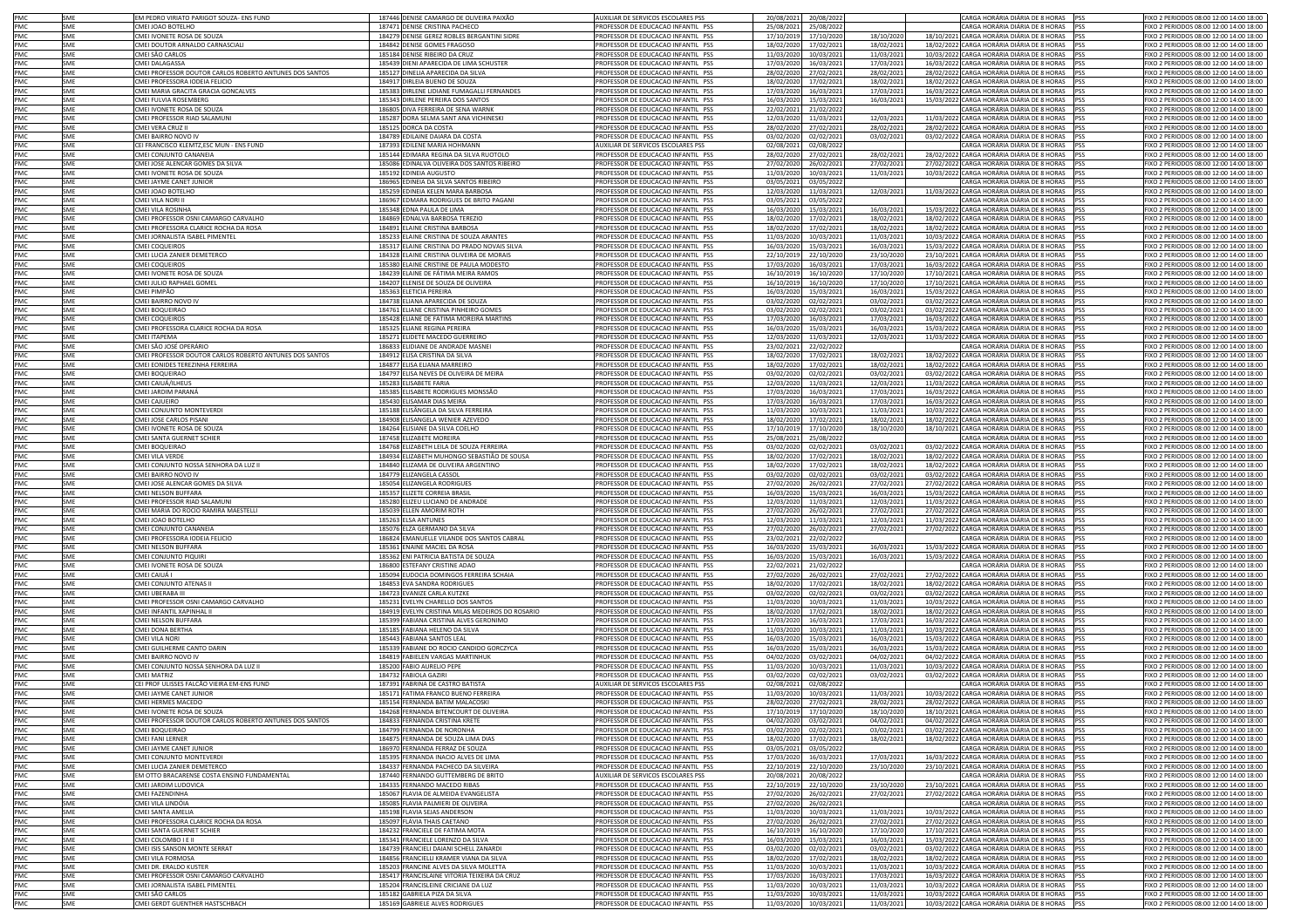| PMC        | SME        | EM PEDRO VIRIATO PARIGOT SOUZA- ENS FUND                | 187446 DENISE CAMARGO DE OLIVEIRA PAIXÃO                         | AUXILIAR DE SERVICOS ESCOLARES PSS                                       | 20/08/2021<br>20/08/202                              |                          | CARGA HORÁRIA DIÁRIA DE 8 HORAS PSS                                                              | FIXO 2 PERIODOS 08:00 12:00 14:00 18:00                                            |
|------------|------------|---------------------------------------------------------|------------------------------------------------------------------|--------------------------------------------------------------------------|------------------------------------------------------|--------------------------|--------------------------------------------------------------------------------------------------|------------------------------------------------------------------------------------|
| PMC        | SME        | CMEI JOAO BOTELHO                                       | 187471 DENISE CRISTINA PACHECO                                   | PROFESSOR DE EDUCACAO INFANTIL PSS                                       | 25/08/2021<br>25/08/202                              |                          | CARGA HORÁRIA DIÁRIA DE 8 HORAS PSS                                                              | FIXO 2 PERIODOS 08:00 12:00 14:00 18:00                                            |
| PMC        | SME        | CMEI IVONETE ROSA DE SOUZA                              | 184279 DENISE GEREZ ROBLES BERGANTINI SIDRE                      | PROFESSOR DE EDUCACAO INFANTIL PSS                                       | 17/10/2019<br>17/10/202                              | 18/10/2020               | 18/10/2021 CARGA HORÁRIA DIÁRIA DE 8 HORAS PSS                                                   | FIXO 2 PERIODOS 08:00 12:00 14:00 18:00                                            |
| PMC        | SME        | CMEI DOUTOR ARNALDO CARNASCIALI                         | 184842 DENISE GOMES FRAGOSC                                      | PROFESSOR DE EDUCACAO INFANTIL PSS                                       | 18/02/2020<br>17/02/202:                             | 18/02/2021               | 18/02/2022 CARGA HORÁRIA DIÁRIA DE 8 HORAS PSS                                                   | FIXO 2 PERIODOS 08:00 12:00 14:00 18:00                                            |
| PMC        | SME        | CMEI SÃO CARLOS                                         | 185184 DENISE RIBEIRO DA CRUZ                                    | PROFESSOR DE EDUCAÇÃO INFANTIL PSS                                       | 11/03/2020<br>10/03/202                              | 11/03/2021               | 10/03/2022 CARGA HORÁRIA DIÁRIA DE 8 HORAS PSS                                                   | FIXO 2 PERIODOS 08:00 12:00 14:00 18:00                                            |
| PMC        | SME        | CMEI DALAGASSA                                          | 185439 DIENI APARECIDA DE LIMA SCHUSTER                          | PROFESSOR DE EDUCACAO INFANTIL PSS                                       | 17/03/2020<br>16/03/202                              | 17/03/2021               | 16/03/2022 CARGA HORÁRIA DIÁRIA DE 8 HORAS PSS                                                   | FIXO 2 PERIODOS 08:00 12:00 14:00 18:00                                            |
| PMC        | SME        | CMEI PROFESSOR DOUTOR CARLOS ROBERTO ANTUNES DOS SANTOS | 185127 DINELIA APARECIDA DA SILVA                                | PROFESSOR DE EDUCACAO INFANTIL PSS                                       | 28/02/2020<br>27/02/202                              | 28/02/2021               | 28/02/2022 CARGA HORÁRIA DIÁRIA DE 8 HORAS PSS                                                   | FIXO 2 PERIODOS 08:00 12:00 14:00 18:00                                            |
| PMC        | SME        | CMEI PROFESSORA IODEIA FELICIO                          | 184917 DIRLEIA BUENO DE SOUZA                                    | PROFESSOR DE EDUCACAO INFANTIL PSS                                       | 18/02/2020<br>17/02/202:                             | 18/02/2021               | 18/02/2022 CARGA HORÁRIA DIÁRIA DE 8 HORAS PSS                                                   | FIXO 2 PERIODOS 08:00 12:00 14:00 18:00                                            |
| PMC        | SME        | CMEI MARIA GRACITA GRACIA GONCALVES                     | 185383 DIRLENE LIDIANE FUMAGALLI FERNANDES                       | PROFESSOR DE EDUCACAO INFANTIL PSS                                       | 17/03/2020<br>16/03/202                              | 17/03/2021               | 16/03/2022 CARGA HORÁRIA DIÁRIA DE 8 HORAS PSS                                                   | FIXO 2 PERIODOS 08:00 12:00 14:00 18:00                                            |
| PMC        | SME        | CMEI FULVIA ROSEMBERG                                   | 185343 DIRLENE PEREIRA DOS SANTOS                                |                                                                          | 16/03/2020<br>15/03/202                              |                          | 15/03/2022 CARGA HORÁRIA DIÁRIA DE 8 HORAS PSS                                                   | FIXO 2 PERIODOS 08:00 12:00 14:00 18:00                                            |
| PMC        |            |                                                         |                                                                  | PROFESSOR DE EDUCACAO INFANTIL PSS                                       |                                                      | 16/03/2021               |                                                                                                  |                                                                                    |
|            | SME        | CMEI IVONETE ROSA DE SOUZA                              | 186805 DIVA FERREIRA DE SENA WARNK                               | PROFESSOR DE EDUCACAO INFANTIL PSS<br>PROFESSOR DE EDUCAÇÃO INFANTIL PSS | 22/02/2021<br>21/02/202                              |                          | CARGA HORÁRIA DIÁRIA DE 8 HORAS PSS                                                              | FIXO 2 PERIODOS 08:00 12:00 14:00 18:00<br>FIXO 2 PERIODOS 08:00 12:00 14:00 18:00 |
| PMC        | SME        | CMEI PROFESSOR RIAD SALAMUN                             | 185287 DORA SELMA SANT ANA VICHINESKI                            |                                                                          | 12/03/2020<br>11/03/202                              | 12/03/2021               | 11/03/2022 CARGA HORÁRIA DIÁRIA DE 8 HORAS PSS                                                   |                                                                                    |
| PMC        | SME        | CMEI VERA CRUZ II                                       | 185125 DORCA DA COSTA                                            | PROFESSOR DE EDUCACAO INFANTIL PSS                                       | 28/02/2020<br>27/02/2021                             | 28/02/2021               | 28/02/2022 CARGA HORÁRIA DIÁRIA DE 8 HORAS PSS                                                   | FIXO 2 PERIODOS 08:00 12:00 14:00 18:00                                            |
| PMC        | SME        | CMEI BAIRRO NOVO IV                                     | 184789 EDILAINE DAIARA DA COSTA                                  | PROFESSOR DE EDUCACAO INFANTIL PSS                                       | 03/02/2020<br>02/02/2021                             | 03/02/2021               | 03/02/2022 CARGA HORÁRIA DIÁRIA DE 8 HORAS PSS                                                   | FIXO 2 PERIODOS 08:00 12:00 14:00 18:00                                            |
| PMC        | SME        | CEI FRANCISCO KLEMTZ, ESC MUN - ENS FUND                | 187393 EDILENE MARIA HOHMANN                                     | AUXILIAR DE SERVICOS ESCOLARES PSS                                       | 02/08/2021<br>02/08/202                              |                          | CARGA HORÁRIA DIÁRIA DE 8 HORAS PSS                                                              | FIXO 2 PERIODOS 08:00 12:00 14:00 18:00                                            |
| PMC        | SME        | CMEI CONJUNTO CANANEIA                                  | 185144 EDIMARA REGINA DA SILVA RUOTOLO                           | PROFESSOR DE EDUCACAO INFANTIL PSS                                       | 28/02/2020<br>27/02/2021                             | 28/02/2021               | 28/02/2022 CARGA HORÁRIA DIÁRIA DE 8 HORAS PSS                                                   | FIXO 2 PERIODOS 08:00 12:00 14:00 18:00                                            |
| PMC        | SME        | CMEI JOSE ALENCAR GOMES DA SILVA                        | 185086 EDINALVA OLIVEIRA DOS SANTOS RIBEIRO                      | PROFESSOR DE EDUCACAO INFANTIL PSS                                       | 27/02/2020<br>26/02/2021                             | 27/02/2021               | 27/02/2022 CARGA HORÁRIA DIÁRIA DE 8 HORAS PSS                                                   | FIXO 2 PERIODOS 08:00 12:00 14:00 18:00                                            |
| PMC        | SME        | CMEI IVONETE ROSA DE SOUZA                              | 185192 EDINEIA AUGUSTO                                           | PROFESSOR DE EDUCACAO INFANTIL PSS                                       | 11/03/2020<br>10/03/202:                             | 11/03/2021               | 10/03/2022 CARGA HORÁRIA DIÁRIA DE 8 HORAS PSS                                                   | FIXO 2 PERIODOS 08:00 12:00 14:00 18:00                                            |
| PMC        | SME        | CMEI JAYME CANET JUNIOR                                 | 186965 EDINEIA DA SILVA SANTOS RIBEIRO                           | PROFESSOR DE EDUCACAO INFANTIL PSS                                       | 03/05/2021<br>03/05/2022                             |                          | CARGA HORÁRIA DIÁRIA DE 8 HORAS PSS                                                              | FIXO 2 PERIODOS 08:00 12:00 14:00 18:00                                            |
| PMC        | SME        | CMEI JOAO BOTELHO                                       | 185259 EDINEIA KELEN MARA BARBOSA                                | PROFESSOR DE EDUCACAO INFANTIL PSS                                       | 12/03/2020<br>11/03/2021                             | 12/03/2021               | 11/03/2022 CARGA HORÁRIA DIÁRIA DE 8 HORAS PSS                                                   | FIXO 2 PERIODOS 08:00 12:00 14:00 18:00                                            |
| PMC        | SME        | CMEI VILA NORI II                                       | 186967 EDMARA RODRIGUES DE BRITO PAGANI                          | PROFESSOR DE EDUCACAO INFANTIL PSS                                       | 03/05/2021<br>03/05/202                              |                          | CARGA HORÁRIA DIÁRIA DE 8 HORAS PSS                                                              | FIXO 2 PERIODOS 08:00 12:00 14:00 18:00                                            |
| PMC        | SME        | CMEI VILA ROSINHA                                       | 185348 EDNA PAULA DE LIMA                                        | PROFESSOR DE EDUCACAO INFANTIL PSS                                       | 16/03/2020<br>15/03/202                              | 16/03/2021               | 15/03/2022 CARGA HORÁRIA DIÁRIA DE 8 HORAS PSS                                                   | FIXO 2 PERIODOS 08:00 12:00 14:00 18:00                                            |
| PMC        | SMF        | CMEI PROFESSOR OSNI CAMARGO CARVALHO                    | 184869 EDNALVA BARBOSA TEREZIO                                   | PROFESSOR DE EDUCACAO INFANTIL PSS                                       | 18/02/2020<br>17/02/202                              | 18/02/2021               | 18/02/2022 CARGA HORÁRIA DIÁRIA DE 8 HORAS PSS                                                   | FIXO 2 PERIODOS 08:00 12:00 14:00 18:00                                            |
| PMC        | SMF        | CMEI PROFESSORA CLARICE ROCHA DA ROSA                   | 184891 ELAINE CRISTINA BARBOSA                                   | PROFESSOR DE EDUCACAO INFANTIL PSS                                       | 18/02/2020<br>17/02/2021                             | 18/02/2021               | 18/02/2022 CARGA HORÁRIA DIÁRIA DE 8 HORAS PSS                                                   | FIXO 2 PERIODOS 08:00 12:00 14:00 18:00                                            |
| PMC        | SME        | CMEI JORNALISTA ISABEL PIMENTEL                         | 185233 ELAINE CRISTINA DE SOUZA ARANTES                          | PROFESSOR DE EDUCACAO INFANTIL PSS                                       | 11/03/2020<br>10/03/202                              | 11/03/2021               | 10/03/2022 CARGA HORÁRIA DIÁRIA DE 8 HORAS PSS                                                   | FIXO 2 PERIODOS 08:00 12:00 14:00 18:00                                            |
|            |            |                                                         |                                                                  |                                                                          |                                                      |                          |                                                                                                  |                                                                                    |
| PMC        | SME        | <b>CMEI COQUEIROS</b>                                   | 185317 ELAINE CRISTINA DO PRADO NOVAIS SILVA                     | PROFESSOR DE EDUCACAO INFANTIL PSS                                       | 16/03/2020<br>15/03/202                              | 16/03/2021               | 15/03/2022 CARGA HORÁRIA DIÁRIA DE 8 HORAS PSS                                                   | FIXO 2 PERIODOS 08:00 12:00 14:00 18:00                                            |
| PMC        | SME        | CMEI LUCIA ZANIER DEMETERCO                             | 184328 ELAINE CRISTINA OLIVEIRA DE MORAIS                        | PROFESSOR DE EDUCACAO INFANTIL PSS                                       | 22/10/2019<br>22/10/202                              | 23/10/2020               | 23/10/2021 CARGA HORÁRIA DIÁRIA DE 8 HORAS PSS                                                   | FIXO 2 PERIODOS 08:00 12:00 14:00 18:00                                            |
| PMC        | SME        | CMEI COQUEIROS                                          | 185380 ELAINE CRISTINE DE PAULA MODESTO                          | PROFESSOR DE EDUCACAO INFANTIL PSS                                       | 17/03/2020<br>16/03/202                              | 17/03/2021               | 16/03/2022 CARGA HORÁRIA DIÁRIA DE 8 HORAS PSS                                                   | FIXO 2 PERIODOS 08:00 12:00 14:00 18:00                                            |
| PMC        | SME        | CMEI IVONETE ROSA DE SOUZA                              | 184239 ELAINE DE FÁTIMA MEIRA RAMOS                              | PROFESSOR DE EDUCACAO INFANTIL PSS                                       | 16/10/2019<br>16/10/202                              | 17/10/2020               | 17/10/2021 CARGA HORÁRIA DIÁRIA DE 8 HORAS PSS                                                   | FIXO 2 PERIODOS 08:00 12:00 14:00 18:00                                            |
| PMC        | SME        | CMEI JULIO RAPHAEL GOMEL                                | 184207 ELENISE DE SOUZA DE OLIVEIRA                              | PROFESSOR DE EDUCACAO INFANTIL PSS                                       | 16/10/2019<br>16/10/202                              | 17/10/2020               | 17/10/2021 CARGA HORÁRIA DIÁRIA DE 8 HORAS PSS                                                   | FIXO 2 PERIODOS 08:00 12:00 14:00 18:00                                            |
| PMC        | SME        | CMEI PIMPÃO                                             | 185363 ELETICIA PEREIRA                                          | PROFESSOR DE EDUCACAO INFANTIL PSS                                       | 16/03/2020<br>15/03/202                              | 16/03/2021               | 15/03/2022 CARGA HORÁRIA DIÁRIA DE 8 HORAS PSS                                                   | FIXO 2 PERIODOS 08:00 12:00 14:00 18:00                                            |
| PMC        | SME        | CMEI BAIRRO NOVO IV                                     | 184738 ELIANA APARECIDA DE SOUZA                                 | PROFESSOR DE EDUCACAO INFANTIL PSS                                       | 03/02/2020<br>02/02/2021                             | 03/02/2021               | 03/02/2022 CARGA HORÁRIA DIÁRIA DE 8 HORAS PSS                                                   | FIXO 2 PERIODOS 08:00 12:00 14:00 18:00                                            |
| PMC        | SME        | CMEI BOQUEIRAO                                          | 184761 ELIANE CRISTINA PINHEIRO GOMES                            | PROFESSOR DE EDUCACAO INFANTIL PSS                                       | 03/02/2020<br>02/02/2021                             | 03/02/2021               | 03/02/2022 CARGA HORÁRIA DIÁRIA DE 8 HORAS PSS                                                   | FIXO 2 PERIODOS 08:00 12:00 14:00 18:00                                            |
| PMC        | SME        | CMEI COQUEIROS                                          | 185428 ELIANE DE FATIMA MOREIRA MARTINS                          | PROFESSOR DE EDUCACAO INFANTIL PSS                                       | 17/03/2020<br>16/03/202                              | 17/03/2021               | 16/03/2022 CARGA HORÁRIA DIÁRIA DE 8 HORAS PSS                                                   | FIXO 2 PERIODOS 08:00 12:00 14:00 18:00                                            |
| PMC        | SME        | CMEI PROFESSORA CLARICE ROCHA DA ROSA                   | 185325 ELIANE REGINA PEREIRA                                     | PROFESSOR DE EDUCACAO INFANTIL PSS                                       | 16/03/2020<br>15/03/202                              | 16/03/2021               | 15/03/2022 CARGA HORÁRIA DIÁRIA DE 8 HORAS PSS                                                   | FIXO 2 PERIODOS 08:00 12:00 14:00 18:00                                            |
| PMC        | SME        | CMFI ITAPFMA                                            | 185271 ELIDETE MACEDO GUERREIRO                                  | PROFESSOR DE EDUCACAO INFANTIL PSS                                       | 12/03/2020<br>11/03/202                              | 12/03/2021               | 11/03/2022 CARGA HORÁRIA DIÁRIA DE 8 HORAS PSS                                                   | FIXO 2 PERIODOS 08:00 12:00 14:00 18:00                                            |
| PMC        | SME        | CMEI SÃO JOSÉ OPERÁRIO                                  | 186833 ELIDIANE DE ANDRADE MASNEI                                | PROFESSOR DE EDUCAÇÃO INFANTIL PSS                                       | 23/02/2021<br>22/02/202                              |                          | CARGA HORÁRIA DIÁRIA DE 8 HORAS<br><b>PSS</b>                                                    | FIXO 2 PERIODOS 08:00 12:00 14:00 18:00                                            |
| PMC        | SME        | CMEI PROFESSOR DOUTOR CARLOS ROBERTO ANTUNES DOS SANTOS | 184912 ELISA CRISTINA DA SILVA                                   | PROFESSOR DE EDUCACAO INFANTIL PSS                                       | 18/02/2020<br>17/02/2021                             | 18/02/2021               | 18/02/2022 CARGA HORÁRIA DIÁRIA DE 8 HORAS<br><b>PSS</b>                                         | FIXO 2 PERIODOS 08:00 12:00 14:00 18:00                                            |
|            |            |                                                         |                                                                  |                                                                          |                                                      |                          |                                                                                                  |                                                                                    |
| PMC        | SME        | CMEI EONIDES TEREZINHA FERREIRA                         | 184877 ELISA ELIANA MARREIRO                                     | PROFESSOR DE EDUCACAO INFANTIL PSS                                       | 18/02/2020<br>17/02/2021                             | 18/02/2021               | 18/02/2022 CARGA HORÁRIA DIÁRIA DE 8 HORAS PSS                                                   | FIXO 2 PERIODOS 08:00 12:00 14:00 18:00                                            |
| PMC        | SME        | CMEI BOQUEIRAO                                          | 184797 ELISA NEVES DE OLIVEIRA DE MEIRA                          | PROFESSOR DE EDUCACAO INFANTIL PSS                                       | 03/02/2020<br>02/02/2021                             | 03/02/2021               | 03/02/2022 CARGA HORÁRIA DIÁRIA DE 8 HORAS<br><b>PSS</b>                                         | FIXO 2 PERIODOS 08:00 12:00 14:00 18:00                                            |
| PMC        | SME        | CMEI CAIUÁ/ILHEUS                                       | 185283 ELISABETE FARIA                                           | PROFESSOR DE EDUCACAO INFANTIL PSS                                       | 12/03/2020<br>11/03/202:                             | 12/03/2021               | 11/03/2022 CARGA HORÁRIA DIÁRIA DE 8 HORAS<br><b>PSS</b>                                         | FIXO 2 PERIODOS 08:00 12:00 14:00 18:00                                            |
| PMC        | SME        | CMEI JARDIM PARANÁ                                      | 185385 ELISABETE RODRIGUES MONSSÃO                               | PROFESSOR DE EDUCACAO INFANTIL PSS                                       | 17/03/2020<br>16/03/2021                             | 17/03/2021               | 16/03/2022 CARGA HORÁRIA DIÁRIA DE 8 HORAS                                                       | FIXO 2 PERIODOS 08:00 12:00 14:00 18:00                                            |
| PMC        | SME        | CMEI CAJUEIRO                                           | 185430 ELISAMAR DIAS MEIRA                                       | PROFESSOR DE EDUCACAO INFANTIL PSS                                       | 17/03/2020<br>16/03/2021                             | 17/03/2021               | 16/03/2022 CARGA HORÁRIA DIÁRIA DE 8 HORAS                                                       | FIXO 2 PERIODOS 08:00 12:00 14:00 18:00                                            |
| PMC        | SME        | CMEI CONJUNTO MONTEVERDI                                | 185188 ELISÂNGELA DA SILVA FERREIRA                              | PROFESSOR DE EDUCACAO INFANTIL PSS                                       | 11/03/2020<br>10/03/202:                             | 11/03/2021               | 10/03/2022 CARGA HORÁRIA DIÁRIA DE 8 HORAS PSS                                                   | FIXO 2 PERIODOS 08:00 12:00 14:00 18:00                                            |
| PMC        | SME        | CMEI JOSE CARLOS PISANI                                 | 184908 ELISANGELA WENIER AZEVEDO                                 | PROFESSOR DE EDUCACAO INFANTIL PSS                                       | 18/02/2020<br>17/02/202:                             | 18/02/2021               | 18/02/2022 CARGA HORÁRIA DIÁRIA DE 8 HORAS                                                       | FIXO 2 PERIODOS 08:00 12:00 14:00 18:00                                            |
| PMC        | SME        | CMEI IVONETE ROSA DE SOUZA                              | 184264 ELISIANE DA SILVA COELHO                                  | PROFESSOR DE EDUCACAO INFANTIL PSS                                       | 17/10/2019<br>17/10/2020                             | 18/10/2020               | 18/10/2021 CARGA HORÁRIA DIÁRIA DE 8 HORAS PSS                                                   | FIXO 2 PERIODOS 08:00 12:00 14:00 18:00                                            |
| PMC        | SME        | CMFI SANTA GUERNET SCHIER                               | 187458 FLIZABETE MORFIRA                                         | PROFESSOR DE EDUCACAO INFANTIL PSS                                       | 25/08/2021<br>25/08/202                              |                          | CARGA HORÁRIA DIÁRIA DE 8 HORAS PSS                                                              | FIXO 2 PERIODOS 08:00 12:00 14:00 18:00                                            |
| PMC        | SMF        | CMELBOOUFIRAC                                           | 184768 ELIZABETH LEILA DE SOUZA FERREIRA                         | PROFESSOR DE EDUCACAO INFANTIL PSS                                       | 03/02/2020<br>02/02/202                              | 03/02/2021               | 03/02/2022 CARGA HORÁRIA DIÁRIA DE 8 HORAS PSS                                                   | FIXO 2 PERIODOS 08:00 12:00 14:00 18:00                                            |
| <b>PMC</b> | SMF        | CMEI VILA VERDE                                         | 184934 ELIZABETH MUHONGO SEBASTIÃO DE SOUSA                      | PROFESSOR DE EDUCACAO INFANTIL PSS                                       | 18/02/2020<br>17/02/2021                             | 18/02/2021               | 18/02/2022 CARGA HORÁRIA DIÁRIA DE 8 HORAS PSS                                                   | FIXO 2 PERIODOS 08:00 12:00 14:00 18:00                                            |
| PMC        | SME        | CMEI CONJUNTO NOSSA SENHORA DA LUZ II                   | 184840 ELIZAMA DE OLIVEIRA ARGENTINO                             | PROFESSOR DE EDUCACAO INFANTIL PSS                                       | 17/02/2021<br>18/02/2020                             | 18/02/2021               | 18/02/2022 CARGA HORÁRIA DIÁRIA DE 8 HORAS PSS                                                   | FIXO 2 PERIODOS 08:00 12:00 14:00 18:00                                            |
| PMC        | SME        | CMEI BAIRRO NOVO IV                                     | 184779 ELIZANGELA CASSOL                                         | PROFESSOR DE EDUCACAO INFANTIL PSS                                       | 03/02/2020<br>02/02/202                              | 03/02/2021               | 03/02/2022 CARGA HORÁRIA DIÁRIA DE 8 HORAS PSS                                                   | FIXO 2 PERIODOS 08:00 12:00 14:00 18:00                                            |
| PMC        | SME        | CMEI JOSE ALENCAR GOMES DA SILVA                        | 185054 ELIZANGELA RODRIGUES                                      | PROFESSOR DE EDUCACAO INFANTIL PSS                                       | 27/02/2020<br>26/02/202                              | 27/02/2021               | 27/02/2022 CARGA HORÁRIA DIÁRIA DE 8 HORAS PSS                                                   | FIXO 2 PERIODOS 08:00 12:00 14:00 18:00                                            |
| PMC        | SME        | <b>CMEI NELSON BUFFARA</b>                              | 185357 ELIZETE CORREIA BRASIL                                    | PROFESSOR DE EDUCACAO INFANTIL PSS                                       | 16/03/2020<br>15/03/202                              | 16/03/2021               | 15/03/2022 CARGA HORÁRIA DIÁRIA DE 8 HORAS PSS                                                   | FIXO 2 PERIODOS 08:00 12:00 14:00 18:00                                            |
|            |            |                                                         |                                                                  |                                                                          |                                                      |                          |                                                                                                  |                                                                                    |
| PMC        | SME        | CMEI PROFESSOR RIAD SALAMUNI                            | 185280 ELIZEU LUCIANO DE ANDRADE                                 | PROFESSOR DE EDUCACAO INFANTIL PSS                                       | 12/03/2020<br>11/03/202:                             | 12/03/2021               | 11/03/2022 CARGA HORÁRIA DIÁRIA DE 8 HORAS PSS                                                   | FIXO 2 PERIODOS 08:00 12:00 14:00 18:00                                            |
| PMC        | SME        | CMEI MARIA DO ROCIO RAMIRA MAESTELLI                    | 185039 ELLEN AMORIM ROTH                                         | PROFESSOR DE EDUCACAO INFANTIL PSS                                       | 27/02/2020<br>26/02/202                              | 27/02/2021               | 27/02/2022 CARGA HORÁRIA DIÁRIA DE 8 HORAS PSS                                                   | FIXO 2 PERIODOS 08:00 12:00 14:00 18:00                                            |
| PMC        | SME        | CMEI JOAO BOTELHO                                       | 185263 ELSA ANTUNES                                              | PROFESSOR DE EDUCACAO INFANTIL PSS                                       | 12/03/2020<br>11/03/202                              | 12/03/2021               | 11/03/2022 CARGA HORÁRIA DIÁRIA DE 8 HORAS PSS                                                   | FIXO 2 PERIODOS 08:00 12:00 14:00 18:00                                            |
| PMC        | SME        | CMEI CONJUNTO CANANEIA                                  | 185076 ELZA GERMANO DA SILVA                                     | PROFESSOR DE EDUCACAO INFANTIL PSS                                       | 27/02/2020<br>26/02/202                              | 27/02/2021               | 27/02/2022 CARGA HORÁRIA DIÁRIA DE 8 HORAS PSS                                                   | FIXO 2 PERIODOS 08:00 12:00 14:00 18:00                                            |
| PMC        | SME        | CMEI PROFESSORA IODEIA FELICIO                          | 186824 EMANUELLE VILANDE DOS SANTOS CABRAL                       | PROFESSOR DE EDUCACAO INFANTIL PSS                                       | 23/02/2021<br>22/02/202                              |                          | CARGA HORÁRIA DIÁRIA DE 8 HORAS PSS                                                              | FIXO 2 PERIODOS 08:00 12:00 14:00 18:00                                            |
| PMC        | SME        | CMEI NELSON BUFFARA                                     | 185361 ENAINE MACIEL DA ROSA                                     | PROFESSOR DE EDUCACAO INFANTIL PSS                                       | 16/03/2020<br>15/03/202                              | 16/03/2021               | 15/03/2022 CARGA HORÁRIA DIÁRIA DE 8 HORAS PSS                                                   | FIXO 2 PERIODOS 08:00 12:00 14:00 18:00                                            |
| PMC        | SME        | CMEI CONJUNTO PIQUIR                                    | 185362 ENI PATRICIA BATISTA DE SOUZA                             | PROFESSOR DE EDUCACAO INFANTIL PSS                                       | 16/03/2020<br>15/03/202                              | 16/03/2021               | 15/03/2022 CARGA HORÁRIA DIÁRIA DE 8 HORAS PSS                                                   | FIXO 2 PERIODOS 08:00 12:00 14:00 18:00                                            |
| PMC        | SME        | CMEI IVONETE ROSA DE SOUZA                              | 186800 ESTEFANY CRISTINE ADAO                                    | PROFESSOR DE EDUCACAO INFANTIL PSS                                       | 22/02/2021<br>21/02/202                              |                          | CARGA HORÁRIA DIÁRIA DE 8 HORAS PSS                                                              | FIXO 2 PERIODOS 08:00 12:00 14:00 18:00                                            |
| PMC        | SME        | CMEI CAIUÁ I                                            | 185094 EUDOCIA DOMINGOS FERREIRA SCHAIA                          | PROFESSOR DE EDUCACAO INFANTIL PSS                                       | 26/02/202<br>27/02/2020                              | 27/02/2021               | 27/02/2022 CARGA HORÁRIA DIÁRIA DE 8 HORAS PSS                                                   | FIXO 2 PERIODOS 08:00 12:00 14:00 18:00                                            |
| PMC        | SME        | CMEI CONJUNTO ATENAS II                                 | 184853 EVA SANDRA RODRIGUES                                      | PROFESSOR DE EDUCACAO INFANTIL PSS                                       | 18/02/2020<br>17/02/202:                             | 18/02/2021               | 18/02/2022 CARGA HORÁRIA DIÁRIA DE 8 HORAS PSS                                                   | FIXO 2 PERIODOS 08:00 12:00 14:00 18:00                                            |
| PMC        | SME        | CMEI UBERABA III                                        | 184723 EVANIZE CARLA KUTZKE                                      | PROFESSOR DE EDUCACAO INFANTIL PSS                                       | 03/02/2020<br>02/02/2021                             | 03/02/2021               | 03/02/2022 CARGA HORÁRIA DIÁRIA DE 8 HORAS PSS                                                   | FIXO 2 PERIODOS 08:00 12:00 14:00 18:00                                            |
| PMC        | SME        | CMEI PROFESSOR OSNI CAMARGO CARVALHO                    | 185231 EVELYN CHARELLO DOS SANTOS                                | PROFESSOR DE EDUCACAO INFANTIL PSS                                       | 11/03/2020<br>10/03/2021                             | 11/03/2021               | 10/03/2022 CARGA HORÁRIA DIÁRIA DE 8 HORAS PSS                                                   | FIXO 2 PERIODOS 08:00 12:00 14:00 18:00                                            |
| PMC        | SME        | CMEI INFANTIL XAPINHAL II                               | 184919 EVELYN CRISTINA MILAS MEDEIROS DO ROSARIO                 | PROFESSOR DE EDUCACAO INFANTIL PSS                                       | 18/02/2020<br>17/02/202:                             | 18/02/2021               | 18/02/2022 CARGA HORÁRIA DIÁRIA DE 8 HORAS PSS                                                   | FIXO 2 PERIODOS 08:00 12:00 14:00 18:00                                            |
| PMC        | SME        | CMEI NELSON BUFFARA                                     | 185399 FABIANA CRISTINA ALVES GERONIMO                           | PROFESSOR DE EDUCACAO INFANTIL PSS                                       | 17/03/2020<br>16/03/2021                             | 17/03/2021               | 16/03/2022 CARGA HORÁRIA DIÁRIA DE 8 HORAS PSS                                                   | FIXO 2 PERIODOS 08:00 12:00 14:00 18:00                                            |
| PMC        | SME        | CMEI DONA BERTHA                                        | 185185 FABIANA HELENO DA SILVA                                   | PROFESSOR DE EDUCACAO INFANTIL PSS                                       | 11/03/2020<br>10/03/202:                             | 11/03/2021               | 10/03/2022 CARGA HORÁRIA DIÁRIA DE 8 HORAS PSS                                                   | FIXO 2 PERIODOS 08:00 12:00 14:00 18:00                                            |
| PMC        | SME        | CMEI VILA NORI                                          | 185443 FABIANA SANTOS LEAL                                       | PROFESSOR DE EDUCACAO INFANTIL PSS                                       | 16/03/2020<br>15/03/2021                             | 16/03/2021               | 15/03/2022 CARGA HORÁRIA DIÁRIA DE 8 HORAS PSS                                                   | FIXO 2 PERIODOS 08:00 12:00 14:00 18:00                                            |
| PMC        | SME        | CMEI GUILHERME CANTO DARIN                              | 185339 FABIANE DO ROCIO CANDIDO GORCZYCA                         | PROFESSOR DE EDUCACAO INFANTIL PSS                                       | 16/03/2020<br>15/03/2021                             | 16/03/2021               | 15/03/2022 CARGA HORÁRIA DIÁRIA DE 8 HORAS PSS                                                   | FIXO 2 PERIODOS 08:00 12:00 14:00 18:00                                            |
| PMC        | SME        | CMEI BAIRRO NOVO IV                                     | 184819 FABIELEN VARGAS MARTINHUK                                 | PROFESSOR DE EDUCACAO INFANTIL PSS                                       | 04/02/2020<br>03/02/2021                             | 04/02/2021               | 04/02/2022 CARGA HORÁRIA DIÁRIA DE 8 HORAS PSS                                                   | FIXO 2 PERIODOS 08:00 12:00 14:00 18:00                                            |
| PMC        | SME        | CMEI CONJUNTO NOSSA SENHORA DA LUZ II                   | 185200 FABIO AURELIO PEPE                                        | PROFESSOR DE EDUCACAO INFANTIL PSS                                       | 11/03/2020<br>10/03/202                              | 11/03/2021               | 10/03/2022 CARGA HORÁRIA DIÁRIA DE 8 HORAS PSS                                                   | FIXO 2 PERIODOS 08:00 12:00 14:00 18:00                                            |
| PMC        | SMF        | <b>CMFI MATRIZ</b>                                      | 184732 FABIOLA GAZIRI                                            | PROFESSOR DE EDUCACAO INFANTIL PSS                                       | 03/02/2020<br>02/02/202                              | 03/02/2021               | 03/02/2022 CARGA HORÁRIA DIÁRIA DE 8 HORAS PSS                                                   | FIXO 2 PERIODOS 08:00 12:00 14:00 18:00                                            |
| <b>PMC</b> | SMF        | CEI PROF ULISSES FALCÃO VIEIRA EM-ENS FUND              | 187391 FABRINA DE CASTRO BATISTA                                 | AUXILIAR DE SERVICOS ESCOLARES PSS                                       | 02/08/2021<br>02/08/202                              |                          | CARGA HORÁRIA DIÁRIA DE 8 HORAS PSS                                                              | FIXO 2 PERIODOS 08:00 12:00 14:00 18:00                                            |
| PMC        | SME        | CMEI JAYME CANET JUNIOR                                 | 185171 FATIMA FRANCO BUENO FERREIRA                              | PROFESSOR DE EDUCACAO INFANTIL PSS                                       | 11/03/2020<br>10/03/202                              | 11/03/202                | 10/03/2022 CARGA HORÁRIA DIÁRIA DE 8 HORAS PSS                                                   | FIXO 2 PERIODOS 08:00 12:00 14:00 18:00                                            |
| PMC        | SME        | CMEI HERMES MACEDO                                      | 185154 FERNANDA BATIM MALACOSKI                                  | PROFESSOR DE EDUCACAO INFANTIL PSS                                       | 28/02/2020<br>27/02/2021                             | 28/02/2021               | 28/02/2022 CARGA HORÁRIA DIÁRIA DE 8 HORAS PSS                                                   | FIXO 2 PERIODOS 08:00 12:00 14:00 18:00                                            |
|            | SME        | CMEI IVONETE ROSA DE SOUZA                              | 184268 FERNANDA BITENCOURT DE OLIVEIRA                           | PROFESSOR DE EDUCACAO INFANTIL PSS                                       | 17/10/2019 17/10/2020                                | 18/10/2020               | 18/10/2021 CARGA HORÁRIA DIÁRIA DE 8 HORAS PSS                                                   | FIXO 2 PERIODOS 08:00 12:00 14:00 18:00                                            |
| PMC        | SME        | CMEI PROFESSOR DOUTOR CARLOS ROBERTO ANTUNES DOS SANTOS | 184833 FERNANDA CRISTINA KRETE                                   | PROFESSOR DE EDUCACAO INFANTIL PSS                                       | 04/02/2020<br>03/02/2021                             | 04/02/2021               | 04/02/2022 CARGA HORÁRIA DIÁRIA DE 8 HORAS PSS                                                   | FIXO 2 PERIODOS 08:00 12:00 14:00 18:00                                            |
| PMC        |            | CMEI BOQUEIRAO                                          |                                                                  |                                                                          |                                                      |                          |                                                                                                  |                                                                                    |
| PMC        | SME        |                                                         | 184799 FERNANDA DE NORONHA                                       |                                                                          | 03/02/2020<br>02/02/2021                             |                          |                                                                                                  |                                                                                    |
| PMC        |            |                                                         |                                                                  | PROFESSOR DE EDUCACAO INFANTIL PSS                                       |                                                      | 03/02/2021               | 03/02/2022 CARGA HORÁRIA DIÁRIA DE 8 HORAS PSS                                                   | FIXO 2 PERIODOS 08:00 12:00 14:00 18:00                                            |
|            | SME        | CMEI FANI LERNER                                        | 184875 FERNANDA DE SOUZA LIMA DIAS                               | PROFESSOR DE EDUCACAO INFANTIL PSS                                       | 18/02/2020<br>17/02/202:                             | 18/02/2021               | 18/02/2022 CARGA HORÁRIA DIÁRIA DE 8 HORAS PSS                                                   | FIXO 2 PERIODOS 08:00 12:00 14:00 18:00                                            |
| PMC        | SME        | CMEI JAYME CANET JUNIOR                                 | 186970 FERNANDA FERRAZ DE SOUZA                                  | PROFESSOR DE EDUCACAO INFANTIL PSS                                       | 03/05/2021<br>03/05/202                              |                          | CARGA HORÁRIA DIÁRIA DE 8 HORAS PSS                                                              | FIXO 2 PERIODOS 08:00 12:00 14:00 18:00                                            |
| PMC        | SME        | CMEI CONJUNTO MONTEVERDI                                | 185395 FERNANDA INACIO ALVES DE LIMA                             | PROFESSOR DE EDUCACAO INFANTIL PSS                                       | 17/03/2020<br>16/03/2021                             | 17/03/2021               | 16/03/2022 CARGA HORÁRIA DIÁRIA DE 8 HORAS PSS                                                   | FIXO 2 PERIODOS 08:00 12:00 14:00 18:00                                            |
| PMC        | SME        | CMEI LUCIA ZANIER DEMETERCO                             | 184337 FERNANDA PACHECO DA SILVEIRA                              | PROFESSOR DE EDUCACAO INFANTIL PSS                                       | 22/10/2019<br>22/10/2020                             | 23/10/2020               | 23/10/2021 CARGA HORÁRIA DIÁRIA DE 8 HORAS PSS                                                   | FIXO 2 PERIODOS 08:00 12:00 14:00 18:00                                            |
| PMC        | SME        | EM OTTO BRACARENSE COSTA ENSINO FUNDAMENTAL             | 187440 FERNANDO GUTTEMBERG DE BRITO                              | AUXILIAR DE SERVICOS ESCOLARES PSS                                       | 20/08/2021<br>20/08/2022                             |                          | CARGA HORÁRIA DIÁRIA DE 8 HORAS PSS                                                              | FIXO 2 PERIODOS 08:00 12:00 14:00 18:00                                            |
| PMC        | SME        | CMEI JARDIM LUDOVICA                                    | 184335 FERNANDO MACEDO RIBAS                                     | PROFESSOR DE EDUCACAO INFANTIL PSS                                       | 22/10/2019<br>22/10/2020                             | 23/10/2020               | 23/10/2021 CARGA HORÁRIA DIÁRIA DE 8 HORAS PSS                                                   | FIXO 2 PERIODOS 08:00 12:00 14:00 18:00                                            |
| PMC        | SME        | CMEI FAZENDINHA                                         | 185067 FLAVIA DE ALMEIDA EVANGELISTA                             | PROFESSOR DE EDUCACAO INFANTIL PSS                                       | 27/02/2020<br>26/02/2021                             | 27/02/2021               | 27/02/2022 CARGA HORÁRIA DIÁRIA DE 8 HORAS PSS                                                   | FIXO 2 PERIODOS 08:00 12:00 14:00 18:00                                            |
| PMC        | SME        | CMEI VILA LINDÓIA                                       | 185085 FLAVIA PALMIERI DE OLIVEIRA                               | PROFESSOR DE EDUCACAO INFANTIL PSS                                       |                                                      |                          | CARGA HORÁRIA DIÁRIA DE 8 HORAS PSS                                                              | FIXO 2 PERIODOS 08:00 12:00 14:00 18:00                                            |
| PMC        | SME        | CMEI SANTA AMELIA                                       | 185198 FLAVIA SEJAS ANDERSON                                     | PROFESSOR DE EDUCACAO INFANTIL PSS                                       | 26/02/2021<br>27/02/2020<br>11/03/2020<br>10/03/2021 | 11/03/2021               | 10/03/2022 CARGA HORÁRIA DIÁRIA DE 8 HORAS PSS                                                   | FIXO 2 PERIODOS 08:00 12:00 14:00 18:00                                            |
|            |            | CMEI PROFESSORA CLARICE ROCHA DA ROSA                   | 185097 FLÁVIA THAIS CAETANO                                      | PROFESSOR DE EDUCACAO INFANTIL PSS                                       | 27/02/2020<br>26/02/2021                             | 27/02/2021               | 27/02/2022 CARGA HORÁRIA DIÁRIA DE 8 HORAS PSS                                                   | FIXO 2 PERIODOS 08:00 12:00 14:00 18:00                                            |
| PMC        | SME        |                                                         |                                                                  | PROFESSOR DE EDUCACAO INFANTIL PSS                                       |                                                      |                          |                                                                                                  |                                                                                    |
| PMC        | SME        | CMEI SANTA GUERNET SCHIER<br>CMEI COLOMBO I E II        | 184232 FRANCIELE DE FATIMA MOTA                                  |                                                                          | 16/10/2019<br>16/10/2020                             | 17/10/2020               | 17/10/2021 CARGA HORÁRIA DIÁRIA DE 8 HORAS PSS                                                   | FIXO 2 PERIODOS 08:00 12:00 14:00 18:00                                            |
| PMC        | SME        |                                                         | 185341 FRANCIELE LORENZO DA SILVA                                | PROFESSOR DE EDUCACAO INFANTIL PSS                                       | 16/03/2020<br>15/03/2021                             | 16/03/2021               | 15/03/2022 CARGA HORÁRIA DIÁRIA DE 8 HORAS PSS                                                   | FIXO 2 PERIODOS 08:00 12:00 14:00 18:00                                            |
| PMC        | SME        | CMEI ISIS SANSON MONTE SERRAT                           | 184739 FRANCIELI DAIANI SCHELL ZANARDI                           | PROFESSOR DE EDUCACAO INFANTIL PSS                                       | 03/02/2020<br>02/02/2021                             | 03/02/2021               | 03/02/2022 CARGA HORÁRIA DIÁRIA DE 8 HORAS PSS                                                   | FIXO 2 PERIODOS 08:00 12:00 14:00 18:00                                            |
| PMC        | SME        | CMELVILA FORMOSA                                        | 184856 FRANCIELLI KRAMER VIANA DA SILVA                          | PROFESSOR DE EDUCACAO INFANTIL PSS                                       | 18/02/2020<br>17/02/2021                             | 18/02/2021               | 18/02/2022 CARGA HORÁRIA DIÁRIA DE 8 HORAS PSS                                                   | FIXO 2 PERIODOS 08:00 12:00 14:00 18:00                                            |
| PMC        | SME        | CMEI DR. ERALDO KUSTER                                  | 185203 FRANCINE ALVES DA SILVA MOLETTA                           | PROFESSOR DE EDUCACAO INFANTIL PSS                                       | 11/03/2020<br>10/03/2021                             | 11/03/2021               | 10/03/2022 CARGA HORÁRIA DIÁRIA DE 8 HORAS PSS                                                   | FIXO 2 PERIODOS 08:00 12:00 14:00 18:00                                            |
| PMC        | SME        | CMEI PROFESSOR OSNI CAMARGO CARVALHO                    | 185417 FRANCISLAINE VITORIA TEIXEIRA DA CRUZ                     | PROFESSOR DE EDUCACAO INFANTIL PSS                                       | 17/03/2020<br>16/03/2021                             | 17/03/2021               | 16/03/2022 CARGA HORÁRIA DIÁRIA DE 8 HORAS PSS                                                   | FIXO 2 PERIODOS 08:00 12:00 14:00 18:00                                            |
| PMC        | SME        | CMEI JORNALISTA ISABEL PIMENTEL                         | 185204 FRANCISLEINE CRICIANE DA LUZ                              | PROFESSOR DE EDUCACAO INFANTIL PSS                                       | 11/03/2020<br>10/03/202:                             | 11/03/2021               | 10/03/2022 CARGA HORÁRIA DIÁRIA DE 8 HORAS PSS                                                   | FIXO 2 PERIODOS 08:00 12:00 14:00 18:00                                            |
| PMC<br>PMC | SME<br>SME | CMEI SÃO CARLOS<br>CMEI GERDT GUENTHER HASTSCHBACH      | 185182 GABRIELA PIZA DA SILVA<br>185169 GABRIELE ALVES RODRIGUES | PROFESSOR DE EDUCACAO INFANTIL PSS<br>PROFESSOR DE EDUCACAO INFANTIL PSS | 11/03/2020<br>10/03/2021<br>11/03/2020<br>10/03/2021 | 11/03/2021<br>11/03/2021 | 10/03/2022 CARGA HORÁRIA DIÁRIA DE 8 HORAS PSS<br>10/03/2022 CARGA HORÁRIA DIÁRIA DE 8 HORAS PSS | FIXO 2 PERIODOS 08:00 12:00 14:00 18:00<br>FIXO 2 PERIODOS 08:00 12:00 14:00 18:00 |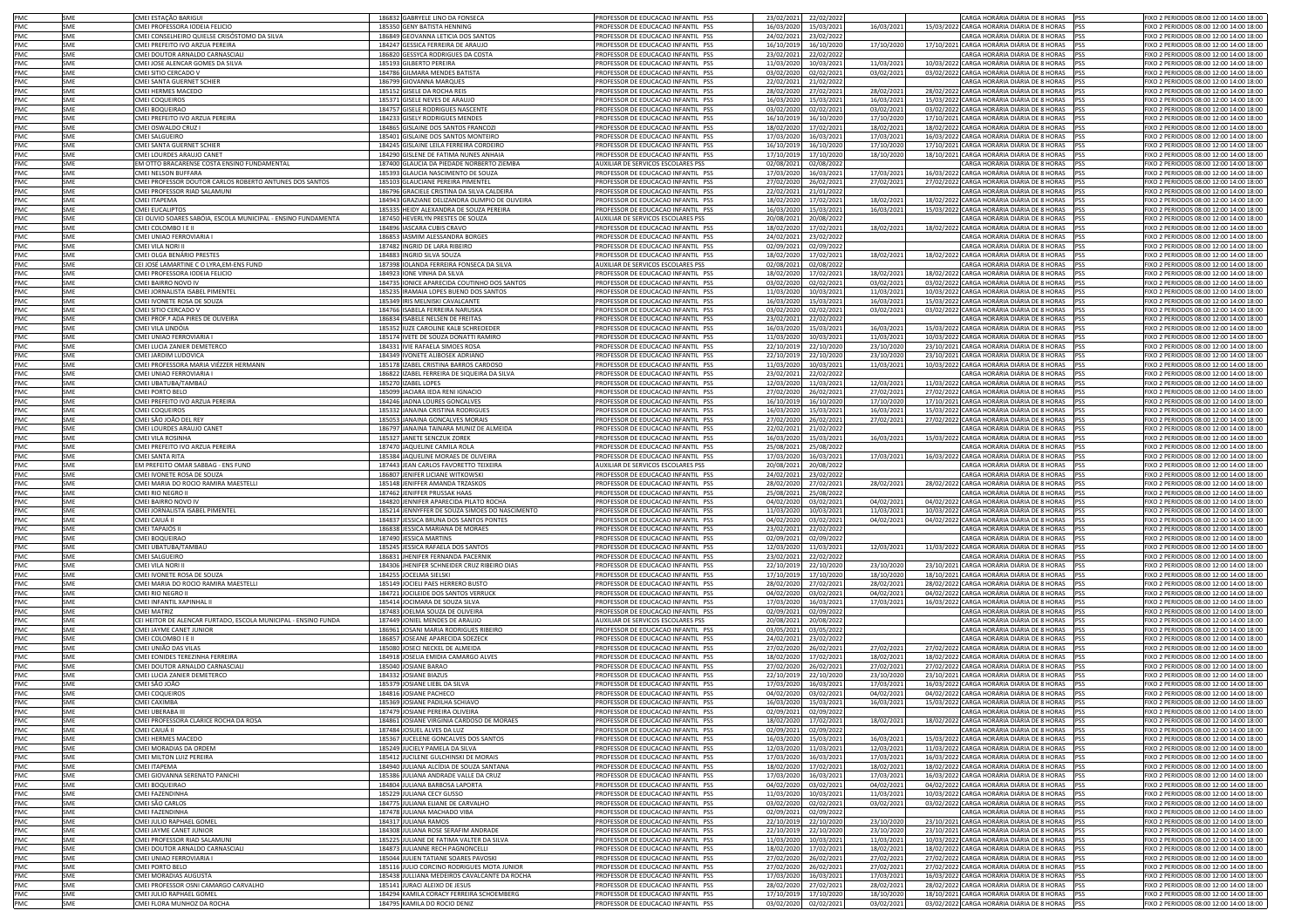| PMC        | SME        | CMEI ESTAÇÃO BARIGU                                              | 186832 GABRYELE LINO DA FONSECA                                           | PROFESSOR DE EDUCAÇÃO INFANTIL PSS                                       | 23/02/2021<br>22/02/2022                          |                          | CARGA HORÁRIA DIÁRIA DE 8 HORAS PSS                                                              | FIXO 2 PERIODOS 08:00 12:00 14:00 18:00                                           |
|------------|------------|------------------------------------------------------------------|---------------------------------------------------------------------------|--------------------------------------------------------------------------|---------------------------------------------------|--------------------------|--------------------------------------------------------------------------------------------------|-----------------------------------------------------------------------------------|
| PMC        | SME        | CMEI PROFESSORA IODEIA FELICIO                                   | 185350 GENY BATISTA HENNING                                               | PROFESSOR DE EDUCACAO INFANTIL PSS                                       | 16/03/2020<br>15/03/2021                          | 16/03/2021               | 15/03/2022 CARGA HORÁRIA DIÁRIA DE 8 HORAS PSS                                                   | IXO 2 PERIODOS 08:00 12:00 14:00 18:00                                            |
| PMC        | SME        | CMEI CONSELHEIRO QUIELSE CRISÓSTOMO DA SILVA                     | 186849 GEOVANNA LETICIA DOS SANTOS                                        | PROFESSOR DE EDUCACAO INFANTIL PSS                                       | 24/02/2021<br>23/02/2022                          |                          | CARGA HORÁRIA DIÁRIA DE 8 HORAS PSS                                                              | FIXO 2 PERIODOS 08:00 12:00 14:00 18:00                                           |
|            |            |                                                                  |                                                                           |                                                                          |                                                   |                          |                                                                                                  |                                                                                   |
| PMC        | SME        | CMEI PREFEITO IVO ARZUA PEREIRA                                  | 184247 GESSICA FERREIRA DE ARAUJO                                         | PROFESSOR DE EDUCACAO INFANTIL PSS                                       | 16/10/2019<br>16/10/2020                          | 17/10/2020               | 17/10/2021 CARGA HORÁRIA DIÁRIA DE 8 HORAS PSS                                                   | FIXO 2 PERIODOS 08:00 12:00 14:00 18:00                                           |
| PMC        | SME        | CMEI DOUTOR ARNALDO CARNASCIAL                                   | 186820 GESSYCA RODRIGUES DA COSTA                                         | PROFESSOR DE EDUCACAO INFANTIL PSS                                       | 23/02/2021 22/02/2022                             |                          | CARGA HORÁRIA DIÁRIA DE 8 HORAS PSS                                                              | FIXO 2 PERIODOS 08:00 12:00 14:00 18:00                                           |
| PMC        | SME        | CMEI JOSE ALENCAR GOMES DA SILVA                                 | 185193 GILBERTO PEREIRA                                                   | PROFESSOR DE EDUCACAO INFANTIL PSS                                       | 10/03/202:<br>11/03/2020                          | 11/03/2021               | 10/03/2022 CARGA HORÁRIA DIÁRIA DE 8 HORAS PSS                                                   | FIXO 2 PERIODOS 08:00 12:00 14:00 18:00                                           |
| PMC        | SME        | CMEI SITIO CERCADO V                                             | 184786 GILMARA MENDES BATISTA                                             | PROFESSOR DE EDUCACAO INFANTIL PSS                                       | 03/02/2020<br>02/02/2021                          | 03/02/2021               | 03/02/2022 CARGA HORÁRIA DIÁRIA DE 8 HORAS PSS                                                   | FIXO 2 PERIODOS 08:00 12:00 14:00 18:00                                           |
| PMC        | SME        | CMEI SANTA GUERNET SCHIER                                        | 186799 GIOVANNA MARQUES                                                   | PROFESSOR DE EDUCACAO INFANTIL PSS                                       | 22/02/2021<br>21/02/2022                          |                          | CARGA HORÁRIA DIÁRIA DE 8 HORAS PSS                                                              | FIXO 2 PERIODOS 08:00 12:00 14:00 18:00                                           |
| PMC        | <b>SME</b> | CMEI HERMES MACEDO                                               | 185152 GISELE DA ROCHA REIS                                               | PROFESSOR DE EDUCACAO INFANTIL PSS                                       | 28/02/2020<br>27/02/2021                          | 28/02/2021               | 28/02/2022 CARGA HORÁRIA DIÁRIA DE 8 HORAS PSS                                                   | FIXO 2 PERIODOS 08:00 12:00 14:00 18:00                                           |
| PMC        | SME        | <b>CMEI COQUEIROS</b>                                            | 185371 GISELE NEVES DE ARAUJO                                             | PROFESSOR DE EDUCACAO INFANTIL PSS                                       | 16/03/2020<br>15/03/2021                          | 16/03/2021               | 15/03/2022 CARGA HORÁRIA DIÁRIA DE 8 HORAS PSS                                                   | FIXO 2 PERIODOS 08:00 12:00 14:00 18:00                                           |
| PMC        | SME        | CMEI BOQUEIRAO                                                   | 184757 GISELE RODRIGUES NASCENTE                                          | PROFESSOR DE EDUCACAO INFANTIL PSS                                       | 03/02/2020<br>02/02/2021                          | 03/02/2021               | 03/02/2022 CARGA HORÁRIA DIÁRIA DE 8 HORAS PSS                                                   | FIXO 2 PERIODOS 08:00 12:00 14:00 18:00                                           |
| PMC        | SME        | CMEI PREFEITO IVO ARZUA PEREIRA                                  | 184233 GISELY RODRIGUES MENDES                                            | PROFESSOR DE EDUCACAO INFANTIL PSS                                       | 16/10/2019<br>16/10/2020                          | 17/10/2020               | 17/10/2021 CARGA HORÁRIA DIÁRIA DE 8 HORAS PSS                                                   | FIXO 2 PERIODOS 08:00 12:00 14:00 18:00                                           |
| PMC        | SME        | CMEI OSWALDO CRUZ I                                              | 184865 GISLAINE DOS SANTOS FRANCOZI                                       | PROFESSOR DE EDUCACAO INFANTIL PSS                                       | 18/02/2020<br>17/02/2021                          | 18/02/2021               | 18/02/2022 CARGA HORÁRIA DIÁRIA DE 8 HORAS PSS                                                   | IXO 2 PERIODOS 08:00 12:00 14:00 18:00                                            |
| PMC        | SME        | CMEI SALGUEIRO                                                   | 185401 GISLAINE DOS SANTOS MONTEIRO                                       | PROFESSOR DE EDUCACAO INFANTIL PSS                                       | 17/03/2020<br>16/03/2021                          | 17/03/2021               | 16/03/2022 CARGA HORÁRIA DIÁRIA DE 8 HORAS PSS                                                   | IXO 2 PERIODOS 08:00 12:00 14:00 18:00                                            |
| PMC        | SME        | CMEI SANTA GUERNET SCHIER                                        | 184245 GISLAINE LEILA FERREIRA CORDEIRO                                   | PROFESSOR DE EDUCACAO INFANTIL PSS                                       | 16/10/2019<br>16/10/2020                          | 17/10/2020               | 17/10/2021 CARGA HORÁRIA DIÁRIA DE 8 HORAS PSS                                                   | IXO 2 PERIODOS 08:00 12:00 14:00 18:00                                            |
| PMC        | SME        | CMEI LOURDES ARAUJO CANET                                        | 184290 GISLENE DE FATIMA NUNES ANHAIA                                     | PROFESSOR DE EDUCACAO INFANTIL PSS                                       | 17/10/2019<br>17/10/2020                          | 18/10/2020               | 18/10/2021 CARGA HORÁRIA DIÁRIA DE 8 HORAS PSS                                                   | FIXO 2 PERIODOS 08:00 12:00 14:00 18:00                                           |
| PMC        | SME        | EM OTTO BRACARENSE COSTA ENSINO FUNDAMENTAL                      | 187400 GLAUCIA DA PIEDADE NORBERTO ZIEMBA                                 | AUXILIAR DE SERVICOS ESCOLARES PSS                                       | 02/08/2021<br>02/08/2022                          |                          | CARGA HORÁRIA DIÁRIA DE 8 HORAS PSS                                                              | IXO 2 PERIODOS 08:00 12:00 14:00 18:00                                            |
| PMC        | SME        | CMEI NELSON BUFFARA                                              | 185393 GLAUCIA NASCIMENTO DE SOUZA                                        | PROFESSOR DE EDUCACAO INFANTIL PSS                                       | 17/03/2020<br>16/03/2021                          | 17/03/2021               | 16/03/2022 CARGA HORÁRIA DIÁRIA DE 8 HORAS PSS                                                   | IXO 2 PERIODOS 08:00 12:00 14:00 18:00                                            |
| PMC        | SME        | CMEI PROFESSOR DOUTOR CARLOS ROBERTO ANTUNES DOS SANTOS          | 185103 GLAUCIANE PEREIRA PIMENTEL                                         | PROFESSOR DE EDUCACAO INFANTIL PSS                                       | 27/02/2020<br>26/02/2021                          | 27/02/2021               | 27/02/2022 CARGA HORÁRIA DIÁRIA DE 8 HORAS PSS                                                   | FIXO 2 PERIODOS 08:00 12:00 14:00 18:00                                           |
| PMC        | SME        | CMEI PROFESSOR RIAD SALAMUNI                                     | 186796 GRACIELE CRISTINA DA SILVA CALDEIRA                                | PROFESSOR DE EDUCACAO INFANTIL PSS                                       | 22/02/2021<br>21/01/2022                          |                          | CARGA HORÁRIA DIÁRIA DE 8 HORAS PSS                                                              | FIXO 2 PERIODOS 08:00 12:00 14:00 18:00                                           |
| PMC        | SME        | CMEI ITAPEMA                                                     | 184943 GRAZIANE DELIZANDRA OLIMPIO DE OLIVEIRA                            | PROFESSOR DE EDUCACAO INFANTIL PSS                                       | 18/02/2020<br>17/02/2021                          | 18/02/2021               | 18/02/2022 CARGA HORÁRIA DIÁRIA DE 8 HORAS PSS                                                   | FIXO 2 PERIODOS 08:00 12:00 14:00 18:00                                           |
| PMC        | SME        | <b>CMEI EUCALIPTOS</b>                                           | 185335 HEIDY ALEXANDRA DE SOUZA PEREIRA                                   | PROFESSOR DE EDUCACAO INFANTIL PSS                                       | 16/03/2020<br>15/03/2021                          | 16/03/2021               | 15/03/2022 CARGA HORÁRIA DIÁRIA DE 8 HORAS PSS                                                   | FIXO 2 PERIODOS 08:00 12:00 14:00 18:00                                           |
| PMC        | SME        | CEI OLIVIO SOARES SABÓIA, ESCOLA MUNICIPAL - ENSINO FUNDAMENTA   | 187450 HEVERLYN PRESTES DE SOUZA                                          | AUXILIAR DE SERVICOS ESCOLARES PSS                                       | 20/08/2021                                        |                          | CARGA HORÁRIA DIÁRIA DE 8 HORAS                                                                  | <b>PSS</b><br>FIXO 2 PERIODOS 08:00 12:00 14:00 18:00                             |
| <b>PMC</b> | SMF        | CMEI COLOMBO I E I                                               | 184896 IASCARA CUBIS CRAVO                                                | PROFESSOR DE EDUCACAO INFANTIL PSS                                       | 20/08/2022                                        |                          |                                                                                                  |                                                                                   |
| PMC        | SME        | CMEI UNIAO FERROVIARIA I                                         |                                                                           | PROFESSOR DE EDUCACAO INFANTIL PSS                                       | 18/02/2020<br>17/02/2021                          | 18/02/2021               | 18/02/2022 CARGA HORÁRIA DIÁRIA DE 8 HORAS PSS<br>CARGA HORÁRIA DIÁRIA DE 8 HORAS PSS            | FIXO 2 PERIODOS 08:00 12:00 14:00 18:00                                           |
|            |            |                                                                  | 186853 IASMIM ALESSANDRA BORGES                                           |                                                                          | 24/02/2021<br>23/02/2022                          |                          |                                                                                                  | IXO 2 PERIODOS 08:00 12:00 14:00 18:00                                            |
| PMC        | SME        | CMEI VILA NORI II                                                | 187482 INGRID DE LARA RIBEIRO                                             | PROFESSOR DE EDUCACAO INFANTIL PSS                                       | 02/09/2021<br>02/09/2022                          |                          | CARGA HORÁRIA DIÁRIA DE 8 HORAS PSS                                                              | IXO 2 PERIODOS 08:00 12:00 14:00 18:00                                            |
| PMC        | SME        | CMEI OLGA BENÁRIO PRESTES                                        | 184883 INGRID SILVA SOUZA                                                 | PROFESSOR DE EDUCACAO INFANTIL PSS                                       | 18/02/2020<br>17/02/2021                          | 18/02/2021               | 18/02/2022 CARGA HORÁRIA DIÁRIA DE 8 HORAS PSS                                                   | IXO 2 PERIODOS 08:00 12:00 14:00 18:00                                            |
| PMC        | SME        | CEI JOSÉ LAMARTINE C O LYRA,EM-ENS FUND                          | 187398 IOLANDA FERREIRA FONSECA DA SILVA                                  | AUXILIAR DE SERVICOS ESCOLARES PSS                                       | 02/08/2021<br>02/08/2022                          |                          | CARGA HORÁRIA DIÁRIA DE 8 HORAS PSS                                                              | IXO 2 PERIODOS 08:00 12:00 14:00 18:00                                            |
| PMC        | SME        | CMEI PROFESSORA IODEIA FELICIO                                   | 184923 IONE VINHA DA SILVA                                                | PROFESSOR DE EDUCACAO INFANTIL PSS                                       | 18/02/2020<br>17/02/2021                          | 18/02/2021               | 18/02/2022 CARGA HORÁRIA DIÁRIA DE 8 HORAS PSS                                                   | IXO 2 PERIODOS 08:00 12:00 14:00 18:00                                            |
| PMC        | SME        | CMEI BAIRRO NOVO IV                                              | 184735 IONICE APARECIDA COUTINHO DOS SANTOS                               | PROFESSOR DE EDUCACAO INFANTIL PSS                                       | 03/02/2020<br>02/02/2021                          | 03/02/2021               | 03/02/2022 CARGA HORÁRIA DIÁRIA DE 8 HORAS PSS                                                   | IXO 2 PERIODOS 08:00 12:00 14:00 18:00                                            |
| PMC        | SME        | CMEI JORNALISTA ISABEL PIMENTEL                                  | 185235 IRAMAIA LOPES BUENO DOS SANTOS                                     | PROFESSOR DE EDUCACAO INFANTIL PSS                                       | 11/03/2020<br>10/03/2021                          | 11/03/2021               | 10/03/2022 CARGA HORÁRIA DIÁRIA DE 8 HORAS PSS                                                   | IXO 2 PERIODOS 08:00 12:00 14:00 18:00                                            |
| PMC        | SME        | CMEI IVONETE ROSA DE SOUZA                                       | 185349 IRIS MELNISKI CAVALCANTE                                           | PROFESSOR DE EDUCACAO INFANTIL PSS                                       | 16/03/2020<br>15/03/2021                          | 16/03/2021               | 15/03/2022 CARGA HORÁRIA DIÁRIA DE 8 HORAS PSS                                                   | FIXO 2 PERIODOS 08:00 12:00 14:00 18:00                                           |
| PMC        | SME        | CMEI SITIO CERCADO V                                             | 184766 ISABELA FERREIRA NARUSKA                                           | PROFESSOR DE EDUCACAO INFANTIL PSS                                       | 03/02/2020<br>02/02/2021                          | 03/02/2021               | 03/02/2022 CARGA HORÁRIA DIÁRIA DE 8 HORAS PSS                                                   | IXO 2 PERIODOS 08:00 12:00 14:00 18:00                                            |
| PMC        | SME        | CMEI PROF. <sup>8</sup> ADA PIRES DE OLIVEIRA                    | 186834 ISABELE NELSEN DE FREITAS                                          | PROFESSOR DE EDUCACAO INFANTIL PSS                                       | 23/02/2021<br>22/02/2022                          |                          | CARGA HORÁRIA DIÁRIA DE 8 HORAS PSS                                                              | IXO 2 PERIODOS 08:00 12:00 14:00 18:00                                            |
| PMC        | SME        | CMEI VILA LINDÓIA                                                | 185352 IUZE CAROLINE KALB SCHREOEDER                                      | PROFESSOR DE EDUCACAO INFANTIL PSS                                       | 16/03/2020<br>15/03/2021                          | 16/03/2021               | 15/03/2022 CARGA HORÁRIA DIÁRIA DE 8 HORAS PSS                                                   | FIXO 2 PERIODOS 08:00 12:00 14:00 18:00                                           |
| PMC        | SME        | CMEI UNIAO FERROVIARIA                                           | 185174 IVETE DE SOUZA DONATTI RAMIRO                                      | PROFESSOR DE EDUCACAO INFANTIL PSS                                       | 11/03/2020<br>10/03/2021                          | 11/03/2021               | 10/03/2022 CARGA HORÁRIA DIÁRIA DE 8 HORAS PSS                                                   | FIXO 2 PERIODOS 08:00 12:00 14:00 18:00                                           |
| PMC        | SME        | CMEI LUCIA ZANIER DEMETERCO                                      | 184331 IVIE RAFAELA SIMOES ROSA                                           | PROFESSOR DE EDUCACAO INFANTIL PSS                                       | 22/10/2019<br>22/10/2020                          | 23/10/2020               | 23/10/2021 CARGA HORÁRIA DIÁRIA DE 8 HORAS PSS                                                   | IXO 2 PERIODOS 08:00 12:00 14:00 18:00                                            |
| PMC        | SME        | CMEI JARDIM LUDOVICA                                             | 184349 IVONETE ALIBOSEK ADRIANO                                           | PROFESSOR DE EDUCACAO INFANTIL PSS                                       | 22/10/2019<br>22/10/2020                          | 23/10/2020               | 23/10/2021 CARGA HORÁRIA DIÁRIA DE 8 HORAS PSS                                                   | IXO 2 PERIODOS 08:00 12:00 14:00 18:00                                            |
| PMC        | SME        | CMEI PROFESSORA MARIA VIÉZZER HERMANN                            | 185178 IZABEL CRISTINA BARROS CARDOSO                                     | PROFESSOR DE EDUCACAO INFANTIL PSS                                       | 11/03/2020<br>10/03/2021                          | 11/03/2021               | 10/03/2022 CARGA HORÁRIA DIÁRIA DE 8 HORAS PSS                                                   | IXO 2 PERIODOS 08:00 12:00 14:00 18:00                                            |
| PMC        | SME        | CMEI UNIAO FERROVIARIA I                                         | 186822 IZABEL FERREIRA DE SIQUEIRA DA SILVA                               | PROFESSOR DE EDUCACAO INFANTIL PSS                                       | 23/02/2021<br>22/02/2022                          |                          | CARGA HORÁRIA DIÁRIA DE 8 HORAS                                                                  | IXO 2 PERIODOS 08:00 12:00 14:00 18:00<br><b>IPSS</b>                             |
| PMC        | SME        | CMEI UBATUBA/TAMBAÚ                                              | 185270 IZABEL LOPES                                                       | PROFESSOR DE EDUCACAO INFANTIL PSS                                       | 12/03/2020<br>11/03/2021                          | 12/03/2021               | 11/03/2022 CARGA HORÁRIA DIÁRIA DE 8 HORAS PSS                                                   | IXO 2 PERIODOS 08:00 12:00 14:00 18:00                                            |
| PMC        | SME        | CMEI PORTO BELO                                                  | 185099 JACIARA IEDA RENI IGNACIO                                          | PROFESSOR DE EDUCACAO INFANTIL PSS                                       | 27/02/2020<br>26/02/2021                          | 27/02/2021               | 27/02/2022 CARGA HORÁRIA DIÁRIA DE 8 HORAS                                                       | IXO 2 PERIODOS 08:00 12:00 14:00 18:00                                            |
| PMC        | SME        | CMEI PREFEITO IVO ARZUA PEREIRA                                  | 184246 JADNA LOURES GONCALVES                                             | PROFESSOR DE EDUCACAO INFANTIL PSS                                       | 16/10/2019<br>16/10/2020                          | 17/10/2020               | 17/10/2021 CARGA HORÁRIA DIÁRIA DE 8 HORAS                                                       | IXO 2 PERIODOS 08:00 12:00 14:00 18:00                                            |
| PMC        | SME        | CMEI COQUEIROS                                                   | 185332 JANAINA CRISTINA RODRIGUES                                         | PROFESSOR DE EDUCACAO INFANTIL PSS                                       | 15/03/2021<br>16/03/2020                          | 16/03/2021               | 15/03/2022 CARGA HORÁRIA DIÁRIA DE 8 HORAS PSS                                                   | FIXO 2 PERIODOS 08:00 12:00 14:00 18:00                                           |
| PMC        | SME        | CMEI SÃO JOÃO DEL REY                                            | 185053 JANAINA GONCALVES MORAIS                                           | PROFESSOR DE EDUCACAO INFANTIL PSS                                       | 27/02/2020<br>26/02/2021                          | 27/02/2021               | 27/02/2022 CARGA HORÁRIA DIÁRIA DE 8 HORAS                                                       | IXO 2 PERIODOS 08:00 12:00 14:00 18:00                                            |
| PMC        | SME        | CMEI LOURDES ARAUJO CANET                                        | 186797 JANAINA TAINARA MUNIZ DE ALMEIDA                                   | PROFESSOR DE EDUCACAO INFANTIL PSS                                       | 22/02/2021<br>21/02/2022                          |                          | CARGA HORÁRIA DIÁRIA DE 8 HORAS                                                                  | FIXO 2 PERIODOS 08:00 12:00 14:00 18:00                                           |
| PMC        | SME        | CMEI VILA ROSINHA                                                | 185327 JANETE SENCZUK ZOREK                                               | PROFESSOR DE EDUCACAO INFANTIL PSS                                       | 15/03/2021<br>16/03/2020                          | 16/03/2021               | 15/03/2022 CARGA HORÁRIA DIÁRIA DE 8 HORAS PSS                                                   | FIXO 2 PERIODOS 08:00 12:00 14:00 18:00                                           |
|            | SMF        | CMEI PREFEITO IVO ARZUA PEREIRA                                  | 187470 JAQUELINE CAMILA ROLA                                              | PROFESSOR DE EDUCACAO INFANTIL PSS                                       |                                                   |                          |                                                                                                  |                                                                                   |
|            |            |                                                                  |                                                                           |                                                                          |                                                   |                          |                                                                                                  |                                                                                   |
| PMC        |            |                                                                  |                                                                           |                                                                          | 25/08/2021<br>25/08/2022                          |                          | CARGA HORÁRIA DIÁRIA DE 8 HORAS                                                                  | FIXO 2 PERIODOS 08:00 12:00 14:00 18:00<br><b>IPSS</b>                            |
| <b>PMC</b> | SMF        | CMFI SANTA RITA                                                  | 185384 JAQUELINE MORAES DE OLIVEIRA                                       | PROFESSOR DE EDUCACAO INFANTIL PSS                                       | 17/03/2020<br>16/03/2021                          | 17/03/2021               | 16/03/2022 CARGA HORÁRIA DIÁRIA DE 8 HORAS PSS                                                   | FIXO 2 PERIODOS 08:00 12:00 14:00 18:00                                           |
| PMC        | SME        | EM PREFEITO OMAR SABBAG - ENS FUND                               | 187443 JEAN CARLOS FAVORETTO TEIXEIRA                                     | AUXILIAR DE SERVICOS ESCOLARES PSS                                       | 20/08/2021<br>20/08/2022                          |                          | CARGA HORÁRIA DIÁRIA DE 8 HORAS PSS                                                              | FIXO 2 PERIODOS 08:00 12:00 14:00 18:00                                           |
| PMC        | SME        | CMEI IVONETE ROSA DE SOUZA                                       | 186807 JENIFER LICIANE WITKOWSKI                                          | PROFESSOR DE EDUCACAO INFANTIL PSS                                       | 24/02/2021<br>23/02/2022                          |                          | CARGA HORÁRIA DIÁRIA DE 8 HORAS PSS                                                              | IXO 2 PERIODOS 08:00 12:00 14:00 18:00                                            |
| PMC        | SME        | CMEI MARIA DO ROCIO RAMIRA MAESTELLI                             | 185148 JENIFFER AMANDA TRZASKOS                                           | PROFESSOR DE EDUCACAO INFANTIL PSS                                       | 28/02/2020<br>27/02/2021                          | 28/02/2021               | 28/02/2022 CARGA HORÁRIA DIÁRIA DE 8 HORAS PSS                                                   | IXO 2 PERIODOS 08:00 12:00 14:00 18:00                                            |
| PMC        | SME        | CMEI RIO NEGRO I                                                 | 187462 JENIFFER PRUSSAK HAAS                                              | PROFESSOR DE EDUCACAO INFANTIL PSS                                       | 25/08/2021<br>25/08/2022                          |                          | CARGA HORÁRIA DIÁRIA DE 8 HORAS PSS                                                              | IXO 2 PERIODOS 08:00 12:00 14:00 18:00                                            |
| PMC        | SME        | CMEI BAIRRO NOVO IV                                              | 184820 JENNIFER APARECIDA PILATO ROCHA                                    | PROFESSOR DE EDUCACAO INFANTIL PSS                                       | 04/02/2020<br>03/02/2021                          | 04/02/2021               | 04/02/2022 CARGA HORÁRIA DIÁRIA DE 8 HORAS PSS                                                   | FIXO 2 PERIODOS 08:00 12:00 14:00 18:00                                           |
| PMC        | SME        | CMEI JORNALISTA ISABEL PIMENTEL                                  | 185214 JENNYFFER DE SOUZA SIMOES DO NASCIMENTO                            | PROFESSOR DE EDUCACAO INFANTIL PSS                                       | 11/03/2020<br>10/03/2021                          | 11/03/2021               | 10/03/2022 CARGA HORÁRIA DIÁRIA DE 8 HORAS PSS                                                   | FIXO 2 PERIODOS 08:00 12:00 14:00 18:00                                           |
| PMC        | SME        | CMEI CAIUÁ II                                                    | 184837 JESSICA BRUNA DOS SANTOS PONTES                                    | PROFESSOR DE EDUCACAO INFANTIL PSS                                       | 04/02/2020<br>03/02/2021                          | 04/02/2021               | 04/02/2022 CARGA HORÁRIA DIÁRIA DE 8 HORAS PSS                                                   | FIXO 2 PERIODOS 08:00 12:00 14:00 18:00                                           |
| PMC        | SME        | CMEI TAPAJÓS II                                                  | 186838 JESSICA MARIANA DE MORAES                                          | PROFESSOR DE EDUCACAO INFANTIL PSS                                       | 23/02/2021<br>22/02/2022                          |                          | CARGA HORÁRIA DIÁRIA DE 8 HORAS PSS                                                              | FIXO 2 PERIODOS 08:00 12:00 14:00 18:00                                           |
| PMC        | SME        | CMEI BOQUEIRAO                                                   | 187490 JESSICA MARTINS                                                    | PROFESSOR DE EDUCACAO INFANTIL PSS                                       | 02/09/2021<br>02/09/2022                          |                          | CARGA HORÁRIA DIÁRIA DE 8 HORAS PSS                                                              | FIXO 2 PERIODOS 08:00 12:00 14:00 18:00                                           |
| PMC        | SME        | CMEI UBATUBA/TAMBAÚ                                              | 185245 JESSICA RAFAELA DOS SANTOS                                         | PROFESSOR DE EDUCACAO INFANTIL PSS                                       | 12/03/2020<br>11/03/2021                          | 12/03/2021               | 11/03/2022 CARGA HORÁRIA DIÁRIA DE 8 HORAS PSS                                                   | FIXO 2 PERIODOS 08:00 12:00 14:00 18:00                                           |
| PMC        | SME        | <b>CMEI SALGUEIRO</b>                                            | 186831 JHENIFER FERNANDA PACERNIK                                         | PROFESSOR DE EDUCACAO INFANTIL PSS                                       | 23/02/2021<br>22/02/2022                          |                          | CARGA HORÁRIA DIÁRIA DE 8 HORAS PSS                                                              | FIXO 2 PERIODOS 08:00 12:00 14:00 18:00                                           |
| PMC        | SME        | CMEI VILA NORI I                                                 | 184306 JHENIFER SCHNEIDER CRUZ RIBEIRO DIAS                               | PROFESSOR DE EDUCACAO INFANTIL PSS                                       | 22/10/2019<br>22/10/2020                          | 23/10/2020               | 23/10/2021 CARGA HORÁRIA DIÁRIA DE 8 HORAS PSS                                                   | FIXO 2 PERIODOS 08:00 12:00 14:00 18:00                                           |
| PMC        | SME        | CMEI IVONETE ROSA DE SOUZA                                       | 184255 JOCELMA SIELSKI                                                    | PROFESSOR DE EDUCACAO INFANTIL PSS                                       | 17/10/2019<br>17/10/2020                          | 18/10/2020               | 18/10/2021 CARGA HORÁRIA DIÁRIA DE 8 HORAS PSS                                                   | FIXO 2 PERIODOS 08:00 12:00 14:00 18:00                                           |
| PMC        | SME        | CMEI MARIA DO ROCIO RAMIRA MAESTELLI                             | 185149 JOCIELI PAES HERRERO BUSTO                                         | PROFESSOR DE EDUCACAO INFANTIL PSS                                       | 28/02/2020<br>27/02/2021                          | 28/02/2021               | 28/02/2022 CARGA HORÁRIA DIÁRIA DE 8 HORAS PSS                                                   | FIXO 2 PERIODOS 08:00 12:00 14:00 18:00                                           |
| PMC        | SME        | CMEI RIO NEGRO II                                                | 184721 JOCILEIDE DOS SANTOS VERRUCK                                       | PROFESSOR DE EDUCACAO INFANTIL PSS                                       | 04/02/2020<br>03/02/2021                          | 04/02/2021               | 04/02/2022 CARGA HORÁRIA DIÁRIA DE 8 HORAS PSS                                                   | FIXO 2 PERIODOS 08:00 12:00 14:00 18:00                                           |
| PMC        | SME        | CMEI INFANTIL XAPINHAL II                                        | 185414 JOCIMARA DE SOUZA SILVA                                            | PROFESSOR DE EDUCACAO INFANTIL PSS                                       | 17/03/2020<br>16/03/2021                          | 17/03/2021               | 16/03/2022 CARGA HORÁRIA DIÁRIA DE 8 HORAS PSS                                                   | IXO 2 PERIODOS 08:00 12:00 14:00 18:00                                            |
| PMC        | SME        | CMEI MATRIZ                                                      | 187483 JOELMA SOUZA DE OLIVEIRA                                           | PROFESSOR DE EDUCACAO INFANTIL PSS                                       | 02/09/2021<br>02/09/2022                          |                          | CARGA HORÁRIA DIÁRIA DE 8 HORAS PSS                                                              | FIXO 2 PERIODOS 08:00 12:00 14:00 18:00                                           |
| PMC        | SME        | CEI HEITOR DE ALENCAR FURTADO, ESCOLA MUNICIPAL - ENSINO FUNDA   | 187449 JONIEL MENDES DE ARAUJO                                            | <b>NUXILIAR DE SERVICOS ESCOLARES PSS</b>                                | 20/08/2021<br>20/08/2022                          |                          | CARGA HORÁRIA DIÁRIA DE 8 HORAS PSS                                                              | IXO 2 PERIODOS 08:00 12:00 14:00 18:00                                            |
| PMC        | SME        | CMEI JAYME CANET JUNIOR                                          | 186961 JOSANI MARIA RODRIGUES RIBEIRO                                     | PROFESSOR DE EDUCACAO INFANTIL PSS                                       | 03/05/2021<br>03/05/2022                          |                          | CARGA HORÁRIA DIÁRIA DE 8 HORAS PSS                                                              | FIXO 2 PERIODOS 08:00 12:00 14:00 18:00                                           |
| PMC        | SME        | CMEI COLOMBO I E II                                              | 186857 JOSEANE APARECIDA SOEZECK                                          | PROFESSOR DE EDUCACAO INFANTIL PSS                                       | 24/02/2021 23/02/2022                             |                          | CARGA HORÁRIA DIÁRIA DE 8 HORAS PSS                                                              | FIXO 2 PERIODOS 08:00 12:00 14:00 18:00                                           |
| PMC        | SME        | CMEI UNIÃO DAS VILAS                                             | 185080 JOSECI NECKEL DE ALMEIDA                                           | PROFESSOR DE EDUCACAO INFANTIL PSS                                       | 27/02/2020<br>26/02/2021                          | 27/02/2021               | 27/02/2022 CARGA HORÁRIA DIÁRIA DE 8 HORAS PSS                                                   | FIXO 2 PERIODOS 08:00 12:00 14:00 18:00                                           |
| PMC        | SME        | CMEI EONIDES TEREZINHA FERREIRA                                  | 184918 JOSELIA EMIDIA CAMARGO ALVES                                       | PROFESSOR DE EDUCACAO INFANTIL PSS                                       | 18/02/2020<br>17/02/2021                          | 18/02/2021               | 18/02/2022 CARGA HORÁRIA DIÁRIA DE 8 HORAS PSS                                                   | FIXO 2 PERIODOS 08:00 12:00 14:00 18:00                                           |
| PMC        | SME        | CMEI DOUTOR ARNALDO CARNASCIALI                                  | 185040 JOSIANE BARAO                                                      | PROFESSOR DE EDUCACAO INFANTIL PSS                                       | 27/02/2020<br>26/02/202                           | 27/02/2021               | 27/02/2022 CARGA HORÁRIA DIÁRIA DE 8 HORAS PSS                                                   | FIXO 2 PERIODOS 08:00 12:00 14:00 18:00                                           |
| PMC        | SMF        | CMEI LUCIA ZANIER DEMETERCO                                      | 184332 JOSIANE BIAZUS                                                     | PROFESSOR DE EDUCACAO INFANTIL PSS                                       | 22/10/2019<br>22/10/2020                          | 23/10/2020               | 23/10/2021 CARGA HORÁRIA DIÁRIA DE 8 HORAS PSS                                                   | FIXO 2 PERIODOS 08:00 12:00 14:00 18:00                                           |
| <b>PMC</b> | SMF        | CMEI SÃO JOÃO                                                    | 185379 JOSIANE LIEBL DA SILVA                                             | PROFESSOR DE EDUCACAO INFANTIL PSS                                       | 17/03/2020<br>16/03/202                           | 17/03/2021               | 16/03/2022 CARGA HORÁRIA DIÁRIA DE 8 HORAS PSS                                                   | FIXO 2 PERIODOS 08:00 12:00 14:00 18:00                                           |
| PMC        | SME        | <b>CMEI COQUEIROS</b>                                            | 184816 JOSIANE PACHECO                                                    | PROFESSOR DE EDUCACAO INFANTIL PSS                                       | 03/02/2021<br>04/02/2020                          | 04/02/2021               | 04/02/2022 CARGA HORÁRIA DIÁRIA DE 8 HORAS PSS                                                   | FIXO 2 PERIODOS 08:00 12:00 14:00 18:00                                           |
| PMC        | SME        | CMEI CAXIMBA                                                     | 185369 JOSIANE PADILHA SCHIAVO                                            | PROFESSOR DE EDUCACAO INFANTIL PSS                                       | 16/03/2020 15/03/2021                             | 16/03/2021               | 15/03/2022 CARGA HORÁRIA DIÁRIA DE 8 HORAS PSS                                                   | FIXO 2 PERIODOS 08:00 12:00 14:00 18:00                                           |
| PMC        | SME        | CMEI UBERABA III                                                 | 187479 JOSIANE PEREIRA OLIVEIRA                                           | PROFESSOR DE EDUCACAO INFANTIL PSS                                       | 02/09/2021 02/09/2022                             |                          | CARGA HORÁRIA DIÁRIA DE 8 HORAS PSS                                                              | FIXO 2 PERIODOS 08:00 12:00 14:00 18:00                                           |
| PMC        | SME        | CMEI PROFESSORA CLARICE ROCHA DA ROSA                            | 184861 JOSIANE VIRGINIA CARDOSO DE MORAES                                 | PROFESSOR DE EDUCACAO INFANTIL PSS                                       | 18/02/2020 17/02/2021                             | 18/02/2021               | 18/02/2022 CARGA HORÁRIA DIÁRIA DE 8 HORAS PSS                                                   | IXO 2 PERIODOS 08:00 12:00 14:00 18:00                                            |
| PMC        | SME        | CMEI CAIUÁ II                                                    | 187484 JOSUEL ALVES DA LUZ                                                | PROFESSOR DE EDUCACAO INFANTIL PSS                                       | 02/09/2021 02/09/2022                             |                          | CARGA HORÁRIA DIÁRIA DE 8 HORAS PSS                                                              | FIXO 2 PERIODOS 08:00 12:00 14:00 18:00                                           |
| PMC        | SME        | CMEI HERMES MACEDO                                               | 185367 JUCELENE GONCALVES DOS SANTOS                                      | PROFESSOR DE EDUCACAO INFANTIL PSS                                       | 16/03/2020 15/03/2021                             | 16/03/2021               | 15/03/2022 CARGA HORÁRIA DIÁRIA DE 8 HORAS PSS                                                   | IXO 2 PERIODOS 08:00 12:00 14:00 18:00                                            |
| PMC        | SME        | CMEI MORADIAS DA ORDEM                                           | 185249 JUCIELY PAMELA DA SILVA                                            | PROFESSOR DE EDUCACAO INFANTIL PSS                                       | 12/03/2020<br>11/03/2021                          | 12/03/2021               | 11/03/2022 CARGA HORÁRIA DIÁRIA DE 8 HORAS PSS                                                   | IXO 2 PERIODOS 08:00 12:00 14:00 18:00                                            |
| PMC        | SME        | CMEI MILTON LUIZ PEREIRA                                         | 185412 JUCILENE GULCHINSKI DE MORAIS                                      | PROFESSOR DE EDUCACAO INFANTIL PSS                                       | 17/03/2020 16/03/2021                             | 17/03/2021               | 16/03/2022 CARGA HORÁRIA DIÁRIA DE 8 HORAS PSS                                                   | FIXO 2 PERIODOS 08:00 12:00 14:00 18:00                                           |
| PMC        | SME        | CMEI ITAPEMA                                                     | 184940 JULIANA ALCÍDIA DE SOUZA SANTANA                                   | PROFESSOR DE EDUCACAO INFANTIL PSS                                       | 18/02/2020<br>17/02/2021                          | 18/02/2021               | 18/02/2022 CARGA HORÁRIA DIÁRIA DE 8 HORAS PSS                                                   | FIXO 2 PERIODOS 08:00 12:00 14:00 18:00                                           |
| PMC        | SME        | CMEI GIOVANNA SERENATO PANICHI                                   | 185386 JULIANA ANDRADE VALLE DA CRUZ                                      | PROFESSOR DE EDUCACAO INFANTIL PSS                                       | 17/03/2020<br>16/03/2021                          | 17/03/2021               | 16/03/2022 CARGA HORÁRIA DIÁRIA DE 8 HORAS PSS                                                   | FIXO 2 PERIODOS 08:00 12:00 14:00 18:00                                           |
| PMC        | SME        | CMEI BOQUEIRAO                                                   | 184804 JULIANA BARBOSA LAPORTA                                            | PROFESSOR DE EDUCACAO INFANTIL PSS                                       | 04/02/2020<br>03/02/2021                          | 04/02/2021               | 04/02/2022 CARGA HORÁRIA DIÁRIA DE 8 HORAS PSS                                                   | FIXO 2 PERIODOS 08:00 12:00 14:00 18:00                                           |
| PMC        | SME        | CMEI FAZENDINHA                                                  | 185229 JULIANA CECY GUSSO                                                 | PROFESSOR DE EDUCACAO INFANTIL PSS                                       | 11/03/2020<br>10/03/2021                          | 11/03/2021               | 10/03/2022 CARGA HORÁRIA DIÁRIA DE 8 HORAS PSS                                                   | FIXO 2 PERIODOS 08:00 12:00 14:00 18:00                                           |
| PMC        | SME        | CMEI SÃO CARLOS                                                  | 184775 JULIANA ELIANE DE CARVALHO                                         | PROFESSOR DE EDUCACAO INFANTIL PSS                                       | 03/02/2020<br>02/02/2021                          | 03/02/2021               | 03/02/2022 CARGA HORÁRIA DIÁRIA DE 8 HORAS PSS                                                   | FIXO 2 PERIODOS 08:00 12:00 14:00 18:00                                           |
| PMC        | SME        | CMEI FAZENDINHA                                                  | 187478 JULIANA MACHADO VIBA                                               | PROFESSOR DE EDUCACAO INFANTIL PSS                                       | 02/09/2021<br>02/09/2022                          |                          | CARGA HORÁRIA DIÁRIA DE 8 HORAS PSS                                                              | IXO 2 PERIODOS 08:00 12:00 14:00 18:00                                            |
| PMC        | SME        | CMEI JULIO RAPHAEL GOMEL                                         | 184317 JULIANA RAMOS                                                      | PROFESSOR DE EDUCACAO INFANTIL PSS                                       | 22/10/2019<br>22/10/2020                          | 23/10/2020               | 23/10/2021 CARGA HORÁRIA DIÁRIA DE 8 HORAS PSS                                                   | IXO 2 PERIODOS 08:00 12:00 14:00 18:00                                            |
| PMC        | SME        | CMEI JAYME CANET JUNIOR                                          | 184308 JULIANA ROSE SERAFIM ANDRADE                                       | PROFESSOR DE EDUCACAO INFANTIL PSS                                       | 22/10/2019<br>22/10/2020                          | 23/10/2020               | 23/10/2021 CARGA HORÁRIA DIÁRIA DE 8 HORAS PSS                                                   | IXO 2 PERIODOS 08:00 12:00 14:00 18:00                                            |
| PMC        | SME        | CMEI PROFESSOR RIAD SALAMUNI                                     | 185225 JULIANE DE FATIMA VALTER DA SILVA                                  | PROFESSOR DE EDUCACAO INFANTIL PSS                                       | 11/03/2020<br>10/03/2021                          | 11/03/2021               | 10/03/2022 CARGA HORÁRIA DIÁRIA DE 8 HORAS PSS                                                   | IXO 2 PERIODOS 08:00 12:00 14:00 18:00                                            |
| PMC        | SME        | MEI DOUTOR ARNALDO CARNASCIALI                                   | 184873 JULIANNE RECH PAGNONCELLI                                          | PROFESSOR DE EDUCACAO INFANTIL PSS                                       | 18/02/2020<br>17/02/2021                          | 18/02/2021               | 18/02/2022 CARGA HORÁRIA DIÁRIA DE 8 HORAS PSS                                                   | IXO 2 PERIODOS 08:00 12:00 14:00 18:00                                            |
| PMC        | SME        | CMEI UNIAO FERROVIARIA I                                         | 185044 JULIEN TATIANE SOARES PAVOSKI                                      | PROFESSOR DE EDUCACAO INFANTIL PSS                                       | 27/02/2020<br>26/02/2021                          | 27/02/2021               | 27/02/2022 CARGA HORÁRIA DIÁRIA DE 8 HORAS PSS                                                   | IXO 2 PERIODOS 08:00 12:00 14:00 18:00                                            |
| PMC        | SME        | CMEI PORTO BELO                                                  | 185116 JULIO CORCINO RODRIGUES MOTA JUNIOR                                | PROFESSOR DE EDUCACAO INFANTIL PSS                                       | 27/02/2020<br>26/02/2021                          | 27/02/2021               | 27/02/2022 CARGA HORÁRIA DIÁRIA DE 8 HORAS PSS                                                   | FIXO 2 PERIODOS 08:00 12:00 14:00 18:00                                           |
| PMC        | SME        | CMEI MORADIAS AUGUSTA                                            | 185438 JULLIANA MEDEIROS CAVALCANTE DA ROCHA                              | PROFESSOR DE EDUCACAO INFANTIL PSS                                       | 17/03/2020<br>16/03/2021                          | 17/03/2021               | 16/03/2022 CARGA HORÁRIA DIÁRIA DE 8 HORAS PSS                                                   | IXO 2 PERIODOS 08:00 12:00 14:00 18:00                                            |
|            |            |                                                                  |                                                                           |                                                                          |                                                   |                          |                                                                                                  |                                                                                   |
| PMC<br>PMC | SME<br>SME | CMEI PROFESSOR OSNI CAMARGO CARVALHO<br>CMEI JULIO RAPHAEL GOMEL | 185141 JURACI ALEIXO DE JESUS<br>184294 KAMILA CORACY FERREIRA SCHOEMBERG | PROFESSOR DE EDUCACAO INFANTIL PSS<br>PROFESSOR DE EDUCACAO INFANTIL PSS | 28/02/2020<br>27/02/2021<br>17/10/2019 17/10/2020 | 28/02/2021<br>18/10/2020 | 28/02/2022 CARGA HORÁRIA DIÁRIA DE 8 HORAS PSS<br>18/10/2021 CARGA HORÁRIA DIÁRIA DE 8 HORAS PSS | FIXO 2 PERIODOS 08:00 12:00 14:00 18:00<br>IXO 2 PERIODOS 08:00 12:00 14:00 18:00 |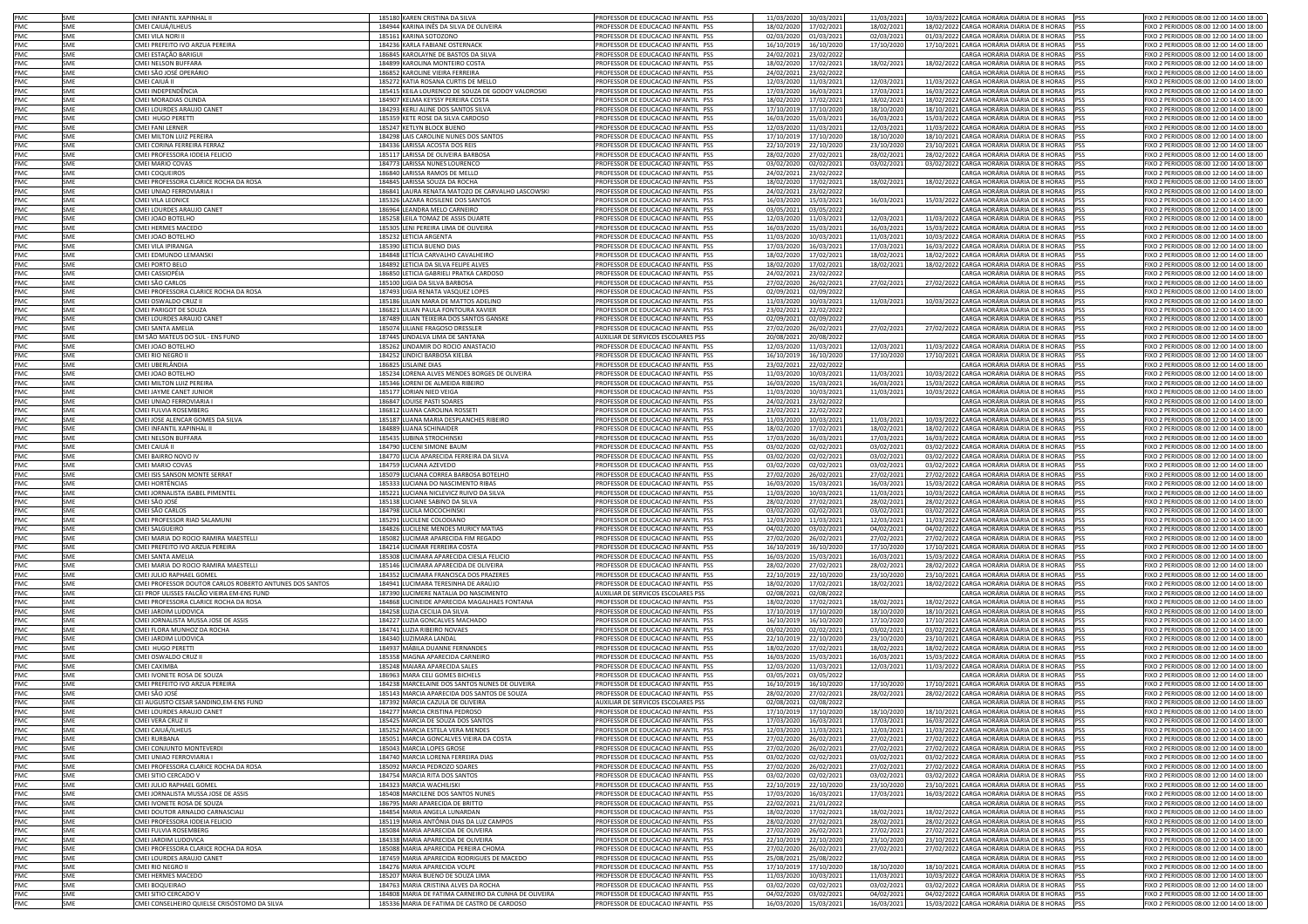| <b>PMC</b> | SMF        | CMEI INFANTIL XAPINHAL II                                               | 185180 KAREN CRISTINA DA SILVA                                                               | PROFESSOR DE EDUCACAO INFANTIL PSS                                       | 11/03/2020 10/03/2021                                | 11/03/2021               | 10/03/2022 CARGA HORÁRIA DIÁRIA DE 8 HORAS PSS                                                   | FIXO 2 PERIODOS 08:00 12:00 14:00 18:00                                            |
|------------|------------|-------------------------------------------------------------------------|----------------------------------------------------------------------------------------------|--------------------------------------------------------------------------|------------------------------------------------------|--------------------------|--------------------------------------------------------------------------------------------------|------------------------------------------------------------------------------------|
| PMC        | SMF        | CMEI CAIUÁ/ILHEUS                                                       | 184944 KARINA INÊS DA SILVA DE OLIVEIRA                                                      | PROFESSOR DE EDUCACAO INFANTIL PSS                                       | 17/02/2021<br>18/02/2020                             | 18/02/2021               | 18/02/2022 CARGA HORÁRIA DIÁRIA DE 8 HORAS PSS                                                   | FIXO 2 PERIODOS 08:00 12:00 14:00 18:00                                            |
| PMC        | SME        | <b>CMEI VILA NORI II</b>                                                | 185161 KARINA SOTOZONO                                                                       | PROFESSOR DE EDUCACAO INFANTIL PSS                                       | 02/03/2020<br>01/03/2021                             | 02/03/2021               | 01/03/2022 CARGA HORÁRIA DIÁRIA DE 8 HORAS PSS                                                   | FIXO 2 PERIODOS 08:00 12:00 14:00 18:00                                            |
| PMC        | SME        | CMEI PREFEITO IVO ARZUA PEREIRA                                         | 184236 KARLA FABIANE OSTERNACK                                                               | PROFESSOR DE EDUCACAO INFANTIL PSS                                       | 16/10/2019<br>16/10/202                              | 17/10/2020               | 17/10/2021 CARGA HORÁRIA DIÁRIA DE 8 HORAS PSS                                                   | IXO 2 PERIODOS 08:00 12:00 14:00 18:00                                             |
| PMC        | SME        | CMEI ESTAÇÃO BARIGUI                                                    | 186845 KAROLAYNE DE BASTOS DA SILVA                                                          | PROFESSOR DE EDUCACAO INFANTIL PSS                                       | 24/02/2021<br>23/02/202                              |                          | CARGA HORÁRIA DIÁRIA DE 8 HORAS PSS                                                              | IXO 2 PERIODOS 08:00 12:00 14:00 18:00                                             |
| PMC        | SME        | CMEI NELSON BUFFARA                                                     | 184899 KAROLINA MONTEIRO COSTA                                                               | PROFESSOR DE EDUCACAO INFANTIL PSS                                       | 18/02/2020<br>17/02/202:                             | 18/02/2021               | 18/02/2022 CARGA HORÁRIA DIÁRIA DE 8 HORAS PSS                                                   | FIXO 2 PERIODOS 08:00 12:00 14:00 18:00                                            |
| PMC        | SME        | CMEI SÃO JOSÉ OPERÁRIO                                                  | 186852 KAROLINE VIEIRA FERREIRA                                                              | PROFESSOR DE EDUCACAO INFANTIL PSS                                       | 24/02/2021<br>23/02/202                              |                          | CARGA HORÁRIA DIÁRIA DE 8 HORAS PSS                                                              | IXO 2 PERIODOS 08:00 12:00 14:00 18:00                                             |
| PMC        | SME        | CMEI CAIUÁ II                                                           | 185272 KATIA ROSANA CURTIS DE MELLO                                                          | PROFESSOR DE EDUCACAO INFANTIL PSS                                       | 12/03/2020<br>11/03/202                              | 12/03/2021               | 11/03/2022 CARGA HORÁRIA DIÁRIA DE 8 HORAS PSS                                                   | FIXO 2 PERIODOS 08:00 12:00 14:00 18:00                                            |
| PMC        | SME        | CMEI INDEPENDÊNCIA                                                      | 185415 KEILA LOURENCO DE SOUZA DE GODOY VALOROSKI                                            | PROFESSOR DE EDUCACAO INFANTIL PSS                                       | 17/03/2020<br>16/03/2021                             | 17/03/2021               | 16/03/2022 CARGA HORÁRIA DIÁRIA DE 8 HORAS PSS                                                   | FIXO 2 PERIODOS 08:00 12:00 14:00 18:00                                            |
| PMC        | SME        | CMEI MORADIAS OLINDA                                                    | 184907 KELMA KEYSSY PEREIRA COSTA                                                            | PROFESSOR DE EDUCACAO INFANTIL PSS                                       | 18/02/2020<br>17/02/202:                             | 18/02/2021               | 18/02/2022 CARGA HORÁRIA DIÁRIA DE 8 HORAS PSS                                                   | FIXO 2 PERIODOS 08:00 12:00 14:00 18:00                                            |
| PMC        | SME        | CMEI LOURDES ARAUJO CANET                                               | 184293 KERLI ALINE DOS SANTOS SILVA                                                          | PROFESSOR DE EDUCACAO INFANTIL PSS                                       | 17/10/2019<br>17/10/2020                             | 18/10/2020               | 18/10/2021 CARGA HORÁRIA DIÁRIA DE 8 HORAS PSS                                                   | FIXO 2 PERIODOS 08:00 12:00 14:00 18:00                                            |
| PMC        | SME        | CMEI HUGO PERETTI                                                       | 185359 KETE ROSE DA SILVA CARDOSO                                                            | PROFESSOR DE EDUCACAO INFANTIL PSS                                       | 16/03/2020<br>15/03/202                              | 16/03/2021               | 15/03/2022 CARGA HORÁRIA DIÁRIA DE 8 HORAS PSS                                                   | FIXO 2 PERIODOS 08:00 12:00 14:00 18:00                                            |
| PMC        | SME        | CMEI FANI LERNER                                                        | 185247 KETLYN BLOCK BUENO                                                                    | PROFESSOR DE EDUCACAO INFANTIL PSS                                       | 12/03/2020<br>11/03/202                              | 12/03/2021               | 11/03/2022 CARGA HORÁRIA DIÁRIA DE 8 HORAS PSS                                                   | FIXO 2 PERIODOS 08:00 12:00 14:00 18:00                                            |
| <b>PMC</b> | SMF        | CMEI MILTON LUIZ PEREIRA                                                | 184298 LAIS CAROLINE NUNES DOS SANTOS                                                        | PROFESSOR DE EDUCACAO INFANTIL PSS                                       | 17/10/2019<br>17/10/202                              | 18/10/2020               | 18/10/2021 CARGA HORÁRIA DIÁRIA DE 8 HORAS PSS                                                   | FIXO 2 PERIODOS 08:00 12:00 14:00 18:00                                            |
| PMC        | SME        | CMEI CORINA FERREIRA FERRAZ                                             | 184336 LARISSA ACOSTA DOS REIS                                                               | PROFESSOR DE EDUCACAO INFANTIL PSS                                       | 22/10/2019<br>22/10/202                              | 23/10/2020               | 23/10/2021 CARGA HORÁRIA DIÁRIA DE 8 HORAS PSS                                                   | FIXO 2 PERIODOS 08:00 12:00 14:00 18:00                                            |
| PMC        | SME        | MEI PROFESSORA IODEIA FELICIO                                           | 185117 LARISSA DE OLIVEIRA BARBOSA                                                           | PROFESSOR DE EDUCACAO INFANTIL PSS                                       | 28/02/2020<br>27/02/2021                             | 28/02/2021               | 28/02/2022 CARGA HORÁRIA DIÁRIA DE 8 HORAS PSS                                                   | IXO 2 PERIODOS 08:00 12:00 14:00 18:00                                             |
| PMC        | SME        | MEI MARIO COVAS                                                         | 184773 LARISSA NUNES LOURENCO                                                                | PROFESSOR DE EDUCACAO INFANTIL PSS                                       | 03/02/2020<br>02/02/2021                             | 03/02/2021               | 03/02/2022 CARGA HORÁRIA DIÁRIA DE 8 HORAS PSS                                                   | IXO 2 PERIODOS 08:00 12:00 14:00 18:00                                             |
| PMC        | SME        | MEI COQUEIROS                                                           | 186840 LARISSA RAMOS DE MELLO                                                                | PROFESSOR DE EDUCACAO INFANTIL PSS                                       | 24/02/2021<br>23/02/2022                             |                          | CARGA HORÁRIA DIÁRIA DE 8 HORAS PSS                                                              | IXO 2 PERIODOS 08:00 12:00 14:00 18:00                                             |
| PMC        | SME        | MEI PROFESSORA CLARICE ROCHA DA ROSA                                    | 184845 LARISSA SOUZA DA ROCHA                                                                | PROFESSOR DE EDUCACAO INFANTIL PSS                                       | 18/02/2020<br>17/02/2021                             | 18/02/2021               | 18/02/2022 CARGA HORÁRIA DIÁRIA DE 8 HORAS PSS                                                   | IXO 2 PERIODOS 08:00 12:00 14:00 18:00                                             |
| PMC<br>PMC | SME<br>SME | MEI UNIAO FERROVIARIA I                                                 | 186841 LAURA RENATA MATOZO DE CARVALHO LASCOWSKI<br>185326 LAZARA ROSILENE DOS SANTOS        | PROFESSOR DE EDUCACAO INFANTIL PSS                                       | 24/02/2021<br>23/02/2022                             |                          | CARGA HORÁRIA DIÁRIA DE 8 HORAS PSS                                                              | IXO 2 PERIODOS 08:00 12:00 14:00 18:00                                             |
| PMC        | <b>SME</b> | MEI VILA LEONICE<br>CMEI LOURDES ARAUJO CANET                           | 186964 LEANDRA MELO CARNEIRO                                                                 | PROFESSOR DE EDUCACAO INFANTIL PSS<br>PROFESSOR DE EDUCACAO INFANTIL PSS | 16/03/2020<br>15/03/2021<br>03/05/2021<br>03/05/2022 | 16/03/2021               | 15/03/2022 CARGA HORÁRIA DIÁRIA DE 8 HORAS PSS<br>CARGA HORÁRIA DIÁRIA DE 8 HORAS PSS            | IXO 2 PERIODOS 08:00 12:00 14:00 18:00<br>FIXO 2 PERIODOS 08:00 12:00 14:00 18:00  |
| PMC        | <b>SME</b> | MEI JOAO BOTELHO                                                        | 185258 LEILA TOMAZ DE ASSIS DUARTE                                                           | PROFESSOR DE EDUCACAO INFANTIL PSS                                       | 12/03/2020<br>11/03/202:                             | 12/03/2021               | 11/03/2022 CARGA HORÁRIA DIÁRIA DE 8 HORAS PSS                                                   | FIXO 2 PERIODOS 08:00 12:00 14:00 18:00                                            |
| PMC        | SME        | CMEI HERMES MACEDO                                                      | 185305 LENI PEREIRA LIMA DE OLIVEIRA                                                         | PROFESSOR DE EDUCACAO INFANTIL PSS                                       | 16/03/2020<br>15/03/202:                             | 16/03/2021               | 15/03/2022 CARGA HORÁRIA DIÁRIA DE 8 HORAS PSS                                                   | FIXO 2 PERIODOS 08:00 12:00 14:00 18:00                                            |
| PMC.       | SMF        | CMEI JOAO BOTELHO                                                       | 185232 LETICIA ARGENTA                                                                       | PROFESSOR DE EDUCACAO INFANTIL PSS                                       | 10/03/2021<br>11/03/2020                             | 11/03/2021               | 10/03/2022 CARGA HORÁRIA DIÁRIA DE 8 HORAS PSS                                                   | FIXO 2 PERIODOS 08:00 12:00 14:00 18:00                                            |
| PMC        | SMF        | CMEI VILA IPIRANGA                                                      | 185390 LETICIA BUENO DIAS                                                                    | PROFESSOR DE EDUCACAO INFANTIL PSS                                       | 17/03/2020<br>16/03/202                              | 17/03/2021               | 16/03/2022 CARGA HORÁRIA DIÁRIA DE 8 HORAS PSS                                                   | FIXO 2 PERIODOS 08:00 12:00 14:00 18:00                                            |
| PMC        | SMF        | CMEI EDMUNDO LEMANSKI                                                   | 184848 LETÍCIA CARVALHO CAVALHEIRO                                                           | PROFESSOR DE EDUCACAO INFANTIL PSS                                       | 18/02/2020<br>17/02/202                              | 18/02/2021               | 18/02/2022 CARGA HORÁRIA DIÁRIA DE 8 HORAS PSS                                                   | FIXO 2 PERIODOS 08:00 12:00 14:00 18:00                                            |
| PMC        | SME        | CMEI PORTO BELO                                                         | 184892 LETICIA DA SILVA FELIPE ALVES                                                         | PROFESSOR DE EDUCACAO INFANTIL PSS                                       | 18/02/2020<br>17/02/2021                             | 18/02/2021               | 18/02/2022 CARGA HORÁRIA DIÁRIA DE 8 HORAS PSS                                                   | FIXO 2 PERIODOS 08:00 12:00 14:00 18:00                                            |
| PMC        | SME        | CMEI CASSIOPÉIA                                                         | 186850 LETICIA GABRIELI PRATKA CARDOSO                                                       | PROFESSOR DE EDUCACAO INFANTIL PSS                                       | 24/02/2021<br>23/02/202                              |                          | CARGA HORÁRIA DIÁRIA DE 8 HORAS PSS                                                              | FIXO 2 PERIODOS 08:00 12:00 14:00 18:00                                            |
| PMC        | SME        | CMEI SÃO CARLOS                                                         | 185100 LIGIA DA SILVA BARBOSA                                                                | PROFESSOR DE EDUCACAO INFANTIL PSS                                       | 27/02/2020<br>26/02/202                              | 27/02/2021               | 27/02/2022 CARGA HORÁRIA DIÁRIA DE 8 HORAS PSS                                                   | IXO 2 PERIODOS 08:00 12:00 14:00 18:00                                             |
| PMC        | SME        | CMEI PROFESSORA CLARICE ROCHA DA ROSA                                   | 187493 LIGIA RENATA VASQUEZ LOPES                                                            | PROFESSOR DE EDUCACAO INFANTIL PSS                                       | 02/09/2021<br>02/09/202                              |                          | CARGA HORÁRIA DIÁRIA DE 8 HORAS PSS                                                              | IXO 2 PERIODOS 08:00 12:00 14:00 18:00                                             |
| PMC        | SME        | CMEI OSWALDO CRUZ I                                                     | 185186 LILIAN MARA DE MATTOS ADELINO                                                         | PROFESSOR DE EDUCACAO INFANTIL PSS                                       | 11/03/2020<br>10/03/202                              | 11/03/2021               | 10/03/2022 CARGA HORÁRIA DIÁRIA DE 8 HORAS PSS                                                   | IXO 2 PERIODOS 08:00 12:00 14:00 18:00                                             |
| PMC        | SME        | CMEI PARIGOT DE SOUZA                                                   | 186821 LILIAN PAULA FONTOURA XAVIER                                                          | PROFESSOR DE EDUCACAO INFANTIL PSS                                       | 23/02/2021<br>22/02/2022                             |                          | CARGA HORÁRIA DIÁRIA DE 8 HORAS PSS                                                              | IXO 2 PERIODOS 08:00 12:00 14:00 18:00                                             |
| PMC        | SME        | CMEI LOURDES ARAUJO CANET                                               | 187489 LILIAN TEIXEIRA DOS SANTOS GANSKE                                                     | PROFESSOR DE EDUCACAO INFANTIL PSS                                       | 02/09/2021<br>02/09/2022                             |                          | CARGA HORÁRIA DIÁRIA DE 8 HORAS PSS                                                              | FIXO 2 PERIODOS 08:00 12:00 14:00 18:00                                            |
| PMC        | SME        | CMEI SANTA AMELIA                                                       | 185074 LILIANE FRAGOSO DRESSLER                                                              | PROFESSOR DE EDUCACAO INFANTIL PSS                                       | 27/02/2020<br>26/02/2021                             | 27/02/2021               | 27/02/2022 CARGA HORÁRIA DIÁRIA DE 8 HORAS PSS                                                   | IXO 2 PERIODOS 08:00 12:00 14:00 18:00                                             |
| PMC        | SME        | EM SÃO MATEUS DO SUL - ENS FUND                                         | 187445 LINDALVA LIMA DE SANTANA                                                              | AUXILIAR DE SERVICOS ESCOLARES PSS                                       | 20/08/2021<br>20/08/2022                             |                          | CARGA HORÁRIA DIÁRIA DE 8 HORAS PSS                                                              | FIXO 2 PERIODOS 08:00 12:00 14:00 18:00                                            |
| PMC<br>PMC | SMF<br>SMF | CMEI JOAO BOTELHO                                                       | 185262 LINDAMIR DO ROCIO ANASTACIO                                                           | PROFESSOR DE EDUCACAO INFANTIL PSS                                       | 12/03/2020<br>11/03/202                              | 12/03/2021               | 11/03/2022 CARGA HORÁRIA DIÁRIA DE 8 HORAS PSS                                                   | IXO 2 PERIODOS 08:00 12:00 14:00 18:00                                             |
| PMC        | SMF        | MEI RIO NEGRO II<br>^MEI URERI ÂNDIA                                    | 184252 LINDICI BARBOSA KIELBA<br>186825 LISLAINE DIAS                                        | PROFESSOR DE EDUCACAO INFANTIL PSS<br>PROFESSOR DE EDUCACAO INFANTIL PSS | 16/10/2019<br>16/10/202<br>23/02/2021<br>22/02/2022  | 17/10/2020               | 17/10/2021 CARGA HORÁRIA DIÁRIA DE 8 HORAS PSS<br>CARGA HORÁRIA DIÁRIA DE 8 HORAS PSS            | IXO 2 PERIODOS 08:00 12:00 14:00 18:00<br>FIXO 2 PERIODOS 08:00 12:00 14:00 18:00  |
| PMC.       | SMF        | MEI JOAO BOTELHO                                                        | 185234 LORENA ALVES MENDES BORGES DE OLIVEIRA                                                | PROFESSOR DE EDUCACAO INFANTIL PSS                                       | 11/03/2020<br>10/03/202                              | 11/03/2021               | 10/03/2022 CARGA HORÁRIA DIÁRIA DE 8 HORAS PSS                                                   | IXO 2 PERIODOS 08:00 12:00 14:00 18:00                                             |
| PMC        | SME        | MEI MILTON LUIZ PEREIRA                                                 | 185346 LORENI DE ALMEIDA RIBEIRO                                                             | PROFESSOR DE EDUCAÇÃO INFANTIL PSS                                       | 16/03/2020<br>15/03/2021                             | 16/03/2021               | 15/03/2022 CARGA HORÁRIA DIÁRIA DE 8 HORAS                                                       | IXO 2 PERIODOS 08:00 12:00 14:00 18:00<br><b>PSS</b>                               |
| PMC        | SME        | MEI JAYME CANET JUNIOR                                                  | 185177 LORIAN NIED VEIGA                                                                     | PROFESSOR DE EDUCACAO INFANTIL PSS                                       | 11/03/2020<br>10/03/2021                             | 11/03/2021               | 10/03/2022 CARGA HORÁRIA DIÁRIA DE 8 HORAS                                                       | IXO 2 PERIODOS 08:00 12:00 14:00 18:00<br><b>IPSS</b>                              |
| PMC        | SME        | MEI UNIAO FERROVIARIA I                                                 | 186847 LOUISE PASTI SOARES                                                                   | PROFESSOR DE EDUCACAO INFANTIL PSS                                       | 24/02/2021<br>23/02/2022                             |                          | CARGA HORÁRIA DIÁRIA DE 8 HORAS PSS                                                              | IXO 2 PERIODOS 08:00 12:00 14:00 18:00                                             |
| PMC        | SME        | MELEULVIA ROSEMBERG                                                     | 186812 LUANA CAROLINA ROSSETI                                                                | PROFESSOR DE EDUCACAO INFANTIL PSS                                       | 23/02/2021<br>22/02/2022                             |                          | CARGA HORÁRIA DIÁRIA DE 8 HORAS PSS                                                              | IXO 2 PERIODOS 08:00 12:00 14:00 18:00                                             |
| PMC        | SME        | MEI JOSE ALENCAR GOMES DA SILVA                                         | 185187 LUANA MARIA DESPLANCHES RIBEIRO                                                       | PROFESSOR DE EDUCAÇÃO INFANTIL PSS                                       | 11/03/2020<br>10/03/2021                             | 11/03/2021               | 10/03/2022 CARGA HORÁRIA DIÁRIA DE 8 HORAS PSS                                                   | IXO 2 PERIODOS 08:00 12:00 14:00 18:00                                             |
| PMC        | SME        | MEI INFANTIL XAPINHAL II                                                | 184889 LUANA SCHINAIDER                                                                      | PROFESSOR DE EDUCACAO INFANTIL PSS                                       | 18/02/2020<br>17/02/2021                             | 18/02/2021               | 18/02/2022 CARGA HORÁRIA DIÁRIA DE 8 HORAS PSS                                                   | IXO 2 PERIODOS 08:00 12:00 14:00 18:00                                             |
| PMC        | SME<br>SME | CMEI NELSON BUFFARA<br>CMEI CAIUÁ II                                    | 185435 LUBINA STROCHINSKI                                                                    | PROFESSOR DE EDUCACAO INFANTIL PSS<br>PROFESSOR DE EDUCACAO INFANTIL PSS | 17/03/2020<br>16/03/2021                             | 17/03/2021               | 16/03/2022 CARGA HORÁRIA DIÁRIA DE 8 HORAS PSS                                                   | IXO 2 PERIODOS 08:00 12:00 14:00 18:00                                             |
| PMC<br>PMC | SME        | CMEI BAIRRO NOVO IV                                                     | 184790 LUCENI SIMONE BAUM<br>184770 LUCIA APARECIDA FERREIRA DA SILVA                        | PROFESSOR DE EDUCACAO INFANTIL PSS                                       | 03/02/2020<br>02/02/202:<br>03/02/2020<br>02/02/202: | 03/02/2021<br>03/02/2021 | 03/02/2022 CARGA HORÁRIA DIÁRIA DE 8 HORAS PSS<br>03/02/2022 CARGA HORÁRIA DIÁRIA DE 8 HORAS     | IXO 2 PERIODOS 08:00 12:00 14:00 18:00<br>IXO 2 PERIODOS 08:00 12:00 14:00 18:00   |
| PMC        | SMF        | CMEI MARIO COVAS                                                        | 184759 LUCIANA AZEVEDO                                                                       | PROFESSOR DE EDUCACAO INFANTIL PSS                                       | 03/02/2020<br>02/02/202                              | 03/02/2021               | 03/02/2022 CARGA HORÁRIA DIÁRIA DE 8 HORAS PSS                                                   | FIXO 2 PERIODOS 08:00 12:00 14:00 18:00                                            |
| PMC        | SME        | CMEI ISIS SANSON MONTE SERRAT                                           | 185079 LUCIANA CORREA BARBOSA BOTELHO                                                        | PROFESSOR DE EDUCACAO INFANTIL PSS                                       | 27/02/2020<br>26/02/2021                             | 27/02/2021               | 27/02/2022 CARGA HORÁRIA DIÁRIA DE 8 HORAS PSS                                                   | FIXO 2 PERIODOS 08:00 12:00 14:00 18:00                                            |
| PMC        | SMF        | CMEI HORTÊNCIAS                                                         | 185333 LUCIANA DO NASCIMENTO RIBAS                                                           | PROFESSOR DE EDUCACAO INFANTIL PSS                                       | 16/03/2020<br>15/03/202                              | 16/03/2021               | 15/03/2022 CARGA HORÁRIA DIÁRIA DE 8 HORAS PSS                                                   | FIXO 2 PERIODOS 08:00 12:00 14:00 18:00                                            |
| PMC        | SME        | CMEI JORNALISTA ISABEL PIMENTEL                                         | 185221 LUCIANA NICLEVICZ RUIVO DA SILVA                                                      | PROFESSOR DE EDUCACAO INFANTIL PSS                                       | 11/03/2020<br>10/03/2021                             | 11/03/2021               | 10/03/2022 CARGA HORÁRIA DIÁRIA DE 8 HORAS PSS                                                   | FIXO 2 PERIODOS 08:00 12:00 14:00 18:00                                            |
| PMC        | SME        | CMEI SÃO JOSÉ                                                           | 185138 LUCIANE SABINO DA SILVA                                                               | PROFESSOR DE EDUCACAO INFANTIL PSS                                       | 28/02/2020<br>27/02/2021                             | 28/02/2021               | 28/02/2022 CARGA HORÁRIA DIÁRIA DE 8 HORAS PSS                                                   | FIXO 2 PERIODOS 08:00 12:00 14:00 18:00                                            |
| PMC        | SME        | CMEI SÃO CARLOS                                                         | 184798 LUCILA MOCOCHINSKI                                                                    | PROFESSOR DE EDUCACAO INFANTIL PSS                                       | 03/02/2020<br>02/02/2021                             | 03/02/2021               | 03/02/2022 CARGA HORÁRIA DIÁRIA DE 8 HORAS PSS                                                   | IXO 2 PERIODOS 08:00 12:00 14:00 18:00                                             |
| PMC        | SME        | CMEI PROFESSOR RIAD SALAMUNI                                            | 185291 LUCILENE COLODIANO                                                                    | PROFESSOR DE EDUCACAO INFANTIL PSS                                       | 12/03/2020<br>11/03/202                              | 12/03/2021               | 11/03/2022 CARGA HORÁRIA DIÁRIA DE 8 HORAS PSS                                                   | FIXO 2 PERIODOS 08:00 12:00 14:00 18:00                                            |
| PMC        | SME<br>SME | CMEI SALGUEIRO                                                          | 184826 LUCILENE MENDES MURICY MATIAS<br>185082 LUCIMAR APARECIDA FIM REGADO                  | PROFESSOR DE EDUCACAO INFANTIL PSS                                       | 04/02/2020<br>03/02/202                              | 04/02/2021               | 04/02/2022 CARGA HORÁRIA DIÁRIA DE 8 HORAS PSS<br>27/02/2022 CARGA HORÁRIA DIÁRIA DE 8 HORAS PSS | IXO 2 PERIODOS 08:00 12:00 14:00 18:00                                             |
| PMC<br>PMC | SME        | CMEI MARIA DO ROCIO RAMIRA MAESTELLI<br>CMEI PREFEITO IVO ARZUA PEREIRA | 184214 LUCIMAR FERREIRA COSTA                                                                | PROFESSOR DE EDUCACAO INFANTIL PSS<br>PROFESSOR DE EDUCACAO INFANTIL PSS | 27/02/2020<br>26/02/2021<br>16/10/2019<br>16/10/2020 | 27/02/2021<br>17/10/2020 | 17/10/2021 CARGA HORÁRIA DIÁRIA DE 8 HORAS PSS                                                   | FIXO 2 PERIODOS 08:00 12:00 14:00 18:00<br>FIXO 2 PERIODOS 08:00 12:00 14:00 18:00 |
| PMC        | SME        | CMEI SANTA AMELIA                                                       | 185308 LUCIMARA APARECIDA CIESLA FELICIO                                                     | PROFESSOR DE EDUCACAO INFANTIL PSS                                       | 16/03/2020<br>15/03/202                              | 16/03/2021               | 15/03/2022 CARGA HORÁRIA DIÁRIA DE 8 HORAS PSS                                                   | FIXO 2 PERIODOS 08:00 12:00 14:00 18:00                                            |
| PMC        | SME        | CMEI MARIA DO ROCIO RAMIRA MAESTELLI                                    | 185146 LUCIMARA APARECIDA DE OLIVEIRA                                                        | PROFESSOR DE EDUCACAO INFANTIL PSS                                       | 28/02/2020<br>27/02/2021                             | 28/02/2021               | 28/02/2022 CARGA HORÁRIA DIÁRIA DE 8 HORAS PSS                                                   | FIXO 2 PERIODOS 08:00 12:00 14:00 18:00                                            |
| PMC        | SME        | CMEI JULIO RAPHAEL GOMEL                                                | 184352 LUCIMARA FRANCISCA DOS PRAZERES                                                       | PROFESSOR DE EDUCACAO INFANTIL PSS                                       | 22/10/2019<br>22/10/2020                             | 23/10/2020               | 23/10/2021 CARGA HORÁRIA DIÁRIA DE 8 HORAS PSS                                                   | FIXO 2 PERIODOS 08:00 12:00 14:00 18:00                                            |
| PMC        | SME        | MEI PROFESSOR DOUTOR CARLOS ROBERTO ANTUNES DOS SANTOS                  | 184941 LUCIMARA TERESINHA DE ARAÚJO                                                          | PROFESSOR DE EDUCACAO INFANTIL PSS                                       | 18/02/2020<br>17/02/202                              | 18/02/2021               | 18/02/2022 CARGA HORÁRIA DIÁRIA DE 8 HORAS PSS                                                   | FIXO 2 PERIODOS 08:00 12:00 14:00 18:00                                            |
| PMC        | SMF        | CEI PROF ULISSES FALCÃO VIEIRA EM-ENS FUND                              | 187390 LUCIMERE NATALIA DO NASCIMENTO                                                        | AUXILIAR DE SERVICOS ESCOLARES PSS                                       | 02/08/2021<br>02/08/2022                             |                          | CARGA HORÁRIA DIÁRIA DE 8 HORAS PSS                                                              | FIXO 2 PERIODOS 08:00 12:00 14:00 18:00                                            |
| PMC        | SMF        | CMEI PROFESSORA CLARICE ROCHA DA ROSA                                   | 184868 LUCINEIDE APARECIDA MAGALHAES FONTANA                                                 | PROFESSOR DE EDUCACAO INFANTIL PSS                                       | 18/02/2020<br>17/02/202:                             | 18/02/2021               | 18/02/2022 CARGA HORÁRIA DIÁRIA DE 8 HORAS PSS                                                   | FIXO 2 PERIODOS 08:00 12:00 14:00 18:00                                            |
| PMC        | SME        | MEI JARDIM LUDOVICA                                                     | 184258 LUZIA CECILIA DA SILVA                                                                | PROFESSOR DE EDUCAÇÃO INFANTIL PSS                                       | 17/10/2019<br>17/10/2020                             | 18/10/2020               | 18/10/2021 CARGA HORÁRIA DIÁRIA DE 8 HORAS PSS                                                   | IXO 2 PERIODOS 08:00 12:00 14:00 18:00                                             |
| PMC        | SME        | MEI JORNALISTA MUSSA JOSE DE ASSIS                                      | 184227 LUZIA GONCALVES MACHADO                                                               | PROFESSOR DE EDUCACAO INFANTIL PSS                                       | 16/10/2019<br>16/10/2020                             | 17/10/2020               | 17/10/2021 CARGA HORÁRIA DIÁRIA DE 8 HORAS PSS                                                   | IXO 2 PERIODOS 08:00 12:00 14:00 18:00                                             |
| PMC<br>PMC | SME<br>SME | MEI FLORA MUNHOZ DA ROCHA<br>MEI JARDIM LUDOVICA                        | 184741 LUZIA RIBEIRO NOVAES<br>184340 LUZIMARA LANDAL                                        | PROFESSOR DE EDUCACAO INFANTIL PSS<br>PROFESSOR DE EDUCACAO INFANTIL PSS | 03/02/2020<br>02/02/2021<br>22/10/2019<br>22/10/2020 | 03/02/2021<br>23/10/2020 | 03/02/2022 CARGA HORÁRIA DIÁRIA DE 8 HORAS PSS<br>23/10/2021 CARGA HORÁRIA DIÁRIA DE 8 HORAS PSS | IXO 2 PERIODOS 08:00 12:00 14:00 18:00<br>IXO 2 PERIODOS 08:00 12:00 14:00 18:00   |
| PMC        | SME        | MEI HUGO PERETTI                                                        | 184937 MÁBILA DUANNE FERNANDES                                                               | PROFESSOR DE EDUCACAO INFANTIL PSS                                       | 18/02/2020<br>17/02/2021                             | 18/02/2021               | 18/02/2022 CARGA HORÁRIA DIÁRIA DE 8 HORAS PSS                                                   | IXO 2 PERIODOS 08:00 12:00 14:00 18:00                                             |
| PMC        | SME        | MEI OSWALDO CRUZ II                                                     | 185358 MAGNA APARECIDA CARNEIRO                                                              | PROFESSOR DE EDUCACAO INFANTIL PSS                                       | 16/03/2020<br>15/03/2021                             | 16/03/2021               | 15/03/2022 CARGA HORÁRIA DIÁRIA DE 8 HORAS PSS                                                   | IXO 2 PERIODOS 08:00 12:00 14:00 18:00                                             |
| PMC        | SME        | CMEI CAXIMBA                                                            | 185248 MAIARA APARECIDA SALES                                                                | PROFESSOR DE EDUCACAO INFANTIL PSS                                       | 12/03/2020<br>11/03/2021                             | 12/03/2021               | 11/03/2022 CARGA HORÁRIA DIÁRIA DE 8 HORAS PSS                                                   | FIXO 2 PERIODOS 08:00 12:00 14:00 18:00                                            |
| PMC        | SME        | CMEI IVONETE ROSA DE SOUZA                                              | 186963 MARA CELI GOMES BICHELS                                                               | PROFESSOR DE EDUCACAO INFANTIL PSS                                       | 03/05/2021<br>03/05/2022                             |                          | CARGA HORÁRIA DIÁRIA DE 8 HORAS PSS                                                              | FIXO 2 PERIODOS 08:00 12:00 14:00 18:00                                            |
| PMC        | SME        | CMEI PREFEITO IVO ARZUA PEREIRA                                         | 184238 MARCELAINE DOS SANTOS NUNES DE OLIVEIRA                                               | PROFESSOR DE EDUCACAO INFANTIL PSS                                       | 16/10/2019<br>16/10/2020                             | 17/10/2020               | 17/10/2021 CARGA HORÁRIA DIÁRIA DE 8 HORAS PSS                                                   | FIXO 2 PERIODOS 08:00 12:00 14:00 18:00                                            |
| PMC        | SME        | CMEI SÃO JOSÉ                                                           | 185143 MARCIA APARECIDA DOS SANTOS DE SOUZA                                                  | PROFESSOR DE EDUCACAO INFANTIL PSS                                       | 27/02/2021<br>28/02/2020                             | 28/02/2021               | 28/02/2022 CARGA HORÁRIA DIÁRIA DE 8 HORAS PSS                                                   | FIXO 2 PERIODOS 08:00 12:00 14:00 18:00                                            |
| PMC        | SMF        | CEI AUGUSTO CESAR SANDINO.EM-ENS FUND                                   | 187392 MÁRCIA CAZULA DE OLIVEIRA                                                             | AUXILIAR DE SERVICOS ESCOLARES PSS                                       | 02/08/2021<br>02/08/2022                             |                          | CARGA HORÁRIA DIÁRIA DE 8 HORAS PSS                                                              | FIXO 2 PERIODOS 08:00 12:00 14:00 18:00                                            |
| PMC<br>PMC | SME<br>SME | CMEI LOURDES ARAUJO CANET<br>CMEI VERA CRUZ II                          | 184277 MARCIA CRISTINA PEDROSO<br>185425 MARCIA DE SOUZA DOS SANTOS                          | PROFESSOR DE EDUCACAO INFANTIL PSS<br>PROFESSOR DE EDUCACAO INFANTIL PSS | 17/10/2020<br>17/10/2019                             | 18/10/2020               | 18/10/2021 CARGA HORÁRIA DIÁRIA DE 8 HORAS PSS<br>16/03/2022 CARGA HORÁRIA DIÁRIA DE 8 HORAS PSS | FIXO 2 PERIODOS 08:00 12:00 14:00 18:00<br>FIXO 2 PERIODOS 08:00 12:00 14:00 18:00 |
| PMC        | SME        | CMEI CAIUÁ/ILHEUS                                                       | 185252 MARCIA ESTELA VERA MENDES                                                             | PROFESSOR DE EDUCACAO INFANTIL PSS                                       | 17/03/2020<br>16/03/202<br>12/03/2020<br>11/03/2021  | 17/03/2021<br>12/03/2021 | 11/03/2022 CARGA HORÁRIA DIÁRIA DE 8 HORAS PSS                                                   | FIXO 2 PERIODOS 08:00 12:00 14:00 18:00                                            |
| PMC        | SME        | <b>CMEI RURBANA</b>                                                     | 185051 MARCIA GONCALVES VIEIRA DA COSTA                                                      | PROFESSOR DE EDUCACAO INFANTIL PSS                                       | 27/02/2020<br>26/02/2021                             | 27/02/2021               | 27/02/2022 CARGA HORÁRIA DIÁRIA DE 8 HORAS PSS                                                   | IXO 2 PERIODOS 08:00 12:00 14:00 18:00                                             |
| PMC        | SME        | <b>CMEI CONJUNTO MONTEVERDI</b>                                         | 185043 MARCIA LOPES GROSE                                                                    | PROFESSOR DE EDUCACAO INFANTIL PSS                                       | 27/02/2020<br>26/02/2021                             | 27/02/2021               | 27/02/2022 CARGA HORÁRIA DIÁRIA DE 8 HORAS PSS                                                   | IXO 2 PERIODOS 08:00 12:00 14:00 18:00                                             |
| PMC        | SME        | CMEI UNIAO FERROVIARIA I                                                | 184740 MARCIA LORENA FERREIRA DIAS                                                           | PROFESSOR DE EDUCACAO INFANTIL PSS                                       | 03/02/2020<br>02/02/202:                             | 03/02/2021               | 03/02/2022 CARGA HORÁRIA DIÁRIA DE 8 HORAS PSS                                                   | IXO 2 PERIODOS 08:00 12:00 14:00 18:00                                             |
| PMC        | SME        | CMEI PROFESSORA CLARICE ROCHA DA ROSA                                   | 185092 MARCIA PEDROZO SOARES                                                                 | PROFESSOR DE EDUCACAO INFANTIL PSS                                       | 27/02/2020<br>26/02/2021                             | 27/02/2021               | 27/02/2022 CARGA HORÁRIA DIÁRIA DE 8 HORAS PSS                                                   | FIXO 2 PERIODOS 08:00 12:00 14:00 18:00                                            |
| PMC        | SME        | CMEI SITIO CERCADO V                                                    | 184754 MARCIA RITA DOS SANTOS                                                                | PROFESSOR DE EDUCACAO INFANTIL PSS                                       | 03/02/2020<br>02/02/2021                             | 03/02/2021               | 03/02/2022 CARGA HORÁRIA DIÁRIA DE 8 HORAS PSS                                                   | FIXO 2 PERIODOS 08:00 12:00 14:00 18:00                                            |
| PMC        | SME        | CMEI JULIO RAPHAEL GOMEL                                                | 184323 MARCIA WACHILISKI                                                                     | PROFESSOR DE EDUCACAO INFANTIL PSS                                       | 22/10/2019<br>22/10/2020                             | 23/10/2020               | 23/10/2021 CARGA HORÁRIA DIÁRIA DE 8 HORAS PSS                                                   | IXO 2 PERIODOS 08:00 12:00 14:00 18:00                                             |
| PMC        | SME        | CMEI JORNALISTA MUSSA JOSE DE ASSIS                                     | 185408 MARCILENE DOS SANTOS NUNES<br>186795 MARI APARECIDA DE BRITTO                         | PROFESSOR DE EDUCACAO INFANTIL PSS<br>PROFESSOR DE EDUCACAO INFANTIL PSS | 17/03/2020<br>16/03/2021                             | 17/03/2021               | 16/03/2022 CARGA HORÁRIA DIÁRIA DE 8 HORAS PSS<br>CARGA HORÁRIA DIÁRIA DE 8 HORAS PSS            | FIXO 2 PERIODOS 08:00 12:00 14:00 18:00<br>IXO 2 PERIODOS 08:00 12:00 14:00 18:00  |
| PMC<br>PMC | SME<br>SME | CMEI IVONETE ROSA DE SOUZA<br>CMEI DOUTOR ARNALDO CARNASCIALI           | 184854 MARIA ANGELA LUNARDAN                                                                 | PROFESSOR DE EDUCACAO INFANTIL PSS                                       | 22/02/2021 21/01/2022<br>18/02/2020<br>17/02/202:    | 18/02/2021               | 18/02/2022 CARGA HORÁRIA DIÁRIA DE 8 HORAS PSS                                                   | IXO 2 PERIODOS 08:00 12:00 14:00 18:00                                             |
| <b>PMC</b> | SME        | <b>CMEI PROFESSORA IODEIA FELICIO</b>                                   | 185119 MARIA ANTÔNIA DIAS DA LUZ CAMPOS                                                      | PROFESSOR DE EDUCACAO INFANTIL PSS                                       | 28/02/2020<br>27/02/2021                             | 28/02/2021               | 28/02/2022 CARGA HORÁRIA DIÁRIA DE 8 HORAS PSS                                                   | FIXO 2 PERIODOS 08:00 12:00 14:00 18:00                                            |
| PMC        | SME        | MEI FULVIA ROSEMBERG                                                    | 185084 MARIA APARECIDA DE OLIVEIRA                                                           | PROFESSOR DE EDUCACAO INFANTIL PSS                                       | 27/02/2020<br>26/02/2021                             | 27/02/2021               | 27/02/2022 CARGA HORÁRIA DIÁRIA DE 8 HORAS PSS                                                   | FIXO 2 PERIODOS 08:00 12:00 14:00 18:00                                            |
| PMC        | SME        | MEI JARDIM LUDOVICA                                                     | 184338 MARIA APARECIDA DE OLIVEIRA                                                           | PROFESSOR DE EDUCACAO INFANTIL PSS                                       | 22/10/2019<br>22/10/2020                             | 23/10/2020               | 23/10/2021 CARGA HORÁRIA DIÁRIA DE 8 HORAS PSS                                                   | FIXO 2 PERIODOS 08:00 12:00 14:00 18:00                                            |
| PMC        | SME        | MEI PROFESSORA CLARICE ROCHA DA ROSA                                    | 185088 MARIA APARECIDA PEREIRA CHOMA                                                         | PROFESSOR DE EDUCACAO INFANTIL PSS                                       | 27/02/2020<br>26/02/2021                             | 27/02/2021               | 27/02/2022 CARGA HORÁRIA DIÁRIA DE 8 HORAS PSS                                                   | IXO 2 PERIODOS 08:00 12:00 14:00 18:00                                             |
| PMC        | SME        | MEI LOURDES ARAUJO CANET                                                | 187459 MARIA APARECIDA RODRIGUES DE MACEDO                                                   | PROFESSOR DE EDUCACAO INFANTIL PSS                                       | 25/08/2021<br>25/08/2022                             |                          | CARGA HORÁRIA DIÁRIA DE 8 HORAS PSS                                                              | IXO 2 PERIODOS 08:00 12:00 14:00 18:00                                             |
| PMC        | SME        | MEI RIO NEGRO II                                                        | 184276 MARIA APARECIDA VOLPE                                                                 | PROFESSOR DE EDUCACAO INFANTIL PSS                                       | 17/10/2019<br>17/10/2020                             | 18/10/2020               | 18/10/2021 CARGA HORÁRIA DIÁRIA DE 8 HORAS PSS                                                   | IXO 2 PERIODOS 08:00 12:00 14:00 18:00                                             |
| PMC        | SME        | MEI HERMES MACEDO                                                       | 185207 MARIA BUENO DE SOUZA LIMA                                                             | PROFESSOR DE EDUCACAO INFANTIL PSS                                       | 11/03/2020<br>10/03/2021                             | 11/03/2021               | 10/03/2022 CARGA HORÁRIA DIÁRIA DE 8 HORAS PSS                                                   | IXO 2 PERIODOS 08:00 12:00 14:00 18:00                                             |
| PMC<br>PMC | SME<br>SME | MEI BOQUEIRAO<br>CMEI SITIO CERCADO V                                   | 184763 MARIA CRISTINA ALVES DA ROCHA<br>184808 MARIA DE FATIMA CARNEIRO DA CUNHA DE OLIVEIRA | PROFESSOR DE EDUCACAO INFANTIL PSS<br>PROFESSOR DE EDUCACAO INFANTIL PSS | 03/02/2020<br>02/02/2021<br>04/02/2020               | 03/02/2021<br>04/02/2021 | 03/02/2022 CARGA HORÁRIA DIÁRIA DE 8 HORAS PSS<br>04/02/2022 CARGA HORÁRIA DIÁRIA DE 8 HORAS PSS | IXO 2 PERIODOS 08:00 12:00 14:00 18:00<br>IXO 2 PERIODOS 08:00 12:00 14:00 18:00   |
| PMC        | SME        | CMEI CONSELHEIRO QUIELSE CRISÓSTOMO DA SILVA                            | 185336 MARIA DE FATIMA DE CASTRO DE CARDOSO                                                  | PROFESSOR DE EDUCAÇÃO INFANTIL PSS                                       | 03/02/2021<br>16/03/2020 15/03/2021                  | 16/03/2021               | 15/03/2022 CARGA HORÁRIA DIÁRIA DE 8 HORAS PSS                                                   | FIXO 2 PERIODOS 08:00 12:00 14:00 18:00                                            |
|            |            |                                                                         |                                                                                              |                                                                          |                                                      |                          |                                                                                                  |                                                                                    |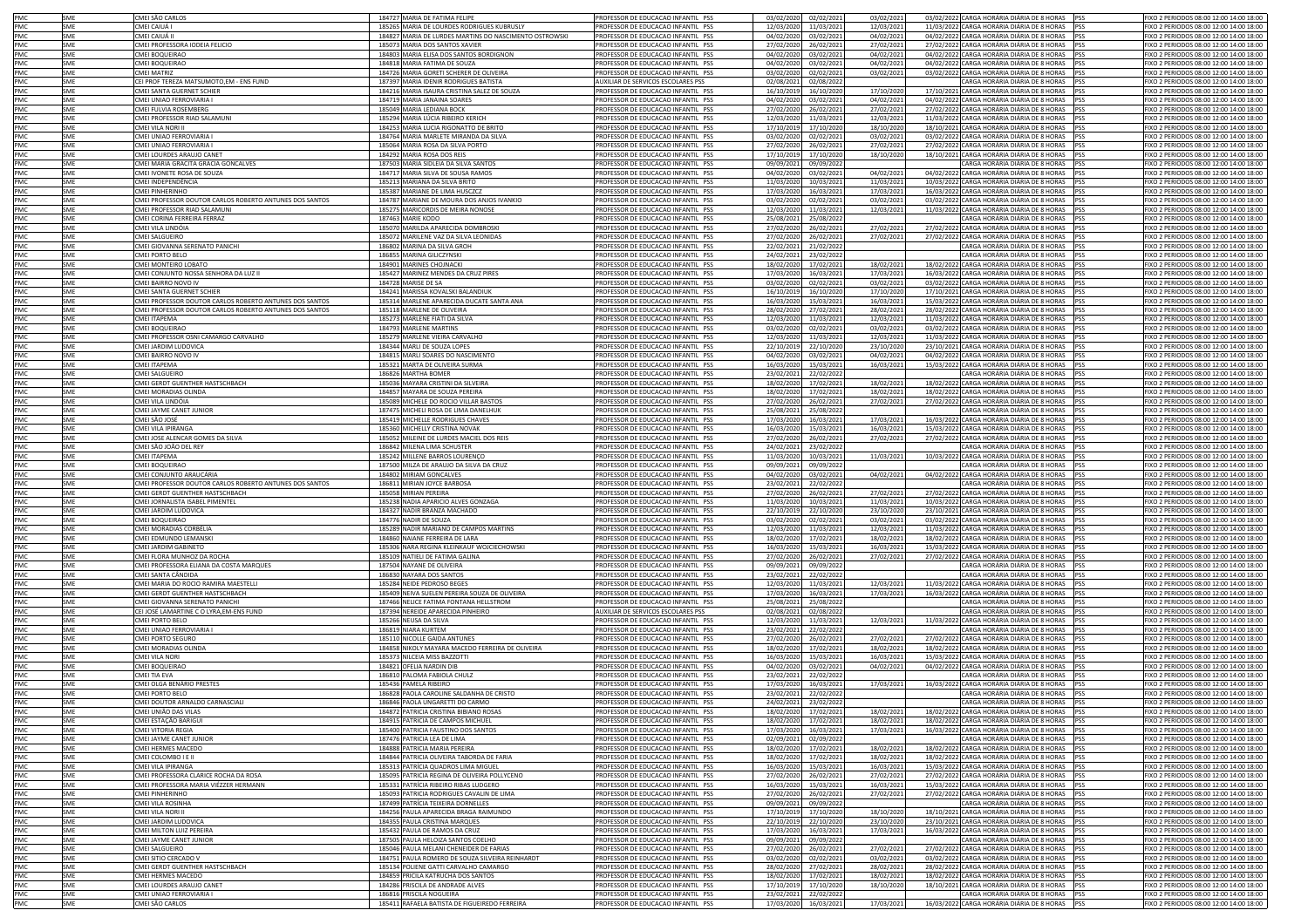| PMC        | SMF        | CMEI SÃO CARLOS                                         | 184727 MARIA DE FATIMA FELIPE                                             | PROFESSOR DE EDUCACAO INFANTIL PSS                                       | 03/02/2020 02/02/2021                          | 03/02/2021 | 03/02/2022 CARGA HORÁRIA DIÁRIA DE 8 HORAS PSS                                        |             | FIXO 2 PERIODOS 08:00 12:00 14:00 18:00                                            |
|------------|------------|---------------------------------------------------------|---------------------------------------------------------------------------|--------------------------------------------------------------------------|------------------------------------------------|------------|---------------------------------------------------------------------------------------|-------------|------------------------------------------------------------------------------------|
| PMC        | SMF        | CMEI CAIUÁ                                              |                                                                           | PROFESSOR DE EDUCACAO INFANTIL PSS                                       |                                                |            | 11/03/2022 CARGA HORÁRIA DIÁRIA DE 8 HORAS                                            |             |                                                                                    |
|            |            |                                                         | 185265 MARIA DE LOURDES RODRIGUES KUBRUSLY                                | PROFESSOR DE EDUCACAO INFANTIL PSS                                       | 12/03/2020<br>11/03/202:                       | 12/03/2021 |                                                                                       |             | FIXO 2 PERIODOS 08:00 12:00 14:00 18:00                                            |
| PMC        | SME        | CMEI CAIUÁ II                                           | 184827 MARIA DE LURDES MARTINS DO NASCIMENTO OSTROWSKI                    |                                                                          | 04/02/2020 03/02/2021                          | 04/02/2021 | 04/02/2022 CARGA HORÁRIA DIÁRIA DE 8 HORAS PSS                                        |             | FIXO 2 PERIODOS 08:00 12:00 14:00 18:00                                            |
| PMC        | SME        | CMEI PROFESSORA IODEIA FELICIO                          | 185073 MARIA DOS SANTOS XAVIER                                            | PROFESSOR DE EDUCACAO INFANTIL PSS                                       | 27/02/2020<br>26/02/2021                       | 27/02/2021 | 27/02/2022 CARGA HORÁRIA DIÁRIA DE 8 HORAS                                            | <b>PSS</b>  | FIXO 2 PERIODOS 08:00 12:00 14:00 18:00                                            |
| PMC        | SME        | CMEI BOQUEIRAO                                          | 184803 MARIA ELISA DOS SANTOS BORDIGNON                                   | PROFESSOR DE EDUCACAO INFANTIL PSS                                       | 04/02/2020<br>03/02/2021                       | 04/02/2021 | 04/02/2022 CARGA HORÁRIA DIÁRIA DE 8 HORAS                                            |             | FIXO 2 PERIODOS 08:00 12:00 14:00 18:00                                            |
| PMC        | SME        | CMEI BOQUEIRAO                                          | 184818 MARIA FATIMA DE SOUZA                                              | PROFESSOR DE EDUCACAO INFANTIL PSS                                       | 04/02/2020<br>03/02/2021                       | 04/02/2021 | 04/02/2022 CARGA HORÁRIA DIÁRIA DE 8 HORAS PSS                                        |             | FIXO 2 PERIODOS 08:00 12:00 14:00 18:00                                            |
| PMC        | SME        | CMEI MATRIZ                                             | 184726 MARIA GORETI SCHERER DE OLIVEIRA                                   | PROFESSOR DE EDUCACAO INFANTIL PSS                                       | 03/02/2020<br>02/02/202:                       | 03/02/2021 | 03/02/2022 CARGA HORÁRIA DIÁRIA DE 8 HORAS PSS                                        |             | FIXO 2 PERIODOS 08:00 12:00 14:00 18:00                                            |
| PMC        | SME        | CEI PROF TEREZA MATSUMOTO,EM - ENS FUND                 | 187397 MARIA IDENIR RODRIGUES BATISTA                                     | AUXILIAR DE SERVICOS ESCOLARES PSS                                       | 02/08/2021<br>02/08/2022                       |            | CARGA HORÁRIA DIÁRIA DE 8 HORAS                                                       | <b>IPSS</b> | FIXO 2 PERIODOS 08:00 12:00 14:00 18:00                                            |
| PMC        | SME        | CMEI SANTA GUERNET SCHIER                               | 184216 MARIA ISAURA CRISTINA SALEZ DE SOUZA                               | PROFESSOR DE EDUCACAO INFANTIL PSS                                       | 16/10/2019<br>16/10/2020                       | 17/10/2020 | 17/10/2021 CARGA HORÁRIA DIÁRIA DE 8 HORAS PSS                                        |             | FIXO 2 PERIODOS 08:00 12:00 14:00 18:00                                            |
| PMC        | SME        | CMEI UNIAO FERROVIARIA I                                | 184719 MARIA JANAINA SOARES                                               | PROFESSOR DE EDUCACAO INFANTIL PSS                                       | 04/02/2020<br>03/02/2021                       | 04/02/2021 | 04/02/2022 CARGA HORÁRIA DIÁRIA DE 8 HORAS PSS                                        |             | FIXO 2 PERIODOS 08:00 12:00 14:00 18:00                                            |
|            |            |                                                         |                                                                           |                                                                          |                                                |            |                                                                                       |             |                                                                                    |
| PMC        | SME        | CMEI FULVIA ROSEMBERG                                   | 185049 MARIA LEDIANA BOCK                                                 | PROFESSOR DE EDUCACAO INFANTIL PSS                                       | 27/02/2020<br>26/02/2021                       | 27/02/2021 | 27/02/2022 CARGA HORÁRIA DIÁRIA DE 8 HORAS PSS                                        |             | FIXO 2 PERIODOS 08:00 12:00 14:00 18:00                                            |
| PMC        | SME        | CMEI PROFESSOR RIAD SALAMUNI                            | 185294 MARIA LÚCIA RIBEIRO KERICH                                         | PROFESSOR DE EDUCACAO INFANTIL PSS                                       | 12/03/2020<br>11/03/2021                       | 12/03/2021 | 11/03/2022 CARGA HORÁRIA DIÁRIA DE 8 HORAS PSS                                        |             | FIXO 2 PERIODOS 08:00 12:00 14:00 18:00                                            |
| PMC        | SME        | CMEI VII A NORI I                                       | 184253 MARIA LUCIA RIGONATTO DE BRITO                                     | PROFESSOR DE EDUCACAO INFANTIL PSS                                       | 17/10/2019<br>17/10/2020                       | 18/10/2020 | 18/10/2021 CARGA HORÁRIA DIÁRIA DE 8 HORAS PSS                                        |             | FIXO 2 PERIODOS 08:00 12:00 14:00 18:00                                            |
| PMC        | SMF        | CMEI UNIAO FERROVIARIA I                                | 184764 MARIA MARLETE MIRANDA DA SILVA                                     | PROFESSOR DE EDUCACAO INFANTIL PSS                                       | 03/02/2020<br>02/02/2021                       | 03/02/2021 | 03/02/2022 CARGA HORÁRIA DIÁRIA DE 8 HORAS PSS                                        |             | FIXO 2 PERIODOS 08:00 12:00 14:00 18:00                                            |
| PMC        | SME        | CMEI UNIAO FERROVIARIA I                                | 185064 MARIA ROSA DA SILVA PORTO                                          | PROFESSOR DE EDUCACAO INFANTIL PSS                                       | 27/02/2020<br>26/02/2021                       | 27/02/2021 | 27/02/2022 CARGA HORÁRIA DIÁRIA DE 8 HORAS PSS                                        |             | FIXO 2 PERIODOS 08:00 12:00 14:00 18:00                                            |
| PMC        | SME        | CMEI LOURDES ARAUJO CANET                               | 184292 MARIA ROSA DOS REIS                                                | PROFESSOR DE EDUCACAO INFANTIL PSS                                       | 17/10/2019<br>17/10/2020                       | 18/10/2020 | 18/10/2021 CARGA HORÁRIA DIÁRIA DE 8 HORAS PSS                                        |             | FIXO 2 PERIODOS 08:00 12:00 14:00 18:00                                            |
| PMC        | SME        | MEI MARIA GRACITA GRACIA GONCALVES                      | 187503 MARIA SIDLEIA DA SILVA SANTOS                                      | PROFESSOR DE EDUCACAO INFANTIL PSS                                       | 09/09/2021<br>09/09/2022                       |            | CARGA HORÁRIA DIÁRIA DE 8 HORAS PSS                                                   |             | FIXO 2 PERIODOS 08:00 12:00 14:00 18:00                                            |
|            |            |                                                         |                                                                           |                                                                          |                                                |            | 04/02/2022 CARGA HORÁRIA DIÁRIA DE 8 HORAS PSS                                        |             | FIXO 2 PERIODOS 08:00 12:00 14:00 18:00                                            |
| PMC        | SME        | CMEI IVONETE ROSA DE SOUZA                              | 184717 MARIA SILVA DE SOUSA RAMOS                                         | PROFESSOR DE EDUCACAO INFANTIL PSS                                       | 04/02/2020<br>03/02/2021                       | 04/02/2021 |                                                                                       |             |                                                                                    |
| PMC        | SME        | CMEI INDEPENDÊNCIA                                      | 185213 MARIANA DA SILVA BRITO                                             | PROFESSOR DE EDUCACAO INFANTIL PSS                                       | 11/03/2020<br>10/03/2021                       | 11/03/2021 | 10/03/2022 CARGA HORÁRIA DIÁRIA DE 8 HORAS PSS                                        |             | FIXO 2 PERIODOS 08:00 12:00 14:00 18:00                                            |
| PMC        | SME        | MEI PINHERINHO                                          | 185387 MARIANE DE LIMA HUSCZCZ                                            | PROFESSOR DE EDUCACAO INFANTIL PSS                                       | 17/03/2020<br>16/03/2021                       | 17/03/2021 | 16/03/2022 CARGA HORÁRIA DIÁRIA DE 8 HORAS PSS                                        |             | FIXO 2 PERIODOS 08:00 12:00 14:00 18:00                                            |
| PMC        | SME        | MEI PROFESSOR DOUTOR CARLOS ROBERTO ANTUNES DOS SANTOS  | 184787 MARIANE DE MOURA DOS ANJOS IVANKIO                                 | PROFESSOR DE EDUCACAO INFANTIL PSS                                       | 03/02/2020<br>02/02/2021                       | 03/02/2021 | 03/02/2022 CARGA HORÁRIA DIÁRIA DE 8 HORAS                                            |             | FIXO 2 PERIODOS 08:00 12:00 14:00 18:00                                            |
| PMC        | <b>SME</b> | CMEI PROFESSOR RIAD SALAMUNI                            | 185275 MARICORDIS DE MEIRA NONOSE                                         | PROFESSOR DE EDUCACAO INFANTIL PSS                                       | 12/03/2020 11/03/2021                          | 12/03/2021 | 11/03/2022 CARGA HORÁRIA DIÁRIA DE 8 HORAS PSS                                        |             | FIXO 2 PERIODOS 08:00 12:00 14:00 18:00                                            |
| PMC        | SME        | CMEI CORINA FERREIRA FERRAZ                             | 187463 MARIE KODO                                                         | PROFESSOR DE EDUCACAO INFANTIL PSS                                       | 25/08/2021<br>25/08/2022                       |            | CARGA HORÁRIA DIÁRIA DE 8 HORAS                                                       |             | FIXO 2 PERIODOS 08:00 12:00 14:00 18:00                                            |
| PMC        | SME        | CMEI VILA LINDÓIA                                       | 185070 MARILDA APARECIDA DOMBROSKI                                        | PROFESSOR DE EDUCACAO INFANTIL PSS                                       | 27/02/2020<br>26/02/2021                       | 27/02/2021 | 27/02/2022 CARGA HORÁRIA DIÁRIA DE 8 HORAS PSS                                        |             | FIXO 2 PERIODOS 08:00 12:00 14:00 18:00                                            |
| PMC        | SME        | CMEI SALGUEIRO                                          | 185072 MARILENE VAZ DA SILVA LEONIDAS                                     | PROFESSOR DE EDUCACAO INFANTIL PSS                                       | 27/02/2020<br>26/02/2021                       | 27/02/2021 | 27/02/2022 CARGA HORÁRIA DIÁRIA DE 8 HORAS PSS                                        |             | FIXO 2 PERIODOS 08:00 12:00 14:00 18:00                                            |
| PMC        | SMF        | CMEI GIOVANNA SERENATO PANICHI                          | 186802 MARINA DA SILVA GROH                                               | PROFESSOR DE EDUCACAO INFANTIL PSS                                       |                                                |            | CARGA HORÁRIA DIÁRIA DE 8 HORAS                                                       |             | FIXO 2 PERIODOS 08:00 12:00 14:00 18:00                                            |
|            |            |                                                         |                                                                           |                                                                          | 22/02/2021<br>21/02/2022                       |            |                                                                                       |             |                                                                                    |
| PMC        | SME        | CMEI PORTO BELO                                         | 186855 MARINA GILICZYNSKI                                                 | PROFESSOR DE EDUCACAO INFANTIL PSS                                       | 24/02/2021<br>23/02/2022                       |            | CARGA HORÁRIA DIÁRIA DE 8 HORAS                                                       | lpss        | FIXO 2 PERIODOS 08:00 12:00 14:00 18:00                                            |
| PMC        | SME        | CMEI MONTEIRO LOBATO                                    | 184901 MARINES CHOJNACKI                                                  | PROFESSOR DE EDUCACAO INFANTIL PSS                                       | 18/02/2020<br>17/02/2021                       | 18/02/2021 | 18/02/2022 CARGA HORÁRIA DIÁRIA DE 8 HORAS PSS                                        |             | FIXO 2 PERIODOS 08:00 12:00 14:00 18:00                                            |
| PMC        | SME        | CMEI CONJUNTO NOSSA SENHORA DA LUZ II                   | 185427 MARINEZ MENDES DA CRUZ PIRES                                       | PROFESSOR DE EDUCACAO INFANTIL PSS                                       | 17/03/2020<br>16/03/2023                       | 17/03/2021 | 16/03/2022 CARGA HORÁRIA DIÁRIA DE 8 HORAS PSS                                        |             | FIXO 2 PERIODOS 08:00 12:00 14:00 18:00                                            |
| PMC        | SME        | CMEI BAIRRO NOVO IV                                     | 184728 MARISE DE SA                                                       | PROFESSOR DE EDUCACAO INFANTIL PSS                                       | 03/02/2020<br>02/02/2021                       | 03/02/2021 | 03/02/2022 CARGA HORÁRIA DIÁRIA DE 8 HORAS PSS                                        |             | FIXO 2 PERIODOS 08:00 12:00 14:00 18:00                                            |
| PMC        | SME        | CMEI SANTA GUERNET SCHIER                               | 184241 MARISSA KOVALSKI BALANDIUK                                         | PROFESSOR DE EDUCACAO INFANTIL PSS                                       | 16/10/2019<br>16/10/2020                       | 17/10/2020 | 17/10/2021 CARGA HORÁRIA DIÁRIA DE 8 HORAS PSS                                        |             | FIXO 2 PERIODOS 08:00 12:00 14:00 18:00                                            |
| PMC        | SME        | CMEI PROFESSOR DOUTOR CARLOS ROBERTO ANTUNES DOS SANTOS | 185314 MARLENE APARECIDA DUCATE SANTA ANA                                 | PROFESSOR DE EDUCACAO INFANTIL PSS                                       | 16/03/2020<br>15/03/202:                       | 16/03/2021 | 15/03/2022 CARGA HORÁRIA DIÁRIA DE 8 HORAS PSS                                        |             | FIXO 2 PERIODOS 08:00 12:00 14:00 18:00                                            |
| PMC        | SME        | CMEI PROFESSOR DOUTOR CARLOS ROBERTO ANTUNES DOS SANTOS | 185118 MARLENE DE OLIVEIRA                                                | PROFESSOR DE EDUCACAO INFANTIL PSS                                       | 28/02/2020<br>27/02/2021                       | 28/02/2021 | 28/02/2022 CARGA HORÁRIA DIÁRIA DE 8 HORAS PSS                                        |             | FIXO 2 PERIODOS 08:00 12:00 14:00 18:00                                            |
|            |            |                                                         |                                                                           | PROFESSOR DE EDUCACAO INFANTIL PSS                                       |                                                |            |                                                                                       |             | FIXO 2 PERIODOS 08:00 12:00 14:00 18:00                                            |
| PMC        | SME        | CMEI ITAPEMA                                            | 185273 MARLENE FIATI DA SILVA                                             |                                                                          | 12/03/2020<br>11/03/2021                       | 12/03/2021 | 11/03/2022 CARGA HORÁRIA DIÁRIA DE 8 HORAS PSS                                        |             |                                                                                    |
| PMC        | <b>SME</b> | CMEI BOQUEIRAO                                          | 184793 MARLENE MARTINS                                                    | PROFESSOR DE EDUCACAO INFANTIL PSS                                       | 03/02/2020<br>02/02/2021                       | 03/02/2021 | 03/02/2022 CARGA HORÁRIA DIÁRIA DE 8 HORAS PSS                                        |             | FIXO 2 PERIODOS 08:00 12:00 14:00 18:00                                            |
| PMC        | SME        | CMEI PROFESSOR OSNI CAMARGO CARVALHO                    | 185279 MARLENE VIEIRA CARVALHO                                            | PROFESSOR DE EDUCACAO INFANTIL PSS                                       | 12/03/2020<br>11/03/2021                       | 12/03/2021 | 11/03/2022 CARGA HORÁRIA DIÁRIA DE 8 HORAS PSS                                        |             | FIXO 2 PERIODOS 08:00 12:00 14:00 18:00                                            |
| PMC        | SME        | CMEI JARDIM LUDOVICA                                    | 184344 MARLI DE SOUZA LOPES                                               | PROFESSOR DE EDUCACAO INFANTIL PSS                                       | 22/10/2019<br>22/10/202                        | 23/10/2020 | 23/10/2021 CARGA HORÁRIA DIÁRIA DE 8 HORAS PSS                                        |             | FIXO 2 PERIODOS 08:00 12:00 14:00 18:00                                            |
| PMC        | SME        | CMEI BAIRRO NOVO IV                                     | 184815 MARLI SOARES DO NASCIMENTO                                         | PROFESSOR DE EDUCACAO INFANTIL PSS                                       | 04/02/2020<br>03/02/2021                       | 04/02/2021 | 04/02/2022 CARGA HORÁRIA DIÁRIA DE 8 HORAS PSS                                        |             | FIXO 2 PERIODOS 08:00 12:00 14:00 18:00                                            |
| PMC        | SME        | CMEI ITAPEMA                                            | 185321 MARTA DE OLIVEIRA SURMA                                            | PROFESSOR DE EDUCACAO INFANTIL PSS                                       | 16/03/2020<br>15/03/2021                       | 16/03/2021 | 15/03/2022 CARGA HORÁRIA DIÁRIA DE 8 HORAS                                            | <b>IPSS</b> | FIXO 2 PERIODOS 08:00 12:00 14:00 18:00                                            |
| PMC        | SME        |                                                         | 186826 MARTHA BOMER                                                       |                                                                          |                                                |            | CARGA HORÁRIA DIÁRIA DE 8 HORAS                                                       |             |                                                                                    |
|            |            | CMEI SALGUEIRO                                          |                                                                           | PROFESSOR DE EDUCACAO INFANTIL PSS                                       | 23/02/2021<br>22/02/2022                       |            |                                                                                       | <b>PSS</b>  | FIXO 2 PERIODOS 08:00 12:00 14:00 18:00                                            |
| PMC        | SME        | CMEI GERDT GUENTHER HASTSCHBACH                         | 185036 MAYARA CRISTINI DA SILVEIRA                                        | PROFESSOR DE EDUCACAO INFANTIL PSS                                       | 18/02/2020<br>17/02/2021                       | 18/02/2021 | 18/02/2022 CARGA HORÁRIA DIÁRIA DE 8 HORAS                                            | <b>IPSS</b> | FIXO 2 PERIODOS 08:00 12:00 14:00 18:00                                            |
| PMC        | SME        | MEI MORADIAS OLINDA                                     | 184857 MAYARA DE SOUZA PEREIRA                                            | PROFESSOR DE EDUCACAO INFANTIL PSS                                       | 18/02/2020<br>17/02/2021                       | 18/02/2021 | 18/02/2022 CARGA HORÁRIA DIÁRIA DE 8 HORAS                                            | <b>IPSS</b> | IXO 2 PERIODOS 08:00 12:00 14:00 18:00                                             |
| PMC        | SME        | MEI VILA LINDÓIA                                        | 185089 MICHELE DO ROCIO VILLAR BASTOS                                     | PROFESSOR DE EDUCACAO INFANTIL PSS                                       | 27/02/2020<br>26/02/2021                       | 27/02/2021 | 27/02/2022 CARGA HORÁRIA DIÁRIA DE 8 HORAS                                            | <b>IPSS</b> | IXO 2 PERIODOS 08:00 12:00 14:00 18:00                                             |
| PMC        | SME        | MEI JAYME CANET JUNIOR                                  | 187475 MICHELI ROSA DE LIMA DANELHUK                                      | PROFESSOR DE EDUCACAO INFANTIL PSS                                       | 25/08/2021<br>25/08/2022                       |            | CARGA HORÁRIA DIÁRIA DE 8 HORAS                                                       | <b>IPSS</b> | FIXO 2 PERIODOS 08:00 12:00 14:00 18:00                                            |
| PMC        | SME        | MEI SÃO JOSÉ                                            | 185419 MICHELLE RODRIGUES CHAVES                                          | PROFESSOR DE EDUCACAO INFANTIL PSS                                       | 17/03/2020<br>16/03/2021                       | 17/03/2021 | 16/03/2022 CARGA HORÁRIA DIÁRIA DE 8 HORAS                                            |             | FIXO 2 PERIODOS 08:00 12:00 14:00 18:00                                            |
| PMC        | SME        | MFI VII A IPIRANGA                                      | 185360 MICHELLY CRISTINA NOVAK                                            | PROFESSOR DE EDUCACAO INFANTIL PSS                                       | 16/03/2020<br>15/03/2021                       | 16/03/2021 | 15/03/2022 CARGA HORÁRIA DIÁRIA DE 8 HORAS                                            |             | FIXO 2 PERIODOS 08:00 12:00 14:00 18:00                                            |
|            |            |                                                         |                                                                           |                                                                          |                                                |            | 27/02/2022 CARGA HORÁRIA DIÁRIA DE 8 HORAS                                            |             |                                                                                    |
| PMC        | SME        | CMEI JOSE ALENCAR GOMES DA SILVA                        | 185052 MILEINE DE LURDES MACIEL DOS REIS                                  | PROFESSOR DE EDUCACAO INFANTIL PSS                                       | 26/02/2021<br>27/02/2020                       | 27/02/2021 |                                                                                       |             | FIXO 2 PERIODOS 08:00 12:00 14:00 18:00                                            |
| PMC        | SME        | CMEI SÃO JOÃO DEL REY                                   | 186842 MILENA LIMA SCHUSTER                                               | PROFESSOR DE EDUCACAO INFANTIL PSS                                       | 24/02/2021<br>23/02/2022                       |            | CARGA HORÁRIA DIÁRIA DE 8 HORAS                                                       |             | FIXO 2 PERIODOS 08:00 12:00 14:00 18:00                                            |
| PMC        | <b>SME</b> | CMEI ITAPEMA                                            | 185242 MILLENE BARROS LOURENÇO                                            | PROFESSOR DE EDUCACAO INFANTIL PSS                                       | 11/03/2020<br>10/03/2021                       | 11/03/2021 | 10/03/2022 CARGA HORÁRIA DIÁRIA DE 8 HORAS                                            |             | FIXO 2 PERIODOS 08:00 12:00 14:00 18:00                                            |
| PMC        | SMF        | CMEI BOQUEIRAO                                          | 187500 MILZA DE ARAUJO DA SILVA DA CRUZ                                   | PROFESSOR DE EDUCACAO INFANTIL PSS                                       | 09/09/2021<br>09/09/202                        |            | CARGA HORÁRIA DIÁRIA DE 8 HORAS                                                       |             | FIXO 2 PERIODOS 08:00 12:00 14:00 18:00                                            |
| PMC        | SMF        | CMEI CONIUNTO ARAUCÁRIA                                 |                                                                           |                                                                          |                                                |            | 04/02/2022 CARGA HORÁRIA DIÁRIA DE 8 HORAS PSS                                        |             |                                                                                    |
|            |            |                                                         |                                                                           |                                                                          | 04/02/2020                                     |            |                                                                                       |             | FIXO 2 PERIODOS 08:00 12:00 14:00 18:00                                            |
|            |            |                                                         | 184802 MIRIAM GONCALVES                                                   | PROFESSOR DE EDUCACAO INFANTIL PSS                                       | 03/02/2021                                     | 04/02/2021 |                                                                                       |             |                                                                                    |
| PMC        | SMF        | CMEI PROFESSOR DOUTOR CARLOS ROBERTO ANTUNES DOS SANTOS | 186811 MIRIAN JOYCE BARBOSA                                               | PROFESSOR DE EDUCACAO INFANTIL PSS                                       | 23/02/2021<br>22/02/2022                       |            | CARGA HORÁRIA DIÁRIA DE 8 HORAS PSS                                                   |             | FIXO 2 PERIODOS 08:00 12:00 14:00 18:00                                            |
| PMC        | SME        | CMEI GERDT GUENTHER HASTSCHBACH                         | 185058 MIRIAN PEREIRA                                                     | PROFESSOR DE EDUCACAO INFANTIL PSS                                       | 27/02/2020<br>26/02/2021                       | 27/02/2021 | 27/02/2022 CARGA HORÁRIA DIÁRIA DE 8 HORAS                                            | pss         | FIXO 2 PERIODOS 08:00 12:00 14:00 18:00                                            |
| PMC        | SME        | CMEI JORNALISTA ISABEL PIMENTEL                         | 185238 NADIA APARICIO ALVES GONZAGA                                       | PROFESSOR DE EDUCACAO INFANTIL PSS                                       | 11/03/2020<br>10/03/2021                       | 11/03/2021 | 10/03/2022 CARGA HORÁRIA DIÁRIA DE 8 HORAS PSS                                        |             | FIXO 2 PERIODOS 08:00 12:00 14:00 18:00                                            |
| PMC        | SME        | CMEI JARDIM LUDOVICA                                    | 184327 NADIR BRANZA MACHADO                                               | PROFESSOR DE EDUCACAO INFANTIL PSS                                       | 22/10/2019<br>22/10/2020                       | 23/10/2020 | 23/10/2021 CARGA HORÁRIA DIÁRIA DE 8 HORAS                                            | lpss        | FIXO 2 PERIODOS 08:00 12:00 14:00 18:00                                            |
| PMC        | SME        | CMEI BOQUEIRAO                                          | 184776 NADIR DE SOUZA                                                     | PROFESSOR DE EDUCACAO INFANTIL PSS                                       | 03/02/2020<br>02/02/202:                       | 03/02/2021 | 03/02/2022 CARGA HORÁRIA DIÁRIA DE 8 HORAS                                            | <b>IPSS</b> | FIXO 2 PERIODOS 08:00 12:00 14:00 18:00                                            |
| PMC        | SME        | CMEI MORADIAS CORBÉLIA                                  | 185289 NADIR MARIANO DE CAMPOS MARTINS                                    | PROFESSOR DE EDUCACAO INFANTIL PSS                                       | 12/03/2020<br>11/03/202:                       | 12/03/2021 | 11/03/2022 CARGA HORÁRIA DIÁRIA DE 8 HORAS PSS                                        |             | FIXO 2 PERIODOS 08:00 12:00 14:00 18:00                                            |
|            | SME        |                                                         |                                                                           |                                                                          |                                                |            |                                                                                       |             |                                                                                    |
| PMC        |            | CMEI EDMUNDO LEMANSKI                                   | 184860 NAIANE FERREIRA DE LARA                                            | PROFESSOR DE EDUCACAO INFANTIL PSS                                       | 18/02/2020<br>17/02/202:                       | 18/02/2021 | 18/02/2022 CARGA HORÁRIA DIÁRIA DE 8 HORAS PSS                                        |             | FIXO 2 PERIODOS 08:00 12:00 14:00 18:00                                            |
| PMC        | SME        | CMEI JARDIM GABINETO                                    | 185306 NARA REGINA KLEINKAUF WOJCIECHOWSKI                                | PROFESSOR DE EDUCACAO INFANTIL PSS                                       | 16/03/2020<br>15/03/2021                       | 16/03/2021 | 15/03/2022 CARGA HORÁRIA DIÁRIA DE 8 HORAS                                            | <b>IPSS</b> | FIXO 2 PERIODOS 08:00 12:00 14:00 18:00                                            |
| PMC        | SME        | CMEI FLORA MUNHOZ DA ROCHA                              | 185109 NATIELI DE FATIMA GALINA                                           | PROFESSOR DE EDUCACAO INFANTIL PSS                                       | 27/02/2020<br>26/02/2021                       | 27/02/2021 | 27/02/2022 CARGA HORÁRIA DIÁRIA DE 8 HORAS PSS                                        |             | FIXO 2 PERIODOS 08:00 12:00 14:00 18:00                                            |
| PMC        | SME        | CMEI PROFESSORA ELIANA DA COSTA MARQUES                 | 187504 NAYANE DE OLIVEIRA                                                 | PROFESSOR DE EDUCACAO INFANTIL PSS                                       | 09/09/2021<br>09/09/2022                       |            | CARGA HORÁRIA DIÁRIA DE 8 HORAS PSS                                                   |             | FIXO 2 PERIODOS 08:00 12:00 14:00 18:00                                            |
| PMC        | SME        | CMEI SANTA CÂNDIDA                                      | 186830 NAYARA DOS SANTOS                                                  | PROFESSOR DE EDUCACAO INFANTIL PSS                                       | 23/02/2021<br>22/02/2022                       |            | CARGA HORÁRIA DIÁRIA DE 8 HORAS PSS                                                   |             | FIXO 2 PERIODOS 08:00 12:00 14:00 18:00                                            |
| PMC        | SME        | CMEI MARIA DO ROCIO RAMIRA MAESTELLI                    | 185284 NEIDE PEDROSO BEGES                                                | PROFESSOR DE EDUCACAO INFANTIL PSS                                       | 12/03/2020<br>11/03/2021                       | 12/03/2021 | 11/03/2022 CARGA HORÁRIA DIÁRIA DE 8 HORAS PSS                                        |             | FIXO 2 PERIODOS 08:00 12:00 14:00 18:00                                            |
| PMC        | SME        | CMEI GERDT GUENTHER HASTSCHBACH                         | 185409 NEIVA SUELEN PEREIRA SOUZA DE OLIVEIRA                             | PROFESSOR DE EDUCACAO INFANTIL PSS                                       | 17/03/2020<br>16/03/2021                       | 17/03/2021 | 16/03/2022 CARGA HORÁRIA DIÁRIA DE 8 HORAS                                            | <b>IPSS</b> | FIXO 2 PERIODOS 08:00 12:00 14:00 18:00                                            |
| PMC        | SMF        | CMEI GIOVANNA SERENATO PANICHI                          | 187466 NELICE FATIMA FONTANA HELLSTROM                                    | PROFESSOR DE EDUCACAO INFANTIL PSS                                       | 25/08/2021<br>25/08/2022                       |            | CARGA HORÁRIA DIÁRIA DE 8 HORAS PSS                                                   |             | FIXO 2 PERIODOS 08:00 12:00 14:00 18:00                                            |
| PMC        | SME        | CEI JOSÉ LAMARTINE C O LYRA.EM-ENS FUND                 |                                                                           | AUXILIAR DE SERVICOS ESCOLARES PSS                                       | 02/08/2021<br>02/08/2022                       |            |                                                                                       |             |                                                                                    |
| PMC        | SME        | MEI PORTO BELO                                          | 187394 NEREIDE APARECIDA PINHEIRO                                         | PROFESSOR DE EDUCACAO INFANTIL PSS                                       | 12/03/2020<br>11/03/2021                       |            | CARGA HORÁRIA DIÁRIA DE 8 HORAS PSS<br>11/03/2022 CARGA HORÁRIA DIÁRIA DE 8 HORAS PSS |             | FIXO 2 PERIODOS 08:00 12:00 14:00 18:00<br>EIXO 2 PERIODOS 08:00 12:00 14:00 18:00 |
|            |            |                                                         | 185266 NEUSA DA SILVA                                                     |                                                                          |                                                | 12/03/2021 |                                                                                       |             |                                                                                    |
| PMC        | SME        | CMEI UNIAO FERROVIARIA I                                | 186819 NIARA KURTEM                                                       | PROFESSOR DE EDUCACAO INFANTIL PSS                                       | 23/02/2021<br>22/02/2022                       |            | CARGA HORÁRIA DIÁRIA DE 8 HORAS PSS                                                   |             | FIXO 2 PERIODOS 08:00 12:00 14:00 18:00                                            |
| PMC        | SME        | MEI PORTO SEGURO                                        | 185110 NICOLLE GAIDA ANTUNES                                              | PROFESSOR DE EDUCACAO INFANTIL PSS                                       | 27/02/2020<br>26/02/2021                       | 27/02/2021 | 27/02/2022 CARGA HORÁRIA DIÁRIA DE 8 HORAS                                            |             | IXO 2 PERIODOS 08:00 12:00 14:00 18:00                                             |
| PMC        | SME        | MEI MORADIAS OLINDA                                     | 184858 NIKOLY MAYARA MACEDO FERREIRA DE OLIVEIRA                          | PROFESSOR DE EDUCACAO INFANTIL PSS                                       | 18/02/2020<br>17/02/2021                       | 18/02/2021 | 18/02/2022 CARGA HORÁRIA DIÁRIA DE 8 HORAS PSS                                        |             | FIXO 2 PERIODOS 08:00 12:00 14:00 18:00                                            |
| PMC        | SME        | MEI VILA NORI                                           | 185373 NILCEIA MISS BAZZOTTI                                              | PROFESSOR DE EDUCACAO INFANTIL PSS                                       | 16/03/2020<br>15/03/2021                       | 16/03/2021 | 15/03/2022 CARGA HORÁRIA DIÁRIA DE 8 HORAS PSS                                        |             | FIXO 2 PERIODOS 08:00 12:00 14:00 18:00                                            |
| PMC        | SME        | CMEI BOQUEIRAO                                          | 184821 OFELIA NARDIN DIB                                                  | PROFESSOR DE EDUCACAO INFANTIL PSS                                       | 04/02/2020<br>03/02/2021                       | 04/02/2021 | 04/02/2022 CARGA HORÁRIA DIÁRIA DE 8 HORAS PSS                                        |             | FIXO 2 PERIODOS 08:00 12:00 14:00 18:00                                            |
| PMC        | <b>SME</b> | CMEI TIA EVA                                            | 186810 PALOMA FABIOLA CHULZ                                               | PROFESSOR DE EDUCACAO INFANTIL PSS                                       | 23/02/2021<br>22/02/2022                       |            | CARGA HORÁRIA DIÁRIA DE 8 HORAS PSS                                                   |             | FIXO 2 PERIODOS 08:00 12:00 14:00 18:00                                            |
| PMC        | SME        | CMEI OLGA BENÁRIO PRESTES                               | 185436 PAMELA RIBEIRO                                                     | PROFESSOR DE EDUCACAO INFANTIL PSS                                       | 17/03/2020<br>16/03/2021                       | 17/03/2021 | 16/03/2022 CARGA HORÁRIA DIÁRIA DE 8 HORAS                                            |             | FIXO 2 PERIODOS 08:00 12:00 14:00 18:00                                            |
| PMC        | SME        | CMFI PORTO BELO                                         | 186828 PAOLA CAROLINE SALDANHA DE CRISTO                                  | PROFESSOR DE EDUCACAO INFANTIL PSS                                       | 23/02/2021 22/02/2022                          |            | CARGA HORÁRIA DIÁRIA DE 8 HORAS PSS                                                   |             | FIXO 2 PERIODOS 08:00 12:00 14:00 18:00                                            |
|            | SME        |                                                         |                                                                           |                                                                          |                                                |            |                                                                                       |             |                                                                                    |
| PMC        |            | CMEI DOUTOR ARNALDO CARNASCIALI                         | 186846 PAOLA UNGARETTI DO CARMO                                           | PROFESSOR DE EDUCACAO INFANTIL PSS                                       | 24/02/2021 23/02/2022                          |            | CARGA HORÁRIA DIÁRIA DE 8 HORAS PSS                                                   |             | FIXO 2 PERIODOS 08:00 12:00 14:00 18:00                                            |
| PMC        | SME        | CMEI UNIÃO DAS VILAS                                    | 184872 PATRICIA CRISTINA BIBIANO ROSAS                                    | PROFESSOR DE EDUCACAO INFANTIL PSS                                       | 18/02/2020<br>17/02/2021                       | 18/02/2021 | 18/02/2022 CARGA HORÁRIA DIÁRIA DE 8 HORAS PSS                                        |             | FIXO 2 PERIODOS 08:00 12:00 14:00 18:00                                            |
| PMC        | SME        | CMEI ESTAÇÃO BARIGUI                                    | 184915 PATRICIA DE CAMPOS MICHUEL                                         | PROFESSOR DE EDUCACAO INFANTIL PSS                                       | 18/02/2020<br>17/02/2021                       | 18/02/2021 | 18/02/2022 CARGA HORÁRIA DIÁRIA DE 8 HORAS PSS                                        |             | FIXO 2 PERIODOS 08:00 12:00 14:00 18:00                                            |
| PMC        | SME        | CMEI VITORIA REGIA                                      | 185400 PATRICIA FAUSTINO DOS SANTOS                                       | PROFESSOR DE EDUCACAO INFANTIL PSS                                       | 17/03/2020<br>16/03/2021                       | 17/03/2021 | 16/03/2022 CARGA HORÁRIA DIÁRIA DE 8 HORAS PSS                                        |             | FIXO 2 PERIODOS 08:00 12:00 14:00 18:00                                            |
| PMC        | SME        | CMEI JAYME CANET JUNIOR                                 | 187476 PATRICIA LEA DE LIMA                                               | PROFESSOR DE EDUCACAO INFANTIL PSS                                       | 02/09/2021<br>02/09/2022                       |            | CARGA HORÁRIA DIÁRIA DE 8 HORAS PSS                                                   |             | FIXO 2 PERIODOS 08:00 12:00 14:00 18:00                                            |
| PMC        | SME        | CMEI HERMES MACEDO                                      | 184888 PATRICIA MARIA PEREIRA                                             | PROFESSOR DE EDUCACAO INFANTIL PSS                                       | 18/02/2020<br>17/02/2021                       | 18/02/2021 | 18/02/2022 CARGA HORÁRIA DIÁRIA DE 8 HORAS PSS                                        |             | FIXO 2 PERIODOS 08:00 12:00 14:00 18:00                                            |
| PMC        | SME        | CMEI COLOMBO I E II                                     | 184844 PATRICIA OLIVEIRA TABORDA DE FARIA                                 | PROFESSOR DE EDUCACAO INFANTIL PSS                                       | 18/02/2020<br>17/02/2021                       | 18/02/2021 | 18/02/2022 CARGA HORÁRIA DIÁRIA DE 8 HORAS PSS                                        |             | FIXO 2 PERIODOS 08:00 12:00 14:00 18:00                                            |
|            |            |                                                         |                                                                           |                                                                          |                                                |            |                                                                                       |             |                                                                                    |
| PMC        | SME        | CMEI VILA IPIRANGA                                      | 185313 PATRÍCIA QUADROS LIMA MIGUEL                                       | PROFESSOR DE EDUCACAO INFANTIL PSS                                       | 16/03/2020<br>15/03/2021                       | 16/03/2021 | 15/03/2022 CARGA HORÁRIA DIÁRIA DE 8 HORAS PSS                                        |             | FIXO 2 PERIODOS 08:00 12:00 14:00 18:00                                            |
| PMC        | SME        | CMEI PROFESSORA CLARICE ROCHA DA ROSA                   | 185095 PATRICIA REGINA DE OLIVEIRA POLLYCENO                              | PROFESSOR DE EDUCACAO INFANTIL PSS                                       | 27/02/2020 26/02/2021                          | 27/02/2021 | 27/02/2022 CARGA HORÁRIA DIÁRIA DE 8 HORAS PSS                                        |             | FIXO 2 PERIODOS 08:00 12:00 14:00 18:00                                            |
| PMC        | SME        | CMEI PROFESSORA MARIA VIÉZZER HERMANN                   | 185331 PATRÍCIA RIBEIRO RIBAS LUDGERO                                     | PROFESSOR DE EDUCACAO INFANTIL PSS                                       | 16/03/2020<br>15/03/2021                       | 16/03/2021 | 15/03/2022 CARGA HORÁRIA DIÁRIA DE 8 HORAS PSS                                        |             | FIXO 2 PERIODOS 08:00 12:00 14:00 18:00                                            |
| PMC        | SME        | CMEI PINHERINHO                                         | 185093 PATRICIA RODRIGUES CAVALIN DE LIMA                                 | PROFESSOR DE EDUCACAO INFANTIL PSS                                       | 27/02/2020 26/02/2021                          | 27/02/2021 | 27/02/2022 CARGA HORÁRIA DIÁRIA DE 8 HORAS PSS                                        |             | FIXO 2 PERIODOS 08:00 12:00 14:00 18:00                                            |
| PMC        | SME        | CMEI VILA ROSINHA                                       | 187499 PATRÍCIA TEIXEIRA DORNELLES                                        | PROFESSOR DE EDUCACAO INFANTIL PSS                                       | 09/09/2021 09/09/2022                          |            | CARGA HORÁRIA DIÁRIA DE 8 HORAS PSS                                                   |             | FIXO 2 PERIODOS 08:00 12:00 14:00 18:00                                            |
| PMC        | SME        | CMEI VILA NORI II                                       | 184256 PAULA APARECIDA BRAGA RAIMUNDO                                     | PROFESSOR DE EDUCACAO INFANTIL PSS                                       | 17/10/2020<br>17/10/2019                       | 18/10/2020 | 18/10/2021 CARGA HORÁRIA DIÁRIA DE 8 HORAS PSS                                        |             | FIXO 2 PERIODOS 08:00 12:00 14:00 18:00                                            |
|            |            |                                                         |                                                                           |                                                                          |                                                |            |                                                                                       |             |                                                                                    |
| PMC        | SME        | CMEI JARDIM LUDOVICA                                    | 184355 PAULA CRISTINA MARQUES                                             | PROFESSOR DE EDUCACAO INFANTIL PSS                                       | 22/10/2019 22/10/2020                          | 23/10/2020 | 23/10/2021 CARGA HORÁRIA DIÁRIA DE 8 HORAS PSS                                        |             | FIXO 2 PERIODOS 08:00 12:00 14:00 18:00                                            |
| PMC        | SME        | CMEI MILTON LUIZ PEREIRA                                | 185432 PAULA DE RAMOS DA CRUZ                                             | PROFESSOR DE EDUCACAO INFANTIL PSS                                       | 17/03/2020<br>16/03/2021                       | 17/03/2021 | 16/03/2022 CARGA HORÁRIA DIÁRIA DE 8 HORAS PSS                                        |             | FIXO 2 PERIODOS 08:00 12:00 14:00 18:00                                            |
| PMC        | SME        | CMEI JAYME CANET JUNIOR                                 | 187505 PAULA HELOIZA SANTOS COELHO                                        | PROFESSOR DE EDUCACAO INFANTIL PSS                                       | 09/09/2021<br>09/09/2022                       |            | CARGA HORÁRIA DIÁRIA DE 8 HORAS PSS                                                   |             | FIXO 2 PERIODOS 08:00 12:00 14:00 18:00                                            |
| PMC        | SME        | CMEI SALGUEIRO                                          | 185046 PAULA MELANI CHENEIDER DE FARIAS                                   | PROFESSOR DE EDUCACAO INFANTIL PSS                                       | 27/02/2020<br>26/02/2021                       | 27/02/2021 | 27/02/2022 CARGA HORÁRIA DIÁRIA DE 8 HORAS PSS                                        |             | FIXO 2 PERIODOS 08:00 12:00 14:00 18:00                                            |
| PMC        | SME        | MEI SITIO CERCADO V                                     | 184751 PAULA ROMERO DE SOUZA SILVEIRA REINHARDT                           | PROFESSOR DE EDUCACAO INFANTIL PSS                                       | 03/02/2020<br>02/02/2021                       | 03/02/2021 | 03/02/2022 CARGA HORÁRIA DIÁRIA DE 8 HORAS PSS                                        |             | FIXO 2 PERIODOS 08:00 12:00 14:00 18:00                                            |
| PMC        | SME        | MEI GERDT GUENTHER HASTSCHBACH                          | 185134 POLIENE GATTI CARVALHO CAMARGO                                     | PROFESSOR DE EDUCACAO INFANTIL PSS                                       | 28/02/2020<br>27/02/2021                       | 28/02/2021 | 28/02/2022 CARGA HORÁRIA DIÁRIA DE 8 HORAS PSS                                        |             | FIXO 2 PERIODOS 08:00 12:00 14:00 18:00                                            |
| PMC        | SME        | MEI HERMES MACEDO                                       | 184859 PRICILA KATRUCHA DOS SANTOS                                        | PROFESSOR DE EDUCACAO INFANTIL PSS                                       | 18/02/2020<br>17/02/2021                       | 18/02/2021 | 18/02/2022 CARGA HORÁRIA DIÁRIA DE 8 HORAS PSS                                        |             | FIXO 2 PERIODOS 08:00 12:00 14:00 18:00                                            |
|            |            |                                                         |                                                                           |                                                                          |                                                |            |                                                                                       |             | FIXO 2 PERIODOS 08:00 12:00 14:00 18:00                                            |
| PMC        | SME        | MEI LOURDES ARAUJO CANET                                | 184286 PRISCILA DE ANDRADE ALVES                                          | PROFESSOR DE EDUCACAO INFANTIL PSS                                       | 17/10/2019<br>17/10/2020                       | 18/10/2020 | 18/10/2021 CARGA HORÁRIA DIÁRIA DE 8 HORAS PSS                                        |             |                                                                                    |
| PMC<br>PMC | SME<br>SME | CMEI UNIAO FERROVIARIA I<br>CMEI SÃO CARLOS             | 186816 PRISCILA NOGUEIRA<br>185411 RAFAELA BATISTA DE FIGUEIREDO FERREIRA | PROFESSOR DE EDUCACAO INFANTIL PSS<br>PROFESSOR DE EDUCACAO INFANTIL PSS | 23/02/2021 22/02/2022<br>17/03/2020 16/03/2021 | 17/03/2021 | CARGA HORÁRIA DIÁRIA DE 8 HORAS PSS<br>16/03/2022 CARGA HORÁRIA DIÁRIA DE 8 HORAS PSS |             | FIXO 2 PERIODOS 08:00 12:00 14:00 18:00<br>FIXO 2 PERIODOS 08:00 12:00 14:00 18:00 |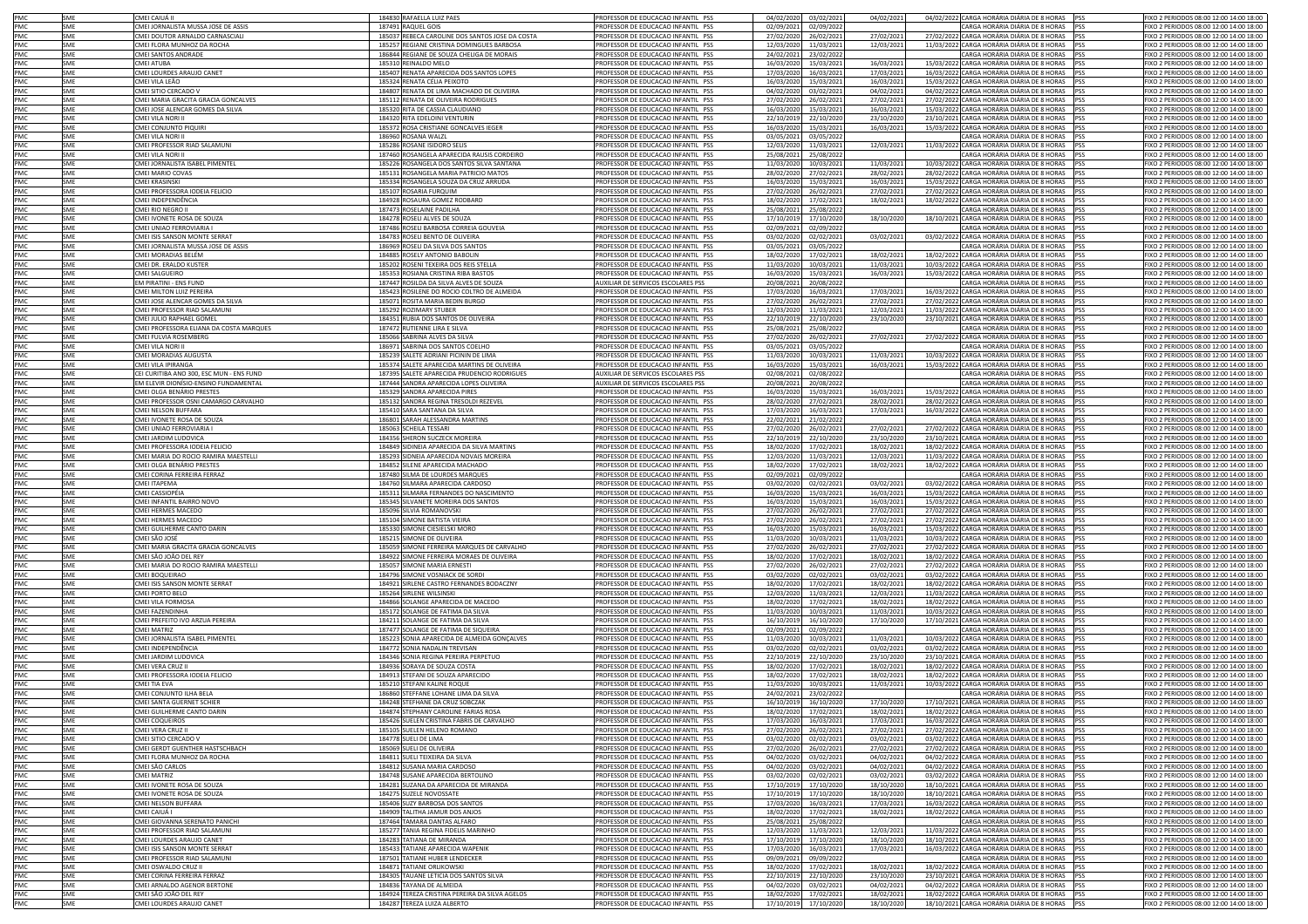| PMC        | SME        | CMEI CAIUÁ II                           | 184830 RAFAELLA LUIZ PAES                       | PROFESSOR DE EDUCACAO INFANTIL PSS | 04/02/2020<br>03/02/2021 | 04/02/2021 | 04/02/2022 CARGA HORÁRIA DIÁRIA DE 8 HORAS<br><b>PSS</b>  | FIXO 2 PERIODOS 08:00 12:00 14:00 18:00 |
|------------|------------|-----------------------------------------|-------------------------------------------------|------------------------------------|--------------------------|------------|-----------------------------------------------------------|-----------------------------------------|
| PMC        | SME        | CMEI JORNALISTA MUSSA JOSE DE ASSIS     | 187491 RAQUEL GOIS                              | PROFESSOR DE EDUCACAO INFANTIL PSS | 02/09/2021<br>02/09/2022 |            | CARGA HORÁRIA DIÁRIA DE 8 HORAS<br><b>PSS</b>             | FIXO 2 PERIODOS 08:00 12:00 14:00 18:00 |
| PMC        | SME        |                                         |                                                 | PROFESSOR DE EDUCACAO INFANTIL PSS |                          |            | 27/02/2022 CARGA HORÁRIA DIÁRIA DE 8 HORAS PSS            |                                         |
|            |            | CMEI DOUTOR ARNALDO CARNASCIAL          | 185037 REBECA CAROLINE DOS SANTOS JOSE DA COSTA |                                    | 27/02/2020<br>26/02/2021 | 27/02/2021 |                                                           | FIXO 2 PERIODOS 08:00 12:00 14:00 18:00 |
| PMC        | SME        | CMEI FLORA MUNHOZ DA ROCHA              | 185257 REGIANE CRISTINA DOMINGUES BARBOSA       | PROFESSOR DE EDUCACAO INFANTIL PSS | 12/03/2020<br>11/03/2021 | 12/03/2021 | 11/03/2022 CARGA HORÁRIA DIÁRIA DE 8 HORAS PSS            | FIXO 2 PERIODOS 08:00 12:00 14:00 18:00 |
| PMC        | SME        | CMEI SANTOS ANDRADE                     | 186844 REGIANE DE SOUZA CHELIGA DE MORAIS       | PROFESSOR DE EDUCACAO INFANTIL PSS | 24/02/2021<br>23/02/2022 |            | CARGA HORÁRIA DIÁRIA DE 8 HORAS PSS                       | FIXO 2 PERIODOS 08:00 12:00 14:00 18:00 |
| PMC        | SME        | MEI ATUBA                               | 185310 REINALDO MELO                            | PROFESSOR DE EDUCACAO INFANTIL PSS | 15/03/2021<br>16/03/2020 | 16/03/2021 | 15/03/2022 CARGA HORÁRIA DIÁRIA DE 8 HORAS PSS            | FIXO 2 PERIODOS 08:00 12:00 14:00 18:00 |
| PMC        | SME        | CMEI LOURDES ARAUJO CANET               | 185407 RENATA APARECIDA DOS SANTOS LOPES        | PROFESSOR DE EDUCACAO INFANTIL PSS | 17/03/2020<br>16/03/2021 | 17/03/2021 | 16/03/2022 CARGA HORÁRIA DIÁRIA DE 8 HORAS PSS            | FIXO 2 PERIODOS 08:00 12:00 14:00 18:00 |
| PMC        | SME        | CMEI VILA LEÃO                          | 185324 RENATA CÉLIA PEIXOTO                     | PROFESSOR DE EDUCACAO INFANTIL PSS | 16/03/2020<br>15/03/2021 | 16/03/2021 | 15/03/2022 CARGA HORÁRIA DIÁRIA DE 8 HORAS PSS            | FIXO 2 PERIODOS 08:00 12:00 14:00 18:00 |
| PMC        | SME        | CMEI SITIO CERCADO \                    | 184807 RENATA DE LIMA MACHADO DE OLIVEIRA       | PROFESSOR DE EDUCACAO INFANTIL PSS | 04/02/2020<br>03/02/2021 | 04/02/2021 | 04/02/2022 CARGA HORÁRIA DIÁRIA DE 8 HORAS<br><b>IPSS</b> | FIXO 2 PERIODOS 08:00 12:00 14:00 18:00 |
| <b>PMC</b> | SMF        | CMEI MARIA GRACITA GRACIA GONCALVES     | 185112 RENATA DE OLIVEIRA RODRIGUES             | PROFESSOR DE EDUCACAO INFANTIL PSS | 27/02/2020<br>26/02/2021 | 27/02/2021 | 27/02/2022 CARGA HORÁRIA DIÁRIA DE 8 HORAS PSS            | FIXO 2 PERIODOS 08:00 12:00 14:00 18:00 |
| PMC        | SMF        |                                         | 185320 RITA DE CASSIA CLAUDIANO                 |                                    | 16/03/2020               | 16/03/2021 | 15/03/2022 CARGA HORÁRIA DIÁRIA DE 8 HORAS<br><b>PSS</b>  |                                         |
|            |            | CMEI JOSE ALENCAR GOMES DA SILVA        |                                                 | PROFESSOR DE EDUCACAO INFANTIL PSS | 15/03/2021               |            |                                                           | FIXO 2 PERIODOS 08:00 12:00 14:00 18:00 |
| PMC        | SME        | <b>CMEI VILA NORI I</b>                 | 184320 RITA EDELOINI VENTURIN                   | PROFESSOR DE EDUCACAO INFANTIL PSS | 22/10/2019<br>22/10/2020 | 23/10/2020 | 23/10/2021 CARGA HORÁRIA DIÁRIA DE 8 HORAS                | FIXO 2 PERIODOS 08:00 12:00 14:00 18:00 |
| PMC        | SME        | <b>CMEI CONJUNTO PIQUIRI</b>            | 185372 ROSA CRISTIANE GONCALVES IEGER           | PROFESSOR DE EDUCACAO INFANTIL PSS | 16/03/2020<br>15/03/2021 | 16/03/2021 | 15/03/2022 CARGA HORÁRIA DIÁRIA DE 8 HORAS                | IXO 2 PERIODOS 08:00 12:00 14:00 18:00  |
| PMC        | SME        | <b>CMEI VILA NORI II</b>                | 186960 ROSANA WALZL                             | PROFESSOR DE EDUCACAO INFANTIL PSS | 03/05/2021<br>03/05/2022 |            | CARGA HORÁRIA DIÁRIA DE 8 HORAS<br><b>IPSS</b>            | IXO 2 PERIODOS 08:00 12:00 14:00 18:00  |
| PMC        | SME        | MEI PROFESSOR RIAD SALAMUNI             | 185286 ROSANE ISIDORO SELIS                     | PROFESSOR DE EDUCACAO INFANTIL PSS | 12/03/2020<br>11/03/2021 | 12/03/2021 | 11/03/2022 CARGA HORÁRIA DIÁRIA DE 8 HORAS<br>PSS         | IXO 2 PERIODOS 08:00 12:00 14:00 18:00  |
| PMC        | SME        | MEI VILA NORI II                        | 187460 ROSANGELA APARECIDA RAUSIS CORDEIRO      | PROFESSOR DE EDUCACAO INFANTIL PSS | 25/08/2021<br>25/08/2022 |            | CARGA HORÁRIA DIÁRIA DE 8 HORAS                           | FIXO 2 PERIODOS 08:00 12:00 14:00 18:00 |
| PMC        | SME        | MEI JORNALISTA ISABEL PIMENTEL          | 185226 ROSANGELA DOS SANTOS SILVA SANTANA       | PROFESSOR DE EDUCACAO INFANTIL PSS | 11/03/2020<br>10/03/2021 | 11/03/2021 | 10/03/2022 CARGA HORÁRIA DIÁRIA DE 8 HORAS                | FIXO 2 PERIODOS 08:00 12:00 14:00 18:00 |
| PMC        | SME        | MEI MARIO COVAS                         | 185131 ROSANGELA MARIA PATRICIO MATOS           |                                    |                          | 28/02/2021 | 28/02/2022 CARGA HORÁRIA DIÁRIA DE 8 HORAS                | FIXO 2 PERIODOS 08:00 12:00 14:00 18:00 |
|            |            |                                         |                                                 | PROFESSOR DE EDUCACAO INFANTIL PSS | 28/02/2020<br>27/02/2021 |            |                                                           |                                         |
| PMC        | <b>SME</b> | CMEI KRASINSKI                          | 185334 ROSANGELA SOUZA DA CRUZ ARRUDA           | PROFESSOR DE EDUCACAO INFANTIL PSS | 16/03/2020<br>15/03/2021 | 16/03/2021 | 15/03/2022 CARGA HORÁRIA DIÁRIA DE 8 HORAS PSS            | FIXO 2 PERIODOS 08:00 12:00 14:00 18:00 |
| PMC        | SME        | CMEI PROFESSORA IODEIA FELICIO          | 185107 ROSARIA FURQUIM                          | PROFESSOR DE EDUCACAO INFANTIL PSS | 27/02/2020<br>26/02/2021 | 27/02/2021 | 27/02/2022 CARGA HORÁRIA DIÁRIA DE 8 HORAS                | FIXO 2 PERIODOS 08:00 12:00 14:00 18:00 |
| PMC        | SME        | CMEI INDEPENDÊNCIA                      | 184928 ROSAURA GOMEZ RODBARD                    | PROFESSOR DE EDUCACAO INFANTIL PSS | 18/02/2020<br>17/02/2021 | 18/02/2021 | 18/02/2022 CARGA HORÁRIA DIÁRIA DE 8 HORAS                | FIXO 2 PERIODOS 08:00 12:00 14:00 18:00 |
| PMC        | SME        | CMEI RIO NEGRO II                       | 187473 ROSELAINE PADILHA                        | PROFESSOR DE EDUCACAO INFANTIL PSS | 25/08/2021<br>25/08/2022 |            | CARGA HORÁRIA DIÁRIA DE 8 HORAS PSS                       | FIXO 2 PERIODOS 08:00 12:00 14:00 18:00 |
| PMC        | SMF        | CMEI IVONETE ROSA DE SOUZA              | 184278 ROSELI ALVES DE SOUZA                    | PROFESSOR DE EDUCACAO INFANTIL PSS | 17/10/2019<br>17/10/2020 | 18/10/2020 | 18/10/2021 CARGA HORÁRIA DIÁRIA DE 8 HORAS                | FIXO 2 PERIODOS 08:00 12:00 14:00 18:00 |
| PMC        | SMF        | CMEI UNIAO FERROVIARIA I                | 187486 ROSELI BARBOSA CORREIA GOUVEIA           | PROFESSOR DE EDUCACAO INFANTIL PSS | 02/09/2021<br>02/09/2022 |            | CARGA HORÁRIA DIÁRIA DE 8 HORAS<br><b>PSS</b>             | FIXO 2 PERIODOS 08:00 12:00 14:00 18:00 |
| PMC        | SME        | CMEI ISIS SANSON MONTE SERRAT           | 184783 ROSELI BENTO DE OLIVEIRA                 | PROFESSOR DE EDUCACAO INFANTIL PSS | 03/02/2020<br>02/02/2021 | 03/02/2021 | 03/02/2022 CARGA HORÁRIA DIÁRIA DE 8 HORAS<br><b>IPSS</b> | FIXO 2 PERIODOS 08:00 12:00 14:00 18:00 |
|            |            |                                         |                                                 |                                    |                          |            |                                                           |                                         |
| PMC        | SME        | CMEI JORNALISTA MUSSA JOSE DE ASSIS     | 186969 ROSELI DA SILVA DOS SANTOS               | PROFESSOR DE EDUCACAO INFANTIL PSS | 03/05/2021<br>03/05/2022 |            | CARGA HORÁRIA DIÁRIA DE 8 HORAS<br><b>IPSS</b>            | IXO 2 PERIODOS 08:00 12:00 14:00 18:00  |
| PMC        | SME        | CMEI MORADIAS BELÉM                     | 184885 ROSELY ANTONIO BABOLIN                   | PROFESSOR DE EDUCACAO INFANTIL PSS | 18/02/2020<br>17/02/2021 | 18/02/2021 | 18/02/2022 CARGA HORÁRIA DIÁRIA DE 8 HORAS<br><b>PSS</b>  | IXO 2 PERIODOS 08:00 12:00 14:00 18:00  |
| PMC        | SME        | CMEI DR. ERALDO KUSTER                  | 185202 ROSENI TEXEIRA DOS REIS STELLA           | PROFESSOR DE EDUCACAO INFANTIL PSS | 11/03/2020<br>10/03/2021 | 11/03/2021 | 10/03/2022 CARGA HORÁRIA DIÁRIA DE 8 HORAS<br><b>IPSS</b> | IXO 2 PERIODOS 08:00 12:00 14:00 18:00  |
| PMC        | SME        | CMEI SALGUEIRO                          | 185353 ROSIANA CRISTINA RIBA BASTOS             | PROFESSOR DE EDUCACAO INFANTIL PSS | 16/03/2020<br>15/03/2021 | 16/03/2021 | 15/03/2022 CARGA HORÁRIA DIÁRIA DE 8 HORAS PSS            | IXO 2 PERIODOS 08:00 12:00 14:00 18:00  |
| PMC        | SME        | <b>EM PIRATINI - ENS FUND</b>           | 187447 ROSILDA DA SILVA ALVES DE SOUZA          | AUXILIAR DE SERVICOS ESCOLARES PSS | 20/08/2021<br>20/08/2022 |            | CARGA HORÁRIA DIÁRIA DE 8 HORAS PSS                       | FIXO 2 PERIODOS 08:00 12:00 14:00 18:00 |
| PMC        | SME        | CMEI MILTON LUIZ PEREIRA                | 185423 ROSILENE DO ROCIO COLTRO DE ALMEIDA      | PROFESSOR DE EDUCACAO INFANTIL PSS | 17/03/2020<br>16/03/2021 | 17/03/2021 | 16/03/2022 CARGA HORÁRIA DIÁRIA DE 8 HORAS PSS            | FIXO 2 PERIODOS 08:00 12:00 14:00 18:00 |
| PMC        | SME        | CMEI JOSE ALENCAR GOMES DA SILVA        | 185071 ROSITA MARIA BEDIN BURGO                 | PROFESSOR DE EDUCACAO INFANTIL PSS | 27/02/2020<br>26/02/2021 | 27/02/2021 | 27/02/2022 CARGA HORÁRIA DIÁRIA DE 8 HORAS PSS            | FIXO 2 PERIODOS 08:00 12:00 14:00 18:00 |
|            |            |                                         |                                                 |                                    |                          |            |                                                           |                                         |
| PMC        | SME        | CMEI PROFESSOR RIAD SALAMUNI            | 185292 ROZIMARY STUBER                          | PROFESSOR DE EDUCACAO INFANTIL PSS | 12/03/2020<br>11/03/2021 | 12/03/2021 | 11/03/2022 CARGA HORÁRIA DIÁRIA DE 8 HORAS PSS            | FIXO 2 PERIODOS 08:00 12:00 14:00 18:00 |
| PMC        | SME        | CMEI JULIO RAPHAEL GOMEL                | 184351 RUBIA DOS SANTOS DE OLIVEIRA             | PROFESSOR DE EDUCACAO INFANTIL PSS | 22/10/2019<br>22/10/202  | 23/10/2020 | 23/10/2021 CARGA HORÁRIA DIÁRIA DE 8 HORAS<br><b>PSS</b>  | FIXO 2 PERIODOS 08:00 12:00 14:00 18:00 |
| <b>PMC</b> | SMF        | CMEI PROFESSORA ELIANA DA COSTA MARQUES | 187472 RUTIENNE LIRA E SILVA                    | PROFESSOR DE EDUCACAO INFANTIL PSS | 25/08/2021<br>25/08/2022 |            | CARGA HORÁRIA DIÁRIA DE 8 HORAS PSS                       | FIXO 2 PERIODOS 08:00 12:00 14:00 18:00 |
| PMC        | SMF        | CMEI FULVIA ROSEMBERG                   | 185066 SABRINA ALVES DA SILVA                   | PROFESSOR DE EDUCACAO INFANTIL PSS | 27/02/2020<br>26/02/2021 | 27/02/2021 | 27/02/2022 CARGA HORÁRIA DIÁRIA DE 8 HORAS<br><b>IPSS</b> | FIXO 2 PERIODOS 08:00 12:00 14:00 18:00 |
| PMC        | SME        | <b>CMEI VILA NORI II</b>                | 186971 SABRINA DOS SANTOS COELHO                | PROFESSOR DE EDUCACAO INFANTIL PSS | 03/05/2021<br>03/05/2022 |            | CARGA HORÁRIA DIÁRIA DE 8 HORAS                           | IXO 2 PERIODOS 08:00 12:00 14:00 18:00  |
| PMC        | SME        | MEI MORADIAS AUGUSTA                    | 185239 SALETE ADRIANI PICININ DE LIMA           | PROFESSOR DE EDUCACAO INFANTIL PSS | 11/03/2020<br>10/03/2021 | 11/03/2021 | 10/03/2022 CARGA HORÁRIA DIÁRIA DE 8 HORAS                | IXO 2 PERIODOS 08:00 12:00 14:00 18:00  |
| PMC        | SME        | MEI VILA IPIRANGA                       | 185374 SALETE APARECIDA MARTINS DE OLIVEIRA     | ROFESSOR DE EDUCACAO INFANTIL PSS  | 16/03/2020<br>15/03/2021 | 16/03/2021 | 15/03/2022 CARGA HORÁRIA DIÁRIA DE 8 HORAS                | IXO 2 PERIODOS 08:00 12:00 14:00 18:00  |
|            |            |                                         |                                                 |                                    |                          |            |                                                           |                                         |
| PMC        | SME        | EI CURITIBA ANO 300, ESC MUN - ENS FUND | 187395 SALETE APARECIDA PRUDENCIO RODRIGUES     | AUXILIAR DE SERVICOS ESCOLARES PSS | 02/08/2021<br>02/08/2022 |            | CARGA HORÁRIA DIÁRIA DE 8 HORAS<br><b>PSS</b>             | IXO 2 PERIODOS 08:00 12:00 14:00 18:00  |
| PMC        | SME        | M ELEVIR DIONÍSIO-ENSINO FUNDAMENTAL    | 187444 SANDRA APARECIDA LOPES OLIVEIRA          | AUXILIAR DE SERVICOS ESCOLARES PSS | 20/08/2021<br>20/08/2022 |            | CARGA HORÁRIA DIÁRIA DE 8 HORAS                           | IXO 2 PERIODOS 08:00 12:00 14:00 18:00  |
| PMC        | SME        | MEI OLGA BENÁRIO PRESTES                | 185329 SANDRA APARECIDA PIRES                   | PROFESSOR DE EDUCACAO INFANTIL PSS | 16/03/2020<br>15/03/2021 | 16/03/2021 | 15/03/2022 CARGA HORÁRIA DIÁRIA DE 8 HORAS                | IXO 2 PERIODOS 08:00 12:00 14:00 18:00  |
| PMC        | SME        | MEI PROFESSOR OSNI CAMARGO CARVALHO     | 185132 SANDRA REGINA TRESOLDI REZEVEL           | PROFESSOR DE EDUCAÇÃO INFANTIL PSS | 28/02/2020<br>27/02/2021 | 28/02/2021 | 28/02/2022 CARGA HORÁRIA DIÁRIA DE 8 HORAS                | IXO 2 PERIODOS 08:00 12:00 14:00 18:00  |
| PMC        | SME        | CMEI NELSON BUFFARA                     | 185410 SARA SANTANA DA SILVA                    | PROFESSOR DE EDUCACAO INFANTIL PSS | 17/03/2020<br>16/03/2021 | 17/03/2021 | 16/03/2022 CARGA HORÁRIA DIÁRIA DE 8 HORAS                | FIXO 2 PERIODOS 08:00 12:00 14:00 18:00 |
| PMC        | SME        | CMEI IVONETE ROSA DE SOUZA              | 186801 SARAH ALESSANDRA MARTINS                 | PROFESSOR DE EDUCACAO INFANTIL PSS | 22/02/2021<br>21/02/2022 |            | CARGA HORÁRIA DIÁRIA DE 8 HORAS                           | FIXO 2 PERIODOS 08:00 12:00 14:00 18:00 |
|            |            |                                         |                                                 |                                    |                          |            |                                                           |                                         |
| PMC        | SME        | MELUNIAO FERROVIARIA I                  | 185063 SCHEILA TESSARI                          | PROFESSOR DE EDUCACAO INFANTIL PSS | 27/02/2020<br>26/02/2021 | 27/02/2021 | 27/02/2022 CARGA HORÁRIA DIÁRIA DE 8 HORAS                | FIXO 2 PERIODOS 08:00 12:00 14:00 18:00 |
| PMC        | SMF        | CMEI JARDIM LUDOVICA                    | 184356 SHERON SUCZECK MOREIRA                   | PROFESSOR DE EDUCACAO INFANTIL PSS | 22/10/2019<br>22/10/2020 | 23/10/2020 | 23/10/2021 CARGA HORÁRIA DIÁRIA DE 8 HORAS                | FIXO 2 PERIODOS 08:00 12:00 14:00 18:00 |
| PMC        | SMF        | CMEI PROFESSORA IODEIA FELICIO          | 184849 SIDINEIA APARECIDA DA SILVA MARTINS      | PROFESSOR DE EDUCAÇÃO INFANTIL PSS | 18/02/2020<br>17/02/2021 | 18/02/2021 | 18/02/2022 CARGA HORÁRIA DIÁRIA DE 8 HORAS                | FIXO 2 PERIODOS 08:00 12:00 14:00 18:00 |
| PMC        | SMF        | CMEI MARIA DO ROCIO RAMIRA MAESTELLI    | 185293 SIDNEIA APARECIDA NOVAIS MOREIRA         | PROFESSOR DE EDUCACAO INFANTIL PSS | 12/03/2020<br>11/03/2021 | 12/03/2021 | 11/03/2022 CARGA HORÁRIA DIÁRIA DE 8 HORAS                | FIXO 2 PERIODOS 08:00 12:00 14:00 18:00 |
| PMC        | SME        | CMEI OLGA BENÁRIO PRESTES               | 184852 SILENE APARECIDA MACHADO                 | PROFESSOR DE EDUCACAO INFANTIL PSS | 17/02/2021<br>18/02/2020 | 18/02/2021 | 18/02/2022 CARGA HORÁRIA DIÁRIA DE 8 HORAS<br><b>IPSS</b> | FIXO 2 PERIODOS 08:00 12:00 14:00 18:00 |
| PMC        | SME        | CMEI CORINA FERREIRA FERRAZ             | 187480 SILMA DE LOURDES MARQUES                 | PROFESSOR DE EDUCACAO INFANTIL PSS | 02/09/2021<br>02/09/2022 |            | CARGA HORÁRIA DIÁRIA DE 8 HORAS<br><b>PSS</b>             | FIXO 2 PERIODOS 08:00 12:00 14:00 18:00 |
| PMC        | SME        | CMEI ITAPEMA                            | 184760 SILMARA APARECIDA CARDOSO                | PROFESSOR DE EDUCACAO INFANTIL PSS | 03/02/2020<br>02/02/2021 | 03/02/2021 | 03/02/2022 CARGA HORÁRIA DIÁRIA DE 8 HORAS<br><b>IPSS</b> | IXO 2 PERIODOS 08:00 12:00 14:00 18:00  |
|            | SME        |                                         |                                                 | PROFESSOR DE EDUCACAO INFANTIL PSS |                          |            | <b>PSS</b>                                                | IXO 2 PERIODOS 08:00 12:00 14:00 18:00  |
| PMC        |            | CMEI CASSIOPÉIA                         | 185311 SILMARA FERNANDES DO NASCIMENTO          |                                    | 16/03/2020<br>15/03/2021 | 16/03/2021 | 15/03/2022 CARGA HORÁRIA DIÁRIA DE 8 HORAS                |                                         |
| PMC        | SME        | CMEI INFANTIL BAIRRO NOVO               | 185345 SILVANETE MOREIRA DOS SANTOS             | PROFESSOR DE EDUCACAO INFANTIL PSS | 16/03/2020<br>15/03/2021 | 16/03/2021 | 15/03/2022 CARGA HORÁRIA DIÁRIA DE 8 HORAS PSS            | FIXO 2 PERIODOS 08:00 12:00 14:00 18:00 |
| PMC        | SME        | CMEI HERMES MACEDO                      | 185096 SILVIA ROMANOVSKI                        | PROFESSOR DE EDUCACAO INFANTIL PSS | 27/02/2020<br>26/02/2021 | 27/02/2021 | 27/02/2022 CARGA HORÁRIA DIÁRIA DE 8 HORAS PSS            | FIXO 2 PERIODOS 08:00 12:00 14:00 18:00 |
| PMC        | SME        | CMEI HERMES MACEDO                      | 185104 SIMONE BATISTA VIEIRA                    | PROFESSOR DE EDUCACAO INFANTIL PSS | 27/02/2020<br>26/02/2021 | 27/02/2021 | 27/02/2022 CARGA HORÁRIA DIÁRIA DE 8 HORAS PSS            | FIXO 2 PERIODOS 08:00 12:00 14:00 18:00 |
| PMC        | SME        | CMEI GUILHERME CANTO DARIN              | 185330 SIMONE CIESIELSKI MORO                   | PROFESSOR DE EDUCACAO INFANTIL PSS | 16/03/2020<br>15/03/2021 | 16/03/2021 | 15/03/2022 CARGA HORÁRIA DIÁRIA DE 8 HORAS PSS            | FIXO 2 PERIODOS 08:00 12:00 14:00 18:00 |
| PMC        | SME        | CMEI SÃO JOSÉ                           | 185215 SIMONE DE OLIVEIRA                       | PROFESSOR DE EDUCACAO INFANTIL PSS | 11/03/2020<br>10/03/2021 | 11/03/2021 | 10/03/2022 CARGA HORÁRIA DIÁRIA DE 8 HORAS PSS            | FIXO 2 PERIODOS 08:00 12:00 14:00 18:00 |
| PMC        | SME        | CMEI MARIA GRACITA GRACIA GONCALVES     | 185059 SIMONE FERREIRA MARQUES DE CARVALHO      | PROFESSOR DE EDUCACAO INFANTIL PSS | 27/02/2020<br>26/02/2021 | 27/02/2021 | 27/02/2022 CARGA HORÁRIA DIÁRIA DE 8 HORAS<br><b>IPSS</b> | FIXO 2 PERIODOS 08:00 12:00 14:00 18:00 |
| PMC        | SME        | CMEI SÃO JOÃO DEL REY                   |                                                 | PROFESSOR DE EDUCACAO INFANTIL PSS | 18/02/2020               |            | 18/02/2022 CARGA HORÁRIA DIÁRIA DE 8 HORAS PSS            | FIXO 2 PERIODOS 08:00 12:00 14:00 18:00 |
|            |            |                                         | 184922 SIMONE FERREIRA MORAES DE OLIVEIRA       |                                    | 17/02/2021               | 18/02/2021 |                                                           |                                         |
| PMC        | SMF        | CMEI MARIA DO ROCIO RAMIRA MAESTELLI    | 185057 SIMONE MARIA ERNESTI                     | PROFESSOR DE EDUCACAO INFANTIL PSS | 27/02/2020<br>26/02/2021 | 27/02/2021 | 27/02/2022 CARGA HORÁRIA DIÁRIA DE 8 HORAS<br><b>IPSS</b> | FIXO 2 PERIODOS 08:00 12:00 14:00 18:00 |
| PMC        | SME        | CMEI BOQUEIRAO                          | 184796 SIMONE VOSNIACK DE SORD                  | PROFESSOR DE EDUCACAO INFANTIL PSS | 03/02/2020<br>02/02/2021 | 03/02/2021 | 03/02/2022 CARGA HORÁRIA DIÁRIA DE 8 HORAS                | FIXO 2 PERIODOS 08:00 12:00 14:00 18:00 |
| PMC        | SME        | CMEI ISIS SANSON MONTE SERRAT           | 184921 SIRLENE CASTRO FERNANDES BODACZNY        | PROFESSOR DE EDUCACAO INFANTIL PSS | 18/02/2020<br>17/02/2021 | 18/02/2021 | 18/02/2022 CARGA HORÁRIA DIÁRIA DE 8 HORAS                | FIXO 2 PERIODOS 08:00 12:00 14:00 18:00 |
| PMC        | SME        | <b>CMEI PORTO BELO</b>                  | 185264 SIRLENE WILSINSKI                        | PROFESSOR DE EDUCACAO INFANTIL PSS | 12/03/2020<br>11/03/2021 | 12/03/2021 | 11/03/2022 CARGA HORÁRIA DIÁRIA DE 8 HORAS<br><b>PSS</b>  | FIXO 2 PERIODOS 08:00 12:00 14:00 18:00 |
| PMC        | SME        | <b>CMEI VILA FORMOSA</b>                | 184866 SOLANGE APARECIDA DE MACEDO              | PROFESSOR DE EDUCACAO INFANTIL PSS | 18/02/2020<br>17/02/2021 | 18/02/2021 | 18/02/2022 CARGA HORÁRIA DIÁRIA DE 8 HORAS                | FIXO 2 PERIODOS 08:00 12:00 14:00 18:00 |
| PMC        | SME        | MEI FAZENDINHA                          | 185172 SOLANGE DE FATIMA DA SILVA               | PROFESSOR DE EDUCACAO INFANTIL PSS | 11/03/2020<br>10/03/2021 | 11/03/2021 | 10/03/2022 CARGA HORÁRIA DIÁRIA DE 8 HORAS<br>PSS         | FIXO 2 PERIODOS 08:00 12:00 14:00 18:00 |
| PMC        | SME        | MEI PREFEITO IVO ARZUA PEREIRA          | 184211 SOLANGE DE FATIMA DA SILVA               | PROFESSOR DE EDUCACAO INFANTIL PSS | 16/10/2019<br>16/10/2020 | 17/10/2020 | 17/10/2021 CARGA HORÁRIA DIÁRIA DE 8 HORAS                | FIXO 2 PERIODOS 08:00 12:00 14:00 18:00 |
| PMC        | SME        | MEI MATRIZ                              | 187477 SOLANGE DE FATIMA DE SIQUEIRA            | PROFESSOR DE EDUCACAO INFANTIL PSS | 02/09/2021<br>02/09/2022 |            | CARGA HORÁRIA DIÁRIA DE 8 HORAS                           | FIXO 2 PERIODOS 08:00 12:00 14:00 18:00 |
| PMC        | SME        | CMEI JORNALISTA ISABEL PIMENTEL         | 185223 SONIA APARECIDA DE ALMEIDA GONÇALVES     | PROFESSOR DE EDUCACAO INFANTIL PSS | 11/03/2020<br>10/03/2021 | 11/03/2021 | 10/03/2022 CARGA HORÁRIA DIÁRIA DE 8 HORAS                | FIXO 2 PERIODOS 08:00 12:00 14:00 18:00 |
|            | SME        |                                         |                                                 |                                    |                          |            |                                                           | FIXO 2 PERIODOS 08:00 12:00 14:00 18:00 |
| PMC        |            | CMEI INDEPENDÊNCIA                      | 184772 SONIA NADALIN TREVISAN                   | PROFESSOR DE EDUCACAO INFANTIL PSS | 03/02/2020<br>02/02/2021 | 03/02/2021 | 03/02/2022 CARGA HORÁRIA DIÁRIA DE 8 HORAS                |                                         |
| PMC        | SME        | CMEI JARDIM LUDOVICA                    | 184346 SONIA REGINA PEREIRA PERPETUO            | PROFESSOR DE EDUCACAO INFANTIL PSS | 22/10/2019<br>22/10/2020 | 23/10/2020 | 23/10/2021 CARGA HORÁRIA DIÁRIA DE 8 HORAS PSS            | FIXO 2 PERIODOS 08:00 12:00 14:00 18:00 |
| PMC        | SMF        | CMEI VERA CRUZ II                       | 184936 SORAYA DE SOUZA COSTA                    | PROFESSOR DE EDUCACAO INFANTIL PSS | 18/02/2020<br>17/02/2021 | 18/02/2021 | 18/02/2022 CARGA HORÁRIA DIÁRIA DE 8 HORAS                | FIXO 2 PERIODOS 08:00 12:00 14:00 18:00 |
| PMC        | SMF        | CMEI PROFESSORA IODEIA FELICIO          | 184913 STEFANI DE SOUZA APARECIDO               | PROFESSOR DE EDUCACAO INFANTIL PSS | 18/02/2020<br>17/02/2021 | 18/02/2021 | 18/02/2022 CARGA HORÁRIA DIÁRIA DE 8 HORAS PSS            | FIXO 2 PERIODOS 08:00 12:00 14:00 18:00 |
| PMC        | SMF        | CMFI TIA FVA                            | 185210 STEFANI KALINE ROQUE                     | PROFESSOR DE EDUCACAO INFANTIL PSS | 10/03/2021<br>11/03/2020 | 11/03/2021 | 10/03/2022 CARGA HORÁRIA DIÁRIA DE 8 HORAS PSS            | FIXO 2 PERIODOS 08:00 12:00 14:00 18:00 |
| PMC        | SME        | CMEI CONJUNTO ILHA BELA                 | 186860 STEFFANE LOHANE LIMA DA SILVA            | PROFESSOR DE EDUCACAO INFANTIL PSS | 24/02/2021<br>23/02/2022 |            | CARGA HORÁRIA DIÁRIA DE 8 HORAS PSS                       | FIXO 2 PERIODOS 08:00 12:00 14:00 18:00 |
| PMC        | SME        | CMEI SANTA GUERNET SCHIER               | 184248 STEFHANE DA CRUZ SOBCZAK                 | PROFESSOR DE EDUCACAO INFANTIL PSS | 16/10/2019<br>16/10/2020 | 17/10/2020 | 17/10/2021 CARGA HORÁRIA DIÁRIA DE 8 HORAS PSS            | FIXO 2 PERIODOS 08:00 12:00 14:00 18:00 |
| PMC        | SME        | CMEI GUILHERME CANTO DARIN              | 184874 STEPHANY CAROLINE FARIAS ROSA            | PROFESSOR DE EDUCACAO INFANTIL PSS | 18/02/2020 17/02/2021    | 18/02/2021 | 18/02/2022 CARGA HORÁRIA DIÁRIA DE 8 HORAS PSS            | FIXO 2 PERIODOS 08:00 12:00 14:00 18:00 |
|            |            |                                         | 185426 SUELEN CRISTINA FABRIS DE CARVALHO       |                                    |                          |            | 16/03/2022 CARGA HORÁRIA DIÁRIA DE 8 HORAS PSS            |                                         |
| PMC        | SME        | CMEI COQUEIROS                          |                                                 | PROFESSOR DE EDUCACAO INFANTIL PSS | 17/03/2020 16/03/2021    | 17/03/2021 |                                                           | FIXO 2 PERIODOS 08:00 12:00 14:00 18:00 |
| PMC        | SME        | CMEI VERA CRUZ II                       | 185105 SUELEN HELENO ROMANO                     | PROFESSOR DE EDUCACAO INFANTIL PSS | 27/02/2020 26/02/2021    | 27/02/2021 | 27/02/2022 CARGA HORÁRIA DIÁRIA DE 8 HORAS PSS            | FIXO 2 PERIODOS 08:00 12:00 14:00 18:00 |
| PMC        | SME        | CMEI SITIO CERCADO V                    | 184778 SUELI DE LIMA                            | PROFESSOR DE EDUCACAO INFANTIL PSS | 03/02/2020 02/02/2021    | 03/02/2021 | 03/02/2022 CARGA HORÁRIA DIÁRIA DE 8 HORAS PSS            | FIXO 2 PERIODOS 08:00 12:00 14:00 18:00 |
| PMC        | SME        | CMEI GERDT GUENTHER HASTSCHBACH         | 185069 SUELI DE OLIVEIRA                        | PROFESSOR DE EDUCACAO INFANTIL PSS | 27/02/2020<br>26/02/2021 | 27/02/2021 | 27/02/2022 CARGA HORÁRIA DIÁRIA DE 8 HORAS PSS            | FIXO 2 PERIODOS 08:00 12:00 14:00 18:00 |
| PMC        | SME        | CMEI FLORA MUNHOZ DA ROCHA              | 184811 SUELI TEIXEIRA DA SILVA                  | PROFESSOR DE EDUCACAO INFANTIL PSS | 04/02/2020 03/02/2021    | 04/02/2021 | 04/02/2022 CARGA HORÁRIA DIÁRIA DE 8 HORAS PSS            | FIXO 2 PERIODOS 08:00 12:00 14:00 18:00 |
| PMC        | SME        | CMEI SÃO CARLOS                         | 184812 SUSANA MARIA CARDOSO                     | PROFESSOR DE EDUCACAO INFANTIL PSS | 04/02/2020<br>03/02/2021 | 04/02/2021 | 04/02/2022 CARGA HORÁRIA DIÁRIA DE 8 HORAS PSS            | FIXO 2 PERIODOS 08:00 12:00 14:00 18:00 |
| PMC        | SME        | CMEI MATRIZ                             | 184748 SUSANE APARECIDA BERTOLINO               | PROFESSOR DE EDUCACAO INFANTIL PSS | 03/02/2020<br>02/02/2021 | 03/02/2021 | 03/02/2022 CARGA HORÁRIA DIÁRIA DE 8 HORAS PSS            | FIXO 2 PERIODOS 08:00 12:00 14:00 18:00 |
| PMC.       |            | CMEI IVONETE ROSA DE SOUZA              | 184281 SUZANA DA APARECIDA DE MIRANDA           |                                    |                          |            |                                                           |                                         |
|            | SME        |                                         |                                                 | PROFESSOR DE EDUCACAO INFANTIL PSS | 17/10/2019<br>17/10/2020 | 18/10/2020 | 18/10/2021 CARGA HORÁRIA DIÁRIA DE 8 HORAS PSS            | FIXO 2 PERIODOS 08:00 12:00 14:00 18:00 |
| PMC        | SME        | CMEI IVONETE ROSA DE SOUZA              | 184275 SUZELE NOVOSSATE                         | PROFESSOR DE EDUCACAO INFANTIL PSS | 17/10/2020<br>17/10/2019 | 18/10/2020 | 18/10/2021 CARGA HORÁRIA DIÁRIA DE 8 HORAS<br><b>PSS</b>  | FIXO 2 PERIODOS 08:00 12:00 14:00 18:00 |
| PMC        | SME        | MEI NELSON BUFFARA                      | 185406 SUZY BARBOSA DOS SANTOS                  | PROFESSOR DE EDUCACAO INFANTIL PSS | 17/03/2020<br>16/03/2021 | 17/03/2021 | 16/03/2022 CARGA HORÁRIA DIÁRIA DE 8 HORAS<br><b>PSS</b>  | FIXO 2 PERIODOS 08:00 12:00 14:00 18:00 |
| PMC        | SME        | CMEI CAIUÁ I                            | 184909 TALITHA JAMUR DOS ANJOS                  | PROFESSOR DE EDUCACAO INFANTIL PSS | 18/02/2020<br>17/02/2021 | 18/02/2021 | 18/02/2022 CARGA HORÁRIA DIÁRIA DE 8 HORAS<br><b>IPSS</b> | FIXO 2 PERIODOS 08:00 12:00 14:00 18:00 |
| PMC        | SME        | MEI GIOVANNA SERENATO PANICHI           | 187464 TAMARA DANTAS ALFARO                     | PROFESSOR DE EDUCACAO INFANTIL PSS | 25/08/2021<br>25/08/2022 |            | CARGA HORÁRIA DIÁRIA DE 8 HORAS PSS                       | FIXO 2 PERIODOS 08:00 12:00 14:00 18:00 |
| PMC        | SME        | CMEI PROFESSOR RIAD SALAMUNI            | 185277 TANIA REGINA FIDELIS MARINHO             | PROFESSOR DE EDUCACAO INFANTIL PSS | 12/03/2020<br>11/03/2021 | 12/03/2021 | 11/03/2022 CARGA HORÁRIA DIÁRIA DE 8 HORAS<br><b>PSS</b>  | FIXO 2 PERIODOS 08:00 12:00 14:00 18:00 |
| PMC        | SME        | MEI LOURDES ARAUJO CANET                | 184283 TATIANA DE MIRANDA                       | PROFESSOR DE EDUCACAO INFANTIL PSS | 17/10/2019<br>17/10/2020 | 18/10/2020 | 18/10/2021 CARGA HORÁRIA DIÁRIA DE 8 HORAS<br><b>PSS</b>  | IXO 2 PERIODOS 08:00 12:00 14:00 18:00  |
|            |            |                                         |                                                 |                                    |                          |            |                                                           |                                         |
| PMC        | SME        | MEI ISIS SANSON MONTE SERRAT            | 185433 TATIANE APARECIDA WAPENIK                | PROFESSOR DE EDUCACAO INFANTIL PSS | 17/03/2020<br>16/03/2021 | 17/03/2021 | 16/03/2022 CARGA HORÁRIA DIÁRIA DE 8 HORAS<br><b>PSS</b>  | IXO 2 PERIODOS 08:00 12:00 14:00 18:00  |
| PMC        | SME        | MEI PROFESSOR RIAD SALAMUNI             | 187501 TATIANE HUBER LENDECKER                  | PROFESSOR DE EDUCACAO INFANTIL PSS | 09/09/2021<br>09/09/2022 |            | CARGA HORÁRIA DIÁRIA DE 8 HORAS PSS                       | FIXO 2 PERIODOS 08:00 12:00 14:00 18:00 |
| PMC        | SME        | CMEI OSWALDO CRUZ II                    | 184871 TATIANE ORLIKOWSKI                       | PROFESSOR DE EDUCACAO INFANTIL PSS | 18/02/2020<br>17/02/2021 | 18/02/2021 | 18/02/2022 CARGA HORÁRIA DIÁRIA DE 8 HORAS PSS            | FIXO 2 PERIODOS 08:00 12:00 14:00 18:00 |
| PMC        | SME        | CMEI CORINA FERREIRA FERRAZ             | 184305 TAUANE LETICIA DOS SANTOS SILVA          | PROFESSOR DE EDUCACAO INFANTIL PSS | 22/10/2019<br>22/10/2020 | 23/10/2020 | 23/10/2021 CARGA HORÁRIA DIÁRIA DE 8 HORAS PSS            | FIXO 2 PERIODOS 08:00 12:00 14:00 18:00 |
| PMC        | SME        | CMEI ARNALDO AGENOR BERTONE             | 184836 TAYANA DE ALMEIDA                        | PROFESSOR DE EDUCACAO INFANTIL PSS | 04/02/2020<br>03/02/2021 | 04/02/2021 | 04/02/2022 CARGA HORÁRIA DIÁRIA DE 8 HORAS PSS            | FIXO 2 PERIODOS 08:00 12:00 14:00 18:00 |
| PMC        | SME        | CMEI SÃO JOÃO DEL REY                   | 184924 TEREZA CRISTINA PEREIRA DA SILVA AGELOS  | PROFESSOR DE EDUCACAO INFANTIL PSS | 17/02/2021<br>18/02/2020 | 18/02/2021 | 18/02/2022 CARGA HORÁRIA DIÁRIA DE 8 HORAS PSS            | FIXO 2 PERIODOS 08:00 12:00 14:00 18:00 |
| PMC        | SME        | CMEI LOURDES ARAUJO CANET               | 184287 TEREZA LUIZA ALBERTO                     | PROFESSOR DE EDUCACAO INFANTIL PSS | 17/10/2019 17/10/2020    | 18/10/2020 | 18/10/2021 CARGA HORÁRIA DIÁRIA DE 8 HORAS PSS            | FIXO 2 PERIODOS 08:00 12:00 14:00 18:00 |
|            |            |                                         |                                                 |                                    |                          |            |                                                           |                                         |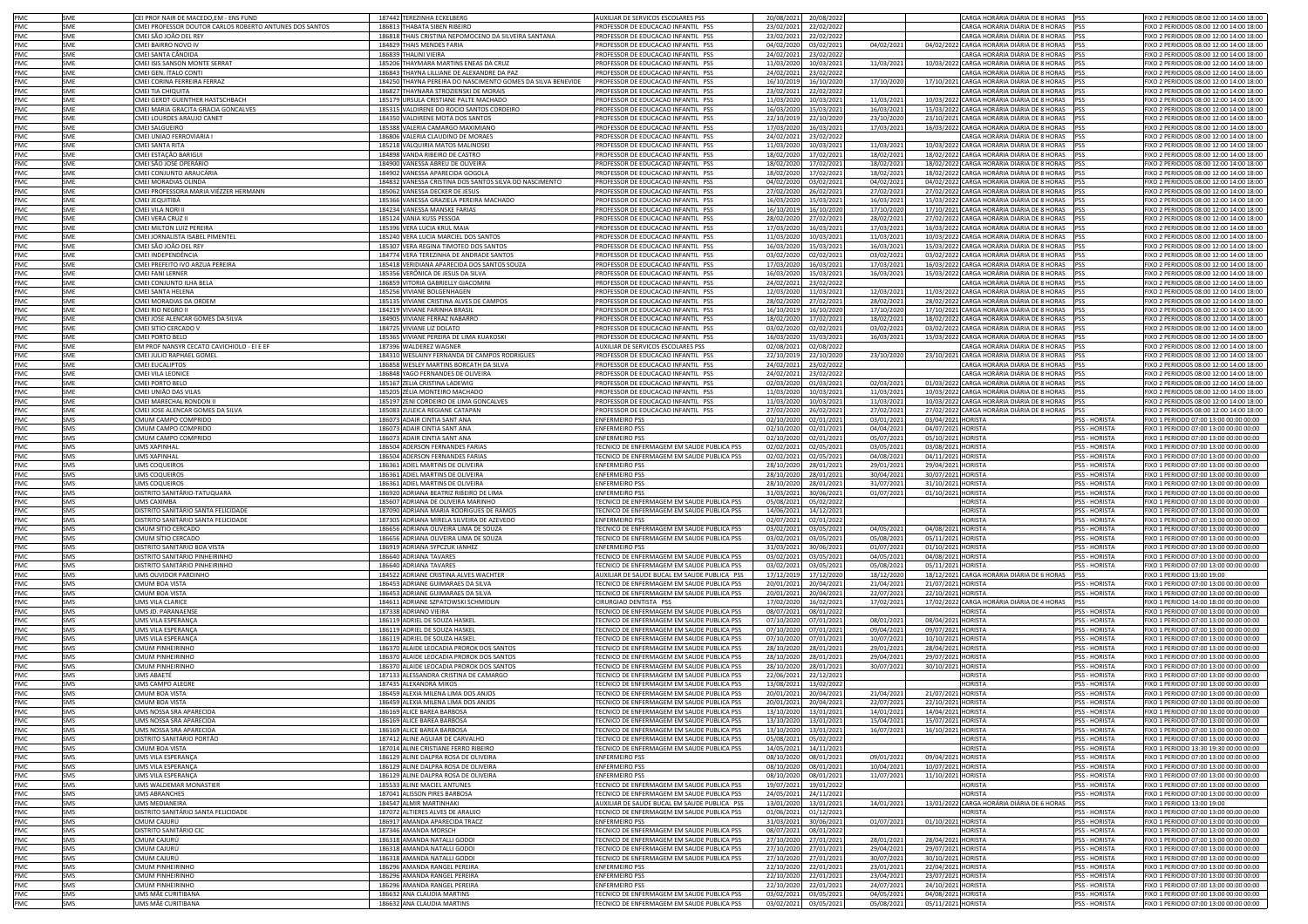| PMC               | SME        | CEI PROF NAIR DE MACEDO,EM - ENS FUND                   | 187442 TEREZINHA ECKELBER                                   | AUXILIAR DE SERVICOS ESCOLARES PSS                                                       | 20/08/2021<br>20/08/2022 |            | CARGA HORÁRIA DIÁRIA DE 8 HORAS                | PSS<br>FIXO 2 PERIODOS 08:00 12:00 14:00 18:00                 |
|-------------------|------------|---------------------------------------------------------|-------------------------------------------------------------|------------------------------------------------------------------------------------------|--------------------------|------------|------------------------------------------------|----------------------------------------------------------------|
| PMC<br>PMC        | SME        | CMEI PROFESSOR DOUTOR CARLOS ROBERTO ANTUNES DOS SANTOS | 186813 THABATA SIBEN RIBEIRO                                | PROFESSOR DE EDUCACAO INFANTIL PSS                                                       | 23/02/2021<br>22/02/2022 |            | CARGA HORÁRIA DIÁRIA DE 8 HORAS                | FIXO 2 PERIODOS 08:00 12:00 14:00 18:00<br>PSS                 |
|                   | SME        | CMEI SÃO JOÃO DEL REY                                   | 186818 THAIS CRISTINA NEPOMOCENO DA SILVEIRA SANTANA        | PROFESSOR DE EDUCACAO INFANTIL PSS                                                       | 23/02/2021<br>22/02/2022 |            | CARGA HORÁRIA DIÁRIA DE 8 HORAS                | FIXO 2 PERIODOS 08:00 12:00 14:00 18:00<br><b>PSS</b>          |
| PMC               | SME        | CMEI BAIRRO NOVO IV                                     | 184829 THAIS MENDES FARIA                                   | PROFESSOR DE EDUCACAO INFANTIL PSS                                                       | 04/02/2020<br>03/02/2021 | 04/02/2021 | 04/02/2022 CARGA HORÁRIA DIÁRIA DE 8 HORAS     | FIXO 2 PERIODOS 08:00 12:00 14:00 18:00<br>PSS                 |
| PMC               | SME        | CMEI SANTA CÂNDIDA                                      | 186839 THALINI VIEIRA                                       | PROFESSOR DE EDUCACAO INFANTIL PSS                                                       | 24/02/2021<br>23/02/2022 |            | CARGA HORÁRIA DIÁRIA DE 8 HORAS                | FIXO 2 PERIODOS 08:00 12:00 14:00 18:00<br>PSS                 |
| PMC               | SME        | CMEI ISIS SANSON MONTE SERRAT                           | 185206 THAYMARA MARTINS ENEAS DA CRUZ                       | PROFESSOR DE EDUCACAO INFANTIL PSS                                                       | 11/03/2020<br>10/03/2021 | 11/03/2021 | 10/03/2022 CARGA HORÁRIA DIÁRIA DE 8 HORAS     | <b>PSS</b><br>FIXO 2 PERIODOS 08:00 12:00 14:00 18:00          |
| PMC               | SME        | CMEI GEN. ÍTALO CONT                                    | 186843 THAYNA LILLIANE DE ALEXANDRE DA PAZ                  | PROFESSOR DE EDUCACAO INFANTIL PSS                                                       | 24/02/2021<br>23/02/2022 |            | ARGA HORÁRIA DIÁRIA DE 8 HORAS                 | FIXO 2 PERIODOS 08:00 12:00 14:00 18:00                        |
| PMC               | SME        | CMEI CORINA FERREIRA FERRAZ                             | 184250 THAYNA PEREIRA DO NASCIMENTO GOMES DA SILVA BENEVIDE | PROFESSOR DE EDUCACAO INFANTIL PSS                                                       | 16/10/2019<br>16/10/2020 | 17/10/2020 | 17/10/2021 CARGA HORÁRIA DIÁRIA DE 8 HORAS     | FIXO 2 PERIODOS 08:00 12:00 14:00 18:00                        |
| PMC               | SME        | CMEI TIA CHIQUITA                                       | 186827 THAYNARA STROZIENSKI DE MORAIS                       | PROFESSOR DE EDUCACAO INFANTIL PSS                                                       | 23/02/2021<br>22/02/2022 |            | CARGA HORÁRIA DIÁRIA DE 8 HORAS                | FIXO 2 PERIODOS 08:00 12:00 14:00 18:00<br>PSS                 |
| PMC               |            | CMEI GERDT GUENTHER HASTSCHBACH                         |                                                             |                                                                                          |                          |            | 10/03/2022 CARGA HORÁRIA DIÁRIA DE 8 HORAS     |                                                                |
|                   | SME        |                                                         | 185179 URSULA CRISTIANE PALTE MACHADO                       | PROFESSOR DE EDUCACAO INFANTIL PSS                                                       | 11/03/2020<br>10/03/2021 | 11/03/2021 | 15/03/2022 CARGA HORÁRIA DIÁRIA DE 8 HORAS     | FIXO 2 PERIODOS 08:00 12:00 14:00 18:00                        |
| PMC               | SME        | CMEI MARIA GRACITA GRACIA GONCALVES                     | 185315 VALDIRENE DO ROCIO SANTOS CORDEIRO                   | PROFESSOR DE EDUCACAO INFANTIL PSS                                                       | 16/03/2020<br>15/03/2021 | 16/03/2021 |                                                | PSS<br>FIXO 2 PERIODOS 08:00 12:00 14:00 18:00                 |
| PMC               | SMF        | CMEI LOURDES ARAUJO CANET                               | 184350 VALDIRENE MOTA DOS SANTOS                            | PROFESSOR DE EDUCACAO INFANTIL PSS                                                       | 22/10/2019<br>22/10/2020 | 23/10/2020 | 23/10/2021 CARGA HORÁRIA DIÁRIA DE 8 HORAS     | FIXO 2 PERIODOS 08:00 12:00 14:00 18:00<br><b>PSS</b>          |
| PMC               | SMF        | CMELSALGUEIRO                                           | 185388 VALERIA CAMARGO MAXIMIANO                            | PROFESSOR DE EDUCACAO INFANTIL PSS                                                       | 17/03/2020<br>16/03/202  | 17/03/2021 | 16/03/2022 CARGA HORÁRIA DIÁRIA DE 8 HORAS     | FIXO 2 PERIODOS 08:00 12:00 14:00 18:00<br>PSS                 |
| PMC.              | SMF        | CMEI UNIAO FERROVIARIA I                                | 186806 VALERIA CLAUDINO DE MORAES                           | PROFESSOR DE EDUCACAO INFANTIL PSS                                                       | 24/02/2021<br>23/02/2022 |            | CARGA HORÁRIA DIÁRIA DE 8 HORAS                | FIXO 2 PERIODOS 08:00 12:00 14:00 18:00<br><b>PSS</b>          |
| PMC               | SME        | CMEI SANTA RITA                                         | 185218 VALQUIRIA MATOS MALINOSKI                            | PROFESSOR DE EDUCACAO INFANTIL PSS                                                       | 11/03/2020<br>10/03/2023 | 11/03/2021 | 10/03/2022 CARGA HORÁRIA DIÁRIA DE 8 HORAS     | FIXO 2 PERIODOS 08:00 12:00 14:00 18:00<br><b>PSS</b>          |
| PMC               | SME        | CMEI ESTAÇÃO BARIGUI                                    | 184898 VANDA RIBEIRO DE CASTRO                              | PROFESSOR DE EDUCACAO INFANTIL PSS                                                       | 18/02/2020<br>17/02/2021 | 18/02/2021 | 18/02/2022 CARGA HORÁRIA DIÁRIA DE 8 HORAS     | FIXO 2 PERIODOS 08:00 12:00 14:00 18:00<br><b>PSS</b>          |
| PMC               | SME        | CMEI SÃO JOSÉ OPERÁRIO                                  | 184900 VANESSA ABREU DE OLIVEIRA                            | PROFESSOR DE EDUCACAO INFANTIL PSS                                                       | 18/02/2020<br>17/02/2021 | 18/02/2021 | 18/02/2022 CARGA HORÁRIA DIÁRIA DE 8 HORAS     | FIXO 2 PERIODOS 08:00 12:00 14:00 18:00<br>PSS                 |
| PMC               | SME        | CMEI CONJUNTO ARAUCÁRIA                                 | 184902 VANESSA APARECIDA GOGOLA                             | PROFESSOR DE EDUCACAO INFANTIL PSS                                                       | 18/02/2020<br>17/02/2021 | 18/02/2021 | 18/02/2022 CARGA HORÁRIA DIÁRIA DE 8 HORAS     | FIXO 2 PERIODOS 08:00 12:00 14:00 18:00<br>pss                 |
| PMC               | SME        | CMELMORADIAS OLINDA                                     | 184832 VANESSA CRISTINA DOS SANTOS SILVA DO NASCIMENTO      | PROFESSOR DE EDUCACAO INFANTIL PSS                                                       | 04/02/2020<br>03/02/2021 | 04/02/2021 | 04/02/2022 CARGA HORÁRIA DIÁRIA DE 8 HORAS PSS | FIXO 2 PERIODOS 08:00 12:00 14:00 18:00                        |
| PMC               | SME        | CMEI PROFESSORA MARIA VIÉZZER HERMANN                   | 185062 VANESSA DECKER DE JESUS                              | PROFESSOR DE EDUCACAO INFANTIL PSS                                                       | 27/02/2020<br>26/02/2021 | 27/02/2021 | 27/02/2022 CARGA HORÁRIA DIÁRIA DE 8 HORAS PSS | FIXO 2 PERIODOS 08:00 12:00 14:00 18:00                        |
| PMC               | SME        | CMEI JEQUITIBÁ                                          | 185366 VANESSA GRAZIELA PEREIRA MACHADO                     | PROFESSOR DE EDUCACAO INFANTIL PSS                                                       | 16/03/2020<br>15/03/2021 | 16/03/2021 | 15/03/2022 CARGA HORÁRIA DIÁRIA DE 8 HORAS     | PSS<br>FIXO 2 PERIODOS 08:00 12:00 14:00 18:00                 |
| PMC               | <b>SME</b> | CMEI VILA NORI II                                       | 184234 VANESSA MANSKE FARIAS                                | PROFESSOR DE EDUCACAO INFANTIL PSS                                                       | 16/10/2019<br>16/10/2020 | 17/10/2020 | 17/10/2021 CARGA HORÁRIA DIÁRIA DE 8 HORAS PSS | FIXO 2 PERIODOS 08:00 12:00 14:00 18:00                        |
| PMC               | <b>SME</b> | CMEI VERA CRUZ II                                       | 185124 VANIA KUSS PESSOA                                    | PROFESSOR DE EDUCACAO INFANTIL PSS                                                       | 28/02/2020<br>27/02/2021 | 28/02/2021 | 27/02/2022 CARGA HORÁRIA DIÁRIA DE 8 HORAS     | FIXO 2 PERIODOS 08:00 12:00 14:00 18:00<br><b>PSS</b>          |
| PMC               | SME        | CMEI MILTON LUIZ PEREIRA                                | 185396 VERA LUCIA KRUL MAIA                                 | PROFESSOR DE EDUCACAO INFANTIL PSS                                                       | 17/03/2020<br>16/03/2021 | 17/03/2021 | 16/03/2022 CARGA HORÁRIA DIÁRIA DE 8 HORAS     | FIXO 2 PERIODOS 08:00 12:00 14:00 18:00<br>PSS                 |
| PMC               | SME        | CMEI JORNALISTA ISABEL PIMENTEL                         | 185240 VERA LUCIA MARCIEL DOS SANTOS                        | PROFESSOR DE EDUCACAO INFANTIL PSS                                                       | 11/03/2020<br>10/03/2021 | 11/03/2021 | 10/03/2022 CARGA HORÁRIA DIÁRIA DE 8 HORAS     | FIXO 2 PERIODOS 08:00 12:00 14:00 18:00<br><b>PSS</b>          |
| PMC               | SME        | CMEI SÃO JOÃO DEL REY                                   | 185307 VERA REGINA TIMOTEO DOS SANTOS                       | PROFESSOR DE EDUCACAO INFANTIL PSS                                                       | 16/03/2020<br>15/03/2021 | 16/03/2021 | 15/03/2022 CARGA HORÁRIA DIÁRIA DE 8 HORAS     | FIXO 2 PERIODOS 08:00 12:00 14:00 18:00<br><b>PSS</b>          |
| PMC               | SME        | CMEI INDEPENDÊNCIA                                      | 184774 VERA TEREZINHA DE ANDRADE SANTOS                     | PROFESSOR DE EDUCACAO INFANTIL PSS                                                       | 03/02/2020<br>02/02/2021 | 03/02/2021 | 03/02/2022 CARGA HORÁRIA DIÁRIA DE 8 HORAS     | FIXO 2 PERIODOS 08:00 12:00 14:00 18:00<br><b>PSS</b>          |
| PMC               | SME        | CMEI PREFEITO IVO ARZUA PEREIRA                         | 185418 VERIDIANA APARECIDA DOS SANTOS SOUZA                 | PROFESSOR DE EDUCACAO INFANTIL PSS                                                       | 17/03/2020<br>16/03/2023 | 17/03/2021 | 16/03/2022 CARGA HORÁRIA DIÁRIA DE 8 HORAS     | FIXO 2 PERIODOS 08:00 12:00 14:00 18:00<br><b>PSS</b>          |
| PMC               | SME        | CMEI FANI LERNER                                        | 185356 VERÔNICA DE JESUS DA SILVA                           | PROFESSOR DE EDUCACAO INFANTIL PSS                                                       | 16/03/2020<br>15/03/2021 | 16/03/2021 | 15/03/2022 CARGA HORÁRIA DIÁRIA DE 8 HORAS     | FIXO 2 PERIODOS 08:00 12:00 14:00 18:00<br>PSS                 |
| PMC               | SME        | MEI CONJUNTO ILHA BELA                                  | 186859 VITORIA GABRIELLY GIACOMINI                          | PROFESSOR DE EDUCACAO INFANTIL PSS                                                       | 24/02/2021<br>23/02/2022 |            | CARGA HORÁRIA DIÁRIA DE 8 HORAS                | FIXO 2 PERIODOS 08:00 12:00 14:00 18:00                        |
|                   | SME        | CMEI SANTA HELENA                                       |                                                             |                                                                                          | 12/03/2020               |            | 11/03/2022 CARGA HORÁRIA DIÁRIA DE 8 HORAS     | PSS<br>IXO 2 PERIODOS 08:00 12:00 14:00 18:00                  |
| PMC               |            |                                                         | 185256 VIVIANE BOLGENHAGEN                                  | PROFESSOR DE EDUCACAO INFANTIL PSS                                                       | 11/03/2021               | 12/03/2021 |                                                | PSS                                                            |
| PMC               | SME        | MEI MORADIAS DA ORDEM                                   | 185135 VIVIANE CRISTINA ALVES DE CAMPOS                     | PROFESSOR DE EDUCACAO INFANTIL PSS                                                       | 28/02/2020<br>27/02/2021 | 28/02/2021 | 28/02/2022<br>CARGA HORÁRIA DIÁRIA DE 8 HORAS  | IXO 2 PERIODOS 08:00 12:00 14:00 18:00                         |
| PMC               | SME        | MEI RIO NEGRO I                                         | 184219 VIVIANE FARINHA BRASIL                               | PROFESSOR DE EDUCACAO INFANTIL PSS                                                       | 16/10/2019<br>16/10/2020 | 17/10/2020 | 17/10/2021 CARGA HORÁRIA DIÁRIA DE 8 HORAS     | FIXO 2 PERIODOS 08:00 12:00 14:00 18:00                        |
| PMC               | SME        | CMEI JOSE ALENCAR GOMES DA SILVA                        | 184905 VIVIANE FERRAZ NABARRO                               | PROFESSOR DE EDUCACAO INFANTIL PSS                                                       | 17/02/2021<br>18/02/2020 | 18/02/2021 | 18/02/2022 CARGA HORÁRIA DIÁRIA DE 8 HORAS     | FIXO 2 PERIODOS 08:00 12:00 14:00 18:00                        |
| PMC               | SME        | CMEI SITIO CERCADO V                                    | 184725 VIVIANE LIZ DOLATO                                   | PROFESSOR DE EDUCACAO INFANTIL PSS                                                       | 03/02/2020<br>02/02/202  | 03/02/2021 | 03/02/2022 CARGA HORÁRIA DIÁRIA DE 8 HORAS     | FIXO 2 PERIODOS 08:00 12:00 14:00 18:00                        |
| PMC               | <b>SME</b> | CMEI PORTO BELO                                         | 185365 VIVIANE PEREIRA DE LIMA KUAKOSKI                     | PROFESSOR DE EDUCACAO INFANTIL PSS                                                       | 16/03/2020<br>15/03/2021 | 16/03/202: | 15/03/2022 CARGA HORÁRIA DIÁRIA DE 8 HORAS     | FIXO 2 PERIODOS 08:00 12:00 14:00 18:00                        |
| PMC               | SME        | EM PROF NANSYR CECATO CAVICHIOLO - EI E EF              | 187396 WALDEREZ WAGNER                                      | AUXILIAR DE SERVICOS ESCOLARES PSS                                                       | 02/08/2021<br>02/08/2022 |            | CARGA HORÁRIA DIÁRIA DE 8 HORAS                | FIXO 2 PERIODOS 08:00 12:00 14:00 18:00                        |
| PMC.              | SMF        | CMEI JULIO RAPHAEL GOMEI                                | 184310 WESLAINY FERNANDA DE CAMPOS RODRIGUES                | PROFESSOR DE EDUCACAO INFANTIL PSS                                                       | 22/10/2019<br>22/10/2020 | 23/10/2020 | 23/10/2021 CARGA HORÁRIA DIÁRIA DE 8 HORAS     | FIXO 2 PERIODOS 08:00 12:00 14:00 18:00<br><b>PSS</b>          |
| PMC               | SMF        | CMEI EUCALIPTOS                                         | 186858 WESLEY MARTINS BORCATH DA SILVA                      | PROFESSOR DE EDUCACAO INFANTIL PSS                                                       | 24/02/2021<br>23/02/2022 |            | CARGA HORÁRIA DIÁRIA DE 8 HORAS                | FIXO 2 PERIODOS 08:00 12:00 14:00 18:00<br>PSS                 |
| PMC               | SMF        | CMEI VILA LEONICE                                       | 186848 YAGO FERNANDES DE OLIVEIRA                           | PROFESSOR DE EDUCACAO INFANTIL PSS                                                       | 24/02/2021<br>23/02/2022 |            | CARGA HORÁRIA DIÁRIA DE 8 HORAS                | FIXO 2 PERIODOS 08:00 12:00 14:00 18:00<br><b>PSS</b>          |
| PMC               | SME        | CMEI PORTO BELO                                         | 185167 ZELIA CRISTINA LADEWIG                               | PROFESSOR DE EDUCACAO INFANTIL PSS                                                       | 02/03/2020<br>01/03/2021 | 02/03/2021 | 01/03/2022 CARGA HORÁRIA DIÁRIA DE 8 HORAS     | FIXO 2 PERIODOS 08:00 12:00 14:00 18:00<br><b>PSS</b>          |
| PMC               | SME        | CMEI UNIÃO DAS VILAS                                    | 185205 ZÉLIA MONTEIRO MACHADO                               | PROFESSOR DE EDUCACAO INFANTIL PSS                                                       | 11/03/2020<br>10/03/2021 | 11/03/2021 | 10/03/2022 CARGA HORÁRIA DIÁRIA DE 8 HORAS     | FIXO 2 PERIODOS 08:00 12:00 14:00 18:00<br>PSS                 |
| PMC               | SME        | CMEI MARECHAL RONDON II                                 | 185197 ZENI CORDEIRO DE LIMA GONCALVES                      | PROFESSOR DE EDUCACAO INFANTIL PSS                                                       | 11/03/2020<br>10/03/2021 | 11/03/2021 | 10/03/2022 CARGA HORÁRIA DIÁRIA DE 8 HORAS     | FIXO 2 PERIODOS 08:00 12:00 14:00 18:00<br>PSS                 |
| PMC               | SME        | CMEI JOSE ALENCAR GOMES DA SILVA                        | 185083 ZULEICA REGIANE CATAPAN                              | PROFESSOR DE EDUCAÇÃO INFANTIL PSS                                                       | 27/02/2020<br>26/02/2021 | 27/02/2021 | 27/02/2022 CARGA HORÁRIA DIÁRIA DE 8 HORAS PSS | FIXO 2 PERIODOS 08:00 12:00 14:00 18:00                        |
| PMC               | SMS        | CMUM CAMPO COMPRIDO                                     | 186073 ADAIR CINTIA SANT ANA                                | <b>ENFERMEIRO PSS</b>                                                                    | 02/10/2020<br>02/01/2021 | 03/01/2021 | 03/04/2021 HORISTA                             | <b>PSS - HORISTA</b><br>FIXO 1 PERIODO 07:00 13:00 00:00 00:00 |
| PMC               | SMS        | CMUM CAMPO COMPRIDC                                     | 186073 ADAIR CINTIA SANT ANA                                | <b>ENFERMEIRO PS:</b>                                                                    | 02/10/2020<br>02/01/2021 | 04/04/202: | 04/07/2021 HORISTA                             | PSS - HORISTA<br>FIXO 1 PERIODO 07:00 13:00 00:00 00:00        |
| PMC               | SMS        | CMUM CAMPO COMPRIDO                                     | 186073 ADAIR CINTIA SANT ANA                                | <b>ENFERMEIRO PSS</b>                                                                    | 02/10/2020<br>02/01/2021 | 05/07/2021 | 05/10/2021 HORISTA                             | PSS - HORISTA<br>FIXO 1 PERIODO 07:00 13:00 00:00 00:00        |
| PMC               |            |                                                         |                                                             | TECNICO DE ENFERMAGEM EM SAUDE PUBLICA PSS                                               |                          |            |                                                |                                                                |
|                   | SMS        | <b>UMS XAPINHAL</b>                                     | 186504 ADERSON FERNANDES FARIAS                             |                                                                                          | 02/02/2021<br>02/05/2021 | 03/05/2021 | 03/08/2021 HORISTA                             | PSS - HORISTA<br>FIXO 1 PERIODO 07:00 13:00 00:00 00:00        |
| PMC<br><b>PMC</b> | SMS        | <b>UMS XAPINHAI</b>                                     | 186504 ADERSON FERNANDES FARIAS                             | TECNICO DE ENFERMAGEM EM SAUDE PUBLICA PSS                                               | 02/02/2021<br>02/05/2021 | 04/08/2021 | 04/11/2021 HORISTA                             | PSS - HORISTA<br>FIXO 1 PERIODO 07:00 13:00 00:00 00:00        |
|                   | SMS        | UMS COQUEIROS                                           | 186361 ADIEL MARTINS DE OLIVEIRA                            | <b>ENFERMEIRO PSS</b>                                                                    | 28/10/2020<br>28/01/2021 | 29/01/2021 | 29/04/2021 HORISTA                             | <b>PSS - HORISTA</b><br>FIXO 1 PERIODO 07:00 13:00 00:00 00:00 |
| PMC               | SMS        | <b>UMS COQUEIROS</b>                                    | 186361 ADIEL MARTINS DE OLIVEIRA                            | <b>ENFERMEIRO PSS</b>                                                                    | 28/10/2020<br>28/01/202  | 30/04/2021 | 30/07/2021 HORISTA                             | PSS - HORISTA<br>FIXO 1 PERIODO 07:00 13:00 00:00 00:00        |
| PMC               | SMS        | UMS COQUEIROS                                           | 186361 ADIEL MARTINS DE OLIVEIRA                            | <b>ENFERMEIRO PSS</b>                                                                    | 28/10/2020<br>28/01/202  | 31/07/2021 | 31/10/2021 HORISTA                             | FIXO 1 PERIODO 07:00 13:00 00:00 00:00<br><b>PSS - HORISTA</b> |
| PMC               | SMS        | DISTRITO SANITÁRIO-TATUQUARA                            | 186920 ADRIANA BEATRIZ RIBEIRO DE LIMA                      | <b>ENFERMEIRO PSS</b>                                                                    | 31/03/2021<br>30/06/2021 | 01/07/2021 | 01/10/2021 HORISTA                             | <b>PSS - HORISTA</b><br>FIXO 1 PERIODO 07:00 13:00 00:00 00:00 |
| PMC               | SMS        | UMS CAXIMBA                                             | 185607 ADRIANA DE OLIVEIRA MARINHO                          | TECNICO DE ENFERMAGEM EM SAUDE PUBLICA PSS                                               | 05/08/2021<br>05/02/2022 |            | <b>HORISTA</b>                                 | <b>PSS - HORISTA</b><br>FIXO 1 PERIODO 07:00 13:00 00:00 00:00 |
| PMC               | SMS        | DISTRITO SANITÁRIO SANTA FELICIDADE                     | 187090 ADRIANA MARIA RODRIGUES DE RAMOS                     | TECNICO DE ENFERMAGEM EM SAUDE PUBLICA PSS                                               | 14/06/2021<br>14/12/2021 |            | <b>HORISTA</b>                                 | FIXO 1 PERIODO 07:00 13:00 00:00 00:00<br>SS - HORISTA         |
| PMC               | SMS        | DISTRITO SANITÁRIO SANTA FELICIDADE                     | 187305 ADRIANA MIRELA SILVEIRA DE AZEVEDO                   | <b>ENFERMEIRO PSS</b>                                                                    | 02/07/2021<br>02/01/2022 |            | <b>HORISTA</b>                                 | SS - HORISTA<br>FIXO 1 PERIODO 07:00 13:00 00:00 00:00         |
| PMC               | SMS        | CMUM SÍTIO CERCADO                                      | 186656 ADRIANA OLIVEIRA LIMA DE SOUZA                       | TECNICO DE ENFERMAGEM EM SAUDE PUBLICA PSS                                               | 03/02/2021<br>03/05/2021 | 04/05/2021 | 04/08/2021 HORISTA                             | SS - HORISTA<br>IXO 1 PERIODO 07:00 13:00 00:00 00:00          |
| PMC               | SMS        | CMUM SÍTIO CERCADO                                      | 186656 ADRIANA OLIVEIRA LIMA DE SOUZA                       | TECNICO DE ENFERMAGEM EM SAUDE PUBLICA PSS                                               | 03/02/2021<br>03/05/2021 | 05/08/2021 | 05/11/2021 HORISTA                             | <b>PSS - HORISTA</b><br>FIXO 1 PERIODO 07:00 13:00 00:00 00:00 |
| PMC               | SMS        | DISTRITO SANITÁRIO BOA VISTA                            | 186919 ADRIANA SYPCZUK IANHEZ                               | <b>ENFERMEIRO PSS</b>                                                                    | 31/03/2021<br>30/06/2021 | 01/07/2021 | 01/10/2021 HORISTA                             | <b>PSS - HORISTA</b><br>FIXO 1 PERIODO 07:00 13:00 00:00 00:00 |
| PMC               | SMS        | DISTRITO SANITÁRIO PINHEIRINHO                          | 186640 ADRIANA TAVARES                                      | TECNICO DE ENFERMAGEM EM SAUDE PUBLICA PSS                                               | 03/02/2021<br>03/05/2021 | 04/05/2021 | 04/08/2021 HORISTA                             | PSS - HORISTA<br>FIXO 1 PERIODO 07:00 13:00 00:00 00:00        |
| PMC               | SMS        | DISTRITO SANITÁRIO PINHEIRINHO                          | 186640 ADRIANA TAVARES                                      | TECNICO DE ENFERMAGEM EM SAUDE PUBLICA PSS                                               | 03/02/2021<br>03/05/2021 | 05/08/2021 | 05/11/2021 HORISTA                             | PSS - HORISTA<br>FIXO 1 PERIODO 07:00 13:00 00:00 00:00        |
| PMC               | SMS        | UMS OUVIDOR PARDINHO                                    | 184522 ADRIANE CRISTINA ALVES WACHTER                       | AUXILIAR DE SAUDE BUCAL EM SAUDE PUBLICA PSS                                             | 17/12/2019<br>17/12/2020 | 18/12/2020 | 18/12/2021 CARGA HORÁRIA DIÁRIA DE 6 HORAS     | FIXO 1 PERIODO 13:00 19:00                                     |
| PMC               | SMS        | CMUM BOA VISTA                                          | 186453 ADRIANE GUIMARAES DA SILVA                           | TECNICO DE ENFERMAGEM EM SAUDE PUBLICA PSS                                               | 20/01/2021<br>20/04/2021 | 21/04/2021 | 21/07/2021 HORISTA                             | <b>PSS - HORISTA</b><br>FIXO 1 PERIODO 07:00 13:00 00:00 00:00 |
| PMC               | SMS        | CMUM BOA VISTA                                          | 186453 ADRIANE GUIMARAES DA SILVA                           | TECNICO DE ENFERMAGEM EM SAUDE PUBLICA PSS                                               | 20/01/2021<br>20/04/202  | 22/07/2021 | 22/10/2021 HORISTA                             | <b>PSS - HORISTA</b><br>FIXO 1 PERIODO 07:00 13:00 00:00 00:00 |
| PMC               | SMS        | UMS VILA CLARICE                                        | 184611 ADRIANE SZPATOWSKI SCHMIDLIN                         | CIRURGIAO DENTISTA PSS                                                                   | 17/02/2020<br>16/02/202  | 17/02/202: | 17/02/2022 CARGA HORÁRIA DIÁRIA DE 4 HORAS     | FIXO 1 PERIODO 14:00 18:00 00:00 00:00                         |
| PMC               | SMS        | UMS JD. PARANAENSE                                      | 187338 ADRIANO VIEIRA                                       | TECNICO DE ENFERMAGEM EM SAUDE PUBLICA PSS                                               | 08/07/2021<br>08/01/2022 |            | <b>HORISTA</b>                                 | PSS - HORISTA<br>FIXO 1 PERIODO 07:00 13:00 00:00 00:00        |
| PMC               | SMS        | UMS VILA ESPERANCA                                      | 186119 ADRIEL DE SOUZA HASKEL                               | TECNICO DE ENFERMAGEM EM SAUDE PUBLICA PSS                                               | 07/10/2020<br>07/01/2021 | 08/01/2021 | 08/04/2021 HORISTA                             | FIXO 1 PERIODO 07:00 13:00 00:00 00:00<br><b>PSS - HORISTA</b> |
| PMC               | SMS        | UMS VILA ESPERANÇA                                      | 186119 ADRIEL DE SOUZA HASKEI                               | TECNICO DE ENFERMAGEM EM SAUDE PUBLICA PSS                                               | 07/10/2020<br>07/01/2021 | 09/04/2021 | 09/07/2021 HORISTA                             | PSS - HORISTA<br>IXO 1 PERIODO 07:00 13:00 00:00 00:00         |
| PMC               | SMS        | UMS VILA ESPERANÇA                                      | 186119 ADRIEL DE SOUZA HASKEL                               | TECNICO DE ENFERMAGEM EM SAUDE PUBLICA PSS                                               | 07/10/2020<br>07/01/2021 | 10/07/2021 | 10/10/2021 HORISTA                             | <b>PSS - HORISTA</b><br>FIXO 1 PERIODO 07:00 13:00 00:00 00:00 |
| PMC               | SMS        | <b>CMUM PINHEIRINHO</b>                                 | 186370 ALAIDE LEOCADIA PROROK DOS SANTOS                    | TECNICO DE ENFERMAGEM EM SAUDE PUBLICA PSS                                               | 28/10/2020<br>28/01/2021 | 29/01/2021 | 28/04/2021 HORISTA                             | PSS - HORISTA<br>FIXO 1 PERIODO 07:00 13:00 00:00 00:00        |
| PMC               | SMS        | <b>CMUM PINHEIRINHO</b>                                 | 186370 ALAIDE LEOCADIA PROROK DOS SANTOS                    |                                                                                          |                          |            |                                                | <b>PSS - HORISTA</b>                                           |
| PMC               |            |                                                         | 186370 ALAIDE LEOCADIA PROROK DOS SANTOS                    | TECNICO DE ENFERMAGEM EM SAUDE PUBLICA PSS                                               | 28/10/2020<br>28/01/2021 | 29/04/2021 | 29/07/2021 HORISTA                             | FIXO 1 PERIODO 07:00 13:00 00:00 00:00                         |
| PMC               | SMS        | CMUM PINHEIRINHO                                        |                                                             | TECNICO DE ENFERMAGEM EM SAUDE PUBLICA PSS                                               | 28/10/2020<br>28/01/2021 | 30/07/2021 | 30/10/2021 HORISTA                             | PSS - HORISTA<br>FIXO 1 PERIODO 07:00 13:00 00:00 00:00        |
|                   | SMS        | UMS ABAETÉ                                              | 187133 ALESSANDRA CRISTINA DE CAMARGO                       | TECNICO DE ENFERMAGEM EM SAUDE PUBLICA PSS                                               | 22/06/2021<br>22/12/2021 |            | <b>HORISTA</b>                                 | PSS - HORISTA<br>FIXO 1 PERIODO 07:00 13:00 00:00 00:00        |
| PMC<br>PMC        | SMS        | UMS CAMPO ALEGRE                                        | 187435 ALEXANDRA MIKOS                                      | TECNICO DE ENFERMAGEM EM SAUDE PUBLICA PSS<br>TECNICO DE ENFERMAGEM EM SAUDE PUBLICA PSS | 13/08/2021<br>13/02/2022 |            | <b>HORISTA</b><br>21/07/2021 HORISTA           | PSS - HORISTA<br>FIXO 1 PERIODO 07:00 13:00 00:00 00:00        |
|                   | SMS        | CMUM BOA VISTA                                          | 186459 ALEXIA MILENA LIMA DOS ANJOS                         |                                                                                          | 20/01/2021<br>20/04/2021 | 21/04/2021 |                                                | <b>PSS - HORISTA</b><br>FIXO 1 PERIODO 07:00 13:00 00:00 00:00 |
| PMC               | SMS        | CMUM BOA VISTA                                          | 186459 ALEXIA MILENA LIMA DOS ANJOS                         | TECNICO DE ENFERMAGEM EM SAUDE PUBLICA PSS                                               | 20/01/2021<br>20/04/202  | 22/07/2021 | 22/10/2021 HORISTA                             | <b>PSS - HORISTA</b><br>FIXO 1 PERIODO 07:00 13:00 00:00 00:00 |
| PMC               | SMS        | UMS NOSSA SRA APARECIDA                                 | 186169 ALICE BAREA BARBOSA                                  | TECNICO DE ENFERMAGEM EM SAUDE PUBLICA PSS                                               | 13/10/2020<br>13/01/202  | 14/01/2021 | 14/04/2021 HORISTA                             | PSS - HORISTA<br>FIXO 1 PERIODO 07:00 13:00 00:00 00:00        |
| PMC               | SMS        | UMS NOSSA SRA APARECIDA                                 | 186169 ALICE BAREA BARBOSA                                  | TECNICO DE ENFERMAGEM EM SAUDE PUBLICA PSS                                               | 13/10/2020<br>13/01/2021 | 15/04/2021 | 15/07/2021 HORISTA                             | <b>PSS - HORISTA</b><br>FIXO 1 PERIODO 07:00 13:00 00:00 00:00 |
| PMC               | SMS        | UMS NOSSA SRA APARECIDA                                 | 186169 ALICE BAREA BARBOSA                                  | TECNICO DE ENFERMAGEM EM SAUDE PUBLICA PSS                                               | 13/10/2020<br>13/01/2021 | 16/07/2021 | 16/10/2021 HORISTA                             | PSS - HORISTA<br>FIXO 1 PERIODO 07:00 13:00 00:00 00:00        |
| PMC               | SMS        | DISTRITO SANITÁRIO PORTÃO                               | 187412 ALINE AGUIAR DE CARVALHO                             | TECNICO DE ENFERMAGEM EM SAUDE PUBLICA PSS                                               | 05/08/2021<br>05/02/2022 |            | <b>HORISTA</b>                                 | PSS - HORISTA<br>FIXO 1 PERIODO 07:00 13:00 00:00 00:00        |
| PMC               | SMS        | MUM BOA VISTA                                           | 187014 ALINE CRISTIANE FERRO RIBEIRO                        | TECNICO DE ENFERMAGEM EM SAUDE PUBLICA PSS                                               | 14/05/2021<br>14/11/2021 |            | <b>HORISTA</b>                                 | PSS - HORISTA<br>FIXO 1 PERIODO 13:30 19:30 00:00 00:00        |
| PMC               | SMS        | UMS VILA ESPERANÇA                                      | 186129 ALINE DALPRA ROSA DE OLIVEIRA                        | <b>ENFERMEIRO PSS</b>                                                                    | 08/10/2020<br>08/01/2021 | 09/01/2021 | 09/04/2021 HORISTA                             | FIXO 1 PERIODO 07:00 13:00 00:00 00:00<br>PSS - HORISTA        |
| PMC               | SMS        | UMS VILA ESPERANCA                                      | 186129 ALINE DALPRA ROSA DE OLIVEIRA                        | <b>ENFERMEIRO PSS</b>                                                                    | 08/10/2020<br>08/01/2021 | 10/04/2021 | 10/07/2021 HORISTA                             | FIXO 1 PERIODO 07:00 13:00 00:00 00:00<br><b>PSS - HORISTA</b> |
| PMC               | SMS        | UMS VILA ESPERANÇA                                      | 186129 ALINE DALPRA ROSA DE OLIVEIRA                        | <b>ENFERMEIRO PSS</b>                                                                    | 08/10/2020<br>08/01/2021 | 11/07/2021 | 11/10/2021 HORISTA                             | FIXO 1 PERIODO 07:00 13:00 00:00 00:00<br><b>PSS - HORISTA</b> |
| PMC               | SMS        | UMS WALDEMAR MONASTIER                                  | 185533 ALINE MACIEL ANTUNES                                 | TECNICO DE ENFERMAGEM EM SAUDE PUBLICA PSS                                               | 19/07/2021<br>19/01/2022 |            | HORISTA                                        | PSS - HORISTA<br>FIXO 1 PERIODO 07:00 13:00 00:00 00:00        |
| PMC               | SMS        | UMS ABRANCHES                                           | 187041 ALISSON PIRES BARBOSA                                | TECNICO DE ENFERMAGEM EM SAUDE PUBLICA PSS                                               | 24/05/2021<br>24/11/2021 |            | HORISTA                                        | PSS - HORISTA<br>FIXO 1 PERIODO 07:00 13:00 00:00 00:00        |
| PMC               | SMS        | <b>UMS MEDIANEIRA</b>                                   | 184547 ALMIR MARTINHAKI                                     | AUXILIAR DE SAUDE BUCAL EM SAUDE PUBLICA PSS                                             | 13/01/2020<br>13/01/2021 | 14/01/2021 | 13/01/2022 CARGA HORÁRIA DIÁRIA DE 6 HORAS     | PSS<br>FIXO 1 PERIODO 13:00 19:00                              |
| PMC               | SMS        | DISTRITO SANITÁRIO SANTA FELICIDADE                     | 187072 ALTIERES ALVES DE ARAUJO                             | TECNICO DE ENFERMAGEM EM SAUDE PUBLICA PSS                                               | 01/06/2021<br>01/12/2021 |            | <b>HORISTA</b>                                 | PSS - HORISTA<br>FIXO 1 PERIODO 07:00 13:00 00:00 00:00        |
| PMC               | SMS        | CMUM CAIURÚ                                             | 186917 AMANDA APARECIDA TRACZ                               | <b>ENFERMEIRO PSS</b>                                                                    | 31/03/2021<br>30/06/2021 | 01/07/2021 | 01/10/2021 HORISTA                             | PSS - HORISTA<br>FIXO 1 PERIODO 07:00 13:00 00:00 00:00        |
| PMC               | SMS        | <b>DISTRITO SANITÁRIO CIC</b>                           | 187346 AMANDA MORSCH                                        | TECNICO DE ENFERMAGEM EM SAUDE PUBLICA PSS                                               | 08/07/2021<br>08/01/2022 |            | HORISTA                                        | PSS - HORISTA<br>FIXO 1 PERIODO 07:00 13:00 00:00 00:00        |
| PMC               | SMS        | CMUM CAJURÚ                                             | 186318 AMANDA NATALLI GODOI                                 | TECNICO DE ENFERMAGEM EM SAUDE PUBLICA PSS                                               | 27/10/2020<br>27/01/2021 | 28/01/2021 | 28/04/2021 HORISTA                             | PSS - HORISTA<br>FIXO 1 PERIODO 07:00 13:00 00:00 00:00        |
| PMC               | SMS        | CMUM CAJURÚ                                             | 186318 AMANDA NATALLI GODOI                                 | TECNICO DE ENFERMAGEM EM SAUDE PUBLICA PSS                                               | 27/10/2020<br>27/01/2021 | 29/04/2021 | 29/07/2021 HORISTA                             | PSS - HORISTA<br>FIXO 1 PERIODO 07:00 13:00 00:00 00:00        |
| PMC               | SMS        | CMUM CAJURÚ                                             | 186318 AMANDA NATALLI GODOI                                 | TECNICO DE ENFERMAGEM EM SAUDE PUBLICA PSS                                               | 27/10/2020<br>27/01/2021 | 30/07/2021 | 30/10/2021 HORISTA                             | PSS - HORISTA<br>FIXO 1 PERIODO 07:00 13:00 00:00 00:00        |
| PMC               | SMS        | <b>CMUM PINHEIRINHO</b>                                 | 186296 AMANDA RANGEL PEREIRA                                | <b>ENFERMEIRO PSS</b>                                                                    | 22/10/2020<br>22/01/2021 | 23/01/2021 | 22/04/2021 HORISTA                             | <b>PSS - HORISTA</b><br>FIXO 1 PERIODO 07:00 13:00 00:00 00:00 |
| PMC               | SMS        | <b>CMUM PINHEIRINHO</b>                                 | 186296 AMANDA RANGEL PEREIRA                                | <b>ENFERMEIRO PSS</b>                                                                    | 22/10/2020<br>22/01/2021 | 23/04/2021 | 23/07/2021 HORISTA                             | PSS - HORISTA<br>FIXO 1 PERIODO 07:00 13:00 00:00 00:00        |
|                   |            | CMUM PINHEIRINHO                                        | 186296 AMANDA RANGEL PEREIRA                                | <b>ENFERMEIRO PSS</b>                                                                    |                          |            | 24/10/2021 HORISTA                             | PSS - HORISTA                                                  |
| PMC<br>PMC        | SMS        |                                                         |                                                             |                                                                                          | 22/10/2020<br>22/01/2021 | 24/07/2021 |                                                | FIXO 1 PERIODO 07:00 13:00 00:00 00:00                         |
|                   | SMS<br>SMS | UMS MÃE CURITIBANA                                      | 186632 ANA CLAUDIA MARTINS                                  | TECNICO DE ENFERMAGEM EM SAUDE PUBLICA PSS                                               | 03/02/2021<br>03/05/2021 | 04/05/2021 | 04/08/2021 HORISTA                             | PSS - HORISTA<br>FIXO 1 PERIODO 07:00 13:00 00:00 00:00        |
| PMC               |            | UMS MÃE CURITIBANA                                      | 186632 ANA CLAUDIA MARTINS                                  | TECNICO DE ENFERMAGEM EM SAUDE PUBLICA PSS                                               | 03/02/2021<br>03/05/2021 | 05/08/2021 | 05/11/2021 HORISTA                             | PSS - HORISTA<br>FIXO 1 PERIODO 07:00 13:00 00:00 00:00        |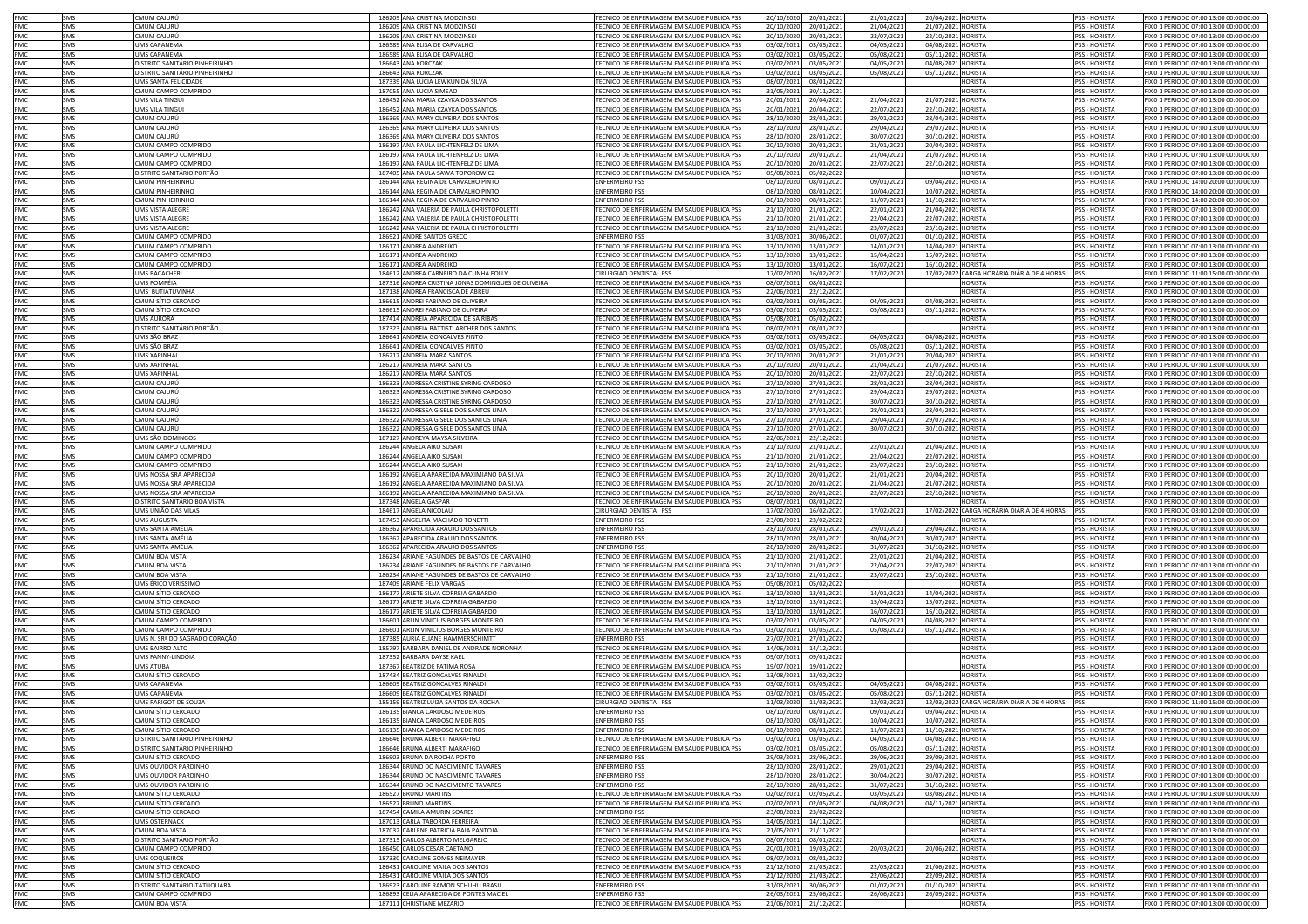| PMC        | SMS        | CMUM CAIURÚ                    | 186209 ANA CRISTINA MODZINSKI                      | TECNICO DE ENFERMAGEM EM SAUDE PUBLICA PSS        | 20/10/2020 | 20/01/2021 | 21/01/2021 | 20/04/2021 HORISTA |                                            | <b>PSS - HORISTA</b> | FIXO 1 PERIODO 07:00 13:00 00:00 00:00 |
|------------|------------|--------------------------------|----------------------------------------------------|---------------------------------------------------|------------|------------|------------|--------------------|--------------------------------------------|----------------------|----------------------------------------|
| PMC        | SMS        | CMUM CAIURÍ                    | 186209 ANA CRISTINA MODZINSK                       | TECNICO DE ENFERMAGEM EM SAUDE PUBLICA PSS        | 20/10/2020 |            |            | 21/07/2021 HORISTA |                                            | <b>PSS - HORISTA</b> | FIXO 1 PERIODO 07:00 13:00 00:00 00:00 |
|            |            |                                |                                                    |                                                   |            | 20/01/2021 | 21/04/2021 |                    |                                            |                      |                                        |
| PMC        | SMS        | CMUM CAJURÚ                    | 186209 ANA CRISTINA MODZINSKI                      | TECNICO DE ENFERMAGEM EM SAUDE PUBLICA PSS        | 20/10/2020 | 20/01/2021 | 22/07/2021 | 22/10/2021 HORISTA |                                            | PSS - HORISTA        | FIXO 1 PERIODO 07:00 13:00 00:00 00:00 |
| PMC        | SMS        | UMS CAPANEMA                   | 186589 ANA ELISA DE CARVALHO                       | TECNICO DE ENFERMAGEM EM SAUDE PUBLICA PSS        | 03/02/2021 | 03/05/2021 | 04/05/2021 | 04/08/2021 HORISTA |                                            | <b>SS-HORISTA</b>    | FIXO 1 PERIODO 07:00 13:00 00:00 00:00 |
| PMC        | SMS        | UMS CAPANEMA                   | 186589 ANA ELISA DE CARVALHO                       | TECNICO DE ENFERMAGEM EM SAUDE PUBLICA PSS        | 03/02/2021 | 03/05/2021 | 05/08/2021 | 05/11/2021 HORISTA |                                            | <b>SS-HORISTA</b>    | FIXO 1 PERIODO 07:00 13:00 00:00 00:00 |
| PMC        | <b>SMS</b> | DISTRITO SANITÁRIO PINHEIRINHO | 186643 ANA KORCZAK                                 | TECNICO DE ENFERMAGEM EM SAUDE PUBLICA PSS        | 03/02/2021 | 03/05/2021 | 04/05/2021 | 04/08/2021 HORISTA |                                            | <b>PSS - HORISTA</b> | FIXO 1 PERIODO 07:00 13:00 00:00 00:00 |
| PMC        | SMS        | DISTRITO SANITÁRIO PINHEIRINHO | 186643 ANA KORCZAK                                 | TECNICO DE ENFERMAGEM EM SAUDE PUBLICA PSS        | 03/02/2021 | 03/05/2021 | 05/08/2021 | 05/11/2021 HORISTA |                                            | <b>PSS - HORISTA</b> | FIXO 1 PERIODO 07:00 13:00 00:00 00:00 |
| PMC        | SMS        |                                |                                                    | TECNICO DE ENFERMAGEM EM SAUDE PUBLICA PSS        | 08/07/2021 |            |            |                    | <b>HORISTA</b>                             | PSS - HORISTA        |                                        |
|            |            | UMS SANTA FELICIDADE           | 187339 ANA LUCIA LEWKUN DA SILVA                   |                                                   |            | 08/01/2022 |            |                    |                                            |                      | FIXO 1 PERIODO 07:00 13:00 00:00 00:00 |
| PMC        | SMS        | CMUM CAMPO COMPRIDO            | 187055 ANA LUCIA SIMEAO                            | TECNICO DE ENFERMAGEM EM SAUDE PUBLICA PSS        | 31/05/2021 | 30/11/2021 |            |                    | <b>HORISTA</b>                             | PSS - HORISTA        | FIXO 1 PERIODO 07:00 13:00 00:00 00:00 |
| PMC        | SMS        | UMS VILA TINGUI                | 186452 ANA MARIA CZAYKA DOS SANTOS                 | TECNICO DE ENFERMAGEM EM SAUDE PUBLICA PSS        | 20/01/2021 | 20/04/2021 | 21/04/2021 | 21/07/2021 HORISTA |                                            | PSS - HORISTA        | FIXO 1 PERIODO 07:00 13:00 00:00 00:00 |
| PMC        | SMS        | UMS VILA TINGUI                | 186452 ANA MARIA CZAYKA DOS SANTOS                 | TECNICO DE ENFERMAGEM EM SAUDE PUBLICA PSS        | 20/01/2021 | 20/04/2021 | 22/07/2021 | 22/10/2021 HORISTA |                                            | PSS - HORISTA        | FIXO 1 PERIODO 07:00 13:00 00:00 00:00 |
| PMC        | <b>SMS</b> | CMUM CAJURÚ                    | 186369 ANA MARY OLIVEIRA DOS SANTOS                | TECNICO DE ENFERMAGEM EM SAUDE PUBLICA PSS        | 28/10/2020 | 28/01/2021 | 29/01/2021 | 28/04/2021 HORISTA |                                            | <b>PSS - HORISTA</b> | FIXO 1 PERIODO 07:00 13:00 00:00 00:00 |
| PMC        | <b>SMS</b> | CMUM CAJURÚ                    | 186369 ANA MARY OLIVEIRA DOS SANTOS                | TECNICO DE ENFERMAGEM EM SAUDE PUBLICA PSS        | 28/10/2020 |            | 29/04/2021 | 29/07/2021 HORISTA |                                            | <b>PSS - HORISTA</b> | FIXO 1 PERIODO 07:00 13:00 00:00 00:00 |
|            |            |                                |                                                    |                                                   |            | 28/01/2021 |            |                    |                                            |                      |                                        |
| PMC        | SMS        | CMUM CAJURÚ                    | 186369 ANA MARY OLIVEIRA DOS SANTOS                | FECNICO DE ENFERMAGEM EM SAUDE PUBLICA PSS        | 28/10/2020 | 28/01/2021 | 30/07/2021 | 30/10/2021 HORISTA |                                            | <b>SS-HORISTA</b>    | FIXO 1 PERIODO 07:00 13:00 00:00 00:00 |
| PMC        | SMS        | CMUM CAMPO COMPRIDO            | 186197 ANA PAULA LICHTENFELZ DE LIMA               | FECNICO DE ENFERMAGEM EM SAUDE PUBLICA PSS        | 20/10/2020 | 20/01/2021 | 21/01/2021 | 20/04/2021 HORISTA |                                            | PSS - HORISTA        | FIXO 1 PERIODO 07:00 13:00 00:00 00:00 |
| PMC        | SMS        | CMUM CAMPO COMPRIDO            | 186197 ANA PAULA LICHTENFELZ DE LIMA               | FECNICO DE ENFERMAGEM EM SAUDE PUBLICA PSS        | 20/10/2020 | 20/01/2021 | 21/04/2021 | 21/07/2021 HORISTA |                                            | <b>SS-HORISTA</b>    | FIXO 1 PERIODO 07:00 13:00 00:00 00:00 |
| PMC        | SMS        | CMUM CAMPO COMPRIDO            | 186197 ANA PAULA LICHTENFELZ DE LIMA               | FECNICO DE ENFERMAGEM EM SAUDE PUBLICA PSS        | 20/10/2020 | 20/01/2021 | 22/07/2021 | 22/10/2021 HORISTA |                                            | SS - HORISTA         | FIXO 1 PERIODO 07:00 13:00 00:00 00:00 |
| PMC        | SMS        | DISTRITO SANITÁRIO PORTÃO      | 187405 ANA PAULA SAWA TOPOROWICZ                   | <b>FECNICO DE ENFERMAGEM EM SAUDE PUBLICA PSS</b> | 05/08/2021 | 05/02/2022 |            |                    | <b>HORISTA</b>                             | SS - HORISTA         | FIXO 1 PERIODO 07:00 13:00 00:00 00:00 |
| PMC        | SMS        | CMUM PINHFIRINHO               | 186144 ANA REGINA DE CARVALHO PINTO                | <b>ENFERMEIRO PSS</b>                             | 08/10/2020 | 08/01/2021 | 09/01/2021 | 09/04/2021 HORISTA |                                            | SS - HORISTA         | IXO 1 PERIODO 14:00 20:00 00:00 00:00  |
|            |            | CMUM PINHFIRINHO               |                                                    |                                                   |            |            |            |                    |                                            |                      |                                        |
| PMC        | SMS        |                                | 186144 ANA REGINA DE CARVALHO PINTO                | ENFERMEIRO PSS                                    | 08/10/2020 | 08/01/2021 | 10/04/2021 | 10/07/2021 HORISTA |                                            | SS - HORISTA         | IXO 1 PERIODO 14:00 20:00 00:00 00:00  |
| PMC        | SMS        | CMUM PINHFIRINHO               | 186144 ANA REGINA DE CARVALHO PINTO                | <b>ENFERMEIRO PSS</b>                             | 08/10/2020 | 08/01/2021 | 11/07/2021 | 11/10/2021 HORISTA |                                            | <b>SS-HORISTA</b>    | IXO 1 PERIODO 14:00 20:00 00:00 00:00  |
| PMC        | SMS        | UMS VISTA ALEGRE               | 186242 ANA VALERIA DE PAULA CHRISTOFOLETTI         | TECNICO DE ENFERMAGEM EM SAUDE PUBLICA PSS        | 21/10/2020 | 21/01/2021 | 22/01/2021 | 21/04/2021 HORISTA |                                            | <b>SS-HORISTA</b>    | FIXO 1 PERIODO 07:00 13:00 00:00 00:00 |
| PMC        | SMS        | UMS VISTA ALEGRE               | 186242 ANA VALERIA DE PAULA CHRISTOFOLETTI         | TECNICO DE ENFERMAGEM EM SAUDE PUBLICA PSS        | 21/10/2020 | 21/01/2021 | 22/04/2021 | 22/07/2021 HORISTA |                                            | <b>SS-HORISTA</b>    | FIXO 1 PERIODO 07:00 13:00 00:00 00:00 |
| PMC        | <b>SMS</b> | UMS VISTA ALEGRE               | 186242 ANA VALERIA DE PAULA CHRISTOFOLETTI         | TECNICO DE ENFERMAGEM EM SAUDE PUBLICA PSS        | 21/10/2020 | 21/01/2021 | 23/07/2021 | 23/10/2021 HORISTA |                                            | <b>SS-HORISTA</b>    | FIXO 1 PERIODO 07:00 13:00 00:00 00:00 |
| <b>PMC</b> | SMS        | CMUM CAMPO COMPRIDO            | 186921 ANDRE SANTOS GRECO                          | <b>FNFERMEIRO PSS</b>                             | 31/03/2021 | 30/06/2021 | 01/07/2021 | 01/10/2021 HORISTA |                                            | <b>SS-HORISTA</b>    | FIXO 1 PERIODO 07:00 13:00 00:00 00:00 |
| <b>PMC</b> | SMS        | CMUM CAMPO COMPRIDO            | 186171 ANDREA ANDREIKO                             | TECNICO DE ENFERMAGEM EM SAUDE PUBLICA PSS        | 13/10/2020 | 13/01/2021 | 14/01/2021 | 14/04/2021 HORISTA |                                            | <b>PSS - HORISTA</b> | FIXO 1 PERIODO 07:00 13:00 00:00 00:00 |
|            |            |                                |                                                    |                                                   |            |            |            |                    |                                            |                      |                                        |
| PMC        | SMS        | CMUM CAMPO COMPRIDO            | 186171 ANDREA ANDREIKO                             | TECNICO DE ENFERMAGEM EM SAUDE PUBLICA PSS        | 13/10/2020 | 13/01/2021 | 15/04/2021 | 15/07/2021 HORISTA |                                            | <b>PSS - HORISTA</b> | FIXO 1 PERIODO 07:00 13:00 00:00 00:00 |
| PMC        | SMS        | CMUM CAMPO COMPRIDO            | 186171 ANDREA ANDREIKO                             | TECNICO DE ENFERMAGEM EM SAUDE PUBLICA PSS        | 13/10/2020 | 13/01/2021 | 16/07/2021 | 16/10/2021 HORISTA |                                            | SS - HORISTA         | FIXO 1 PERIODO 07:00 13:00 00:00 00:00 |
| PMC        | SMS        | UMS BACACHERI                  | 184612 ANDREA CARNEIRO DA CUNHA FOLLY              | CIRURGIAO DENTISTA PSS                            | 17/02/2020 | 16/02/2021 | 17/02/2021 |                    | 17/02/2022 CARGA HORÁRIA DIÁRIA DE 4 HORAS |                      | IXO 1 PERIODO 11:00 15:00 00:00 00:00  |
| PMC        | SMS        | UMS POMPÉIA                    | 187316 ANDREA CRISTINA JONAS DOMINGUES DE OLIVEIRA | TECNICO DE ENFERMAGEM EM SAUDE PUBLICA PSS        | 08/07/2021 | 08/01/2022 |            |                    | <b>HORISTA</b>                             | SS - HORISTA         | IXO 1 PERIODO 07:00 13:00 00:00 00:00  |
| PMC        | SMS        | UMS BUTIATUVINHA               | 187138 ANDREA FRANCISCA DE ABREU                   | <b>FECNICO DE ENFERMAGEM EM SAUDE PUBLICA PSS</b> | 22/06/2021 | 22/12/2021 |            |                    | <b>HORISTA</b>                             | <b>SS-HORISTA</b>    | IXO 1 PERIODO 07:00 13:00 00:00 00:00  |
| PMC        | SMS        | CMUM SÍTIO CERCADO             | 186615 ANDREI FABIANO DE OLIVEIRA                  | TECNICO DE ENFERMAGEM EM SAUDE PUBLICA PSS        | 03/02/2021 | 03/05/2021 | 04/05/2021 | 04/08/2021 HORISTA |                                            | <b>SS-HORISTA</b>    | IXO 1 PERIODO 07:00 13:00 00:00 00:00  |
|            |            |                                |                                                    |                                                   |            |            |            |                    |                                            |                      |                                        |
| PMC        | SMS        | CMUM SÍTIO CERCADO             | 186615 ANDREI FABIANO DE OLIVEIRA                  | TECNICO DE ENFERMAGEM EM SAUDE PUBLICA PSS        | 03/02/2021 | 03/05/2021 | 05/08/2021 | 05/11/2021 HORISTA |                                            | <b>SS-HORISTA</b>    | IXO 1 PERIODO 07:00 13:00 00:00 00:00  |
| PMC        | SMS        | UMS AURORA                     | 187414 ANDREIA APARECIDA DE SÁ RIBAS               | TECNICO DE ENFERMAGEM EM SAUDE PUBLICA PSS        | 05/08/2021 | 05/02/2022 |            |                    | <b>HORISTA</b>                             | <b>SS-HORISTA</b>    | FIXO 1 PERIODO 07:00 13:00 00:00 00:00 |
| PMC        | <b>SMS</b> | DISTRITO SANITÁRIO PORTÃO      | 187323 ANDREIA BATTISTI ARCHER DOS SANTOS          | TECNICO DE ENFERMAGEM EM SAUDE PUBLICA PSS        | 08/07/2021 | 08/01/2022 |            |                    | <b>HORISTA</b>                             | <b>SS-HORISTA</b>    | FIXO 1 PERIODO 07:00 13:00 00:00 00:00 |
| PMC        | SMS        | UMS SÃO BRAZ                   | 186641 ANDREIA GONCALVES PINTO                     | TECNICO DE ENFERMAGEM EM SAUDE PUBLICA PSS        | 03/02/2021 | 03/05/2021 | 04/05/2021 | 04/08/2021 HORISTA |                                            | SS - HORISTA         | FIXO 1 PERIODO 07:00 13:00 00:00 00:00 |
| PMC        | SMS        | UMS SÃO BRAZ                   | 186641 ANDREIA GONCALVES PINTO                     | TECNICO DE ENFERMAGEM EM SAUDE PUBLICA PSS        | 03/02/2021 | 03/05/2021 | 05/08/2021 | 05/11/2021 HORISTA |                                            | <b>PSS - HORISTA</b> | FIXO 1 PERIODO 07:00 13:00 00:00 00:00 |
| PMC        | SMS        | <b>UMS XAPINHAI</b>            | 186217 ANDREIA MARA SANTOS                         | TECNICO DE ENFERMAGEM EM SAUDE PUBLICA PSS        | 20/10/2020 |            |            |                    |                                            | <b>PSS - HORISTA</b> | FIXO 1 PERIODO 07:00 13:00 00:00 00:00 |
|            |            |                                |                                                    |                                                   |            | 20/01/2021 | 21/01/2021 | 20/04/2021 HORISTA |                                            |                      |                                        |
| PMC        | SMS        | <b>IMS XAPINHA</b>             | 186217 ANDREIA MARA SANTOS                         | TECNICO DE ENFERMAGEM EM SAUDE PUBLICA PSS        | 20/10/2020 | 20/01/2021 | 21/04/2021 | 21/07/2021 HORISTA |                                            | <b>SS-HORISTA</b>    | FIXO 1 PERIODO 07:00 13:00 00:00 00:00 |
| PMC        | SMS        | <b>IMS XAPINHA</b>             | 186217 ANDREIA MARA SANTOS                         | FECNICO DE ENFERMAGEM EM SAUDE PUBLICA PSS        | 20/10/2020 | 20/01/2021 | 22/07/2021 | 22/10/2021 HORISTA |                                            | <b>SS-HORISTA</b>    | FIXO 1 PERIODO 07:00 13:00 00:00 00:00 |
| PMC        | SMS        | CMUM CAJURÚ                    | 186323 ANDRESSA CRISTINE SYRING CARDOSO            | FECNICO DE ENFERMAGEM EM SAUDE PUBLICA PSS        | 27/10/2020 | 27/01/2021 | 28/01/2021 | 28/04/2021 HORISTA |                                            | SS - HORISTA         | FIXO 1 PERIODO 07:00 13:00 00:00 00:00 |
| PMC        | SMS        | CMUM CAJURÚ                    | 186323 ANDRESSA CRISTINE SYRING CARDOSO            | FECNICO DE ENFERMAGEM EM SAUDE PUBLICA PSS        | 27/10/2020 | 27/01/2021 | 29/04/2021 | 29/07/2021 HORISTA |                                            | SS - HORISTA         | FIXO 1 PERIODO 07:00 13:00 00:00 00:00 |
| PMC        | SMS        | CMUM CAJURÚ                    | 186323 ANDRESSA CRISTINE SYRING CARDOSO            | FECNICO DE ENFERMAGEM EM SAUDE PUBLICA PSS        | 27/10/2020 | 27/01/2021 | 30/07/2021 | 30/10/2021 HORISTA |                                            | SS - HORISTA         | FIXO 1 PERIODO 07:00 13:00 00:00 00:00 |
| PMC        | SMS        | CMUM CAJURÚ                    | 186322 ANDRESSA GISELE DOS SANTOS LIMA             | ECNICO DE ENFERMAGEM EM SAUDE PUBLICA PSS         | 27/10/2020 | 27/01/2021 | 28/01/2021 | 28/04/2021 HORISTA |                                            | <b>SS-HORISTA</b>    | IXO 1 PERIODO 07:00 13:00 00:00 00:00  |
|            |            |                                |                                                    | FCNICO DE ENFERMAGEM EM SAUDE PUBLICA PSS         |            |            |            |                    |                                            |                      |                                        |
| PMC        | SMS        | CMUM CAJURÚ                    | 186322 ANDRESSA GISELE DOS SANTOS LIMA             |                                                   | 27/10/2020 | 27/01/2021 | 29/04/2021 | 29/07/2021 HORISTA |                                            | <b>SS-HORISTA</b>    | IXO 1 PERIODO 07:00 13:00 00:00 00:00  |
| PMC        | SMS        | CMUM CAJURÚ                    | 186322 ANDRESSA GISELE DOS SANTOS LIMA             | ECNICO DE ENFERMAGEM EM SAUDE PUBLICA PSS         | 27/10/2020 | 27/01/2021 | 30/07/2021 | 30/10/2021 HORISTA |                                            | <b>SS-HORISTA</b>    | IXO 1 PERIODO 07:00 13:00 00:00 00:00  |
| PMC        | <b>SMS</b> | UMS SÃO DOMINGOS               | 187127 ANDREYA MAYSA SILVEIRA                      | TECNICO DE ENFERMAGEM EM SAUDE PUBLICA PSS        | 22/06/2021 | 22/12/2021 |            |                    | <b>HORISTA</b>                             | PSS - HORISTA        | FIXO 1 PERIODO 07:00 13:00 00:00 00:00 |
| PMC        | SMS        | CMUM CAMPO COMPRIDO            | 186244 ANGELA AIKO SUSAKI                          | TECNICO DE ENFERMAGEM EM SAUDE PUBLICA PSS        | 21/10/2020 | 21/01/2021 | 22/01/2021 | 21/04/2021 HORISTA |                                            | PSS - HORISTA        | FIXO 1 PERIODO 07:00 13:00 00:00 00:00 |
| PMC        | SMS        | CMUM CAMPO COMPRIDO            | 186244 ANGELA AIKO SUSAKI                          | TECNICO DE ENFERMAGEM EM SAUDE PUBLICA PSS        | 21/10/2020 | 21/01/2021 | 22/04/2021 | 22/07/2021 HORISTA |                                            | PSS - HORISTA        | FIXO 1 PERIODO 07:00 13:00 00:00 00:00 |
| <b>PMC</b> | <b>SMS</b> | CMUM CAMPO COMPRIDO            | 186244 ANGELA AIKO SUSAKI                          | TECNICO DE ENFERMAGEM EM SAUDE PUBLICA PSS        | 21/10/2020 | 21/01/2021 | 23/07/2021 | 23/10/2021 HORISTA |                                            | <b>PSS - HORISTA</b> | FIXO 1 PERIODO 07:00 13:00 00:00 00:00 |
| PMC        | SMS        | UMS NOSSA SRA APARECIDA        | 186192 ANGELA APARECIDA MAXIMIANO DA SILVA         | TECNICO DE ENFERMAGEM EM SAUDE PUBLICA PSS        | 20/10/2020 | 20/01/2021 | 21/01/2021 | 20/04/2021 HORISTA |                                            | <b>PSS - HORISTA</b> | FIXO 1 PERIODO 07:00 13:00 00:00 00:00 |
| PMC        | SMS        | UMS NOSSA SRA APARECIDA        | 186192 ANGELA APARECIDA MAXIMIANO DA SILVA         | TECNICO DE ENFERMAGEM EM SAUDE PUBLICA PSS        | 20/10/2020 | 20/01/2021 | 21/04/2021 | 21/07/2021 HORISTA |                                            | <b>PSS - HORISTA</b> | FIXO 1 PERIODO 07:00 13:00 00:00 00:00 |
|            |            |                                |                                                    |                                                   |            |            |            |                    |                                            |                      |                                        |
| PMC        | SMS        | UMS NOSSA SRA APARECIDA        | 186192 ANGELA APARECIDA MAXIMIANO DA SILVA         | TECNICO DE ENFERMAGEM EM SAUDE PUBLICA PSS        | 20/10/2020 | 20/01/2021 | 22/07/2021 | 22/10/2021 HORISTA |                                            | PSS - HORISTA        | FIXO 1 PERIODO 07:00 13:00 00:00 00:00 |
| PMC        | SMS        | DISTRITO SANITÁRIO BOA VISTA   | 187348 ANGELA GASPAR                               | TECNICO DE ENFERMAGEM EM SAUDE PUBLICA PSS        | 08/07/2021 | 08/01/2022 |            |                    | <b>HORISTA</b>                             | SS - HORISTA         | FIXO 1 PERIODO 07:00 13:00 00:00 00:00 |
| PMC        | SMS        | UMS UNIÃO DAS VILAS            | 184617 ANGELA NICOLAU                              | CIRURGIAO DENTISTA PSS                            | 17/02/2020 | 16/02/2021 | 17/02/2021 |                    | 17/02/2022 CARGA HORÁRIA DIÁRIA DE 4 HORAS |                      | IXO 1 PERIODO 08:00 12:00 00:00 00:00  |
| PMC        | SMS        | UMS AUGUSTA                    | 187453 ANGELITA MACHADO TONETTI                    | <b>ENFERMEIRO PSS</b>                             | 23/08/202  | 23/02/2022 |            |                    | <b>HORISTA</b>                             | SS - HORISTA         | FIXO 1 PERIODO 07:00 13:00 00:00 00:00 |
| PMC        | SMS        | UMS SANTA AMÉLIA               | 186362 APARECIDA ARAUJO DOS SANTOS                 | <b>ENFERMEIRO PSS</b>                             | 28/10/2020 | 28/01/2021 | 29/01/2021 | 29/04/2021 HORISTA |                                            | <b>SS-HORISTA</b>    | IXO 1 PERIODO 07:00 13:00 00:00 00:00  |
| PMC        | SMS        | UMS SANTA AMÉLIA               | 186362 APARECIDA ARAUJO DOS SANTOS                 | <b>ENFERMEIRO PSS</b>                             | 28/10/2020 | 28/01/2021 | 30/04/2021 | 30/07/2021 HORISTA |                                            | <b>PSS - HORISTA</b> | IXO 1 PERIODO 07:00 13:00 00:00 00:00  |
|            |            |                                |                                                    |                                                   |            |            |            |                    |                                            |                      |                                        |
| PMC        | SMS        | UMS SANTA AMÉLIA               | 186362 APARECIDA ARAUJO DOS SANTOS                 | <b>ENFERMEIRO PSS</b>                             | 28/10/2020 | 28/01/2021 | 31/07/2021 | 31/10/2021 HORISTA |                                            | <b>SS-HORISTA</b>    | FIXO 1 PERIODO 07:00 13:00 00:00 00:00 |
| PMC        | SMS        | CMUM BOA VISTA                 | 186234 ARIANE FAGUNDES DE BASTOS DE CARVALHO       | TECNICO DE ENFERMAGEM EM SAUDE PUBLICA PSS        | 21/10/2020 | 21/01/2021 | 22/01/2021 | 21/04/2021 HORISTA |                                            | SS - HORISTA         | FIXO 1 PERIODO 07:00 13:00 00:00 00:00 |
| PMC        | <b>SMS</b> | CMUM BOA VISTA                 | 186234 ARIANE FAGUNDES DE BASTOS DE CARVALHO       | TECNICO DE ENFERMAGEM EM SAUDE PUBLICA PSS        | 21/10/2020 | 21/01/2021 | 22/04/2021 | 22/07/2021 HORISTA |                                            | <b>SS-HORISTA</b>    | FIXO 1 PERIODO 07:00 13:00 00:00 00:00 |
| PMC        | SMS        | CMUM BOA VISTA                 | 186234 ARIANE FAGUNDES DE BASTOS DE CARVALHO       | TECNICO DE ENFERMAGEM EM SAUDE PUBLICA PSS        | 21/10/2020 | 21/01/2021 | 23/07/2021 | 23/10/2021 HORISTA |                                            | <b>SS-HORISTA</b>    | FIXO 1 PERIODO 07:00 13:00 00:00 00:00 |
| <b>PMC</b> | SMS        | UMS ÉRICO VERÍSSIMO            | 187409 ARIANE FFLIX VARGAS                         | TECNICO DE ENFERMAGEM EM SAUDE PUBLICA PSS        | 05/08/2021 | 05/02/2022 |            |                    | <b>HORISTA</b>                             | <b>PSS - HORISTA</b> | FIXO 1 PERIODO 07:00 13:00 00:00 00:00 |
| <b>PMC</b> | SMS        | CMUM SÍTIO CERCADO             | 186177 ARLETE SILVA CORREIA GABARDO                | TECNICO DE ENFERMAGEM EM SAUDE PUBLICA PSS        | 13/10/2020 | 13/01/2021 | 14/01/2021 | 14/04/2021 HORISTA |                                            | <b>PSS - HORISTA</b> | FIXO 1 PERIODO 07:00 13:00 00:00 00:00 |
| PMC        | SMS        | CMUM SÍTIO CERCADO             | 186177 ARLETE SILVA CORREIA GABARDO                | TECNICO DE ENFERMAGEM EM SAUDE PUBLICA PSS        | 13/10/2020 |            | 15/04/2021 | 15/07/2021 HORISTA |                                            | <b>PSS - HORISTA</b> |                                        |
|            |            |                                | 186177 ARLETE SILVA CORREIA GABARDO                |                                                   |            | 13/01/2021 |            |                    |                                            |                      | FIXO 1 PERIODO 07:00 13:00 00:00 00:00 |
| PMC        | SMS        | CMUM SÍTIO CERCADO             |                                                    | FECNICO DE ENFERMAGEM EM SAUDE PUBLICA PSS        | 13/10/2020 | 13/01/2021 | 16/07/2021 | 16/10/2021 HORISTA |                                            | SS - HORISTA         | FIXO 1 PERIODO 07:00 13:00 00:00 00:00 |
| <b>PMC</b> | SMS        | CMUM CAMPO COMPRIDO            | 186601 ARLIN VINICIUS BORGES MONTEIRO              | FECNICO DE ENFERMAGEM EM SAUDE PUBLICA PSS        | 03/02/2021 | 03/05/2021 | 04/05/2021 | 04/08/2021 HORISTA |                                            | SS - HORISTA         | FIXO 1 PERIODO 07:00 13:00 00:00 00:00 |
| PMC        | SMS        | CMUM CAMPO COMPRIDO            | 186601 ARLIN VINICIUS BORGES MONTEIRO              | <b>FECNICO DE ENFERMAGEM EM SAUDE PUBLICA PSS</b> | 03/02/2021 | 03/05/2021 | 05/08/2021 | 05/11/2021 HORISTA |                                            | SS - HORISTA         | FIXO 1 PERIODO 07:00 13:00 00:00 00:00 |
| PMC        | SMS        | UMS N. SRª DO SAGRADO CORAÇÃO  | 187385 AURIA ELIANE HAMMERSCHIMTT                  | <b>ENFERMEIRO PSS</b>                             | 27/07/2021 | 27/01/2022 |            |                    | <b>IORISTA</b>                             | SS - HORISTA         | IXO 1 PERIODO 07:00 13:00 00:00 00:00  |
| PMC        | <b>SMS</b> | <b>UMS BAIRRO ALTO</b>         | 185797 BARBARA DANIEL DE ANDRADE NORONHA           | FECNICO DE ENFERMAGEM EM SAUDE PUBLICA PSS        | 14/06/2021 | 14/12/2021 |            |                    | <b>HORISTA</b>                             | SS - HORISTA         | IXO 1 PERIODO 07:00 13:00 00:00 00:00  |
| PMC        | SMS        | UMS FANNY-LINDÓIA              | 187352 BARBARA DAYSE KAEL                          | FECNICO DE ENFERMAGEM EM SAUDE PUBLICA PSS        | 09/07/2021 | 09/01/2022 |            |                    | <b>HORISTA</b>                             | SS - HORISTA         | IXO 1 PERIODO 07:00 13:00 00:00 00:00  |
| PMC        | SMS        | UMS ATUBA                      | 187367 BEATRIZ DE FATIMA ROSA                      | TECNICO DE ENFERMAGEM EM SAUDE PUBLICA PSS        | 19/07/2021 | 19/01/2022 |            |                    | <b>HORISTA</b>                             | <b>SS-HORISTA</b>    | FIXO 1 PERIODO 07:00 13:00 00:00 00:00 |
| PMC        | <b>SMS</b> | CMUM SÍTIO CERCADO             | 187434 BEATRIZ GONCALVES RINALDI                   | TECNICO DE ENFERMAGEM EM SAUDE PUBLICA PSS        | 13/08/2021 | 13/02/2022 |            |                    | <b>HORISTA</b>                             | PSS - HORISTA        | FIXO 1 PERIODO 07:00 13:00 00:00 00:00 |
|            | SMS        |                                |                                                    |                                                   |            |            |            |                    |                                            |                      | FIXO 1 PERIODO 07:00 13:00 00:00 00:00 |
| PMC        |            | UMS CAPANEMA                   | 186609 BEATRIZ GONCALVES RINALDI                   | TECNICO DE ENFERMAGEM EM SAUDE PUBLICA PSS        | 03/02/2021 | 03/05/2021 | 04/05/2021 | 04/08/2021 HORISTA |                                            | PSS - HORISTA        |                                        |
| PMC        | SMS        | <b>UMS CAPANEMA</b>            | 186609 BEATRIZ GONCALVES RINALDI                   | TECNICO DE ENFERMAGEM EM SAUDE PUBLICA PSS        | 03/02/2021 | 03/05/2021 | 05/08/2021 | 05/11/2021 HORISTA |                                            | <b>PSS - HORISTA</b> | FIXO 1 PERIODO 07:00 13:00 00:00 00:00 |
| PMC        | SMS        | <b>UMS PARIGOT DE SOUZA</b>    | 185159 BEATRIZ LUIZA SANTOS DA ROCHA               | CIRURGIAO DENTISTA PSS                            | 11/03/2020 | 11/03/2021 | 12/03/2021 |                    | 12/03/2022 CARGA HORÁRIA DIÁRIA DE 4 HORAS |                      | FIXO 1 PERIODO 11:00 15:00 00:00 00:00 |
| PMC        | <b>SMS</b> | CMUM SÍTIO CERCADO             | 186135 BIANCA CARDOSO MEDEIROS                     | <b>ENFERMEIRO PSS</b>                             | 08/10/2020 | 08/01/2021 | 09/01/2021 | 09/04/2021 HORISTA |                                            | PSS - HORISTA        | FIXO 1 PERIODO 07:00 13:00 00:00 00:00 |
| PMC        | SMS        | CMUM SÍTIO CERCADO             | 186135 BIANCA CARDOSO MEDEIROS                     | <b>ENFERMEIRO PSS</b>                             | 08/10/2020 | 08/01/2021 | 10/04/2021 | 10/07/2021 HORISTA |                                            | PSS - HORISTA        | FIXO 1 PERIODO 07:00 13:00 00:00 00:00 |
| PMC        | SMS        | CMUM SÍTIO CERCADO             | 186135 BIANCA CARDOSO MEDEIROS                     | <b>ENFERMEIRO PSS</b>                             | 08/10/2020 | 08/01/2021 | 11/07/2021 | 11/10/2021 HORISTA |                                            | PSS - HORISTA        | FIXO 1 PERIODO 07:00 13:00 00:00 00:00 |
| PMC        | SMS        | DISTRITO SANITÁRIO PINHEIRINHO | 186646 BRUNA ALBERTI MARAFIGO                      | TECNICO DE ENFERMAGEM EM SAUDE PUBLICA PSS        | 03/02/2021 | 03/05/2021 | 04/05/2021 | 04/08/2021 HORISTA |                                            | PSS - HORISTA        | FIXO 1 PERIODO 07:00 13:00 00:00 00:00 |
| PMC        | SMS        | DISTRITO SANITÁRIO PINHEIRINHO | 186646 BRUNA ALBERTI MARAFIGO                      | TECNICO DE ENFERMAGEM EM SAUDE PUBLICA PSS        | 03/02/2021 | 03/05/2021 | 05/08/2021 | 05/11/2021 HORISTA |                                            | PSS - HORISTA        | FIXO 1 PERIODO 07:00 13:00 00:00 00:00 |
|            |            |                                |                                                    |                                                   |            |            |            |                    |                                            |                      |                                        |
| PMC        | SMS        | CMUM SÍTIO CERCADO             | 186903 BRUNA DA ROCHA PORTO                        | ENFERMEIRO PSS                                    | 29/03/2021 | 28/06/2021 | 29/06/2021 | 29/09/2021 HORISTA |                                            | PSS - HORISTA        | IXO 1 PERIODO 07:00 13:00 00:00 00:00  |
| PMC        | <b>SMS</b> | UMS OUVIDOR PARDINHO           | 186344 BRUNO DO NASCIMENTO TAVARES                 | <b>ENFERMEIRO PSS</b>                             | 28/10/2020 | 28/01/2021 | 29/01/2021 | 29/04/2021 HORISTA |                                            | PSS - HORISTA        | FIXO 1 PERIODO 07:00 13:00 00:00 00:00 |
| PMC        | SMS        | UMS OUVIDOR PARDINHO           | 186344 BRUNO DO NASCIMENTO TAVARES                 | <b>ENFERMEIRO PSS</b>                             | 28/10/2020 | 28/01/2021 | 30/04/2021 | 30/07/2021 HORISTA |                                            | PSS - HORISTA        | FIXO 1 PERIODO 07:00 13:00 00:00 00:00 |
| PMC        | SMS        | UMS OUVIDOR PARDINHO           | 186344 BRUNO DO NASCIMENTO TAVARES                 | ENFERMEIRO PSS                                    | 28/10/2020 | 28/01/2021 | 31/07/2021 | 31/10/2021 HORISTA |                                            | PSS - HORISTA        | FIXO 1 PERIODO 07:00 13:00 00:00 00:00 |
| PMC        | SMS        | CMUM SÍTIO CERCADO             | 186527 BRUNO MARTINS                               | TECNICO DE ENFERMAGEM EM SAUDE PUBLICA PSS        | 02/02/2021 | 02/05/2021 | 03/05/2021 | 03/08/2021 HORISTA |                                            | PSS - HORISTA        | FIXO 1 PERIODO 07:00 13:00 00:00 00:00 |
| PMC        | SMS        | CMUM SÍTIO CERCADO             | 186527 BRUNO MARTINS                               | TECNICO DE ENFERMAGEM EM SAUDE PUBLICA PSS        | 02/02/2021 | 02/05/2021 | 04/08/2021 | 04/11/2021 HORISTA |                                            | PSS - HORISTA        | FIXO 1 PERIODO 07:00 13:00 00:00 00:00 |
| PMC.       | SMS        | CMUM SÍTIO CERCADO             | 187454 CAMILA AMURIN SOARES                        | ENFERMEIRO PSS                                    | 23/08/2021 | 23/02/2022 |            |                    | <b>HORISTA</b>                             | <b>SS-HORISTA</b>    | FIXO 1 PERIODO 07:00 13:00 00:00 00:00 |
| PMC.       | SMS        | UMS OSTERNACK                  | 187013 CARLA TABORDA FERREIRA                      | TECNICO DE ENFERMAGEM EM SAUDE PUBLICA PSS        | 14/05/2021 | 14/11/2021 |            |                    | <b>HORISTA</b>                             | <b>PSS - HORISTA</b> | FIXO 1 PERIODO 07:00 13:00 00:00 00:00 |
| PMC        | SMS        | CMUM BOA VISTA                 | 187032 CARLENE PATRICIA BAIA PANTOJA               | TECNICO DE ENFERMAGEM EM SAUDE PUBLICA PSS        | 21/05/2021 | 21/11/2021 |            |                    | <b>HORISTA</b>                             | PSS - HORISTA        | FIXO 1 PERIODO 07:00 13:00 00:00 00:00 |
| PMC        | SMS        | DISTRITO SANITÁRIO PORTÃO      | 187315 CARLOS ALBERTO MELGAREJO                    | TECNICO DE ENFERMAGEM EM SAUDE PUBLICA PSS        | 08/07/2021 | 08/01/2022 |            |                    | <b>HORISTA</b>                             | PSS - HORISTA        | FIXO 1 PERIODO 07:00 13:00 00:00 00:00 |
| PMC        |            | CMUM CAMPO COMPRIDO            |                                                    |                                                   |            |            |            | 20/06/2021 HORISTA |                                            |                      | FIXO 1 PERIODO 07:00 13:00 00:00 00:00 |
|            |            |                                | 186450 CARLOS CESAR CAETANO                        | TECNICO DE ENFERMAGEM EM SAUDE PUBLICA PSS        | 20/01/2021 | 19/03/2021 | 20/03/2021 |                    |                                            | <b>SS-HORISTA</b>    |                                        |
|            | SMS        |                                |                                                    |                                                   |            |            |            |                    |                                            |                      |                                        |
| PMC        | SMS        | UMS COQUEIROS                  | 187330 CAROLINE GOMES NEIMAYER                     | FECNICO DE ENFERMAGEM EM SAUDE PUBLICA PSS        | 08/07/2021 | 08/01/2022 |            |                    | HORISTA                                    | <b>SS-HORISTA</b>    | FIXO 1 PERIODO 07:00 13:00 00:00 00:00 |
| PMC        | SMS        | CMUM SÍTIO CERCADO             | 186431 CAROLINE MAILA DOS SANTOS                   | FECNICO DE ENFERMAGEM EM SAUDE PUBLICA PSS        | 21/12/2020 | 21/03/2021 | 22/03/2021 | 21/06/2021 HORISTA |                                            | SS - HORISTA         | IXO 1 PERIODO 07:00 13:00 00:00 00:00  |
| PMC        | SMS        | CMUM SÍTIO CERCADO             | 186431 CAROLINE MAILA DOS SANTOS                   | TECNICO DE ENFERMAGEM EM SAUDE PUBLICA PSS        | 21/12/2020 | 21/03/2021 | 22/06/2021 | 22/09/2021 HORISTA |                                            | <b>SS-HORISTA</b>    | FIXO 1 PERIODO 07:00 13:00 00:00 00:00 |
| PMC        | SMS        | DISTRITO SANITÁRIO-TATUQUARA   | 186923 CAROLINE RAMON SCHUHLI BRASIL               | <b>ENFERMEIRO PSS</b>                             | 31/03/2021 | 30/06/2021 | 01/07/2021 | 01/10/2021 HORISTA |                                            | <b>PSS - HORISTA</b> | FIXO 1 PERIODO 07:00 13:00 00:00 00:00 |
| PMC        | SMS        | CMUM CAMPO COMPRIDO            | 186893 CELIA APARECIDA DE PONTES MACIEL            | <b>ENFERMEIRO PSS</b>                             | 26/03/2021 | 25/06/2021 | 26/06/2021 | 26/09/2021 HORISTA |                                            | PSS - HORISTA        | FIXO 1 PERIODO 07:00 13:00 00:00 00:00 |
| PMC        | SMS        | CMUM BOA VISTA                 | 187111 CHRISTIANE MEZARIO                          | TECNICO DE ENFERMAGEM EM SAUDE PUBLICA PSS        | 21/06/2021 | 21/12/2021 |            |                    | <b>HORISTA</b>                             | PSS - HORISTA        | FIXO 1 PERIODO 07:00 13:00 00:00 00:00 |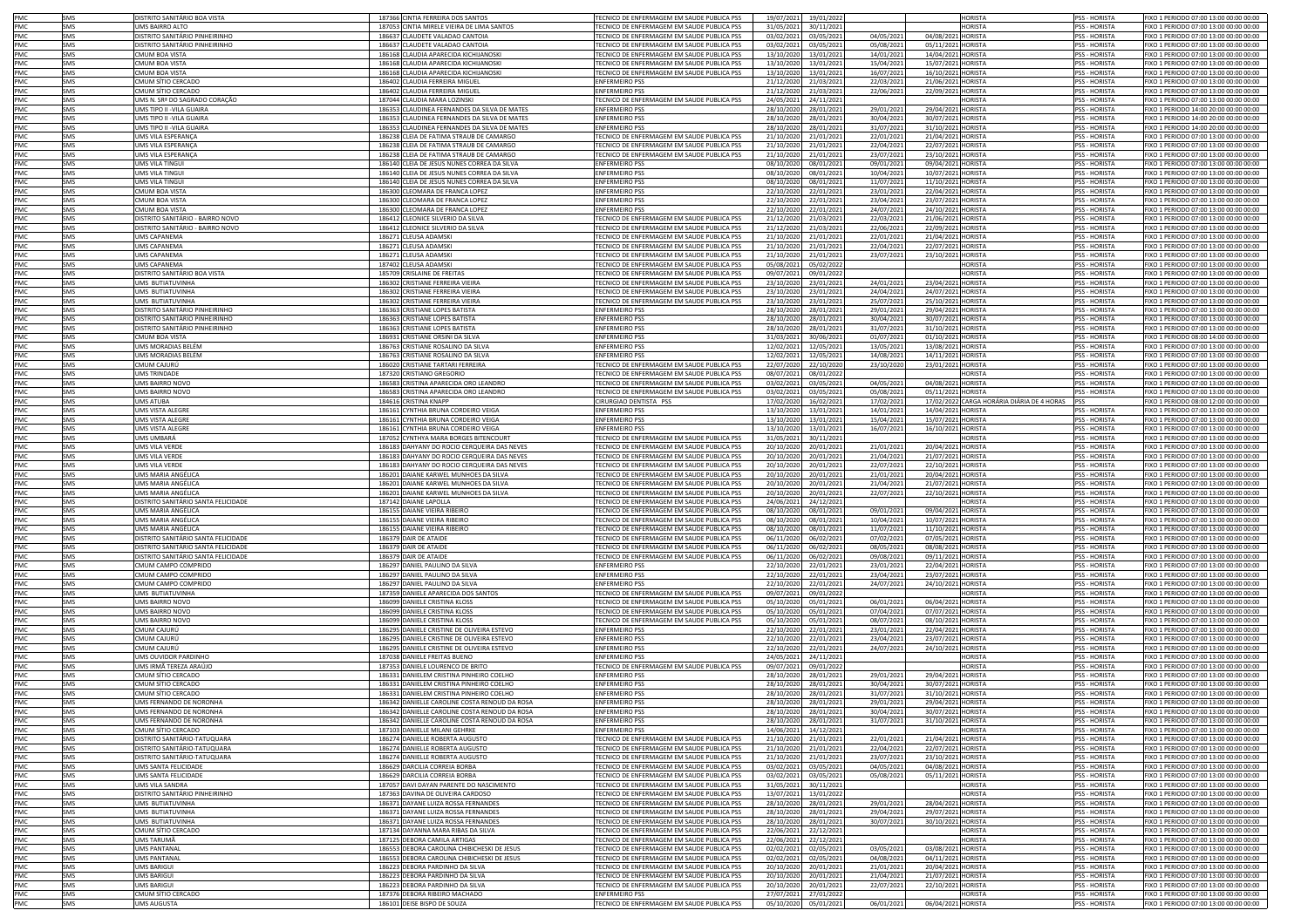| <b>PMC</b> | SMS        | DISTRITO SANITÁRIO BOA VISTA        | 187366 CINTIA FERREIRA DOS SANTOS             | TECNICO DE ENFERMAGEM EM SAUDE PUBLICA PSS        | 19/07/2021 | 19/01/202  |            |                    | <b>HORISTA</b>                             | <b>PSS - HORISTA</b> | FIXO 1 PERIODO 07:00 13:00 00:00 00:00 |
|------------|------------|-------------------------------------|-----------------------------------------------|---------------------------------------------------|------------|------------|------------|--------------------|--------------------------------------------|----------------------|----------------------------------------|
| PMC        | SMS        | <b>IMS BAIRRO ALTO</b>              | 187053 CINTIA MIRELE VIEIRA DE LIMA SANTOS    | <b>FECNICO DE ENFERMAGEM EM SAUDE PUBLICA PSS</b> | 31/05/2021 | 30/11/202  |            |                    | <b>HORISTA</b>                             | <b>PSS - HORISTA</b> | FIXO 1 PERIODO 07:00 13:00 00:00 00:00 |
| PMC        | SMS        | DISTRITO SANITÁRIO PINHEIRINHO      | 186637 CLAUDETE VALADAO CANTOIA               | TECNICO DE ENFERMAGEM EM SAUDE PUBLICA PSS        | 03/02/2021 | 03/05/202  | 04/05/202  | 04/08/2021 HORISTA |                                            | PSS - HORISTA        | FIXO 1 PERIODO 07:00 13:00 00:00 00:00 |
|            |            |                                     |                                               |                                                   |            |            |            |                    |                                            |                      |                                        |
| PMC        | SMS        | DISTRITO SANITÁRIO PINHEIRINHO      | 186637 CLAUDETE VALADAO CANTOIA               | TECNICO DE ENFERMAGEM EM SAUDE PUBLICA PSS        | 03/02/2021 | 03/05/202  | 05/08/2021 | 05/11/2021 HORISTA |                                            | PSS - HORISTA        | FIXO 1 PERIODO 07:00 13:00 00:00 00:00 |
| PMC        | SMS        | <b>CMUM BOA VISTA</b>               | 186168 CLAUDIA APARECIDA KICHIJANOSK          | TECNICO DE ENFERMAGEM EM SAUDE PUBLICA PSS        | 13/10/2020 | 13/01/202  | 14/01/2021 | 14/04/2021         | <b>HORISTA</b>                             | PSS - HORISTA        | FIXO 1 PERIODO 07:00 13:00 00:00 00:00 |
| PMC        | <b>SMS</b> | <b>CMUM BOA VISTA</b>               | 186168 CLAUDIA APARECIDA KICHIJANOSK          | TECNICO DE ENFERMAGEM EM SAUDE PUBLICA PSS        | 13/10/2020 | 13/01/202  | 15/04/2021 | 15/07/2021 HORISTA |                                            | <b>PSS - HORISTA</b> | FIXO 1 PERIODO 07:00 13:00 00:00 00:00 |
| PMC        | SMS        | <b>CMUM BOA VISTA</b>               | 186168 CLAUDIA APARECIDA KICHIJANOSK          | TECNICO DE ENFERMAGEM EM SAUDE PUBLICA PSS        | 13/10/2020 | 13/01/202  | 16/07/202: | 16/10/2021 HORISTA |                                            | PSS - HORISTA        | FIXO 1 PERIODO 07:00 13:00 00:00 00:00 |
| PMC        | SMS        | CMUM SÍTIO CERCADO                  | 186402 CLAUDIA FERREIRA MIGUEL                | <b>ENFERMEIRO PSS</b>                             | 21/12/2020 | 21/03/202  | 22/03/2021 | 21/06/2021 HORISTA |                                            | PSS - HORISTA        | FIXO 1 PERIODO 07:00 13:00 00:00 00:00 |
| PMC        | SMS        | CMUM SÍTIO CERCADO                  | 186402 CLAUDIA FERREIRA MIGUEL                | ENFERMEIRO PSS                                    | 21/12/2020 | 21/03/202  | 22/06/2021 | 22/09/2021 HORISTA |                                            | PSS - HORISTA        | FIXO 1 PERIODO 07:00 13:00 00:00 00:00 |
| PMC        | SMS        | UMS N. SRª DO SAGRADO CORAÇÃO       | 187044 CLAUDIA MARA LOZINSKI                  | TECNICO DE ENFERMAGEM EM SAUDE PUBLICA PSS        | 24/05/2021 | 24/11/202  |            |                    | <b>HORISTA</b>                             | PSS - HORISTA        | FIXO 1 PERIODO 07:00 13:00 00:00 00:00 |
| PMC        | SMS        | JMS TIPO II -VILA GUAIRA            | 186353 CLAUDINEA FERNANDES DA SILVA DE MATES  | <b>ENFERMEIRO PSS</b>                             | 28/10/2020 | 28/01/202  | 29/01/2021 | 29/04/2021 HORISTA |                                            | PSS - HORISTA        | FIXO 1 PERIODO 14:00 20:00 00:00 00:00 |
| <b>PMC</b> | SMS        | JMS TIPO II -VILA GUAIRA            | 186353 CLAUDINEA FERNANDES DA SILVA DE MATES  | <b>ENFERMEIRO PSS</b>                             | 28/10/2020 | 28/01/202  | 30/04/2021 | 30/07/2021 HORISTA |                                            | <b>PSS - HORISTA</b> | FIXO 1 PERIODO 14:00 20:00 00:00 00:00 |
|            |            |                                     |                                               |                                                   |            |            |            |                    |                                            |                      |                                        |
| PMC        | SMS        | JMS TIPO II -VILA GUAIRA            | 186353 CLAUDINEA FERNANDES DA SILVA DE MATES  | <b>ENFERMEIRO PSS</b>                             | 28/10/2020 | 28/01/202  | 31/07/2021 | 31/10/2021 HORISTA |                                            | <b>PSS - HORISTA</b> | FIXO 1 PERIODO 14:00 20:00 00:00 00:00 |
| <b>PMC</b> | SMS        | JMS VILA ESPERANCA                  | 186238 CLEIA DE FATIMA STRAUB DE CAMARGO      | TECNICO DE ENFERMAGEM EM SAUDE PUBLICA PSS        | 21/10/2020 | 21/01/202  | 22/01/2021 | 21/04/2021 HORISTA |                                            | <b>PSS - HORISTA</b> | FIXO 1 PERIODO 07:00 13:00 00:00 00:00 |
| PMC        | SMS        | JMS VILA ESPERANCA                  | 186238 CLEIA DE FATIMA STRAUB DE CAMARGO      | FECNICO DE ENFERMAGEM EM SAUDE PUBLICA PSS        | 21/10/2020 | 21/01/202  | 22/04/2021 | 22/07/2021 HORISTA |                                            | <b>PSS - HORISTA</b> | FIXO 1 PERIODO 07:00 13:00 00:00 00:00 |
| PMC        | SMS        | JMS VILA ESPERANCA                  | 186238 CLEIA DE FATIMA STRAUB DE CAMARGO      | FECNICO DE ENFERMAGEM EM SAUDE PUBLICA PSS        | 21/10/2020 | 21/01/202  | 23/07/2021 | 23/10/2021 HORISTA |                                            | <b>PSS - HORISTA</b> | FIXO 1 PERIODO 07:00 13:00 00:00 00:00 |
| PMC        | SMS        | JMS VILA TINGUI                     | 186140 CLEIA DE JESUS NUNES CORREA DA SILVA   | <b>ENFERMEIRO PSS</b>                             | 08/10/2020 | 08/01/202  | 09/01/2021 | 09/04/2021 HORISTA |                                            | PSS - HORISTA        | FIXO 1 PERIODO 07:00 13:00 00:00 00:00 |
| PMC        | SMS        | <b>JMS VILA TINGUI</b>              | 186140 CLEIA DE JESUS NUNES CORREA DA SILVA   | <b>ENFERMEIRO PSS</b>                             | 08/10/2020 | 08/01/202  | 10/04/2021 | 10/07/2021 HORISTA |                                            | PSS - HORISTA        | FIXO 1 PERIODO 07:00 13:00 00:00 00:00 |
| PMC        | SMS        | IMS VILA TINGUI                     | 186140 CLEIA DE JESUS NUNES CORREA DA SILVA   | <b>INFERMEIRO PSS</b>                             | 08/10/2020 | 08/01/202  | 11/07/2021 | 11/10/2021 HORISTA |                                            | <b>PSS - HORISTA</b> | FIXO 1 PERIODO 07:00 13:00 00:00 00:00 |
| PMC        | SMS        | MUM BOA VISTA                       | 186300 CLEOMARA DE FRANCA LOPEZ               | <b>ENFERMEIRO PSS</b>                             | 22/10/2020 | 22/01/2021 | 23/01/2023 | 22/04/2021 HORISTA |                                            | <b>PSS - HORISTA</b> | FIXO 1 PERIODO 07:00 13:00 00:00 00:00 |
| PMC        | SMS        | MUM BOA VISTA                       | 186300 CLEOMARA DE FRANCA LOPEZ               | <b>ENFERMEIRO PSS</b>                             | 22/10/2020 | 22/01/2021 | 23/04/2021 | 23/07/2021 HORISTA |                                            | <b>PSS - HORISTA</b> | FIXO 1 PERIODO 07:00 13:00 00:00 00:00 |
| PMC        | SMS        | <b>CMUM BOA VISTA</b>               |                                               | <b>ENFERMEIRO PSS</b>                             |            |            |            |                    |                                            |                      | FIXO 1 PERIODO 07:00 13:00 00:00 00:00 |
|            |            |                                     | 186300 CLEOMARA DE FRANCA LOPEZ               | FECNICO DE ENFERMAGEM EM SAUDE PUBLICA PSS        | 22/10/2020 | 22/01/202  | 24/07/2021 | 24/10/2021 HORISTA |                                            | PSS - HORISTA        |                                        |
| PMC        | SMS        | DISTRITO SANITÁRIO - BAIRRO NOVO    | 186412 CLEONICE SILVERIO DA SILVA             |                                                   | 21/12/2020 | 21/03/202  | 22/03/2021 | 21/06/2021 HORISTA |                                            | PSS - HORISTA        | FIXO 1 PERIODO 07:00 13:00 00:00 00:00 |
| PMC        | SMS        | DISTRITO SANITÁRIO - BAIRRO NOVO    | 186412 CLEONICE SILVERIO DA SILVA             | <b>FECNICO DE ENFERMAGEM EM SAUDE PUBLICA PSS</b> | 21/12/2020 | 21/03/202  | 22/06/2021 | 22/09/2021 HORISTA |                                            | PSS - HORISTA        | FIXO 1 PERIODO 07:00 13:00 00:00 00:00 |
| PMC.       | SMS        | <b>UMS CAPANEMA</b>                 | 186271 CLEUSA ADAMSKI                         | TECNICO DE ENFERMAGEM EM SAUDE PUBLICA PSS        | 21/10/2020 | 21/01/202  | 22/01/2021 | 21/04/2021 HORISTA |                                            | <b>PSS - HORISTA</b> | FIXO 1 PERIODO 07:00 13:00 00:00 00:00 |
| <b>PMC</b> | SMS        | UMS CAPANEMA                        | 186271 CLEUSA ADAMSKI                         | TECNICO DE ENFERMAGEM EM SAUDE PUBLICA PSS        | 21/10/2020 | 21/01/202  | 22/04/2021 | 22/07/2021 HORISTA |                                            | <b>PSS - HORISTA</b> | FIXO 1 PERIODO 07:00 13:00 00:00 00:00 |
| PMC        | SMS        | JMS CAPANEMA                        | 186271 CLEUSA ADAMSKI                         | FECNICO DE ENFERMAGEM EM SAUDE PUBLICA PSS        | 21/10/2020 | 21/01/202  | 23/07/2021 | 23/10/2021 HORISTA |                                            | PSS - HORISTA        | FIXO 1 PERIODO 07:00 13:00 00:00 00:00 |
| PMC        | SMS        | UMS CAPANEMA                        | 187402 CLEUSA ADAMSKI                         | TECNICO DE ENFERMAGEM EM SAUDE PUBLICA PSS        | 05/08/2021 | 05/02/202  |            |                    | HORISTA                                    | PSS - HORISTA        | FIXO 1 PERIODO 07:00 13:00 00:00 00:00 |
| PMC        | SMS        | DISTRITO SANITÁRIO BOA VISTA        | 185709 CRISLAINE DE FREITAS                   | TECNICO DE ENFERMAGEM EM SAUDE PUBLICA PSS        | 09/07/2021 | 09/01/202  |            |                    | <b>HORISTA</b>                             | PSS - HORISTA        | FIXO 1 PERIODO 07:00 13:00 00:00 00:00 |
| PMC        | SMS        | UMS BUTIATUVINHA                    | 186302 CRISTIANE FERREIRA VIEIRA              | FECNICO DE ENFERMAGEM EM SAUDE PUBLICA PSS        | 23/10/2020 | 23/01/202  | 24/01/2021 | 23/04/2021         | <b>HORISTA</b>                             | PSS - HORISTA        | FIXO 1 PERIODO 07:00 13:00 00:00 00:00 |
| PMC        | SMS        | <b>JMS BUTIATUVINHA</b>             | 186302 CRISTIANE FERREIRA VIEIRA              | TECNICO DE ENFERMAGEM EM SAUDE PUBLICA PSS        | 23/10/2020 | 23/01/202  | 24/04/2021 | 24/07/2021         | <b>HORISTA</b>                             | PSS - HORISTA        | IXO 1 PERIODO 07:00 13:00 00:00 00:00  |
|            | SMS        |                                     |                                               |                                                   |            |            |            |                    | <b>HORISTA</b>                             |                      |                                        |
| PMC        |            | <b>JMS BUTIATUVINHA</b>             | 186302 CRISTIANE FERREIRA VIEIRA              | TECNICO DE ENFERMAGEM EM SAUDE PUBLICA PSS        | 23/10/2020 | 23/01/202  | 25/07/2021 | 25/10/2021         |                                            | PSS - HORISTA        | FIXO 1 PERIODO 07:00 13:00 00:00 00:00 |
| PMC        | SMS        | DISTRITO SANITÁRIO PINHEIRINHO      | 186363 CRISTIANE LOPES BATISTA                | <b>ENFERMEIRO PSS</b>                             | 28/10/2020 | 28/01/202  | 29/01/2021 | 29/04/2021         | <b>HORISTA</b>                             | <b>PSS - HORISTA</b> | FIXO 1 PERIODO 07:00 13:00 00:00 00:00 |
| PMC        | SMS        | DISTRITO SANITÁRIO PINHEIRINHO      | 186363 CRISTIANE LOPES BATISTA                | ENFERMEIRO PSS                                    | 28/10/2020 | 28/01/202  | 30/04/2021 | 30/07/2021         | <b>HORISTA</b>                             | PSS - HORISTA        | FIXO 1 PERIODO 07:00 13:00 00:00 00:00 |
| PMC        | SMS        | DISTRITO SANITÁRIO PINHEIRINHO      | 186363 CRISTIANE LOPES BATISTA                | <b>ENFERMEIRO PSS</b>                             | 28/10/2020 | 28/01/202  | 31/07/2021 | 31/10/2021         | <b>HORISTA</b>                             | PSS - HORISTA        | FIXO 1 PERIODO 07:00 13:00 00:00 00:00 |
| PMC        | SMS        | <b>CMUM BOA VISTA</b>               | 186931 CRISTIANE ORSINI DA SILVA              | <b>ENFERMEIRO PSS</b>                             | 31/03/2021 | 30/06/202  | 01/07/2021 | 01/10/2021         | <b>HORISTA</b>                             | PSS - HORISTA        | FIXO 1 PERIODO 08:00 14:00 00:00 00:00 |
| PMC        | SMS        | JMS MORADIAS BELÉM                  | 186763 CRISTIANE ROSALINO DA SILVA            | <b>ENFERMEIRO PSS</b>                             | 12/02/2021 | 12/05/202  | 13/05/2021 | 13/08/2021 HORISTA |                                            | <b>PSS - HORISTA</b> | FIXO 1 PERIODO 07:00 13:00 00:00 00:00 |
| PMC        | SMS        | JMS MORADIAS BELÉM                  | 186763 CRISTIANE ROSALINO DA SILVA            | <b>ENFERMEIRO PSS</b>                             | 12/02/2021 | 12/05/202  | 14/08/2021 | 14/11/2021         | <b>HORISTA</b>                             | <b>PSS - HORISTA</b> | FIXO 1 PERIODO 07:00 13:00 00:00 00:00 |
| PMC        | SMS        | MUM CAIURÚ                          | 186020 CRISTIANE TARTARI FERREIRA             | TECNICO DE ENFERMAGEM EM SAUDE PUBLICA PSS        | 22/07/2020 | 22/10/202  | 23/10/2020 | 23/01/2021         | <b>HORISTA</b>                             | <b>PSS - HORISTA</b> | EIXO 1 PERIODO 07:00 13:00 00:00 00:00 |
| PMC        | SMS        | <b>IMS TRINDADE</b>                 | 187320 CRISTIANO GREGORIO                     | TECNICO DE ENFERMAGEM EM SAUDE PUBLICA PSS        | 08/07/2021 | 08/01/202  |            |                    | <b>HORISTA</b>                             | <b>PSS - HORISTA</b> | FIXO 1 PERIODO 07:00 13:00 00:00 00:00 |
|            |            | IMS BAIRRO NOVO                     |                                               |                                                   |            |            |            |                    |                                            |                      |                                        |
| PMC        | SMS        |                                     | 186583 CRISTINA APARECIDA ORO LEANDRO         | <b>FECNICO DE ENFERMAGEM EM SAUDE PUBLICA PSS</b> | 03/02/2021 | 03/05/202  | 04/05/2021 | 04/08/2021         | <b>HORISTA</b>                             | <b>PSS - HORISTA</b> | FIXO 1 PERIODO 07:00 13:00 00:00 00:00 |
| PMC        | SMS        | IMS BAIRRO NOVO                     | 186583 CRISTINA APARECIDA ORO LEANDRO         | FECNICO DE ENFERMAGEM EM SAUDE PUBLICA PSS        | 03/02/2021 | 03/05/202  | 05/08/2021 | 05/11/2021         | <b>HORISTA</b>                             | <b>SS-HORISTA</b>    | IXO 1 PERIODO 07:00 13:00 00:00 00:00  |
| PMC        | SMS        | <b>MS ATUBA</b>                     | 184616 CRISTINA KNAPP                         | CIRURGIAO DENTISTA PSS                            | 17/02/2020 | 16/02/202  | 17/02/2021 |                    | 17/02/2022 CARGA HORÁRIA DIÁRIA DE 4 HORAS | PSS                  | IXO 1 PERIODO 08:00 12:00 00:00 00:00  |
| PMC        | SMS        | MS VISTA ALEGRI                     | 186161 CYNTHIA BRUNA CORDEIRO VEIGA           | <b>ENFERMEIRO PSS</b>                             | 13/10/2020 | 13/01/202  | 14/01/2021 | 14/04/2021 HORISTA |                                            | SS - HORISTA         | IXO 1 PERIODO 07:00 13:00 00:00 00:00  |
| PMC        | SMS        | IMS VISTA ALEGRI                    | 186161 CYNTHIA BRUNA CORDEIRO VEIGA           | <b>INFERMEIRO PSS</b>                             | 13/10/2020 | 13/01/2021 | 15/04/2021 | 15/07/2021 HORISTA |                                            | <b>PSS - HORISTA</b> | IXO 1 PERIODO 07:00 13:00 00:00 00:00  |
| PMC        | SMS        | IMS VISTA ALEGRI                    | 186161 CYNTHIA BRUNA CORDEIRO VEIGA           | <b>ENFERMEIRO PSS</b>                             | 13/10/2020 | 13/01/202  | 16/07/2021 | 16/10/2021         | HORISTA                                    | <b>PSS - HORISTA</b> | IXO 1 PERIODO 07:00 13:00 00:00 00:00  |
| PMC        | SMS        | JMS UMBARÁ                          | 187052 CYNTHYA MARA BORGES BITENCOURT         | <b>FECNICO DE ENFERMAGEM EM SAUDE PUBLICA PSS</b> | 31/05/2021 | 30/11/202  |            |                    | <b>HORISTA</b>                             | <b>PSS - HORISTA</b> | FIXO 1 PERIODO 07:00 13:00 00:00 00:00 |
| PMC        | SMS        | JMS VILA VERDE                      | 186183 DAHYANY DO ROCIO CERQUEIRA DAS NEVES   | <b>FECNICO DE ENFERMAGEM EM SAUDE PUBLICA PSS</b> | 20/10/2020 | 20/01/202  | 21/01/2021 | 20/04/2021         | HORISTA                                    | <b>PSS - HORISTA</b> | FIXO 1 PERIODO 07:00 13:00 00:00 00:00 |
| PMC        | SMS        |                                     |                                               | <b>FECNICO DE ENFERMAGEM EM SAUDE PUBLICA PSS</b> |            |            |            |                    |                                            |                      |                                        |
|            |            | JMS VILA VERDE                      | 186183 DAHYANY DO ROCIO CERQUEIRA DAS NEVES   |                                                   | 20/10/2020 | 20/01/202  | 21/04/2021 | 21/07/2021         | HORISTA                                    | PSS - HORISTA        | FIXO 1 PERIODO 07:00 13:00 00:00 00:00 |
| PMC        | <b>SMS</b> | JMS VILA VERDE                      | 186183 DAHYANY DO ROCIO CERQUEIRA DAS NEVES   | TECNICO DE ENFERMAGEM EM SAUDE PUBLICA PSS        | 20/10/2020 | 20/01/202  | 22/07/2021 | 22/10/2021 HORISTA |                                            | <b>PSS - HORISTA</b> | FIXO 1 PERIODO 07:00 13:00 00:00 00:00 |
| PMC        | <b>SMS</b> | JMS MARIA ANGÉLICA                  | 186201 DAIANE KARWEL MUNHOES DA SILVA         | TECNICO DE ENFERMAGEM EM SAUDE PUBLICA PSS        | 20/10/2020 | 20/01/202  | 21/01/2021 | 20/04/2021 HORISTA |                                            | <b>PSS - HORISTA</b> | FIXO 1 PERIODO 07:00 13:00 00:00 00:00 |
| PMC        | SMS        | <b>IMS MARIA ANGÉLICA</b>           | 186201 DAIANE KARWEL MUNHOES DA SILVA         | FECNICO DE ENFERMAGEM EM SAUDE PUBLICA PSS        | 20/10/2020 | 20/01/202  | 21/04/2021 | 21/07/2021 HORISTA |                                            | PSS - HORISTA        | FIXO 1 PERIODO 07:00 13:00 00:00 00:00 |
| PMC        | SMS        | UMS MARIA ANGÉLICA                  | 186201 DAIANE KARWEL MUNHOES DA SILVA         | TECNICO DE ENFERMAGEM EM SAUDE PUBLICA PSS        | 20/10/2020 | 20/01/202  | 22/07/2021 | 22/10/2021 HORISTA |                                            | PSS - HORISTA        | FIXO 1 PERIODO 07:00 13:00 00:00 00:00 |
| PMC        | SMS        | DISTRITO SANITÁRIO SANTA FELICIDADE | 187142 DAIANE LAPOLLA                         | TECNICO DE ENFERMAGEM EM SAUDE PUBLICA PSS        | 24/06/2021 | 24/12/202  |            |                    | <b>HORISTA</b>                             | PSS - HORISTA        | FIXO 1 PERIODO 07:00 13:00 00:00 00:00 |
| PMC        | SMS        | JMS MARIA ANGÉLICA                  | 186155 DAIANE VIEIRA RIBEIRO                  | TECNICO DE ENFERMAGEM EM SAUDE PUBLICA PSS        | 08/10/2020 | 08/01/202  | 09/01/2021 | 09/04/2021         | <b>HORISTA</b>                             | <b>PSS - HORISTA</b> | FIXO 1 PERIODO 07:00 13:00 00:00 00:00 |
| PMC        | SMS        | JMS MARIA ANGÉLICA                  | 186155 DAIANE VIEIRA RIBEIRO                  | TECNICO DE ENFERMAGEM EM SAUDE PUBLICA PSS        | 08/10/2020 | 08/01/202  | 10/04/2021 | 10/07/2021 HORISTA |                                            | PSS - HORISTA        | FIXO 1 PERIODO 07:00 13:00 00:00 00:00 |
| PMC        | SMS        | JMS MARIA ANGÉLICA                  | 186155 DAIANE VIEIRA RIBEIRC                  | TECNICO DE ENFERMAGEM EM SAUDE PUBLICA PSS        | 08/10/2020 | 08/01/202  | 11/07/2021 | 11/10/2021 HORISTA |                                            | PSS - HORISTA        | FIXO 1 PERIODO 07:00 13:00 00:00 00:00 |
| PMC        | SMS        | DISTRITO SANITÁRIO SANTA FELICIDADI |                                               | <b>FECNICO DE ENFERMAGEM EM SAUDE PUBLICA PSS</b> | 06/11/2020 |            |            |                    |                                            | <b>PSS - HORISTA</b> | FIXO 1 PERIODO 07:00 13:00 00:00 00:00 |
|            |            |                                     | 186379 DAIR DE ATAIDE                         |                                                   |            | 06/02/202  | 07/02/2021 | 07/05/2021 HORISTA |                                            |                      |                                        |
| PMC        | SMS        | DISTRITO SANITÁRIO SANTA FELICIDADE | 186379 DAIR DE ATAIDI                         | TECNICO DE ENFERMAGEM EM SAUDE PUBLICA PSS        | 06/11/2020 | 06/02/202  | 08/05/2021 | 08/08/2021 HORISTA |                                            | <b>PSS - HORISTA</b> | FIXO 1 PERIODO 07:00 13:00 00:00 00:00 |
| PMC        | SMS        | DISTRITO SANITÁRIO SANTA FELICIDADE | 186379 DAIR DE ATAIDE                         | TECNICO DE ENFERMAGEM EM SAUDE PUBLICA PSS        | 06/11/2020 | 06/02/202  | 09/08/2021 | 09/11/2021 HORISTA |                                            | PSS - HORISTA        | FIXO 1 PERIODO 07:00 13:00 00:00 00:00 |
| PMC        | SMS        | CMUM CAMPO COMPRIDO                 | 186297 DANIEL PAULINO DA SILVA                | ENFERMEIRO PSS                                    | 22/10/2020 | 22/01/202  | 23/01/2021 | 22/04/2021         | <b>HORISTA</b>                             | PSS - HORISTA        | FIXO 1 PERIODO 07:00 13:00 00:00 00:00 |
| PMC        | SMS        | CMUM CAMPO COMPRIDO                 | 186297 DANIEL PAULINO DA SILVA                | ENFERMEIRO PSS                                    | 22/10/2020 | 22/01/202  | 23/04/2021 | 23/07/2021 HORISTA |                                            | <b>PSS - HORISTA</b> | FIXO 1 PERIODO 07:00 13:00 00:00 00:00 |
| PMC        | SMS        | MUM CAMPO COMPRIDO                  | 186297 DANIEL PAULINO DA SILVA                | <b>ENFERMEIRO PSS</b>                             | 22/10/2020 | 22/01/202  | 24/07/2021 | 24/10/2021 HORISTA |                                            | <b>PSS - HORISTA</b> | FIXO 1 PERIODO 07:00 13:00 00:00 00:00 |
| PMC        | SMS        | <b>IMS BUTIATUVINHA</b>             | 187359 DANIELE APARECIDA DOS SANTOS           | TECNICO DE ENFERMAGEM EM SAUDE PUBLICA PSS        | 09/07/2021 | 09/01/202  |            |                    | <b>HORISTA</b>                             | <b>PSS - HORISTA</b> | FIXO 1 PERIODO 07:00 13:00 00:00 00:00 |
| PMC        | SMS        | <b>IMS BAIRRO NOVO</b>              | 186099 DANIELE CRISTINA KLOSS                 | TECNICO DE ENFERMAGEM EM SAUDE PUBLICA PSS        | 05/10/2020 | 05/01/202  | 06/01/2021 | 06/04/2021 HORISTA |                                            | <b>PSS - HORISTA</b> | FIXO 1 PERIODO 07:00 13:00 00:00 00:00 |
| PMC        | SMS        | <b>IMS BAIRRO NOVO</b>              | 186099 DANIELE CRISTINA KLOSS                 | FECNICO DE ENFERMAGEM EM SAUDE PUBLICA PSS        | 05/10/2020 | 05/01/202  | 07/04/2021 | 07/07/2021 HORISTA |                                            | <b>PSS - HORISTA</b> | FIXO 1 PERIODO 07:00 13:00 00:00 00:00 |
| PMC        | SMS        | <b>JMS BAIRRO NOVO</b>              | 186099 DANIELE CRISTINA KLOSS                 | <b>FECNICO DE ENFERMAGEM EM SAUDE PUBLICA PSS</b> | 05/10/2020 | 05/01/202  | 08/07/2021 | 08/10/2021 HORISTA |                                            | PSS - HORISTA        | FIXO 1 PERIODO 07:00 13:00 00:00 00:00 |
| PMC        | SMS        | MUM CAJURÚ                          | 186295 DANIELE CRISTINE DE OLIVEIRA ESTEVO    | <b>ENFERMEIRO PSS</b>                             | 22/10/2020 | 22/01/202  | 23/01/2021 | 22/04/2021 HORISTA |                                            | PSS - HORISTA        | FIXO 1 PERIODO 07:00 13:00 00:00 00:00 |
| PMC        | SMS        | MUM CAJURÚ                          | 186295 DANIELE CRISTINE DE OLIVEIRA ESTEVO    | <b>NEFRMEIRO PSS</b>                              | 22/10/2020 | 22/01/202  | 23/04/2021 | 23/07/2021 HORISTA |                                            | <b>PSS - HORISTA</b> | IXO 1 PERIODO 07:00 13:00 00:00 00:00  |
| PMC        | SMS        | MUM CAJURÚ                          | 186295 DANIELE CRISTINE DE OLIVEIRA ESTEVO    | <b>ENFERMEIRO PSS</b>                             | 22/10/2020 | 22/01/202  | 24/07/2023 | 24/10/2021 HORISTA |                                            | <b>PSS - HORISTA</b> | FIXO 1 PERIODO 07:00 13:00 00:00 00:00 |
|            |            |                                     |                                               |                                                   |            |            |            |                    |                                            |                      |                                        |
| PMC        | SMS        | JMS OUVIDOR PARDINHO                | 187038 DANIELE FREITAS BUENO                  | <b>ENFERMEIRO PSS</b>                             | 24/05/2021 | 24/11/202  |            |                    | <b>ORISTA</b>                              | <b>PSS - HORISTA</b> | FIXO 1 PERIODO 07:00 13:00 00:00 00:00 |
| PMC        | SMS        | UMS IRMÃ TEREZA ARAÚJO              | 187353 DANIELE LOURENCO DE BRITO              | TECNICO DE ENFERMAGEM EM SAUDE PUBLICA PSS        | 09/07/2021 | 09/01/202  |            |                    | HORISTA                                    | <b>PSS - HORISTA</b> | FIXO 1 PERIODO 07:00 13:00 00:00 00:00 |
| PMC        | SMS        | CMUM SÍTIO CERCADO                  | 186331 DANIELEM CRISTINA PINHEIRO COELHO      | ENFERMEIRO PSS                                    | 28/10/2020 | 28/01/202  | 29/01/2021 | 29/04/2021 HORISTA |                                            | <b>PSS - HORISTA</b> | FIXO 1 PERIODO 07:00 13:00 00:00 00:00 |
| PMC        | SMS        | CMUM SÍTIO CERCADO                  | 186331 DANIELEM CRISTINA PINHEIRO COELHO      | <b>ENFERMEIRO PSS</b>                             | 28/10/2020 | 28/01/202  | 30/04/2021 | 30/07/2021 HORISTA |                                            | PSS - HORISTA        | FIXO 1 PERIODO 07:00 13:00 00:00 00:00 |
| PMC        | <b>SMS</b> | CMUM SÍTIO CERCADO                  | 186331 DANIELEM CRISTINA PINHEIRO COELHO      | ENFERMEIRO PSS                                    | 28/10/2020 | 28/01/202  | 31/07/2023 | 31/10/2021 HORISTA |                                            | <b>PSS - HORISTA</b> | FIXO 1 PERIODO 07:00 13:00 00:00 00:00 |
| PMC        | SMS        | UMS FERNANDO DE NORONHA             | 186342 DANIELLE CAROLINE COSTA RENOUD DA ROSA | <b>ENFERMEIRO PSS</b>                             | 28/10/2020 | 28/01/2021 | 29/01/2021 | 29/04/2021 HORISTA |                                            | <b>PSS - HORISTA</b> | FIXO 1 PERIODO 07:00 13:00 00:00 00:00 |
| PMC        | SMS        | UMS FERNANDO DE NORONHA             | 186342 DANIELLE CAROLINE COSTA RENOUD DA ROSA | <b>ENFERMEIRO PSS</b>                             | 28/10/2020 | 28/01/202  | 30/04/2021 | 30/07/2021 HORISTA |                                            | PSS - HORISTA        | FIXO 1 PERIODO 07:00 13:00 00:00 00:00 |
| PMC        | SMS        | UMS FERNANDO DE NORONHA             | 186342 DANIELLE CAROLINE COSTA RENOUD DA ROSA | <b>ENFERMEIRO PSS</b>                             | 28/10/2020 | 28/01/202  | 31/07/2021 | 31/10/2021 HORISTA |                                            | PSS - HORISTA        | FIXO 1 PERIODO 07:00 13:00 00:00 00:00 |
| PMC        | SMS        | CMUM SÍTIO CERCADO                  | 187103 DANIELLE MILANI GEHRKE                 | <b>ENFERMEIRO PSS</b>                             | 14/06/2021 | 14/12/202  |            |                    | <b>HORISTA</b>                             | PSS - HORISTA        | FIXO 1 PERIODO 07:00 13:00 00:00 00:00 |
| PMC        | SMS        | DISTRITO SANITÁRIO-TATUQUARA        | 186274 DANIELLE ROBERTA AUGUSTO               | TECNICO DE ENFERMAGEM EM SAUDE PUBLICA PSS        | 21/10/2020 | 21/01/202  | 22/01/2021 | 21/04/2021 HORISTA |                                            | PSS - HORISTA        | FIXO 1 PERIODO 07:00 13:00 00:00 00:00 |
| PMC        | SMS        | DISTRITO SANITÁRIO-TATUQUARA        | 186274 DANIELLE ROBERTA AUGUSTO               | TECNICO DE ENFERMAGEM EM SAUDE PUBLICA PSS        | 21/10/2020 | 21/01/202  | 22/04/2021 | 22/07/2021 HORISTA |                                            | PSS - HORISTA        | FIXO 1 PERIODO 07:00 13:00 00:00 00:00 |
| PMC        |            | <b>DISTRITO SANITÁRIO-TATUQUARA</b> | 186274 DANIELLE ROBERTA AUGUSTO               | TECNICO DE ENFERMAGEM EM SAUDE PUBLICA PSS        |            |            |            |                    |                                            |                      | IXO 1 PERIODO 07:00 13:00 00:00 00:00  |
|            | SMS        |                                     |                                               |                                                   | 21/10/2020 | 21/01/202  | 23/07/2021 | 23/10/2021 HORISTA |                                            | PSS - HORISTA        |                                        |
| PMC        | SMS        | JMS SANTA FELICIDADE                | 186629 DARCILIA CORREIA BORBA                 | TECNICO DE ENFERMAGEM EM SAUDE PUBLICA PSS        | 03/02/2021 | 03/05/202  | 04/05/2021 | 04/08/2021 HORISTA |                                            | PSS - HORISTA        | FIXO 1 PERIODO 07:00 13:00 00:00 00:00 |
| PMC        | SMS        | JMS SANTA FELICIDADE                | 186629 DARCILIA CORREIA BORBA                 | TECNICO DE ENFERMAGEM EM SAUDE PUBLICA PSS        | 03/02/2021 | 03/05/202  | 05/08/2021 | 05/11/2021 HORISTA |                                            | PSS - HORISTA        | FIXO 1 PERIODO 07:00 13:00 00:00 00:00 |
| PMC        | SMS        | JMS VILA SANDRA                     | 187057 DAVI DAYAN PARENTE DO NASCIMENTO       | TECNICO DE ENFERMAGEM EM SAUDE PUBLICA PSS        | 31/05/2021 | 30/11/202  |            |                    | <b>HORISTA</b>                             | PSS - HORISTA        | FIXO 1 PERIODO 07:00 13:00 00:00 00:00 |
| PMC        | SMS        | DISTRITO SANITÁRIO PINHEIRINHO      | 187363 DAVINA DE OLIVEIRA CARDOSO             | TECNICO DE ENFERMAGEM EM SAUDE PUBLICA PSS        | 13/07/2021 | 13/01/2022 |            |                    | <b>HORISTA</b>                             | PSS - HORISTA        | FIXO 1 PERIODO 07:00 13:00 00:00 00:00 |
| PMC        | SMS        | UMS BUTIATUVINHA                    | 186371 DAYANE LUIZA ROSSA FERNANDES           | TECNICO DE ENFERMAGEM EM SAUDE PUBLICA PSS        | 28/10/2020 | 28/01/2021 | 29/01/2021 | 28/04/2021 HORISTA |                                            | PSS - HORISTA        | FIXO 1 PERIODO 07:00 13:00 00:00 00:00 |
| PMC        | SMS        | <b>IMS BUTIATUVINHA</b>             | 186371 DAYANE LUIZA ROSSA FERNANDES           | TECNICO DE ENFERMAGEM EM SAUDE PUBLICA PSS        | 28/10/2020 | 28/01/202  | 29/04/2021 | 29/07/2021 HORISTA |                                            | PSS - HORISTA        | FIXO 1 PERIODO 07:00 13:00 00:00 00:00 |
| <b>PMC</b> | SMS        | <b>IMS BUTIATUVINHA</b>             | 186371 DAYANE LUIZA ROSSA FERNANDES           | TECNICO DE ENFERMAGEM EM SAUDE PUBLICA PSS        | 28/10/2020 | 28/01/2021 | 30/07/2021 | 30/10/2021 HORISTA |                                            | <b>PSS - HORISTA</b> | FIXO 1 PERIODO 07:00 13:00 00:00 00:00 |
| <b>PMC</b> | SMS        | CMUM SÍTIO CERCADO                  | 187134 DAYANNA MARA RIBAS DA SILVA            | TECNICO DE ENFERMAGEM EM SAUDE PUBLICA PSS        | 22/06/2021 | 22/12/2021 |            |                    | HORISTA                                    | PSS - HORISTA        | FIXO 1 PERIODO 07:00 13:00 00:00 00:00 |
| PMC        | SMS        | JMS TARUMÃ                          | 187125 DEBORA CAMILA ARTIGAS                  | TECNICO DE ENFERMAGEM EM SAUDE PUBLICA PSS        | 22/06/2021 | 22/12/2021 |            |                    | <b>HORISTA</b>                             | PSS - HORISTA        | FIXO 1 PERIODO 07:00 13:00 00:00 00:00 |
| PMC        |            |                                     |                                               | <b>FECNICO DE ENFERMAGEM EM SAUDE PUBLICA PSS</b> | 02/02/2021 | 02/05/2021 | 03/05/2021 | 03/08/2021         | <b>HORISTA</b>                             | PSS - HORISTA        | FIXO 1 PERIODO 07:00 13:00 00:00 00:00 |
|            |            |                                     |                                               |                                                   |            |            |            |                    |                                            |                      |                                        |
|            | SMS        | <b>JMS PANTANAL</b>                 | 186553 DEBORA CAROLINA CHIBICHESKI DE JESUS   |                                                   |            |            |            |                    |                                            |                      |                                        |
| PMC        | SMS        | <b>JMS PANTANAL</b>                 | 186553 DEBORA CAROLINA CHIBICHESKI DE JESUS   | <b>FECNICO DE ENFERMAGEM EM SAUDE PUBLICA PSS</b> | 02/02/2021 | 02/05/2021 | 04/08/2021 | 04/11/2021 HORISTA |                                            | PSS - HORISTA        | FIXO 1 PERIODO 07:00 13:00 00:00 00:00 |
| PMC        | SMS        | <b>IMS BARIGUI</b>                  | 186223 DEBORA PARDINHO DA SILVA               | FECNICO DE ENFERMAGEM EM SAUDE PUBLICA PSS        | 20/10/2020 | 20/01/2021 | 21/01/2021 | 20/04/2021 HORISTA |                                            | PSS - HORISTA        | FIXO 1 PERIODO 07:00 13:00 00:00 00:00 |
| PMC        | SMS        | <b>JMS BARIGUI</b>                  | 186223 DEBORA PARDINHO DA SILVA               | FECNICO DE ENFERMAGEM EM SAUDE PUBLICA PSS        | 20/10/2020 | 20/01/2021 | 21/04/2021 | 21/07/2021 HORISTA |                                            | PSS - HORISTA        | FIXO 1 PERIODO 07:00 13:00 00:00 00:00 |
| PMC        | SMS        | <b>JMS BARIGUI</b>                  | 186223 DEBORA PARDINHO DA SILVA               | FECNICO DE ENFERMAGEM EM SAUDE PUBLICA PSS        | 20/10/2020 | 20/01/2021 | 22/07/2021 | 22/10/2021         | <b>HORISTA</b>                             | PSS - HORISTA        | FIXO 1 PERIODO 07:00 13:00 00:00 00:00 |
| PMC        | SMS        | CMUM SÍTIO CERCADO                  | 187376 DEBORA RIBEIRO MACHADO                 | <b>ENFERMEIRO PSS</b>                             | 27/07/2021 | 27/01/2022 |            |                    | HORISTA                                    | PSS - HORISTA        | FIXO 1 PERIODO 07:00 13:00 00:00 00:00 |
| PMC        | SMS        | UMS AUGUSTA                         | 186101 DEISE BISPO DE SOUZA                   | TECNICO DE ENFERMAGEM EM SAUDE PUBLICA PSS        | 05/10/2020 | 05/01/2021 | 06/01/2021 | 06/04/2021 HORISTA |                                            | PSS - HORISTA        | FIXO 1 PERIODO 07:00 13:00 00:00 00:00 |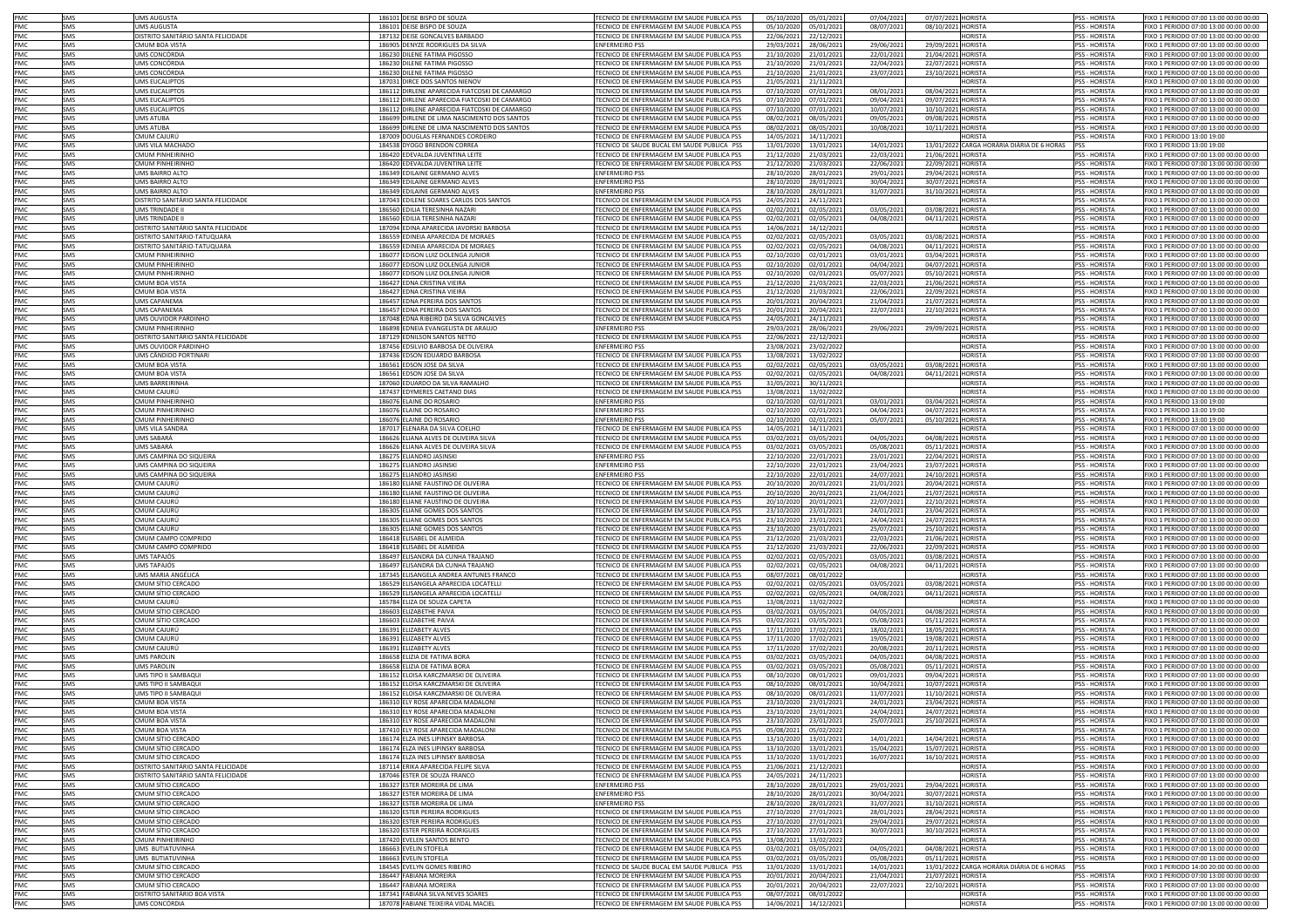| PMC        | SMS        | UMS AUGUSTA                         | 186101 DEISE BISPO DE SOUZA                   | FECNICO DE ENFERMAGEM EM SAUDE PUBLICA PSS        | 05/10/2020 | 05/01/2021 | 07/04/202  | 07/07/2021 HORISTA |                                                | PSS - HORISTA        | IXO 1 PERIODO 07:00 13:00 00:00 00:00  |
|------------|------------|-------------------------------------|-----------------------------------------------|---------------------------------------------------|------------|------------|------------|--------------------|------------------------------------------------|----------------------|----------------------------------------|
|            |            |                                     |                                               |                                                   |            |            |            |                    |                                                |                      |                                        |
| PMC        | SMS        | UMS AUGUSTA                         | 186101 DEISE BISPO DE SOUZA                   | ECNICO DE ENFERMAGEM EM SAUDE PUBLICA PSS         | 05/10/2020 | 05/01/2021 | 08/07/202  | 08/10/2021         | HORISTA                                        | <b>PSS - HORISTA</b> | IXO 1 PERIODO 07:00 13:00 00:00 00:00  |
| PMC        | SMS        | DISTRITO SANITÁRIO SANTA FELICIDADE | 187132 DEISE GONCALVES BARBADO                | TECNICO DE ENFERMAGEM EM SAUDE PUBLICA PSS        | 22/06/2021 | 22/12/2021 |            |                    | HORISTA                                        | PSS - HORISTA        | IXO 1 PERIODO 07:00 13:00 00:00 00:00  |
| PMC        | SMS        | CMUM BOA VISTA                      | 186905 DENYZE RODRIGUES DA SILVA              | <b>ENFERMEIRO PSS</b>                             | 29/03/2021 | 28/06/2021 | 29/06/2021 | 29/09/2021         | HORISTA                                        | PSS - HORISTA        | IXO 1 PERIODO 07:00 13:00 00:00 00:00  |
| PMC        | SMS        | UMS CONCÓRDIA                       | 186230 DILENE FATIMA PIGOSSO                  | TECNICO DE ENFERMAGEM EM SAUDE PUBLICA PSS        | 21/10/2020 | 21/01/2021 | 22/01/2021 | 21/04/2021         | HORISTA                                        | PSS - HORISTA        | IXO 1 PERIODO 07:00 13:00 00:00 00:00  |
| <b>PMC</b> | SMS        | UMS CONCÓRDIA                       | 186230 DILENE FATIMA PIGOSSO                  | TECNICO DE ENFERMAGEM EM SAUDE PUBLICA PSS        | 21/10/2020 | 21/01/2021 | 22/04/202  | 22/07/2021         | <b>HORISTA</b>                                 | <b>PSS - HORISTA</b> | FIXO 1 PERIODO 07:00 13:00 00:00 00:00 |
| PMC        | SMS        | UMS CONCÓRDIA                       | 186230 DILENE FATIMA PIGOSSO                  | TECNICO DE ENFERMAGEM EM SAUDE PUBLICA PSS        | 21/10/2020 | 21/01/2021 | 23/07/2021 | 23/10/2021         | <b>HORISTA</b>                                 | <b>PSS - HORISTA</b> | FIXO 1 PERIODO 07:00 13:00 00:00 00:00 |
| PMC        | SMS        | UMS EUCALIPTOS                      | 187031 DIRCE DOS SANTOS NIENOV                | TECNICO DE ENFERMAGEM EM SAUDE PUBLICA PSS        | 21/05/2021 | 21/11/2021 |            |                    | HORISTA                                        | PSS - HORISTA        | IXO 1 PERIODO 07:00 13:00 00:00 00:00  |
| PMC        | SMS        | <b>UMS EUCALIPTOS</b>               | 186112 DIRLENE APARECIDA FIATCOSKI DE CAMARGO | TECNICO DE ENFERMAGEM EM SAUDE PUBLICA PSS        | 07/10/2020 | 07/01/2021 | 08/01/2021 | 08/04/2021         | <b>HORISTA</b>                                 | PSS - HORISTA        | FIXO 1 PERIODO 07:00 13:00 00:00 00:00 |
| PMC        |            |                                     |                                               | TECNICO DE ENFERMAGEM EM SAUDE PUBLICA PSS        |            |            |            |                    |                                                |                      |                                        |
|            | SMS        | <b>UMS EUCALIPTOS</b>               | 186112 DIRLENE APARECIDA FIATCOSKI DE CAMARGO |                                                   | 07/10/2020 | 07/01/2021 | 09/04/2021 | 09/07/2021 HORISTA |                                                | PSS - HORISTA        | IXO 1 PERIODO 07:00 13:00 00:00 00:00  |
| PMC        | SMS        | UMS EUCALIPTOS                      | 186112 DIRLENE APARECIDA FIATCOSKI DE CAMARGO | TECNICO DE ENFERMAGEM EM SAUDE PUBLICA PSS        | 07/10/2020 | 07/01/2021 | 10/07/2021 | 10/10/2021 HORISTA |                                                | PSS - HORISTA        | IXO 1 PERIODO 07:00 13:00 00:00 00:00  |
| PMC        | SMS        | <b>UMS ATUBA</b>                    | 186699 DIRLENE DE LIMA NASCIMENTO DOS SANTOS  | <b>FECNICO DE ENFERMAGEM EM SAUDE PUBLICA PSS</b> | 08/02/2021 | 08/05/2021 | 09/05/202  | 09/08/2021 HORISTA |                                                | <b>PSS - HORISTA</b> | IXO 1 PERIODO 07:00 13:00 00:00 00:00  |
| PMC        | SMS        | <b>UMS ATUBA</b>                    | 186699 DIRLENE DE LIMA NASCIMENTO DOS SANTOS  | TECNICO DE ENFERMAGEM EM SAUDE PUBLICA PSS        | 08/02/2021 | 08/05/2021 | 10/08/2021 | 10/11/2021 HORISTA |                                                | <b>PSS - HORISTA</b> | IXO 1 PERIODO 07:00 13:00 00:00 00:00  |
| PMC        | SMS        | CMUM CAJURÚ                         | 187009 DOUGLAS FERNANDES CORDEIRO             | TECNICO DE ENFERMAGEM EM SAUDE PUBLICA PSS        | 14/05/2021 | 14/11/2021 |            |                    | HORISTA                                        | <b>PSS - HORISTA</b> | FIXO 1 PERIODO 13:00 19:00             |
| PMC        | SMS        | UMS VILA MACHADO                    | 184538 DYOGO BRENDON CORREA                   | TECNICO DE SAUDE BUCAL EM SAUDE PUBLICA PSS       | 13/01/2020 | 13/01/2021 | 14/01/2021 |                    | 13/01/2022 CARGA HORÁRIA DIÁRIA DE 6 HORAS PSS |                      | FIXO 1 PERIODO 13:00 19:00             |
| PMC        | SMS        | <b>CMUM PINHEIRINHO</b>             | 186420 EDEVALDA JUVENTINA LEITE               | TECNICO DE ENFERMAGEM EM SAUDE PUBLICA PSS        | 21/12/2020 | 21/03/2021 | 22/03/2021 | 21/06/2021 HORISTA |                                                | PSS - HORISTA        | FIXO 1 PERIODO 07:00 13:00 00:00 00:00 |
| PMC        |            | <b>CMUM PINHEIRINHO</b>             | 186420 EDEVALDA JUVENTINA LEITE               |                                                   |            |            |            |                    |                                                |                      |                                        |
|            | SMS        |                                     |                                               | TECNICO DE ENFERMAGEM EM SAUDE PUBLICA PSS        | 21/12/2020 | 21/03/2021 | 22/06/2021 | 22/09/2021 HORISTA |                                                | PSS - HORISTA        | FIXO 1 PERIODO 07:00 13:00 00:00 00:00 |
| PMC        | SMS        | UMS BAIRRO ALTO                     | 186349 EDILAINE GERMANO ALVES                 | ENFERMEIRO PSS                                    | 28/10/2020 | 28/01/2021 | 29/01/2021 | 29/04/2021 HORISTA |                                                | PSS - HORISTA        | FIXO 1 PERIODO 07:00 13:00 00:00 00:00 |
| PMC        | <b>SMS</b> | UMS BAIRRO ALTO                     | 186349 EDILAINE GERMANO ALVES                 | ENFERMEIRO PSS                                    | 28/10/2020 | 28/01/2021 | 30/04/202  | 30/07/2021 HORISTA |                                                | <b>PSS - HORISTA</b> | FIXO 1 PERIODO 07:00 13:00 00:00 00:00 |
| PMC        | SMS        | UMS BAIRRO ALTC                     | 186349 EDILAINE GERMANO ALVES                 | <b>ENFERMEIRO PSS</b>                             | 28/10/2020 | 28/01/202  | 31/07/2021 | 31/10/2021 HORISTA |                                                | <b>PSS - HORISTA</b> | IXO 1 PERIODO 07:00 13:00 00:00 00:00  |
| PMC        | SMS        | DISTRITO SANITÁRIO SANTA FELICIDADE | 187043 EDILENE SOARES CARLOS DOS SANTOS       | TECNICO DE ENFERMAGEM EM SAUDE PUBLICA PSS        | 24/05/2021 | 24/11/2021 |            |                    | HORISTA                                        | <b>PSS - HORISTA</b> | FIXO 1 PERIODO 07:00 13:00 00:00 00:00 |
| PMC        | SMS        | UMS TRINDADE II                     | 186560 EDILIA TERESINHA NAZARI                | FECNICO DE ENFERMAGEM EM SAUDE PUBLICA PSS        | 02/02/2021 | 02/05/2021 | 03/05/2021 | 03/08/2021         | <b>HORISTA</b>                                 | PSS - HORISTA        | IXO 1 PERIODO 07:00 13:00 00:00 00:00  |
| PMC        | SMS        | UMS TRINDADE II                     | 186560 EDILIA TERESINHA NAZARI                | FECNICO DE ENFERMAGEM EM SAUDE PUBLICA PSS        | 02/02/2021 | 02/05/2021 | 04/08/2021 | 04/11/2021         | <b>HORISTA</b>                                 | <b>SS-HORISTA</b>    | IXO 1 PERIODO 07:00 13:00 00:00 00:00  |
|            |            |                                     |                                               |                                                   |            |            |            |                    |                                                |                      |                                        |
| PMC        | SMS        | DISTRITO SANITÁRIO SANTA FELICIDADE | 187094 EDINA APARECIDA IAVORSKI BARBOSA       | FECNICO DE ENFERMAGEM EM SAUDE PUBLICA PSS        | 14/06/2021 | 14/12/2021 |            |                    | <b>IORISTA</b>                                 | PSS - HORISTA        | IXO 1 PERIODO 07:00 13:00 00:00 00:00  |
| PMC        | SMS        | DISTRITO SANITÁRIO-TATUQUARA        | 186559 EDINEIA APARECIDA DE MORAES            | ECNICO DE ENFERMAGEM EM SAUDE PUBLICA PSS         | 02/02/2021 | 02/05/2021 | 03/05/2021 | 03/08/2021         | HORISTA                                        | PSS - HORISTA        | IXO 1 PERIODO 07:00 13:00 00:00 00:00  |
| PMC        | SMS        | DISTRITO SANITÁRIO-TATUQUARA        | 186559 EDINEIA APARECIDA DE MORAES            | ECNICO DE ENFERMAGEM EM SAUDE PUBLICA PSS         | 02/02/2021 | 02/05/2021 | 04/08/2021 | 04/11/2021 HORISTA |                                                | <b>PSS - HORISTA</b> | IXO 1 PERIODO 07:00 13:00 00:00 00:00  |
| PMC        | SMS        | CMUM PINHEIRINHO                    | 186077 EDISON LUIZ DOLENGA JUNIOR             | FECNICO DE ENFERMAGEM EM SAUDE PUBLICA PSS        | 02/10/2020 | 02/01/2021 | 03/01/2021 | 03/04/2021 HORISTA |                                                | <b>PSS - HORISTA</b> | IXO 1 PERIODO 07:00 13:00 00:00 00:00  |
| PMC        | SMS        | CMUM PINHEIRINHO                    | 186077 EDISON LUIZ DOLENGA JUNIOR             | FECNICO DE ENFERMAGEM EM SAUDE PUBLICA PSS        | 02/10/2020 | 02/01/2021 | 04/04/2021 | 04/07/2021         | <b>HORISTA</b>                                 | PSS - HORISTA        | IXO 1 PERIODO 07:00 13:00 00:00 00:00  |
| PMC        | SMS        | CMUM PINHEIRINHO                    | 186077 EDISON LUIZ DOLENGA JUNIOR             | FECNICO DE ENFERMAGEM EM SAUDE PUBLICA PSS        | 02/10/2020 | 02/01/2021 | 05/07/2021 | 05/10/2021         | <b>HORISTA</b>                                 | PSS - HORISTA        | IXO 1 PERIODO 07:00 13:00 00:00 00:00  |
| PMC        | SMS        |                                     |                                               | <b>FECNICO DE ENFERMAGEM EM SAUDE PUBLICA PSS</b> |            |            |            |                    | <b>HORISTA</b>                                 |                      |                                        |
|            |            | CMUM BOA VISTA                      | 186427 EDNA CRISTINA VIEIRA                   |                                                   | 21/12/2020 | 21/03/2021 | 22/03/2021 | 21/06/2021         |                                                | PSS - HORISTA        | IXO 1 PERIODO 07:00 13:00 00:00 00:00  |
| PMC        | SMS        | CMUM BOA VISTA                      | 186427 EDNA CRISTINA VIEIRA                   | TECNICO DE ENFERMAGEM EM SAUDE PUBLICA PSS        | 21/12/2020 | 21/03/202  | 22/06/2021 | 22/09/2021         | <b>HORISTA</b>                                 | <b>PSS - HORISTA</b> | IXO 1 PERIODO 07:00 13:00 00:00 00:00  |
| <b>PMC</b> | SMS        | <b>UMS CAPANEMA</b>                 | 186457 EDNA PEREIRA DOS SANTOS                | TECNICO DE ENFERMAGEM EM SAUDE PUBLICA PSS        | 20/01/2021 | 20/04/2021 | 21/04/2021 | 21/07/2021 HORISTA |                                                | <b>PSS - HORISTA</b> | FIXO 1 PERIODO 07:00 13:00 00:00 00:00 |
| <b>PMC</b> | SMS        | <b>UMS CAPANEMA</b>                 | 186457 EDNA PEREIRA DOS SANTOS                | TECNICO DE ENFERMAGEM EM SAUDE PUBLICA PSS        | 20/01/2021 | 20/04/202  | 22/07/2021 | 22/10/2021 HORISTA |                                                | <b>PSS - HORISTA</b> | FIXO 1 PERIODO 07:00 13:00 00:00 00:00 |
| PMC        | SMS        | UMS OUVIDOR PARDINHO                | 187048 FDNA RIBEIRO DA SILVA GONCALVES        | TECNICO DE ENFERMAGEM EM SAUDE PUBLICA PSS        | 24/05/2021 | 24/11/202  |            |                    | <b>IORISTA</b>                                 | <b>PSS - HORISTA</b> | FIXO 1 PERIODO 07:00 13:00 00:00 00:00 |
| PMC        | SMS        | CMUM PINHEIRINHO                    | 186898 EDNEIA EVANGELISTA DE ARAUJO           | <b>ENFERMEIRO PSS</b>                             | 29/03/2021 | 28/06/2021 | 29/06/2021 | 29/09/2021 HORISTA |                                                | PSS - HORISTA        | IXO 1 PERIODO 07:00 13:00 00:00 00:00  |
| PMC        | SMS        | DISTRITO SANITÁRIO SANTA FELICIDADE | 187129 EDNILSON SANTOS NETTO                  | TECNICO DE ENFERMAGEM EM SAUDE PUBLICA PSS        | 22/06/2021 | 22/12/2021 |            |                    | <b>IORISTA</b>                                 | <b>PSS - HORISTA</b> | IXO 1 PERIODO 07:00 13:00 00:00 00:00  |
|            | SMS        |                                     |                                               | <b>ENFERMEIRO PSS</b>                             | 23/08/2021 |            |            |                    | <b>IORISTA</b>                                 | <b>PSS - HORISTA</b> | IXO 1 PERIODO 07:00 13:00 00:00 00:00  |
| PMC        |            | UMS OUVIDOR PARDINHO                | 187456 EDSILVIO BARBOSA DE OLIVEIRA           |                                                   |            | 23/02/2022 |            |                    |                                                |                      |                                        |
| PMC        | SMS        | UMS CÂNDIDO PORTINARI               | 187436 EDSON EDUARDO BARBOSA                  | TECNICO DE ENFERMAGEM EM SAUDE PUBLICA PSS        | 13/08/2021 | 13/02/2022 |            |                    | <b>IORISTA</b>                                 | <b>PSS - HORISTA</b> | IXO 1 PERIODO 07:00 13:00 00:00 00:00  |
| PMC        | SMS        | CMUM BOA VISTA                      | 186561 EDSON JOSE DA SILVA                    | <b>FECNICO DE ENFERMAGEM EM SAUDE PUBLICA PSS</b> | 02/02/2021 | 02/05/2021 | 03/05/202  | 03/08/2021         | <b>HORISTA</b>                                 | <b>PSS - HORISTA</b> | IXO 1 PERIODO 07:00 13:00 00:00 00:00  |
| PMC        | SMS        | CMUM BOA VISTA                      | 186561 EDSON JOSE DA SILVA                    | FECNICO DE ENFERMAGEM EM SAUDE PUBLICA PSS        | 02/02/2021 | 02/05/2021 | 04/08/2021 | 04/11/2021 HORISTA |                                                | <b>PSS - HORISTA</b> | IXO 1 PERIODO 07:00 13:00 00:00 00:00  |
| PMC        | SMS        | UMS BARREIRINHA                     | 187060 EDUARDO DA SILVA RAMALHO               | TECNICO DE ENFERMAGEM EM SAUDE PUBLICA PSS        | 31/05/2021 | 30/11/2021 |            |                    | HORISTA                                        | PSS - HORISTA        | IXO 1 PERIODO 07:00 13:00 00:00 00:00  |
| PMC        | SMS        | CMUM CAJURÚ                         | 187437 EDYMERES CAETANO DIAS                  | TECNICO DE ENFERMAGEM EM SAUDE PUBLICA PSS        | 13/08/2021 | 13/02/2022 |            |                    | <b>IORISTA</b>                                 | PSS - HORISTA        | IXO 1 PERIODO 07:00 13:00 00:00 00:00  |
|            |            | <b>CMUM PINHEIRINHO</b>             |                                               | <b>ENFERMEIRO PSS</b>                             |            |            |            |                    | HORISTA                                        |                      | FIXO 1 PERIODO 13:00 19:00             |
| PMC        | SMS        |                                     | 186076 ELAINE DO ROSARIO                      |                                                   | 02/10/2020 | 02/01/2021 | 03/01/2021 | 03/04/2021         |                                                | PSS - HORISTA        |                                        |
| PMC        | <b>SMS</b> | CMUM PINHFIRINHO                    | 186076 ELAINE DO ROSARIO                      | <b>ENFERMEIRO PSS</b>                             | 02/10/2020 | 02/01/2021 | 04/04/202  | 04/07/2021         | <b>HORISTA</b>                                 | <b>PSS - HORISTA</b> | FIXO 1 PERIODO 13:00 19:00             |
| PMC        | <b>SMS</b> | CMUM PINHFIRINHO                    | 186076 ELAINE DO ROSARIO                      | <b>ENFERMEIRO PSS</b>                             | 02/10/2020 | 02/01/202  | 05/07/2021 | 05/10/2021         | <b>HORISTA</b>                                 | <b>PSS - HORISTA</b> | IXO 1 PERIODO 13:00 19:00              |
| PMC        | <b>SMS</b> | UMS VILA SANDRA                     | 187017 ELENARA DA SILVA COELHO                | FECNICO DE ENFERMAGEM EM SAUDE PUBLICA PSS        | 14/05/2021 | 14/11/202  |            |                    | <b>IORISTA</b>                                 | <b>PSS - HORISTA</b> | IXO 1 PERIODO 07:00 13:00 00:00 00:00  |
| PMC        | SMS        | UMS SABARÁ                          | 186626 ELIANA ALVES DE OLIVEIRA SILVA         | ECNICO DE ENFERMAGEM EM SAUDE PUBLICA PSS         | 03/02/2021 | 03/05/2021 | 04/05/2021 | 04/08/2021         | <b>IORISTA</b>                                 | PSS - HORISTA        | IXO 1 PERIODO 07:00 13:00 00:00 00:00  |
| PMC        | SMS        | UMS SABARÁ                          | 186626 ELIANA ALVES DE OLIVEIRA SILVA         | <b>FECNICO DE ENFERMAGEM EM SAUDE PUBLICA PSS</b> | 03/02/2021 | 03/05/2021 | 05/08/2021 | 05/11/2021         | HORISTA                                        | PSS - HORISTA        | IXO 1 PERIODO 07:00 13:00 00:00 00:00  |
| PMC        | SMS        | UMS CAMPINA DO SIQUEIRA             | 186275 ELIANDRO JASINSKI                      | <b>ENFERMEIRO PSS</b>                             | 22/10/2020 | 22/01/2021 | 23/01/2021 | 22/04/2021         | HORISTA                                        | PSS - HORISTA        | IXO 1 PERIODO 07:00 13:00 00:00 00:00  |
| PMC        |            | JMS CAMPINA DO SIQUEIRA             |                                               | <b>ENFERMEIRO PSS</b>                             | 22/10/2020 |            |            | 23/07/202          | <b>IORISTA</b>                                 | <b>PSS - HORISTA</b> | IXO 1 PERIODO 07:00 13:00 00:00 00:00  |
|            | SMS        |                                     | 186275 ELIANDRO JASINSKI                      |                                                   |            | 22/01/2021 | 23/04/2021 |                    |                                                |                      |                                        |
| PMC        | SMS        | JMS CAMPINA DO SIQUEIRA             | 186275 ELIANDRO JASINSKI                      | <b>ENFERMEIRO PSS</b>                             | 22/10/2020 | 22/01/2021 | 24/07/2021 | 24/10/2021         | ORISTA                                         | <b>PSS - HORISTA</b> | XO 1 PERIODO 07:00 13:00 00:00 00:00   |
| PMC        | <b>SMS</b> | CMUM CAJURÚ                         | 186180 ELIANE FAUSTINO DE OLIVEIRA            | ECNICO DE ENFERMAGEM EM SAUDE PUBLICA PSS         | 20/10/202  | 20/01/2021 | 21/01/2021 | 20/04/202          | <b>IORISTA</b>                                 | <b>PSS - HORISTA</b> | XO 1 PERIODO 07:00 13:00 00:00 00:00   |
| PMC        | SMS        | CMUM CAJURÚ                         | 186180 ELIANE FAUSTINO DE OLIVEIRA            | FECNICO DE ENFERMAGEM EM SAUDE PUBLICA PSS        | 20/10/2020 | 20/01/2021 | 21/04/2021 | 21/07/202          | HORISTA                                        | PSS - HORISTA        | IXO 1 PERIODO 07:00 13:00 00:00 00:00  |
| PMC        | SMS        | CMUM CAJURÚ                         | 186180 ELIANE FAUSTINO DE OLIVEIRA            | FECNICO DE ENFERMAGEM EM SAUDE PUBLICA PSS        | 20/10/2020 | 20/01/2021 | 22/07/2021 | 22/10/202          | <b>IORISTA</b>                                 | PSS - HORISTA        | IXO 1 PERIODO 07:00 13:00 00:00 00:00  |
| PMC        | SMS        | CMUM CAJURÚ                         | 186305 ELIANE GOMES DOS SANTOS                | TECNICO DE ENFERMAGEM EM SAUDE PUBLICA PSS        | 23/10/2020 | 23/01/2021 | 24/01/2021 | 23/04/2021         | <b>IORISTA</b>                                 | PSS - HORISTA        | IXO 1 PERIODO 07:00 13:00 00:00 00:00  |
| PMC        | SMS        | CMUM CAJURÚ                         | 186305 ELIANE GOMES DOS SANTOS                | TECNICO DE ENFERMAGEM EM SAUDE PUBLICA PSS        | 23/10/2020 | 23/01/2021 | 24/04/2021 | 24/07/2021         | HORISTA                                        | <b>PSS - HORISTA</b> | FIXO 1 PERIODO 07:00 13:00 00:00 00:00 |
| PMC        | SMS        | CMUM CAIURÚ                         | 186305 ELIANE GOMES DOS SANTOS                | TECNICO DE ENFERMAGEM EM SAUDE PUBLICA PSS        | 23/10/202  |            |            |                    | HORISTA                                        | <b>PSS - HORISTA</b> |                                        |
|            |            |                                     |                                               |                                                   |            | 23/01/2021 | 25/07/2021 | 25/10/202          |                                                |                      | IXO 1 PERIODO 07:00 13:00 00:00 00:00  |
| PMC        | SMS        | CMUM CAMPO COMPRIDO                 | 186418 FLISABEL DE ALMEIDA                    | TECNICO DE ENFERMAGEM EM SAUDE PUBLICA PSS        | 21/12/2020 | 21/03/2021 | 22/03/2021 | 21/06/202          | HORISTA                                        | <b>PSS - HORISTA</b> | FIXO 1 PERIODO 07:00 13:00 00:00 00:00 |
| <b>PMC</b> | SMS        | CMUM CAMPO COMPRIDO                 | 186418 FLISABEL DE ALMEIDA                    | TECNICO DE ENFERMAGEM EM SAUDE PUBLICA PSS        | 21/12/2020 | 21/03/2021 | 22/06/202  | 22/09/2021         | <b>HORISTA</b>                                 | <b>PSS - HORISTA</b> | FIXO 1 PERIODO 07:00 13:00 00:00 00:00 |
| PMC        | SMS        | UMS TAPAJÓS                         | 186497 ELISANDRA DA CUNHA TRAJANO             | TECNICO DE ENFERMAGEM EM SAUDE PUBLICA PSS        | 02/02/2021 | 02/05/202  | 03/05/2021 | 03/08/2021         | <b>HORISTA</b>                                 | PSS - HORISTA        | FIXO 1 PERIODO 07:00 13:00 00:00 00:00 |
| PMC        | SMS        | UMS TAPAJÓS                         | 186497 ELISANDRA DA CUNHA TRAJANO             | TECNICO DE ENFERMAGEM EM SAUDE PUBLICA PSS        | 02/02/2021 | 02/05/202  | 04/08/2021 | 04/11/2021         | <b>HORISTA</b>                                 | PSS - HORISTA        | IXO 1 PERIODO 07:00 13:00 00:00 00:00  |
| PMC        | SMS        | UMS MARIA ANGÉLICA                  | 187345 ELISANGELA ANDREA ANTUNES FRANCO       | TECNICO DE ENFERMAGEM EM SAUDE PUBLICA PSS        | 08/07/2021 | 08/01/202  |            |                    | <b>IORISTA</b>                                 | PSS - HORISTA        | IXO 1 PERIODO 07:00 13:00 00:00 00:00  |
| PMC        | SMS        | CMUM SÍTIO CERCADO                  | 186529 ELISANGELA APARECIDA LOCATELLI         | TECNICO DE ENFERMAGEM EM SAUDE PUBLICA PSS        | 02/02/2021 | 02/05/202  | 03/05/2021 | 03/08/2021         | <b>HORISTA</b>                                 | <b>PSS - HORISTA</b> | IXO 1 PERIODO 07:00 13:00 00:00 00:00  |
| PMC        | SMS        | CMUM SÍTIO CERCADO                  | 186529 ELISANGELA APARECIDA LOCATELL          | TECNICO DE ENFERMAGEM EM SAUDE PUBLICA PSS        | 02/02/2021 | 02/05/2021 | 04/08/2021 | 04/11/2021 HORISTA |                                                | <b>PSS - HORISTA</b> | IXO 1 PERIODO 07:00 13:00 00:00 00:00  |
|            |            |                                     |                                               |                                                   |            |            |            |                    |                                                |                      |                                        |
| PMC        | SMS        | CMUM CAJURÚ                         | 185784 ELIZA DE SOUZA CAPETA                  | TECNICO DE ENFERMAGEM EM SAUDE PUBLICA PSS        | 13/08/2021 | 13/02/2022 |            |                    | <b>IORISTA</b>                                 | <b>PSS - HORISTA</b> | IXO 1 PERIODO 07:00 13:00 00:00 00:00  |
| PMC        | SMS        | CMUM SÍTIO CERCADO                  | 186603 ELIZABETHE PAIVA                       | TECNICO DE ENFERMAGEM EM SAUDE PUBLICA PSS        | 03/02/2021 | 03/05/2021 | 04/05/2021 | 04/08/2021         | <b>HORISTA</b>                                 | PSS - HORISTA        | FIXO 1 PERIODO 07:00 13:00 00:00 00:00 |
| PMC        | SMS        | CMUM SÍTIO CERCADO                  | 186603 ELIZABETHE PAIVA                       | TECNICO DE ENFERMAGEM EM SAUDE PUBLICA PSS        | 03/02/2021 | 03/05/2021 | 05/08/2021 | 05/11/2021         | <b>HORISTA</b>                                 | PSS - HORISTA        | IXO 1 PERIODO 07:00 13:00 00:00 00:00  |
| PMC        | SMS        | CMUM CAJURÚ                         | 186391 ELIZABETY ALVES                        | TECNICO DE ENFERMAGEM EM SAUDE PUBLICA PSS        | 17/11/2020 | 17/02/2021 | 18/02/2021 | 18/05/2021 HORISTA |                                                | PSS - HORISTA        | FIXO 1 PERIODO 07:00 13:00 00:00 00:00 |
| PMC        | SMS        | CMUM CAJURÚ                         | 186391 ELIZABETY ALVES                        | TECNICO DE ENFERMAGEM EM SAUDE PUBLICA PSS        | 17/11/2020 | 17/02/202  | 19/05/2021 | 19/08/2021 HORISTA |                                                | PSS - HORISTA        | FIXO 1 PERIODO 07:00 13:00 00:00 00:00 |
| PMC        | SMS        | CMUM CAIURÚ                         | 186391 FLIZARETY ALVES                        | TECNICO DE ENFERMAGEM EM SAUDE PUBLICA PSS        | 17/11/2020 | 17/02/2021 | 20/08/202  | 20/11/2021 HORISTA |                                                | <b>PSS - HORISTA</b> | FIXO 1 PERIODO 07:00 13:00 00:00 00:00 |
| PMC        | SMS        | <b>UMS PAROLIN</b>                  | 186658 ELIZIA DE FATIMA BORA                  | TECNICO DE ENFERMAGEM EM SAUDE PUBLICA PSS        | 03/02/2021 | 03/05/2021 | 04/05/2021 | 04/08/2021 HORISTA |                                                | <b>PSS - HORISTA</b> | FIXO 1 PERIODO 07:00 13:00 00:00 00:00 |
| PMC        | SMS        | UMS PAROLIN                         | 186658 ELIZIA DE FATIMA BORA                  | FECNICO DE ENFERMAGEM EM SAUDE PUBLICA PSS        | 03/02/2021 | 03/05/2021 | 05/08/2021 | 05/11/2021 HORISTA |                                                | PSS - HORISTA        | FIXO 1 PERIODO 07:00 13:00 00:00 00:00 |
| PMC        | SMS        | UMS TIPO II SAMBAQUI                | 186152 ELOISA KARCZMARSKI DE OLIVEIRA         | FECNICO DE ENFERMAGEM EM SAUDE PUBLICA PSS        | 08/10/2020 | 08/01/2021 | 09/01/2021 | 09/04/2021         | <b>HORISTA</b>                                 | PSS - HORISTA        | IXO 1 PERIODO 07:00 13:00 00:00 00:00  |
|            |            | UMS TIPO II SAMBAQUI                |                                               | <b>FECNICO DE ENFERMAGEM EM SAUDE PUBLICA PSS</b> |            |            |            |                    |                                                |                      |                                        |
| PMC        | SMS        |                                     | 186152 ELOISA KARCZMARSKI DE OLIVEIRA         |                                                   | 08/10/2020 | 08/01/2021 | 10/04/2021 | 10/07/2021         | <b>HORISTA</b>                                 | PSS - HORISTA        | IXO 1 PERIODO 07:00 13:00 00:00 00:00  |
| PMC        | SMS        | <b>UMS TIPO II SAMBAOU</b>          | 186152 ELOISA KARCZMARSKI DE OLIVEIRA         | FECNICO DE ENFERMAGEM EM SAUDE PUBLICA PSS        | 08/10/2020 | 08/01/2021 | 11/07/202  | 11/10/2021         | <b>HORISTA</b>                                 | <b>PSS - HORISTA</b> | IXO 1 PERIODO 07:00 13:00 00:00 00:00  |
| PMC        | SMS        | CMUM BOA VISTA                      | 186310 ELY ROSE APARECIDA MADALONI            | TECNICO DE ENFERMAGEM EM SAUDE PUBLICA PSS        | 23/10/2020 | 23/01/2021 | 24/01/202  | 23/04/2021         | <b>HORISTA</b>                                 | <b>PSS - HORISTA</b> | IXO 1 PERIODO 07:00 13:00 00:00 00:00  |
| PMC        | SMS        | CMUM BOA VISTA                      | 186310 ELY ROSE APARECIDA MADALONI            | FECNICO DE ENFERMAGEM EM SAUDE PUBLICA PSS        | 23/10/2020 | 23/01/2021 | 24/04/2021 | 24/07/2021 HORISTA |                                                | PSS - HORISTA        | FIXO 1 PERIODO 07:00 13:00 00:00 00:00 |
| PMC        | SMS        | CMUM BOA VISTA                      | 186310 ELY ROSE APARECIDA MADALONI            | FECNICO DE ENFERMAGEM EM SAUDE PUBLICA PSS        | 23/10/2020 | 23/01/2021 | 25/07/2021 | 25/10/2021 HORISTA |                                                | PSS - HORISTA        | IXO 1 PERIODO 07:00 13:00 00:00 00:00  |
| PMC        | SMS        | CMUM BOA VISTA                      | 187410 ELY ROSE APARECIDA MADALONI            | TECNICO DE ENFERMAGEM EM SAUDE PUBLICA PSS        | 05/08/2021 | 05/02/2022 |            |                    | HORISTA                                        | PSS - HORISTA        | FIXO 1 PERIODO 07:00 13:00 00:00 00:00 |
|            | SMS        |                                     | 186174 ELZA INES LIPINSKY BARBOSA             |                                                   |            |            | 14/01/2021 | 14/04/2021 HORISTA |                                                |                      |                                        |
| PMC        |            | CMUM SÍTIO CERCADO                  |                                               | TECNICO DE ENFERMAGEM EM SAUDE PUBLICA PSS        | 13/10/2020 | 13/01/2021 |            |                    |                                                | PSS - HORISTA        | IXO 1 PERIODO 07:00 13:00 00:00 00:00  |
| PMC        | SMS        | CMUM SÍTIO CERCADO                  | 186174 ELZA INES LIPINSKY BARBOSA             | TECNICO DE ENFERMAGEM EM SAUDE PUBLICA PSS        | 13/10/2020 | 13/01/2021 | 15/04/2021 | 15/07/2021 HORISTA |                                                | PSS - HORISTA        | FIXO 1 PERIODO 07:00 13:00 00:00 00:00 |
| PMC        | SMS        | CMUM SÍTIO CERCADO                  | 186174 ELZA INES LIPINSKY BARBOSA             | TECNICO DE ENFERMAGEM EM SAUDE PUBLICA PSS        | 13/10/2020 | 13/01/2021 | 16/07/2021 | 16/10/2021 HORISTA |                                                | <b>PSS - HORISTA</b> | FIXO 1 PERIODO 07:00 13:00 00:00 00:00 |
| PMC        | SMS        | DISTRITO SANITÁRIO SANTA FELICIDADE | 187114 ERIKA APARECIDA FELIPE SILVA           | TECNICO DE ENFERMAGEM EM SAUDE PUBLICA PSS        | 21/06/2021 | 21/12/2021 |            |                    | <b>HORISTA</b>                                 | PSS - HORISTA        | IXO 1 PERIODO 07:00 13:00 00:00 00:00  |
| PMC        | SMS        | DISTRITO SANITÁRIO SANTA FELICIDADE | 187046 ESTER DE SOUZA FRANCO                  | TECNICO DE ENFERMAGEM EM SAUDE PUBLICA PSS        | 24/05/2021 | 24/11/2021 |            |                    | <b>HORISTA</b>                                 | PSS - HORISTA        | FIXO 1 PERIODO 07:00 13:00 00:00 00:00 |
| PMC        | SMS        | CMUM SÍTIO CERCADO                  | 186327 ESTER MOREIRA DE LIMA                  | <b>ENFERMEIRO PSS</b>                             | 28/10/2020 | 28/01/2021 | 29/01/2021 | 29/04/2021 HORISTA |                                                | PSS - HORISTA        | IXO 1 PERIODO 07:00 13:00 00:00 00:00  |
| PMC        | SMS        | CMUM SÍTIO CERCADO                  | 186327 ESTER MOREIRA DE LIMA                  | <b>ENFERMEIRO PSS</b>                             | 28/10/2020 | 28/01/2021 | 30/04/2021 | 30/07/2021 HORISTA |                                                | PSS - HORISTA        | IXO 1 PERIODO 07:00 13:00 00:00 00:00  |
|            |            |                                     |                                               |                                                   |            |            |            |                    |                                                |                      | IXO 1 PERIODO 07:00 13:00 00:00 00:00  |
| PMC        | SMS        | CMUM SÍTIO CERCADO                  | 186327 ESTER MOREIRA DE LIMA                  | <b>ENFERMEIRO PSS</b>                             | 28/10/2020 | 28/01/2021 | 31/07/2021 | 31/10/2021         | <b>HORISTA</b>                                 | PSS - HORISTA        |                                        |
| PMC        | SMS        | CMUM SÍTIO CERCADO                  | 186320 ESTER PEREIRA RODRIGUES                | TECNICO DE ENFERMAGEM EM SAUDE PUBLICA PSS        | 27/10/2020 | 27/01/2021 | 28/01/2021 | 28/04/2021         | HORISTA                                        | PSS - HORISTA        | IXO 1 PERIODO 07:00 13:00 00:00 00:00  |
| PMC        | SMS        | CMUM SÍTIO CERCADO                  | 186320 ESTER PEREIRA RODRIGUES                | TECNICO DE ENFERMAGEM EM SAUDE PUBLICA PSS        | 27/10/2020 | 27/01/2021 | 29/04/2021 | 29/07/2021         | HORISTA                                        | PSS - HORISTA        | IXO 1 PERIODO 07:00 13:00 00:00 00:00  |
| PMC        | SMS        | CMUM SÍTIO CERCADO                  | 186320 ESTER PEREIRA RODRIGUES                | TECNICO DE ENFERMAGEM EM SAUDE PUBLICA PSS        | 27/10/2020 | 27/01/2021 | 30/07/2021 | 30/10/2021 HORISTA |                                                | PSS - HORISTA        | IXO 1 PERIODO 07:00 13:00 00:00 00:00  |
| PMC        | SMS        | CMUM PINHEIRINHO                    | 187420 EVELEN SANTOS BENTO                    | TECNICO DE ENFERMAGEM EM SAUDE PUBLICA PSS        | 13/08/2021 | 13/02/2022 |            |                    | <b>IORISTA</b>                                 | PSS - HORISTA        | IXO 1 PERIODO 07:00 13:00 00:00 00:00  |
| PMC        | SMS        | UMS BUTIATUVINHA                    | 186663 EVELIN STOFELA                         | TECNICO DE ENFERMAGEM EM SAUDE PUBLICA PSS        | 03/02/2021 | 03/05/2021 | 04/05/2021 | 04/08/2021         | HORISTA                                        | PSS - HORISTA        | IXO 1 PERIODO 07:00 13:00 00:00 00:00  |
| PMC        |            |                                     | 186663 EVELIN STOFELA                         |                                                   |            |            |            |                    | <b>HORISTA</b>                                 |                      |                                        |
| PMC        | SMS        | UMS BUTIATUVINHA                    |                                               | TECNICO DE ENFERMAGEM EM SAUDE PUBLICA PSS        | 03/02/2021 | 03/05/2021 | 05/08/2021 | 05/11/2021         |                                                | PSS - HORISTA        | IXO 1 PERIODO 07:00 13:00 00:00 00:00  |
|            | SMS        | CMUM SÍTIO CERCADO                  | 184545 EVELYN GOMES RIBEIRO                   | TECNICO DE SAUDE BUCAL EM SAUDE PUBLICA PSS       | 13/01/2020 | 13/01/2021 | 14/01/2021 |                    | 13/01/2022 CARGA HORÁRIA DIÁRIA DE 6 HORAS PSS |                      | IXO 1 PERIODO 14:00 20:00 00:00 00:00  |
| PMC        | SMS        | CMUM SÍTIO CERCADO                  | 186447 FABIANA MOREIRA                        | TECNICO DE ENFERMAGEM EM SAUDE PUBLICA PSS        | 20/01/2021 | 20/04/2021 | 21/04/2021 | 21/07/2021 HORISTA |                                                | PSS - HORISTA        | IXO 1 PERIODO 07:00 13:00 00:00 00:00  |
| PMC        | SMS        | CMUM SÍTIO CERCADO                  | 186447 FABIANA MOREIRA                        | TECNICO DE ENFERMAGEM EM SAUDE PUBLICA PSS        | 20/01/2021 | 20/04/2021 | 22/07/2021 | 22/10/2021 HORISTA |                                                | <b>PSS - HORISTA</b> | FIXO 1 PERIODO 07:00 13:00 00:00 00:00 |
|            | SMS        | DISTRITO SANITÁRIO BOA VISTA        | 187341 FABIANA SILVA NEVES SOARES             | TECNICO DE ENFERMAGEM EM SAUDE PUBLICA PSS        | 08/07/2021 | 08/01/2022 |            |                    | HORISTA                                        | PSS - HORISTA        | FIXO 1 PERIODO 07:00 13:00 00:00 00:00 |
| PMC        |            |                                     |                                               |                                                   |            |            |            |                    | HORISTA                                        |                      |                                        |
| PMC        | SMS        | UMS CONCÓRDIA                       | 187078 FABIANE TEIXEIRA VIDAL MACIEL          | TECNICO DE ENFERMAGEM EM SAUDE PUBLICA PSS        | 14/06/2021 | 14/12/2021 |            |                    |                                                | PSS - HORISTA        | FIXO 1 PERIODO 07:00 13:00 00:00 00:00 |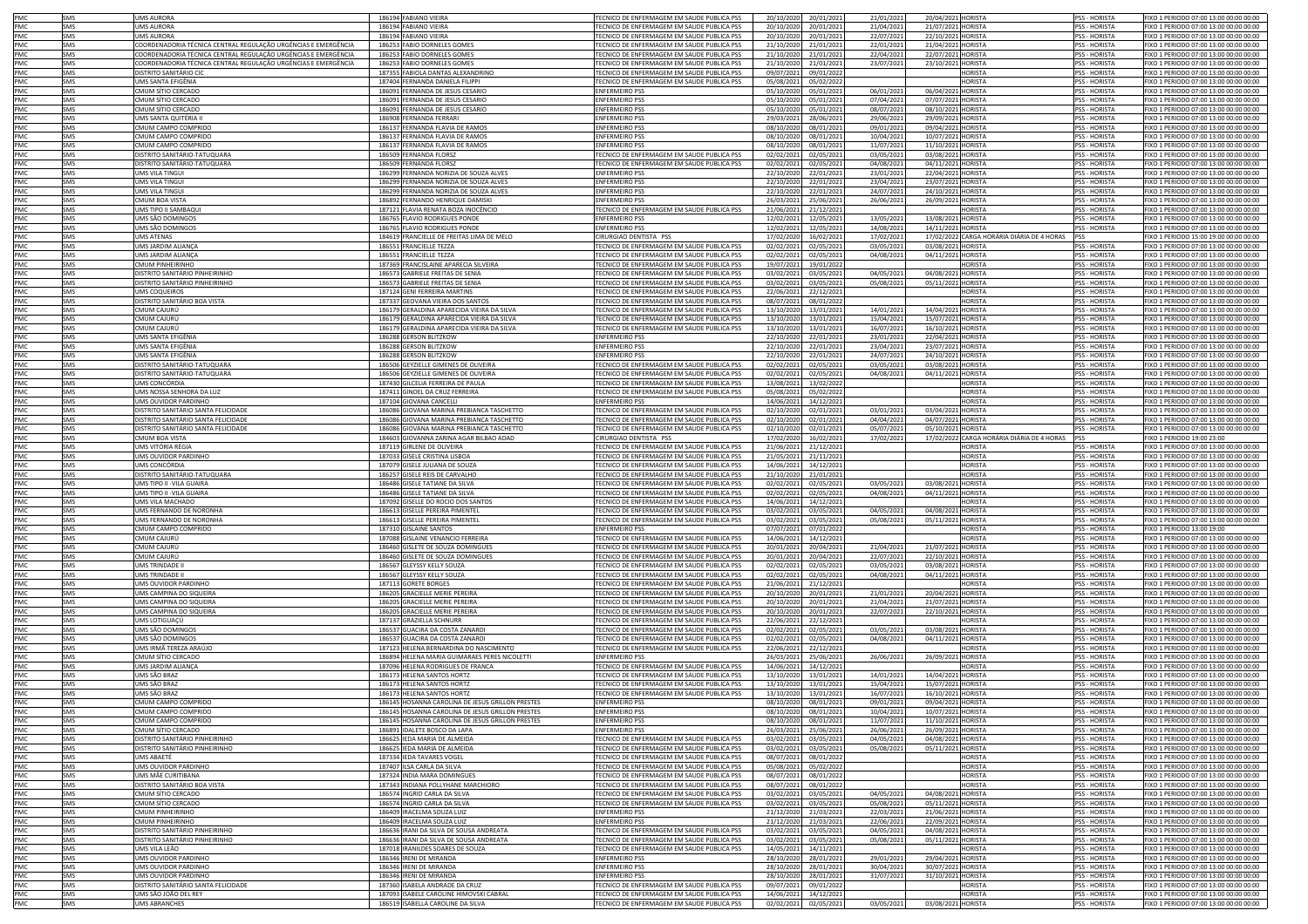| PMC        | SMS        | <b>UMS AURORA</b>                                              | 186194 FABIANO VIEIRA                                                        | TECNICO DE ENFERMAGEM EM SAUDE PUBLICA PSS                                               | 20/10/2020<br>20/01/202                              | 21/01/2021 | 20/04/2021 HORISTA                            | <b>PSS - HORISTA</b>                  | FIXO 1 PERIODO 07:00 13:00 00:00 00:00                                          |
|------------|------------|----------------------------------------------------------------|------------------------------------------------------------------------------|------------------------------------------------------------------------------------------|------------------------------------------------------|------------|-----------------------------------------------|---------------------------------------|---------------------------------------------------------------------------------|
|            | SMS        | <b>UMS AURORA</b>                                              | 186194 FABIANO VIEIRA                                                        | TECNICO DE ENFERMAGEM EM SAUDE PUBLICA PSS                                               | 20/10/2020<br>20/01/202                              |            |                                               | PSS - HORISTA                         |                                                                                 |
| PMC        |            |                                                                |                                                                              |                                                                                          |                                                      | 21/04/2021 | 21/07/2021 HORISTA                            |                                       | FIXO 1 PERIODO 07:00 13:00 00:00 00:00                                          |
| PMC        | SMS        | UMS AURORA                                                     | 186194 FABIANO VIEIRA                                                        | TECNICO DE ENFERMAGEM EM SAUDE PUBLICA PSS                                               | 20/10/2020<br>20/01/202                              | 22/07/2021 | 22/10/2021 HORISTA                            | PSS - HORISTA                         | FIXO 1 PERIODO 07:00 13:00 00:00 00:00                                          |
| PMC        | SMS        | COORDENADORIA TÉCNICA CENTRAL REGULAÇÃO URGÊNCIAS E EMERGÊNCIA | 186253 FABIO DORNELES GOMES                                                  | TECNICO DE ENFERMAGEM EM SAUDE PUBLICA PSS                                               | 21/10/2020<br>21/01/202                              | 22/01/2021 | 21/04/2021<br><b>HORISTA</b>                  | PSS - HORISTA                         | IXO 1 PERIODO 07:00 13:00 00:00 00:00                                           |
| PMC        | SMS        | COORDENADORIA TÉCNICA CENTRAL REGULAÇÃO URGÊNCIAS E EMERGÊNCIA | 186253 FABIO DORNELES GOMES                                                  | TECNICO DE ENFERMAGEM EM SAUDE PUBLICA PSS                                               | 21/10/2020<br>21/01/202                              | 22/04/2021 | 22/07/2021<br><b>HORISTA</b>                  | PSS - HORISTA                         | FIXO 1 PERIODO 07:00 13:00 00:00 00:00                                          |
| PMC        | SMS        | COORDENADORIA TÉCNICA CENTRAL REGULAÇÃO URGÊNCIAS E EMERGÊNCIA | 186253 FABIO DORNELES GOMES                                                  | TECNICO DE ENFERMAGEM EM SAUDE PUBLICA PSS                                               | 21/10/2020<br>21/01/202                              | 23/07/2021 | 23/10/2021 HORISTA                            | <b>PSS - HORISTA</b>                  | FIXO 1 PERIODO 07:00 13:00 00:00 00:00                                          |
| PMC        | SMS        | DISTRITO SANITÁRIO CIO                                         | 187355 FABIOLA DANTAS ALEXANDRINO                                            | TECNICO DE ENFERMAGEM EM SAUDE PUBLICA PSS                                               | 09/07/2021<br>09/01/202                              |            | HORISTA                                       | <b>PSS - HORISTA</b>                  | FIXO 1 PERIODO 07:00 13:00 00:00 00:00                                          |
| PMC        | SMS        | UMS SANTA EFIGÊNIA                                             | 187404 FERNANDA DANIELA FILIPPI                                              | TECNICO DE ENFERMAGEM EM SAUDE PUBLICA PSS                                               | 05/08/2021<br>05/02/202                              |            | <b>HORISTA</b>                                | PSS - HORISTA                         | FIXO 1 PERIODO 07:00 13:00 00:00 00:00                                          |
| PMC        |            |                                                                |                                                                              |                                                                                          |                                                      |            |                                               |                                       |                                                                                 |
|            | SMS        | CMUM SÍTIO CERCADO                                             | 186091 FERNANDA DE JESUS CESARIO                                             | <b>ENFERMEIRO PSS</b>                                                                    | 05/10/2020<br>05/01/202                              | 06/01/2021 | 06/04/2021 HORISTA                            | PSS - HORISTA                         | FIXO 1 PERIODO 07:00 13:00 00:00 00:00                                          |
| PMC        | SMS        | CMUM SÍTIO CERCADO                                             | 186091 FERNANDA DE JESUS CESARIO                                             | <b>ENFERMEIRO PSS</b>                                                                    | 05/10/2020<br>05/01/202                              | 07/04/2021 | 07/07/2021 HORISTA                            | PSS - HORISTA                         | FIXO 1 PERIODO 07:00 13:00 00:00 00:00                                          |
| PMC        | SMS        | CMUM SÍTIO CERCADO                                             | 186091 FERNANDA DE JESUS CESARIO                                             | <b>ENFERMEIRO PSS</b>                                                                    | 05/10/2020<br>05/01/202                              | 08/07/2021 | 08/10/2021 HORISTA                            | PSS - HORISTA                         | FIXO 1 PERIODO 07:00 13:00 00:00 00:00                                          |
| PMC        | <b>SMS</b> | UMS SANTA QUITÉRIA I                                           | 186908 FERNANDA FERRARI                                                      | <b>FNFERMEIRO PSS</b>                                                                    | 29/03/2021<br>28/06/202                              | 29/06/2021 | 29/09/2021 HORISTA                            | <b>PSS - HORISTA</b>                  | FIXO 1 PERIODO 07:00 13:00 00:00 00:00                                          |
| PMC        | SMS        | CMUM CAMPO COMPRIDO                                            | 186137 FERNANDA FLAVIA DE RAMOS                                              | <b>ENFERMEIRO PSS</b>                                                                    | 08/10/2020<br>08/01/202                              | 09/01/2021 | 09/04/2021 HORISTA                            | <b>PSS - HORISTA</b>                  | FIXO 1 PERIODO 07:00 13:00 00:00 00:00                                          |
|            |            |                                                                |                                                                              |                                                                                          |                                                      |            |                                               |                                       |                                                                                 |
| PMC        | SMS        | CMUM CAMPO COMPRIDO                                            | 186137 FERNANDA FLAVIA DE RAMOS                                              | <b>ENFERMEIRO PS:</b>                                                                    | 08/01/202<br>08/10/2020                              | 10/04/2021 | 10/07/2021 HORISTA                            | <b>PSS - HORISTA</b>                  | FIXO 1 PERIODO 07:00 13:00 00:00 00:00                                          |
| PMC        | SMS        | CMUM CAMPO COMPRIDO                                            | 186137 FERNANDA FLAVIA DE RAMOS                                              | <b>ENFERMEIRO PSS</b>                                                                    | 08/10/2020<br>08/01/202                              | 11/07/2021 | 11/10/2021 HORISTA                            | PSS - HORISTA                         | FIXO 1 PERIODO 07:00 13:00 00:00 00:00                                          |
| PMC        | SMS        | DISTRITO SANITÁRIO-TATUQUARA                                   | 186509 FERNANDA FLORSZ                                                       | TECNICO DE ENFERMAGEM EM SAUDE PUBLICA PSS                                               | 02/02/2021<br>02/05/202                              | 03/05/2021 | 03/08/2021<br><b>HORISTA</b>                  | PSS - HORISTA                         | IXO 1 PERIODO 07:00 13:00 00:00 00:00                                           |
| PMC        | SMS        | DISTRITO SANITÁRIO-TATUQUARA                                   | 186509 FERNANDA FLORSZ                                                       | TECNICO DE ENFERMAGEM EM SAUDE PUBLICA PSS                                               | 02/02/2021<br>02/05/202                              | 04/08/2021 | 04/11/2021<br><b>HORISTA</b>                  | PSS - HORISTA                         | IXO 1 PERIODO 07:00 13:00 00:00 00:00                                           |
| PMC        | SMS        | UMS VILA TINGUI                                                | 186299 FERNANDA NORIZIA DE SOUZA ALVES                                       | <b>ENFERMEIRO PSS</b>                                                                    | 22/10/2020<br>22/01/202                              | 23/01/2021 | 22/04/2021<br><b>HORISTA</b>                  | PSS - HORISTA                         | IXO 1 PERIODO 07:00 13:00 00:00 00:00                                           |
|            |            |                                                                |                                                                              |                                                                                          |                                                      |            |                                               |                                       |                                                                                 |
| PMC        | SMS        | JMS VILA TINGUI                                                | 186299 FERNANDA NORIZIA DE SOUZA ALVES                                       | ENFERMEIRO PSS                                                                           | 22/10/2020<br>22/01/202                              | 23/04/2021 | 23/07/2021<br>HORISTA                         | PSS - HORISTA                         | IXO 1 PERIODO 07:00 13:00 00:00 00:00                                           |
| PMC        | SMS        | UMS VILA TINGUI                                                | 186299 FERNANDA NORIZIA DE SOUZA ALVES                                       | <b>ENFERMEIRO PSS</b>                                                                    | 22/10/2020<br>22/01/202                              | 24/07/2021 | 24/10/2021 HORISTA                            | <b>PSS - HORISTA</b>                  | IXO 1 PERIODO 07:00 13:00 00:00 00:00                                           |
| PMC        | SMS        | CMUM BOA VISTA                                                 | 186892 FERNANDO HENRIQUE DAMISKI                                             | <b>ENFERMEIRO PSS</b>                                                                    | 26/03/2021<br>25/06/2021                             | 26/06/2021 | 26/09/2021<br><b>HORISTA</b>                  | <b>PSS - HORISTA</b>                  | IXO 1 PERIODO 07:00 13:00 00:00 00:00                                           |
| PMC        | SMS        | UMS TIPO II SAMBAQUI                                           | 187121 FLAVIA RENATA BOZA INOCÊNCIO                                          | TECNICO DE ENFERMAGEM EM SAUDE PUBLICA PSS                                               | 21/06/2021<br>21/12/202                              |            | <b>IORISTA</b>                                | PSS - HORISTA                         | IXO 1 PERIODO 07:00 13:00 00:00 00:00                                           |
| PMC        | SMS        | UMS SÃO DOMINGOS                                               | 186765 FLAVIO RODRIGUES PONDE                                                | <b>ENFERMEIRO PS:</b>                                                                    | 12/02/2021<br>12/05/202                              | 13/05/2021 | 13/08/2021<br>HORISTA                         | PSS - HORISTA                         | IXO 1 PERIODO 07:00 13:00 00:00 00:00                                           |
|            |            |                                                                |                                                                              |                                                                                          |                                                      |            |                                               |                                       |                                                                                 |
| PMC        | <b>SMS</b> | UMS SÃO DOMINGOS                                               | 186765 FLAVIO RODRIGUES PONDE                                                | <b>ENFERMEIRO PS:</b>                                                                    | 12/02/2021<br>12/05/202                              | 14/08/2021 | 14/11/2021 HORISTA                            | PSS - HORISTA                         | IXO 1 PERIODO 07:00 13:00 00:00 00:00                                           |
| <b>PMC</b> | SMS        | UMS ATENAS                                                     | 184619 FRANCIELLE DE FREITAS LIMA DE MELO                                    | CIRURGIAO DENTISTA PSS                                                                   | 17/02/2020<br>16/02/202                              | 17/02/2021 | 17/02/2022 CARGA HORÁRIA DIÁRIA DE 4 HORAS    | <b>IPSS</b>                           | FIXO 1 PERIODO 15:00 19:00 00:00 00:00                                          |
| PMC        | SMS        | UMS JARDIM ALIANÇA                                             | 186551 FRANCIELLE TEZZA                                                      | TECNICO DE ENFERMAGEM EM SAUDE PUBLICA PSS                                               | 02/02/2021<br>02/05/202                              | 03/05/2021 | 03/08/2021 HORISTA                            | <b>PSS - HORISTA</b>                  | FIXO 1 PERIODO 07:00 13:00 00:00 00:00                                          |
| PMC        | SMS        | UMS JARDIM ALIANCA                                             | 186551 FRANCIELLE TEZZA                                                      | TECNICO DE ENFERMAGEM EM SAUDE PUBLICA PSS                                               | 02/02/2021<br>02/05/202                              | 04/08/2021 | 04/11/2021 HORISTA                            | <b>PSS - HORISTA</b>                  | FIXO 1 PERIODO 07:00 13:00 00:00 00:00                                          |
| PMC        | SMS        | <b>CMUM PINHEIRINHC</b>                                        | 187369 FRANCISLAINE APARECIA SILVEIRA                                        | TECNICO DE ENFERMAGEM EM SAUDE PUBLICA PSS                                               | 19/07/2021<br>19/01/202                              |            | <b>HORISTA</b>                                | PSS - HORISTA                         | FIXO 1 PERIODO 07:00 13:00 00:00 00:00                                          |
| PMC        | SMS        | DISTRITO SANITÁRIO PINHEIRINHO                                 | 186573 GABRIELE FREITAS DE SENIA                                             | TECNICO DE ENFERMAGEM EM SAUDE PUBLICA PSS                                               | 03/02/2021<br>03/05/202                              | 04/05/2021 | 04/08/2021<br><b>HORISTA</b>                  | PSS - HORISTA                         | IXO 1 PERIODO 07:00 13:00 00:00 00:00                                           |
|            |            |                                                                |                                                                              |                                                                                          |                                                      |            |                                               |                                       |                                                                                 |
| PMC        | SMS        | DISTRITO SANITÁRIO PINHEIRINHO                                 | 186573 GABRIELE FREITAS DE SENIA                                             | TECNICO DE ENFERMAGEM EM SAUDE PUBLICA PSS                                               | 03/02/2021<br>03/05/202                              | 05/08/2021 | 05/11/2021<br><b>HORISTA</b>                  | PSS - HORISTA                         | IXO 1 PERIODO 07:00 13:00 00:00 00:00                                           |
| PMC        | SMS        | UMS COQUEIROS                                                  | 187124 GENI FERREIRA MARTINS                                                 | TECNICO DE ENFERMAGEM EM SAUDE PUBLICA PSS                                               | 22/06/2021<br>22/12/202                              |            | <b>IORISTA</b>                                | <b>PSS - HORISTA</b>                  | IXO 1 PERIODO 07:00 13:00 00:00 00:00                                           |
| PMC        | SMS        | DISTRITO SANITÁRIO BOA VISTA                                   | 187337 GEOVANA VIEIRA DOS SANTOS                                             | TECNICO DE ENFERMAGEM EM SAUDE PUBLICA PSS                                               | 08/07/2021<br>08/01/202                              |            | <b>IORISTA</b>                                | <b>PSS - HORISTA</b>                  | IXO 1 PERIODO 07:00 13:00 00:00 00:00                                           |
| PMC        | SMS        | CMUM CAJURÚ                                                    | 186179 GERALDINA APARECIDA VIEIRA DA SILVA                                   | TECNICO DE ENFERMAGEM EM SAUDE PUBLICA PSS                                               | 13/10/2020<br>13/01/202                              | 14/01/2021 | 14/04/2021<br><b>HORISTA</b>                  | <b>PSS - HORISTA</b>                  | IXO 1 PERIODO 07:00 13:00 00:00 00:00                                           |
| PMC        | SMS        | CMUM CAJURÚ                                                    | 186179 GERALDINA APARECIDA VIEIRA DA SILVA                                   | TECNICO DE ENFERMAGEM EM SAUDE PUBLICA PSS                                               | 13/10/2020<br>13/01/202                              | 15/04/2021 | 15/07/2021<br><b>HORISTA</b>                  | PSS - HORISTA                         | IXO 1 PERIODO 07:00 13:00 00:00 00:00                                           |
|            |            |                                                                |                                                                              |                                                                                          |                                                      |            |                                               |                                       |                                                                                 |
| PMC        | <b>SMS</b> | CMUM CAJURÚ                                                    | 186179 GERALDINA APARECIDA VIEIRA DA SILVA                                   | TECNICO DE ENFERMAGEM EM SAUDE PUBLICA PSS                                               | 13/10/2020<br>13/01/202                              | 16/07/2021 | 16/10/2021<br><b>HORISTA</b>                  | PSS - HORISTA                         | IXO 1 PERIODO 07:00 13:00 00:00 00:00                                           |
| PMC        | SMS        | UMS SANTA EFIGÊNIA                                             | 186288 GERSON BLITZKOW                                                       | <b>ENFERMEIRO PSS</b>                                                                    | 22/10/2020<br>22/01/202                              | 23/01/2021 | 22/04/2021<br><b>HORISTA</b>                  | PSS - HORISTA                         | IXO 1 PERIODO 07:00 13:00 00:00 00:00                                           |
| PMC        | SMS        | UMS SANTA EFIGÊNIA                                             | 186288 GERSON BLITZKOW                                                       | <b>FNFERMEIRO PSS</b>                                                                    | 22/10/2020<br>22/01/202                              | 23/04/2021 | <b>HORISTA</b><br>23/07/2021                  | <b>PSS - HORISTA</b>                  | FIXO 1 PERIODO 07:00 13:00 00:00 00:00                                          |
| PMC        | SMS        | UMS SANTA FFIGÊNIA                                             | 186288 GERSON BLITZKOW                                                       | <b>ENFERMEIRO PSS</b>                                                                    | 22/10/2020<br>22/01/202                              | 24/07/2021 | 24/10/2021<br><b>HORISTA</b>                  | <b>PSS - HORISTA</b>                  | FIXO 1 PERIODO 07:00 13:00 00:00 00:00                                          |
| PMC        | SMS        | DISTRITO SANITÁRIO-TATUQUARA                                   | 186506 GEYZIELLE GIMENES DE OLIVEIRA                                         | TECNICO DE ENFERMAGEM EM SAUDE PUBLICA PSS                                               |                                                      | 03/05/2021 | <b>HORISTA</b><br>03/08/2021                  | <b>PSS - HORISTA</b>                  | FIXO 1 PERIODO 07:00 13:00 00:00 00:00                                          |
|            |            |                                                                |                                                                              |                                                                                          | 02/02/2021<br>02/05/202                              |            |                                               |                                       |                                                                                 |
| PMC        | SMS        | DISTRITO SANITÁRIO-TATUQUARA                                   | 186506 GEYZIELLE GIMENES DE OLIVEIRA                                         | TECNICO DE ENFERMAGEM EM SAUDE PUBLICA PSS                                               | 02/02/2021<br>02/05/202                              | 04/08/2021 | 04/11/2021<br><b>HORISTA</b>                  | PSS - HORISTA                         | IXO 1 PERIODO 07:00 13:00 00:00 00:00                                           |
| PMC        | SMS        | UMS CONCÓRDIA                                                  | 187430 GILCELIA FERREIRA DE PAULA                                            | ECNICO DE ENFERMAGEM EM SAUDE PUBLICA PSS                                                | 13/08/2021<br>13/02/202                              |            | <b>IORISTA</b>                                | PSS - HORISTA                         | IXO 1 PERIODO 07:00 13:00 00:00 00:00                                           |
| PMC        | SMS        | UMS NOSSA SENHORA DA LUZ                                       | 187411 GINOEL DA CRUZ FERREIRA                                               | TECNICO DE ENFERMAGEM EM SAUDE PUBLICA PSS                                               | 05/08/2021<br>05/02/202                              |            | <b>IORISTA</b>                                | PSS - HORISTA                         | IXO 1 PERIODO 07:00 13:00 00:00 00:00                                           |
| PMC        | SMS        | UMS OUVIDOR PARDINHO                                           | 187104 GIOVANA CANCELLI                                                      | <b>ENFERMEIRO PSS</b>                                                                    | 14/06/2021<br>14/12/202                              |            | <b>IORISTA</b>                                | PSS - HORISTA                         | IXO 1 PERIODO 07:00 13:00 00:00 00:00                                           |
| PMC        | SMS        | DISTRITO SANITÁRIO SANTA FELICIDADE                            | 186086 GIOVANA MARINA PREBIANCA TASCHETTO                                    | TECNICO DE ENFERMAGEM EM SAUDE PUBLICA PSS                                               | 02/10/2020<br>02/01/202                              | 03/01/2021 | 03/04/2021<br><b>HORISTA</b>                  | <b>PSS - HORISTA</b>                  | IXO 1 PERIODO 07:00 13:00 00:00 00:00                                           |
|            |            |                                                                |                                                                              |                                                                                          |                                                      |            |                                               |                                       |                                                                                 |
| PMC        | SMS        | DISTRITO SANITÁRIO SANTA FELICIDAD                             | 186086 GIOVANA MARINA PREBIANCA TASCHETTO                                    | ECNICO DE ENFERMAGEM EM SAUDE PUBLICA PSS                                                | 02/10/2020<br>02/01/202                              | 04/04/2021 | 04/07/2021<br><b>HORISTA</b>                  | PSS - HORISTA                         | IXO 1 PERIODO 07:00 13:00 00:00 00:00                                           |
| PMC        | SMS        | <b>DISTRITO SANITÁRIO SANTA FELICIDADE</b>                     | 186086 GIOVANA MARINA PREBIANCA TASCHETTO                                    | TECNICO DE ENFERMAGEM EM SAUDE PUBLICA PSS                                               | 02/10/2020<br>02/01/202                              | 05/07/2021 | 05/10/2021<br><b>HORISTA</b>                  | <b>PSS - HORISTA</b>                  | IXO 1 PERIODO 07:00 13:00 00:00 00:00                                           |
| PMC        | SMS        | CMUM BOA VISTA                                                 | 184603 GIOVANNA ZARINA AGAR BILBAO ADAD                                      | CIRURGIAO DENTISTA PSS                                                                   | 17/02/2020<br>16/02/202                              | 17/02/2021 | CARGA HORÁRIA DIÁRIA DE 4 HORAS<br>17/02/2022 | <b>PSS</b>                            | IXO 1 PERIODO 19:00 23:00                                                       |
| PMC        | SMS        | UMS VITÓRIA RÉGIA                                              | 187119 GIRLENE DE OLIVEIRA                                                   | TECNICO DE ENFERMAGEM EM SAUDE PUBLICA PSS                                               | 21/06/2021<br>21/12/2021                             |            | <b>HORISTA</b>                                | PSS - HORISTA                         | IXO 1 PERIODO 07:00 13:00 00:00 00:00                                           |
| PMC        | SMS        | UMS OUVIDOR PARDINHO                                           | 187033 GISELE CRISTINA LISBOA                                                | TECNICO DE ENFERMAGEM EM SAUDE PUBLICA PSS                                               | 21/05/2021<br>21/11/202                              |            | <b>HORISTA</b>                                | PSS - HORISTA                         | IXO 1 PERIODO 07:00 13:00 00:00 00:00                                           |
| PMC        | <b>SMS</b> | UMS CONCÓRDIA                                                  | 187079 GISELE JULIANA DE SOUZA                                               | TECNICO DE ENFERMAGEM EM SAUDE PUBLICA PSS                                               | 14/06/2021                                           |            | <b>HORISTA</b>                                | <b>PSS - HORISTA</b>                  | FIXO 1 PERIODO 07:00 13:00 00:00 00:00                                          |
|            |            |                                                                |                                                                              |                                                                                          | 14/12/202                                            |            |                                               |                                       |                                                                                 |
| PMC        | SMS        | DISTRITO SANITÁRIO-TATUQUARA                                   | 186257 GISELE REIS DE CARVALHO                                               | TECNICO DE ENFERMAGEM EM SAUDE PUBLICA PSS                                               | 21/10/2020<br>21/01/202                              |            | <b>HORISTA</b>                                | <b>PSS - HORISTA</b>                  | FIXO 1 PERIODO 07:00 13:00 00:00 00:00                                          |
| PMC        | SMS        | UMS TIPO II - VILA GUAIRA                                      | 186486 GISELE TATIANE DA SILVA                                               | TECNICO DE ENFERMAGEM EM SAUDE PUBLICA PSS                                               | 02/02/2021<br>02/05/202                              | 03/05/2021 | 03/08/2021<br><b>HORISTA</b>                  | <b>PSS - HORISTA</b>                  | FIXO 1 PERIODO 07:00 13:00 00:00 00:00                                          |
| PMC        | SMS        | UMS TIPO II - VILA GUAIRA                                      | 186486 GISELE TATIANE DA SILVA                                               | TECNICO DE ENFERMAGEM EM SAUDE PUBLICA PSS                                               | 02/02/2021<br>02/05/202                              | 04/08/2021 | 04/11/2021<br><b>HORISTA</b>                  | PSS - HORISTA                         | FIXO 1 PERIODO 07:00 13:00 00:00 00:00                                          |
| PMC        | SMS        | UMS VILA MACHADO                                               | 187092 GISELLE DO ROCIO DOS SANTOS                                           | TECNICO DE ENFERMAGEM EM SAUDE PUBLICA PSS                                               | 14/06/2021<br>14/12/202                              |            | <b>HORISTA</b>                                | PSS - HORISTA                         | FIXO 1 PERIODO 07:00 13:00 00:00 00:00                                          |
| PMC        | SMS        | UMS FERNANDO DE NORONHA                                        | 186613 GISELLE PEREIRA PIMENTEL                                              | TECNICO DE ENFERMAGEM EM SAUDE PUBLICA PSS                                               | 03/02/2021<br>03/05/202                              | 04/05/2021 | 04/08/2021<br><b>HORISTA</b>                  | PSS - HORISTA                         | IXO 1 PERIODO 07:00 13:00 00:00 00:00                                           |
|            |            |                                                                |                                                                              |                                                                                          |                                                      |            |                                               |                                       |                                                                                 |
| PMC        | SMS        | UMS FERNANDO DE NORONHA                                        | 186613 GISELLE PEREIRA PIMENTEL                                              | TECNICO DE ENFERMAGEM EM SAUDE PUBLICA PSS                                               | 03/02/2021<br>03/05/202                              | 05/08/202  | 05/11/2021<br><b>HORISTA</b>                  | PSS - HORISTA                         | IXO 1 PERIODO 07:00 13:00 00:00 00:00                                           |
| PMC        | SMS        | CMUM CAMPO COMPRIDO                                            | 187310 GISLAINE SANTOS                                                       | <b>ENFERMEIRO PSS</b>                                                                    | 07/07/2021<br>07/01/202                              |            | <b>IORISTA</b>                                | <b>PSS - HORISTA</b>                  | IXO 1 PERIODO 13:00 19:00                                                       |
| PMC        | SMS        | CMUM CAJURÚ                                                    | 187088 GISLAINE VENANCIO FERREIRA                                            | TECNICO DE ENFERMAGEM EM SAUDE PUBLICA PSS                                               | 14/06/2021<br>14/12/202                              |            | <b>HORISTA</b>                                | <b>PSS - HORISTA</b>                  | IXO 1 PERIODO 07:00 13:00 00:00 00:00                                           |
| PMC        | SMS        | CMUM CAJURÚ                                                    | 186460 GISLETE DE SOUZA DOMINGUES                                            | TECNICO DE ENFERMAGEM EM SAUDE PUBLICA PSS                                               | 20/01/2021<br>20/04/202                              | 21/04/2021 | <b>HORISTA</b><br>21/07/2021                  | <b>PSS - HORISTA</b>                  | FIXO 1 PERIODO 07:00 13:00 00:00 00:00                                          |
| PMC        | SMS        | CMUM CAJURÚ                                                    | 186460 GISLETE DE SOUZA DOMINGUES                                            | TECNICO DE ENFERMAGEM EM SAUDE PUBLICA PSS                                               | 20/01/2021<br>20/04/202                              | 22/07/2021 | HORISTA<br>22/10/2021                         | PSS - HORISTA                         | FIXO 1 PERIODO 07:00 13:00 00:00 00:00                                          |
|            |            |                                                                |                                                                              |                                                                                          |                                                      |            |                                               |                                       |                                                                                 |
| PMC        | SMS        | UMS TRINDADE I                                                 | 186567 GLEYSSY KELLY SOUZA                                                   | TECNICO DE ENFERMAGEM EM SAUDE PUBLICA PSS                                               | 02/02/2021<br>02/05/202                              | 03/05/2021 | 03/08/2021<br><b>HORISTA</b>                  | PSS - HORISTA                         | FIXO 1 PERIODO 07:00 13:00 00:00 00:00                                          |
| PMC        | SMS        | UMS TRINDADE I                                                 | 186567 GLEYSSY KELLY SOUZA                                                   | TECNICO DE ENFERMAGEM EM SAUDE PUBLICA PSS                                               | 02/02/2021<br>02/05/202                              | 04/08/2021 | 04/11/2021 HORISTA                            | PSS - HORISTA                         | FIXO 1 PERIODO 07:00 13:00 00:00 00:00                                          |
| <b>PMC</b> | SMS        | UMS OUVIDOR PARDINHO                                           | 187113 GORETE BORGES                                                         | TECNICO DE ENFERMAGEM EM SAUDE PUBLICA PSS                                               | 21/06/2021<br>21/12/202                              |            | <b>IORISTA</b>                                | <b>PSS - HORISTA</b>                  | FIXO 1 PERIODO 07:00 13:00 00:00 00:00                                          |
| PMC        | SMS        | UMS CAMPINA DO SIQUEIRA                                        | 186205 GRACIELLE MERIE PEREIRA                                               | TECNICO DE ENFERMAGEM EM SAUDE PUBLICA PSS                                               | 20/10/2020<br>20/01/202                              | 21/01/2021 | <b>HORISTA</b><br>20/04/2021                  | <b>PSS - HORISTA</b>                  | FIXO 1 PERIODO 07:00 13:00 00:00 00:00                                          |
| PMC        | SMS        | UMS CAMPINA DO SIQUEIRA                                        | 186205 GRACIELLE MERIE PEREIRA                                               | TECNICO DE ENFERMAGEM EM SAUDE PUBLICA PSS                                               | 20/10/2020<br>20/01/202                              | 21/04/2021 | 21/07/2021 HORISTA                            | <b>PSS - HORISTA</b>                  | FIXO 1 PERIODO 07:00 13:00 00:00 00:00                                          |
| PMC        | SMS        | UMS CAMPINA DO SIQUEIRA                                        | 186205 GRACIELLE MERIE PEREIRA                                               | TECNICO DE ENFERMAGEM EM SAUDE PUBLICA PSS                                               | 20/10/2020<br>20/01/202                              | 22/07/2021 | <b>HORISTA</b><br>22/10/2021                  | PSS - HORISTA                         | IXO 1 PERIODO 07:00 13:00 00:00 00:00                                           |
| <b>PMC</b> | SMS        | UMS LOTIGUAÇÚ                                                  |                                                                              | TECNICO DE ENFERMAGEM EM SAUDE PUBLICA PSS                                               | 22/06/2021<br>22/12/202                              |            | <b>IORISTA</b>                                | PSS - HORISTA                         | IXO 1 PERIODO 07:00 13:00 00:00 00:00                                           |
|            |            |                                                                | 187137 GRAZIELLA SCHNURR                                                     |                                                                                          |                                                      |            |                                               |                                       |                                                                                 |
| PMC        | SMS        | UMS SÃO DOMINGOS                                               | 186537 GUACIRA DA COSTA ZANARDI                                              | TECNICO DE ENFERMAGEM EM SAUDE PUBLICA PSS                                               | 02/02/2021<br>02/05/202                              | 03/05/2021 | 03/08/2021<br><b>HORISTA</b>                  | PSS - HORISTA                         | IXO 1 PERIODO 07:00 13:00 00:00 00:00                                           |
| PMC        | SMS        | UMS SÃO DOMINGOS                                               | 186537 GUACIRA DA COSTA ZANARDI                                              | TECNICO DE ENFERMAGEM EM SAUDE PUBLICA PSS                                               | 02/02/2021<br>02/05/202                              | 04/08/2023 | 04/11/2021<br><b>HORISTA</b>                  | <b>PSS - HORISTA</b>                  | IXO 1 PERIODO 07:00 13:00 00:00 00:00                                           |
| PMC        | SMS        | UMS IRMÃ TEREZA ARAÚIO                                         | 187123 HELENA BERNARDINA DO NASCIMENTO                                       | TECNICO DE ENFERMAGEM EM SAUDE PUBLICA PSS                                               | 22/06/2021<br>22/12/202                              |            | <b>IORISTA</b>                                | <b>PSS - HORISTA</b>                  | IXO 1 PERIODO 07:00 13:00 00:00 00:00                                           |
| PMC        | SMS        | CMUM SÍTIO CERCADO                                             | 186894 HELENA MARIA GUIMARAES PERES NICOLETTI                                | <b>ENFERMEIRO PSS</b>                                                                    | 26/03/2021<br>25/06/202                              | 26/06/2021 | 26/09/2021<br><b>HORISTA</b>                  | <b>PSS - HORISTA</b>                  | IXO 1 PERIODO 07:00 13:00 00:00 00:00                                           |
| PMC        | SMS        | UMS JARDIM ALIANÇA                                             | 187096 HELENA RODRIGUES DE FRANCA                                            | TECNICO DE ENFERMAGEM EM SAUDE PUBLICA PSS                                               | 14/06/2021<br>14/12/202                              |            | HORISTA                                       | PSS - HORISTA                         | IXO 1 PERIODO 07:00 13:00 00:00 00:00                                           |
| PMC        | <b>SMS</b> | UMS SÃO BRAZ                                                   | 186173 HELENA SANTOS HORTZ                                                   | TECNICO DE ENFERMAGEM EM SAUDE PUBLICA PSS                                               | 13/10/2020<br>13/01/202                              | 14/01/2021 | 14/04/2021<br><b>HORISTA</b>                  | PSS - HORISTA                         | IXO 1 PERIODO 07:00 13:00 00:00 00:00                                           |
|            |            |                                                                |                                                                              |                                                                                          |                                                      |            |                                               |                                       |                                                                                 |
| PMC        | SMS        | UMS SÃO BRAZ                                                   | 186173 HELENA SANTOS HORTZ                                                   | TECNICO DE ENFERMAGEM EM SAUDE PUBLICA PSS                                               | 13/10/2020<br>13/01/202                              | 15/04/2021 | 15/07/2021 HORISTA                            | <b>PSS - HORISTA</b>                  | IXO 1 PERIODO 07:00 13:00 00:00 00:00                                           |
| PMC        | SMS        | UMS SÃO BRAZ                                                   | 186173 HELENA SANTOS HORTZ                                                   | TECNICO DE ENFERMAGEM EM SAUDE PUBLICA PSS                                               | 13/10/2020<br>13/01/202                              | 16/07/2021 | 16/10/2021 HORISTA                            | <b>PSS - HORISTA</b>                  | FIXO 1 PERIODO 07:00 13:00 00:00 00:00                                          |
| PMC        | SMS        | CMUM CAMPO COMPRIDO                                            | 186145 HOSANNA CAROLINA DE JESUS GRILLON PRESTES                             | <b>ENFERMEIRO PSS</b>                                                                    | 08/10/2020<br>08/01/2021                             | 09/01/2021 | 09/04/2021 HORISTA                            | <b>PSS - HORISTA</b>                  | FIXO 1 PERIODO 07:00 13:00 00:00 00:00                                          |
| PMC        | <b>SMS</b> | CMUM CAMPO COMPRIDO                                            | 186145 HOSANNA CAROLINA DE JESUS GRILLON PRESTES                             | <b>ENFERMEIRO PSS</b>                                                                    | 08/01/202<br>08/10/2020                              | 10/04/2021 | 10/07/2021 HORISTA                            | PSS - HORISTA                         | FIXO 1 PERIODO 07:00 13:00 00:00 00:00                                          |
|            | SMS        | CMUM CAMPO COMPRIDO                                            | 186145 HOSANNA CAROLINA DE JESUS GRILLON PRESTES                             | <b>ENFERMEIRO PSS</b>                                                                    | 08/10/2020<br>08/01/202                              | 11/07/2021 | 11/10/2021 HORISTA                            | PSS - HORISTA                         | FIXO 1 PERIODO 07:00 13:00 00:00 00:00                                          |
| PMC<br>PMC | SMS        | CMUM SÍTIO CERCADO                                             | 186891 IDALETE BOSCO DA LAPA                                                 | <b>ENFERMEIRO PSS</b>                                                                    | 26/03/2021<br>25/06/202                              | 26/06/2021 | 26/09/2021 HORISTA                            | PSS - HORISTA                         | FIXO 1 PERIODO 07:00 13:00 00:00 00:00                                          |
|            |            |                                                                |                                                                              |                                                                                          |                                                      |            |                                               |                                       |                                                                                 |
| PMC        | SMS        | DISTRITO SANITÁRIO PINHEIRINHO                                 | 186625 IEDA MARIA DE ALMEIDA                                                 | TECNICO DE ENFERMAGEM EM SAUDE PUBLICA PSS                                               | 03/02/2021<br>03/05/202                              | 04/05/2021 | 04/08/2021 HORISTA                            | PSS - HORISTA                         | IXO 1 PERIODO 07:00 13:00 00:00 00:00                                           |
| PMC        | SMS        | DISTRITO SANITÁRIO PINHEIRINHO                                 | 186625 IEDA MARIA DE ALMEIDA                                                 | TECNICO DE ENFERMAGEM EM SAUDE PUBLICA PSS                                               | 03/02/2021<br>03/05/202                              | 05/08/2021 | 05/11/2021 HORISTA                            | PSS - HORISTA                         | IXO 1 PERIODO 07:00 13:00 00:00 00:00                                           |
| PMC        | SMS        | UMS ABAETÉ                                                     | 187334 IEDA TAVARES VOGEL                                                    | TECNICO DE ENFERMAGEM EM SAUDE PUBLICA PSS                                               | 08/07/2021<br>08/01/202                              |            | HORISTA                                       | PSS - HORISTA                         | IXO 1 PERIODO 07:00 13:00 00:00 00:00                                           |
| PMC        | <b>SMS</b> | UMS OUVIDOR PARDINHO                                           | 187407 ILSA CARLA DA SILVA                                                   | TECNICO DE ENFERMAGEM EM SAUDE PUBLICA PSS                                               | 05/08/2021<br>05/02/202                              |            | HORISTA                                       | PSS - HORISTA                         | IXO 1 PERIODO 07:00 13:00 00:00 00:00                                           |
| PMC        | SMS        | UMS MÃE CURITIBANA                                             | 187324 INDIA MARA DOMINGUES                                                  | TECNICO DE ENFERMAGEM EM SAUDE PUBLICA PSS                                               | 08/07/2021<br>08/01/2022                             |            | HORISTA                                       | PSS - HORISTA                         | IXO 1 PERIODO 07:00 13:00 00:00 00:00                                           |
| PMC        |            |                                                                |                                                                              |                                                                                          |                                                      |            |                                               |                                       |                                                                                 |
|            | SMS        | DISTRITO SANITÁRIO BOA VISTA                                   | 187343 INDIANA POLLYHANE MARCHIORO                                           | TECNICO DE ENFERMAGEM EM SAUDE PUBLICA PSS                                               | 08/07/2021<br>08/01/202                              |            | <b>HORISTA</b>                                | PSS - HORISTA                         | FIXO 1 PERIODO 07:00 13:00 00:00 00:00                                          |
| PMC        | SMS        | CMUM SÍTIO CERCADO                                             | 186574 INGRID CARLA DA SILVA                                                 | TECNICO DE ENFERMAGEM EM SAUDE PUBLICA PSS                                               | 03/02/2021<br>03/05/2021                             | 04/05/2021 | HORISTA<br>04/08/2021                         | PSS - HORISTA                         | FIXO 1 PERIODO 07:00 13:00 00:00 00:00                                          |
| PMC        | SMS        | CMUM SÍTIO CERCADO                                             | 186574 INGRID CARLA DA SILVA                                                 | TECNICO DE ENFERMAGEM EM SAUDE PUBLICA PSS                                               | 03/02/2021<br>03/05/2021                             | 05/08/2021 | 05/11/2021<br>HORISTA                         | PSS - HORISTA                         | FIXO 1 PERIODO 07:00 13:00 00:00 00:00                                          |
| PMC        | SMS        | CMUM PINHEIRINHO                                               | 186409 IRACELMA SOUZA LUIZ                                                   | <b>ENFERMEIRO PSS</b>                                                                    | 21/03/202<br>21/12/2020                              | 22/03/2021 | 21/06/2021<br><b>HORISTA</b>                  | PSS - HORISTA                         | FIXO 1 PERIODO 07:00 13:00 00:00 00:00                                          |
| PMC        |            | CMUM PINHFIRINHO                                               | 186409 IRACELMA SOUZA LUIZ                                                   | <b>ENFERMEIRO PSS</b>                                                                    | 21/03/202<br>21/12/2020                              | 22/06/2021 | <b>HORISTA</b><br>22/09/2021                  | <b>PSS - HORISTA</b>                  | FIXO 1 PERIODO 07:00 13:00 00:00 00:00                                          |
| PMC        |            |                                                                |                                                                              | TECNICO DE ENFERMAGEM EM SAUDE PUBLICA PSS                                               | 03/05/2021<br>03/02/2021                             | 04/05/2021 | <b>HORISTA</b><br>04/08/2021                  | <b>PSS - HORISTA</b>                  | FIXO 1 PERIODO 07:00 13:00 00:00 00:00                                          |
|            | SMS        |                                                                |                                                                              |                                                                                          |                                                      |            |                                               |                                       |                                                                                 |
|            | SMS        | DISTRITO SANITÁRIO PINHEIRINHO                                 | 186636 IRANI DA SILVA DE SOUSA ANDREATA                                      |                                                                                          |                                                      |            |                                               |                                       |                                                                                 |
| PMC        | SMS        | DISTRITO SANITÁRIO PINHEIRINHO                                 | 186636 IRANI DA SILVA DE SOUSA ANDREATA                                      | TECNICO DE ENFERMAGEM EM SAUDE PUBLICA PSS                                               | 03/02/2021<br>03/05/2021                             | 05/08/2021 | 05/11/2021<br><b>HORISTA</b>                  | PSS - HORISTA                         | FIXO 1 PERIODO 07:00 13:00 00:00 00:00                                          |
| PMC        | SMS        | UMS VILA LEÃO                                                  | 187018 IRANILDES SOARES DE SOUZA                                             | TECNICO DE ENFERMAGEM EM SAUDE PUBLICA PSS                                               | 14/05/2021<br>14/11/202                              |            | <b>IORISTA</b>                                | PSS - HORISTA                         | FIXO 1 PERIODO 07:00 13:00 00:00 00:00                                          |
| PMC        | SMS        | UMS OUVIDOR PARDINHO                                           | 186346 IRENI DE MIRANDA                                                      | <b>ENFERMEIRO PSS</b>                                                                    | 28/10/2020<br>28/01/2021                             | 29/01/2021 | <b>HORISTA</b><br>29/04/2021                  | PSS - HORISTA                         | IXO 1 PERIODO 07:00 13:00 00:00 00:00                                           |
| PMC        |            | UMS OUVIDOR PARDINHO                                           | 186346 IRENI DE MIRANDA                                                      | <b>ENFERMEIRO PSS</b>                                                                    |                                                      |            |                                               | <b>PSS - HORISTA</b>                  | IXO 1 PERIODO 07:00 13:00 00:00 00:00                                           |
|            | SMS        |                                                                |                                                                              |                                                                                          | 28/10/2020<br>28/01/2021                             | 30/04/2021 | 30/07/2021<br><b>HORISTA</b>                  |                                       |                                                                                 |
| PMC        | SMS        | UMS OUVIDOR PARDINHO                                           | 186346 IRENI DE MIRANDA                                                      | <b>ENFERMEIRO PSS</b>                                                                    | 28/10/2020<br>28/01/2021                             | 31/07/2021 | 31/10/2021<br><b>HORISTA</b>                  | PSS - HORISTA                         | IXO 1 PERIODO 07:00 13:00 00:00 00:00                                           |
| PMC        | SMS        | DISTRITO SANITÁRIO SANTA FELICIDADE                            | 187360 ISABELA ANDRADE DA CRUZ                                               | TECNICO DE ENFERMAGEM EM SAUDE PUBLICA PSS                                               | 09/01/2022<br>09/07/2021                             |            | <b>IORISTA</b>                                | PSS - HORISTA                         | IXO 1 PERIODO 07:00 13:00 00:00 00:00                                           |
| PMC<br>PMC | SMS<br>SMS | UMS SÃO JOÃO DEL REY<br><b>UMS ABRANCHES</b>                   | 187093 ISABELE CAROLINE HIMOVSKI CABRAL<br>186519 ISABELLA CAROLINE DA SILVA | TECNICO DE ENFERMAGEM EM SAUDE PUBLICA PSS<br>TECNICO DE ENFERMAGEM EM SAUDE PUBLICA PSS | 14/06/2021<br>14/12/2021<br>02/02/2021<br>02/05/2021 | 03/05/2021 | <b>HORISTA</b><br>03/08/2021 HORISTA          | PSS - HORISTA<br><b>PSS - HORISTA</b> | IXO 1 PERIODO 07:00 13:00 00:00 00:00<br>EIXO 1 PERIODO 07:00 13:00 00:00 00:00 |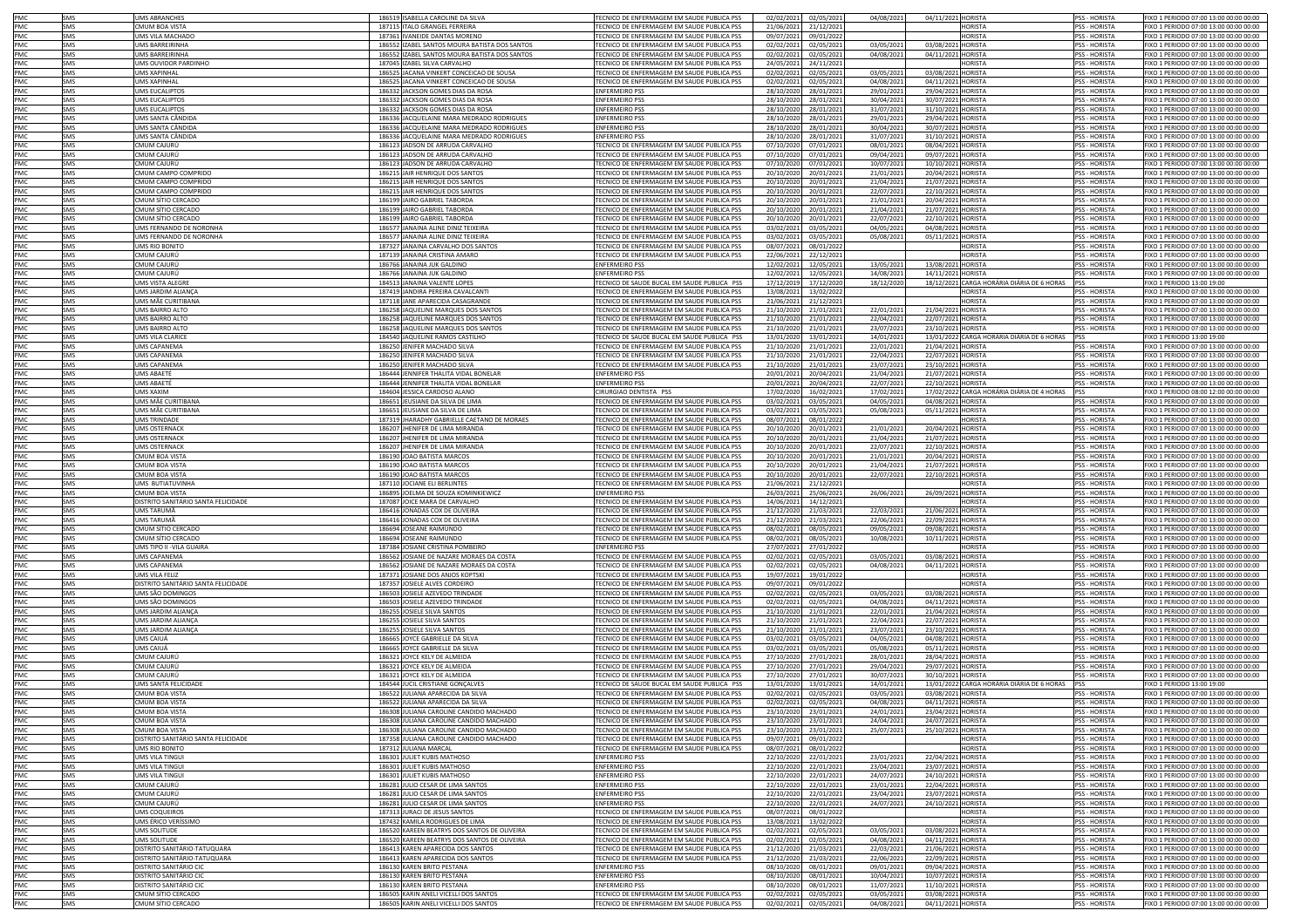| PMC        | SMS        | <b>UMS ABRANCHES</b>                     | 186519 ISABELLA CAROLINE DA SILVA                                              | TECNICO DE ENFERMAGEM EM SAUDE PUBLICA PSS                                               |            | 02/02/2021 02/05/2021               | 04/08/2021               | 04/11/2021 HORISTA                       |                                            | <b>PSS - HORISTA</b>           | FIXO 1 PERIODO 07:00 13:00 00:00 00:00                                           |
|------------|------------|------------------------------------------|--------------------------------------------------------------------------------|------------------------------------------------------------------------------------------|------------|-------------------------------------|--------------------------|------------------------------------------|--------------------------------------------|--------------------------------|----------------------------------------------------------------------------------|
| PMC        | SMS        | MUM BOA VISTA                            | 187115 ITALO GRANGEL FERREIRA                                                  | TECNICO DE ENFERMAGEM EM SAUDE PUBLICA PSS                                               |            |                                     |                          |                                          | <b>HORISTA</b>                             | <b>PSS - HORISTA</b>           |                                                                                  |
|            |            |                                          |                                                                                | TECNICO DE ENFERMAGEM EM SAUDE PUBLICA PSS                                               | 21/06/2021 | 21/12/2021                          |                          |                                          |                                            |                                | FIXO 1 PERIODO 07:00 13:00 00:00 00:00<br>FIXO 1 PERIODO 07:00 13:00 00:00 00:00 |
| PMC        | SMS        | UMS VILA MACHADO                         | 187361 IVANEIDE DANTAS MORENO                                                  |                                                                                          | 09/07/2021 | 09/01/2022                          |                          |                                          | <b>HORISTA</b>                             | PSS - HORISTA                  |                                                                                  |
| PMC        | SMS        | UMS BARREIRINHA                          | 186552 IZABEL SANTOS MOURA BATISTA DOS SANTOS                                  | TECNICO DE ENFERMAGEM EM SAUDE PUBLICA PSS                                               | 02/02/2021 | 02/05/2021                          | 03/05/2021               | 03/08/2021 HORISTA                       |                                            | PSS - HORISTA                  | FIXO 1 PERIODO 07:00 13:00 00:00 00:00                                           |
| PMC        | SMS        | UMS BARREIRINHA                          | 186552 IZABEL SANTOS MOURA BATISTA DOS SANTOS                                  | TECNICO DE ENFERMAGEM EM SAUDE PUBLICA PSS                                               | 02/02/2021 | 02/05/2021                          | 04/08/2021               | 04/11/2021 HORISTA                       |                                            | PSS - HORISTA                  | FIXO 1 PERIODO 07:00 13:00 00:00 00:00                                           |
| PMC        | SMS        | UMS OUVIDOR PARDINHO                     | 187045 IZAREL SILVA CARVALHO                                                   | TECNICO DE ENFERMAGEM EM SAUDE PUBLICA PSS                                               | 24/05/2021 | 24/11/2021                          |                          |                                          | <b>HORISTA</b>                             | <b>PSS - HORISTA</b>           | FIXO 1 PERIODO 07:00 13:00 00:00 00:00                                           |
| PMC        | SMS        | UMS XAPINHAI                             | 186525 JACANA VINKERT CONCEICAO DE SOUSA                                       | TECNICO DE ENFERMAGEM EM SAUDE PUBLICA PSS                                               | 02/02/2021 | 02/05/2021                          | 03/05/2021               | 03/08/2021 HORISTA                       |                                            | <b>PSS - HORISTA</b>           | FIXO 1 PERIODO 07:00 13:00 00:00 00:00                                           |
| PMC        | SMS        | UMS XAPINHAI                             | 186525 JACANA VINKERT CONCEICAO DE SOUSA                                       | TECNICO DE ENFERMAGEM EM SAUDE PUBLICA PSS                                               | 02/02/2021 | 02/05/2021                          | 04/08/2021               | 04/11/2021 HORISTA                       |                                            | PSS - HORISTA                  | FIXO 1 PERIODO 07:00 13:00 00:00 00:00                                           |
| PMC        | SMS        | UMS EUCALIPTOS                           | 186332 JACKSON GOMES DIAS DA ROSA                                              | <b>ENFERMEIRO PSS</b>                                                                    | 28/10/2020 | 28/01/2021                          | 29/01/2021               | 29/04/2021 HORISTA                       |                                            | PSS - HORISTA                  | FIXO 1 PERIODO 07:00 13:00 00:00 00:00                                           |
| PMC        | SMS        | UMS EUCALIPTOS                           | 186332 JACKSON GOMES DIAS DA ROSA                                              | <b>ENFERMEIRO PSS</b>                                                                    | 28/10/2020 | 28/01/2021                          | 30/04/2021               | 30/07/2021 HORISTA                       |                                            | PSS - HORISTA                  | FIXO 1 PERIODO 07:00 13:00 00:00 00:00                                           |
|            |            |                                          |                                                                                |                                                                                          |            |                                     |                          |                                          |                                            |                                |                                                                                  |
| PMC        | SMS        | UMS EUCALIPTOS                           | 186332 JACKSON GOMES DIAS DA ROSA                                              | <b>ENFERMEIRO PSS</b>                                                                    | 28/10/2020 | 28/01/2021                          | 31/07/2021               | 31/10/2021 HORISTA                       |                                            | PSS - HORISTA                  | FIXO 1 PERIODO 07:00 13:00 00:00 00:00                                           |
| PMC        | SMS        | UMS SANTA CÂNDID                         | 186336 IACQUELAINE MARA MEDRADO RODRIGUES                                      | <b>ENFERMEIRO PSS</b>                                                                    | 28/10/2020 | 28/01/2021                          | 29/01/2021               | 29/04/2021 HORISTA                       |                                            | <b>PSS - HORISTA</b>           | EIXO 1 PERIODO 07:00 13:00 00:00 00:00                                           |
| PMC        | SMS        | UMS SANTA CÂNDIDA                        | 186336 JACQUELAINE MARA MEDRADO RODRIGUES                                      | <b>ENFERMEIRO PSS</b>                                                                    | 28/10/2020 | 28/01/202                           | 30/04/2021               | 30/07/2021 HORISTA                       |                                            | <b>PSS - HORISTA</b>           | FIXO 1 PERIODO 07:00 13:00 00:00 00:00                                           |
| PMC        | SMS        | UMS SANTA CÂNDID                         | 186336 JACQUELAINE MARA MEDRADO RODRIGUES                                      | <b>ENFERMEIRO PSS</b>                                                                    | 28/10/2020 | 28/01/202                           | 31/07/2021               | 31/10/2021 HORISTA                       |                                            | <b>PSS - HORISTA</b>           | FIXO 1 PERIODO 07:00 13:00 00:00 00:00                                           |
| PMC        | SMS        | MUM CAJURÚ                               | 186123 JADSON DE ARRUDA CARVALHO                                               | TECNICO DE ENFERMAGEM EM SAUDE PUBLICA PSS                                               | 07/10/2020 | 07/01/2023                          | 08/01/2021               | 08/04/2021 HORISTA                       |                                            | <b>PSS - HORISTA</b>           | FIXO 1 PERIODO 07:00 13:00 00:00 00:00                                           |
| PMC        | SMS        | MUM CAJURÚ                               | 186123 JADSON DE ARRUDA CARVALHO                                               | TECNICO DE ENFERMAGEM EM SAUDE PUBLICA PSS                                               | 07/10/2020 | 07/01/2021                          | 09/04/2021               | 09/07/2021 HORISTA                       |                                            | PSS - HORISTA                  | FIXO 1 PERIODO 07:00 13:00 00:00 00:00                                           |
| PMC        | SMS        | MUM CAJURÚ                               | 186123 JADSON DE ARRUDA CARVALHO                                               | TECNICO DE ENFERMAGEM EM SAUDE PUBLICA PSS                                               | 07/10/2020 | 07/01/2021                          | 10/07/2021               | 10/10/2021 HORISTA                       |                                            | SS - HORISTA                   | FIXO 1 PERIODO 07:00 13:00 00:00 00:00                                           |
| PMC        | SMS        | MUM CAMPO COMPRIDO                       | 186215 JAIR HENRIQUE DOS SANTOS                                                | TECNICO DE ENFERMAGEM EM SAUDE PUBLICA PSS                                               | 20/10/2020 | 20/01/2021                          | 21/01/2021               | 20/04/2021 HORISTA                       |                                            | SS - HORISTA                   | FIXO 1 PERIODO 07:00 13:00 00:00 00:00                                           |
|            |            |                                          |                                                                                |                                                                                          |            |                                     |                          |                                          |                                            |                                |                                                                                  |
| PMC        | SMS        | MUM CAMPO COMPRIDO                       | 186215 JAIR HENRIQUE DOS SANTOS                                                | TECNICO DE ENFERMAGEM EM SAUDE PUBLICA PSS                                               | 20/10/2020 | 20/01/2021                          | 21/04/2021               | 21/07/2021 HORISTA                       |                                            | SS - HORISTA                   | IXO 1 PERIODO 07:00 13:00 00:00 00:00                                            |
| PMC        | SMS        | MUM CAMPO COMPRIDO                       | 186215 JAIR HENRIQUE DOS SANTOS                                                | TECNICO DE ENFERMAGEM EM SAUDE PUBLICA PSS                                               | 20/10/2020 | 20/01/2021                          | 22/07/2021               | 22/10/2021 HORISTA                       |                                            | PSS - HORISTA                  | IXO 1 PERIODO 07:00 13:00 00:00 00:00                                            |
| PMC        | SMS        | :MUM SÍTIO CERCADO                       | 186199 JAIRO GABRIEL TABORDA                                                   | TECNICO DE ENFERMAGEM EM SAUDE PUBLICA PSS                                               | 20/10/2020 | 20/01/2021                          | 21/01/2021               | 20/04/2021 HORISTA                       |                                            | <b>PSS - HORISTA</b>           | FIXO 1 PERIODO 07:00 13:00 00:00 00:00                                           |
| PMC        | SMS        | CMUM SÍTIO CERCADO                       | 186199 JAIRO GABRIEL TABORDA                                                   | TECNICO DE ENFERMAGEM EM SAUDE PUBLICA PSS                                               | 20/10/2020 | 20/01/2021                          | 21/04/2021               | 21/07/2021 HORISTA                       |                                            | PSS - HORISTA                  | FIXO 1 PERIODO 07:00 13:00 00:00 00:00                                           |
| PMC        | SMS        | CMUM SÍTIO CERCADO                       | 186199 JAIRO GABRIEL TABORDA                                                   | TECNICO DE ENFERMAGEM EM SAUDE PUBLICA PSS                                               | 20/10/2020 | 20/01/2021                          | 22/07/2021               | 22/10/2021 HORISTA                       |                                            | PSS - HORISTA                  | FIXO 1 PERIODO 07:00 13:00 00:00 00:00                                           |
| PMC        | SMS        | UMS FERNANDO DE NORONHA                  | 186577 JANAINA ALINE DINIZ TEIXEIRA                                            | TECNICO DE ENFERMAGEM EM SAUDE PUBLICA PSS                                               | 03/02/2021 | 03/05/2021                          | 04/05/2021               | 04/08/2021 HORISTA                       |                                            | PSS - HORISTA                  | FIXO 1 PERIODO 07:00 13:00 00:00 00:00                                           |
| PMC        | SMS        | UMS FERNANDO DE NORONHA                  | 186577 JANAINA ALINE DINIZ TEIXEIRA                                            | TECNICO DE ENFERMAGEM EM SAUDE PUBLICA PSS                                               | 03/02/2021 | 03/05/202                           | 05/08/2021               | 05/11/2021 HORISTA                       |                                            | <b>PSS - HORISTA</b>           | FIXO 1 PERIODO 07:00 13:00 00:00 00:00                                           |
| PMC        | SMS        | UMS RIO BONITO                           | 187327 JANAINA CARVALHO DOS SANTOS                                             | TECNICO DE ENFERMAGEM EM SAUDE PUBLICA PSS                                               | 08/07/2021 | 08/01/2022                          |                          |                                          | <b>HORISTA</b>                             | <b>PSS - HORISTA</b>           | FIXO 1 PERIODO 07:00 13:00 00:00 00:00                                           |
| PMC.       | SMS        |                                          | 187139 JANAINA CRISTINA AMARO                                                  |                                                                                          |            |                                     |                          |                                          | <b>HORISTA</b>                             | <b>PSS - HORISTA</b>           |                                                                                  |
|            |            | CMUM CAJURÚ                              |                                                                                | TECNICO DE ENFERMAGEM EM SAUDE PUBLICA PSS                                               | 22/06/2021 | 22/12/2021                          |                          |                                          |                                            |                                | FIXO 1 PERIODO 07:00 13:00 00:00 00:00                                           |
| PMC        | SMS        | CMUM CAJURÚ                              | 186766 JANAINA JUK GALDINO                                                     | <b>ENFERMEIRO PSS</b>                                                                    | 12/02/2021 | 12/05/2021                          | 13/05/2021               | 13/08/2021 HORISTA                       |                                            | <b>PSS - HORISTA</b>           | FIXO 1 PERIODO 07:00 13:00 00:00 00:00                                           |
| PMC        | SMS        | CMUM CAJURÚ                              | 186766 JANAINA JUK GALDINO                                                     | <b>ENFERMEIRO PSS</b>                                                                    | 12/02/2021 | 12/05/2021                          | 14/08/2021               | 14/11/2021 HORISTA                       |                                            | SS - HORISTA                   | FIXO 1 PERIODO 07:00 13:00 00:00 00:00                                           |
| PMC        | SMS        | UMS VISTA ALEGRE                         | 184513 JANAINA VALENTE LOPES                                                   | TECNICO DE SAUDE BUCAL EM SAUDE PUBLICA PSS                                              | 17/12/2019 | 17/12/2020                          | 18/12/2020               |                                          | 18/12/2021 CARGA HORÁRIA DIÁRIA DE 6 HORAS |                                | FIXO 1 PERIODO 13:00 19:00                                                       |
| PMC        | SMS        | UMS JARDIM ALIANCA                       | 187419 JANDIRA PEREIRA CAVALCANTI                                              | TECNICO DE ENFERMAGEM EM SAUDE PUBLICA PSS                                               | 13/08/2021 | 13/02/2022                          |                          |                                          | <b>HORISTA</b>                             | <b>PSS - HORISTA</b>           | FIXO 1 PERIODO 07:00 13:00 00:00 00:00                                           |
| PMC        | SMS        | UMS MÃE CURITIBANA                       | 187118 JANE APARECIDA CASAGRANDE                                               | TECNICO DE ENFERMAGEM EM SAUDE PUBLICA PSS                                               | 21/06/2021 | 21/12/2021                          |                          |                                          | <b>HORISTA</b>                             | <b>PSS - HORISTA</b>           | FIXO 1 PERIODO 07:00 13:00 00:00 00:00                                           |
| PMC        | SMS        | UMS BAIRRO ALTO                          | 186258 JAQUELINE MARQUES DOS SANTOS                                            | TECNICO DE ENFERMAGEM EM SAUDE PUBLICA PSS                                               | 21/10/2020 | 21/01/2021                          | 22/01/2021               | 21/04/2021 HORISTA                       |                                            | <b>PSS - HORISTA</b>           | FIXO 1 PERIODO 07:00 13:00 00:00 00:00                                           |
| PMC        | SMS        | UMS BAIRRO ALTO                          | 186258 JAQUELINE MARQUES DOS SANTOS                                            | TECNICO DE ENFERMAGEM EM SAUDE PUBLICA PSS                                               | 21/10/2020 | 21/01/2021                          | 22/04/2021               | 22/07/2021 HORISTA                       |                                            | PSS - HORISTA                  | FIXO 1 PERIODO 07:00 13:00 00:00 00:00                                           |
|            |            |                                          |                                                                                |                                                                                          |            |                                     |                          |                                          |                                            |                                |                                                                                  |
| PMC        | SMS        | UMS BAIRRO ALTO                          | 186258 JAQUELINE MARQUES DOS SANTOS                                            | TECNICO DE ENFERMAGEM EM SAUDE PUBLICA PSS                                               | 21/10/2020 | 21/01/2021                          | 23/07/2021               | 23/10/2021 HORISTA                       |                                            | <b>PSS - HORISTA</b>           | FIXO 1 PERIODO 07:00 13:00 00:00 00:00                                           |
| PMC        | SMS        | UMS VILA CLARICE                         | 184540 JAQUELINE RAMOS CASTILHO                                                | TECNICO DE SAUDE BUCAL EM SAUDE PUBLICA PSS                                              | 13/01/2020 | 13/01/2021                          | 14/01/2021               |                                          | 13/01/2022 CARGA HORÁRIA DIÁRIA DE 6 HORAS |                                | FIXO 1 PERIODO 13:00 19:00                                                       |
| PMC        | SMS        | <b>IMS CAPANEMA</b>                      | 186250 JENIFER MACHADO SILVA                                                   | TECNICO DE ENFERMAGEM EM SAUDE PUBLICA PSS                                               | 21/10/2020 | 21/01/2021                          | 22/01/2021               | 21/04/2021 HORISTA                       |                                            | <b>PSS - HORISTA</b>           | FIXO 1 PERIODO 07:00 13:00 00:00 00:00                                           |
| <b>PMC</b> | SMS        | <b>JIMS CAPANEMA</b>                     | 186250 JENIFER MACHADO SILVA                                                   | TECNICO DE ENFERMAGEM EM SAUDE PUBLICA PSS                                               | 21/10/2020 | 21/01/2021                          | 22/04/2021               | 22/07/2021 HORISTA                       |                                            | <b>PSS - HORISTA</b>           | FIXO 1 PERIODO 07:00 13:00 00:00 00:00                                           |
| PMC        | SMS        | <b>JMS CAPANEMA</b>                      | 186250 JENIFER MACHADO SILVA                                                   | TECNICO DE ENFERMAGEM EM SAUDE PUBLICA PSS                                               | 21/10/2020 | 21/01/2021                          | 23/07/2021               | 23/10/2021 HORISTA                       |                                            | <b>PSS - HORISTA</b>           | FIXO 1 PERIODO 07:00 13:00 00:00 00:00                                           |
| PMC        | SMS        | <b>JMS ABAETI</b>                        | 186444 JENNIFER THALITA VIDAL BONELAR                                          | <b>ENFERMEIRO PSS</b>                                                                    | 20/01/2021 | 20/04/2021                          | 21/04/2021               | 21/07/2021 HORISTA                       |                                            | <b>PSS - HORISTA</b>           | FIXO 1 PERIODO 07:00 13:00 00:00 00:00                                           |
| PMC        | SMS        | <b>JMS ABAETÉ</b>                        | 186444 JENNIFER THALITA VIDAL BONELAR                                          | <b>ENFERMEIRO PSS</b>                                                                    | 20/01/2021 | 20/04/2021                          | 22/07/2021               | 22/10/2021 HORISTA                       |                                            | SS - HORISTA                   | FIXO 1 PERIODO 07:00 13:00 00:00 00:00                                           |
|            |            |                                          |                                                                                | CIRURGIAO DENTISTA PSS                                                                   |            |                                     |                          |                                          |                                            |                                |                                                                                  |
| PMC        | SMS        | IMS XAXIM                                | 184604 JESSICA CARDOSO ALANO                                                   |                                                                                          | 17/02/2020 | 16/02/2021                          | 17/02/2021               |                                          | 17/02/2022 CARGA HORÁRIA DIÁRIA DE 4 HORAS |                                | FIXO 1 PERIODO 08:00 12:00 00:00 00:00                                           |
| PMC        | SMS        | IMS MÃE CURITIBANA                       | 186651 JEUSIANE DA SILVA DE LIMA                                               | TECNICO DE ENFERMAGEM EM SAUDE PUBLICA PSS                                               | 03/02/2021 | 03/05/2021                          | 04/05/2021               | 04/08/2021 HORISTA                       |                                            | SS - HORISTA                   | FIXO 1 PERIODO 07:00 13:00 00:00 00:00                                           |
| PMC        | SMS        | IMS MÃE CURITIBANA                       | 186651 JEUSIANE DA SILVA DE LIMA                                               | ECNICO DE ENFERMAGEM EM SAUDE PUBLICA PSS                                                | 03/02/2021 | 03/05/2021                          | 05/08/2021               | 05/11/2021 HORISTA                       |                                            | <b>PSS - HORISTA</b>           | FIXO 1 PERIODO 07:00 13:00 00:00 00:00                                           |
| PMC        | SMS        | <b>IMS TRINDADI</b>                      | 187319 JHARADHY GABRIELLE CAETANO DE MORAES                                    | ECNICO DE ENFERMAGEM EM SAUDE PUBLICA PSS                                                | 08/07/2021 | 08/01/2022                          |                          |                                          | <b>HORISTA</b>                             | <b>PSS - HORISTA</b>           | IXO 1 PERIODO 07:00 13:00 00:00 00:00                                            |
| PMC        | SMS        | <b>JMS OSTERNACK</b>                     | 186207 JHENIFER DE LIMA MIRANDA                                                | TECNICO DE ENFERMAGEM EM SAUDE PUBLICA PSS                                               | 20/10/2020 | 20/01/2021                          | 21/01/2021               | 20/04/2021 HORISTA                       |                                            | <b>PSS - HORISTA</b>           | IXO 1 PERIODO 07:00 13:00 00:00 00:00                                            |
| PMC        | SMS        | UMS OSTERNACK                            | 186207 JHENIFER DE LIMA MIRANDA                                                | TECNICO DE ENFERMAGEM EM SAUDE PUBLICA PSS                                               | 20/10/2020 | 20/01/2021                          | 21/04/2021               | 21/07/2021 HORISTA                       |                                            | PSS - HORISTA                  | FIXO 1 PERIODO 07:00 13:00 00:00 00:00                                           |
| PMC        | SMS        | UMS OSTERNACK                            | 186207 JHENIFER DE LIMA MIRANDA                                                | TECNICO DE ENFERMAGEM EM SAUDE PUBLICA PSS                                               | 20/10/2020 | 20/01/2021                          | 22/07/2021               | 22/10/2021 HORISTA                       |                                            | PSS - HORISTA                  | FIXO 1 PERIODO 07:00 13:00 00:00 00:00                                           |
|            |            |                                          |                                                                                | TECNICO DE ENFERMAGEM EM SAUDE PUBLICA PSS                                               |            |                                     |                          |                                          |                                            |                                |                                                                                  |
| PMC        | SMS        | CMUM BOA VISTA                           | 186190 JOAO BATISTA MARCOS                                                     |                                                                                          | 20/10/2020 | 20/01/2021                          | 21/01/2021               | 20/04/2021 HORISTA                       |                                            | PSS - HORISTA                  | FIXO 1 PERIODO 07:00 13:00 00:00 00:00                                           |
| PMC        | SMS        | CMUM BOA VISTA                           | 186190 JOAO BATISTA MARCOS                                                     | TECNICO DE ENFERMAGEM EM SAUDE PUBLICA PSS                                               | 20/10/2020 | 20/01/2021                          | 21/04/2021               | 21/07/2021 HORISTA                       |                                            | <b>PSS - HORISTA</b>           | FIXO 1 PERIODO 07:00 13:00 00:00 00:00                                           |
| PMC        | SMS        | MUM BOA VISTA                            | 186190 JOAO BATISTA MARCOS                                                     | TECNICO DE ENFERMAGEM EM SAUDE PUBLICA PSS                                               | 20/10/2020 | 20/01/2021                          | 22/07/2021               | 22/10/2021 HORISTA                       |                                            | <b>PSS - HORISTA</b>           | FIXO 1 PERIODO 07:00 13:00 00:00 00:00                                           |
| PMC        | SMS        | UMS BUTIATUVINHA                         | 187110 JOCIANE ELI BERLINTES                                                   | TECNICO DE ENFERMAGEM EM SAUDE PUBLICA PSS                                               | 21/06/2021 | 21/12/2021                          |                          |                                          | <b>HORISTA</b>                             | <b>PSS - HORISTA</b>           | FIXO 1 PERIODO 07:00 13:00 00:00 00:00                                           |
| PMC        | SMS        | CMUM BOA VISTA                           | 186895 JOELMA DE SOUZA KOMINKIEWICZ                                            | <b>ENFERMEIRO PSS</b>                                                                    | 26/03/2021 | 25/06/202                           | 26/06/2021               | 26/09/2021 HORISTA                       |                                            | PSS - HORISTA                  | FIXO 1 PERIODO 07:00 13:00 00:00 00:00                                           |
| PMC        | SMS        | DISTRITO SANITÁRIO SANTA FELICIDADE      | 187087 JOICE MARA DE CARVALHO                                                  | TECNICO DE ENFERMAGEM EM SAUDE PUBLICA PSS                                               | 14/06/2021 | 14/12/2021                          |                          |                                          | HORISTA                                    | PSS - HORISTA                  | FIXO 1 PERIODO 07:00 13:00 00:00 00:00                                           |
|            | SMS        | UMS TARUMÃ                               | 186416 JONADAS COX DE OLIVEIRA                                                 | TECNICO DE ENFERMAGEM EM SAUDE PUBLICA PSS                                               | 21/12/2020 | 21/03/2021                          | 22/03/2021               | 21/06/2021 HORISTA                       |                                            | PSS - HORISTA                  | FIXO 1 PERIODO 07:00 13:00 00:00 00:00                                           |
| PMC        |            |                                          |                                                                                |                                                                                          |            |                                     |                          |                                          |                                            |                                |                                                                                  |
| PMC        | SMS        | UMS TARUMÃ                               | 186416 JONADAS COX DE OLIVEIRA                                                 | TECNICO DE ENFERMAGEM EM SAUDE PUBLICA PSS                                               | 21/12/2020 | 21/03/202                           | 22/06/2021               | 22/09/2021 HORISTA                       |                                            | <b>PSS - HORISTA</b>           | FIXO 1 PERIODO 07:00 13:00 00:00 00:00                                           |
| PMC        | SMS        | MUM SÍTIO CERCADO                        | 186694 JOSEANE RAIMUNDO                                                        | TECNICO DE ENFERMAGEM EM SAUDE PUBLICA PSS                                               | 08/02/2021 | 08/05/2021                          | 09/05/2021               | 09/08/2021 HORISTA                       |                                            | <b>PSS - HORISTA</b>           | FIXO 1 PERIODO 07:00 13:00 00:00 00:00                                           |
| PMC        | SMS        | CMUM SÍTIO CERCADO                       | 186694 JOSEANE RAIMUNDO                                                        | TECNICO DE ENFERMAGEM EM SAUDE PUBLICA PSS                                               | 08/02/2021 | 08/05/2021                          | 10/08/2021               | 10/11/2021 HORISTA                       |                                            | <b>PSS - HORISTA</b>           | FIXO 1 PERIODO 07:00 13:00 00:00 00:00                                           |
| PMC        | SMS        | UMS TIPO II -VILA GUAIRA                 | 187384 JOSIANE CRISTINA POMBEIRO                                               | <b>ENFERMEIRO PSS</b>                                                                    | 27/07/2021 | 27/01/2022                          |                          |                                          | <b>HORISTA</b>                             | <b>PSS - HORISTA</b>           | FIXO 1 PERIODO 07:00 13:00 00:00 00:00                                           |
| PMC        | SMS        | UMS CAPANEMA                             | 186562 JOSIANE DE NAZARE MORAES DA COSTA                                       | TECNICO DE ENFERMAGEM EM SAUDE PUBLICA PSS                                               | 02/02/2021 | 02/05/2021                          | 03/05/2021               | 03/08/2021 HORISTA                       |                                            | PSS - HORISTA                  | FIXO 1 PERIODO 07:00 13:00 00:00 00:00                                           |
| PMC        | SMS        | UMS CAPANEMA                             | 186562 JOSIANE DE NAZARE MORAES DA COSTA                                       | TECNICO DE ENFERMAGEM EM SAUDE PUBLICA PSS                                               | 02/02/2021 | 02/05/2021                          | 04/08/2021               | 04/11/2021 HORISTA                       |                                            | PSS - HORISTA                  | FIXO 1 PERIODO 07:00 13:00 00:00 00:00                                           |
| PMC        | SMS        | UMS VILA FELIZ                           | 187371 JOSIANE DOS ANJOS KOPTSKI                                               | TECNICO DE ENFERMAGEM EM SAUDE PUBLICA PSS                                               | 19/07/2021 | 19/01/2022                          |                          |                                          | HORISTA                                    | PSS - HORISTA                  |                                                                                  |
| PMC        |            |                                          |                                                                                |                                                                                          |            |                                     |                          |                                          |                                            |                                |                                                                                  |
|            | SMS        | DISTRITO SANITÁRIO SANTA FELICIDADE      | 187357 JOSIELE ALVES CORDEIRO                                                  | TECNICO DE ENFERMAGEM EM SAUDE PUBLICA PSS                                               | 09/07/2021 |                                     |                          |                                          |                                            |                                | FIXO 1 PERIODO 07:00 13:00 00:00 00:00                                           |
| PMC        | SMS        | UMS SÃO DOMINGOS                         | 186503 JOSIELE AZEVEDO TRINDADE                                                |                                                                                          |            | 09/01/2022                          |                          |                                          | <b>HORISTA</b>                             | <b>PSS - HORISTA</b>           | FIXO 1 PERIODO 07:00 13:00 00:00 00:00                                           |
| PMC        | SMS        | UMS SÃO DOMINGO:                         |                                                                                | TECNICO DE ENFERMAGEM EM SAUDE PUBLICA PSS                                               | 02/02/2021 | 02/05/2021                          | 03/05/2021               | 03/08/2021 HORISTA                       |                                            | PSS - HORISTA                  | FIXO 1 PERIODO 07:00 13:00 00:00 00:00                                           |
| PMC        | SMS        |                                          | 186503 JOSIELE AZEVEDO TRINDADE                                                | TECNICO DE ENFERMAGEM EM SAUDE PUBLICA PSS                                               | 02/02/2021 | 02/05/2021                          | 04/08/2021               | 04/11/2021 HORISTA                       |                                            | <b>PSS - HORISTA</b>           | FIXO 1 PERIODO 07:00 13:00 00:00 00:00                                           |
| PMC        |            | <b>JMS JARDIM ALIANCA</b>                | 186255 JOSIELE SILVA SANTOS                                                    | TECNICO DE ENFERMAGEM EM SAUDE PUBLICA PSS                                               | 21/10/2020 | 21/01/2021                          | 22/01/2021               | 21/04/2021 HORISTA                       |                                            | PSS - HORISTA                  | FIXO 1 PERIODO 07:00 13:00 00:00 00:00                                           |
|            | SMS        | <b>JMS JARDIM ALIANÇA</b>                | 186255 JOSIELE SILVA SANTOS                                                    | TECNICO DE ENFERMAGEM EM SAUDE PUBLICA PSS                                               | 21/10/2020 | 21/01/2021                          | 22/04/2021               | 22/07/2021 HORISTA                       |                                            | SS - HORISTA                   | FIXO 1 PERIODO 07:00 13:00 00:00 00:00                                           |
| PMC        | SMS        | UMS JARDIM ALIANÇA                       | 186255 JOSIELE SILVA SANTOS                                                    | TECNICO DE ENFERMAGEM EM SAUDE PUBLICA PSS                                               | 21/10/2020 | 21/01/2021                          | 23/07/2021               | 23/10/2021 HORISTA                       |                                            | PSS - HORISTA                  | FIXO 1 PERIODO 07:00 13:00 00:00 00:00                                           |
| PMC        | SMS        |                                          |                                                                                | TECNICO DE ENFERMAGEM EM SAUDE PUBLICA PSS                                               |            | 03/05/2023                          | 04/05/2021               | 04/08/2021 HORISTA                       |                                            |                                | IXO 1 PERIODO 07:00 13:00 00:00 00:00                                            |
|            |            | JMS CAIUÁ                                | 186665 JOYCE GABRIELLE DA SILVA                                                |                                                                                          | 03/02/2021 |                                     |                          |                                          |                                            | SS - HORISTA                   |                                                                                  |
| PMC        | SMS        | JMS CAIUÁ                                | 186665 JOYCE GABRIELLE DA SILVA                                                | TECNICO DE ENFERMAGEM EM SAUDE PUBLICA PSS                                               | 03/02/2021 | 03/05/2021                          | 05/08/2021               | 05/11/2021 HORISTA                       |                                            | PSS - HORISTA                  | IXO 1 PERIODO 07:00 13:00 00:00 00:00                                            |
| PMC        | SMS        | `MUM CAJURÚ                              | 186321 JOYCE KELY DE ALMEIDA                                                   | TECNICO DE ENFERMAGEM EM SAUDE PUBLICA PSS                                               | 27/10/2020 | 27/01/2021                          | 28/01/2021               | 28/04/2021 HORISTA                       |                                            | <b>PSS - HORISTA</b>           | IXO 1 PERIODO 07:00 13:00 00:00 00:00                                            |
| PMC        | SMS        | CMUM CAJURÚ                              | 186321 JOYCE KELY DE ALMEIDA                                                   | TECNICO DE ENFERMAGEM EM SAUDE PUBLICA PSS                                               | 27/10/2020 | 27/01/2021                          | 29/04/2021               | 29/07/2021 HORISTA                       |                                            | PSS - HORISTA                  | FIXO 1 PERIODO 07:00 13:00 00:00 00:00                                           |
| PMC        | SMS        | CMUM CAJURÚ                              | 186321 JOYCE KELY DE ALMEIDA                                                   | TECNICO DE ENFERMAGEM EM SAUDE PUBLICA PSS                                               | 27/10/2020 | 27/01/2021                          | 30/07/2021               | 30/10/2021 HORISTA                       |                                            | <b>PSS - HORISTA</b>           | FIXO 1 PERIODO 07:00 13:00 00:00 00:00                                           |
| PMC        | SMS        | UMS SANTA FELICIDADE                     | 184544 JUCIL CRISTIANE GONÇALVES                                               | TECNICO DE SAUDE BUCAL EM SAUDE PUBLICA PSS                                              | 13/01/2020 | 13/01/2021                          | 14/01/2021               |                                          | 13/01/2022 CARGA HORÁRIA DIÁRIA DE 6 HORAS |                                | FIXO 1 PERIODO 13:00 19:00                                                       |
| PMC        | SMS        | CMUM BOA VISTA                           | 186522 JULIANA APARECIDA DA SILVA                                              | TECNICO DE ENFERMAGEM EM SAUDE PUBLICA PSS                                               | 02/02/2021 | 02/05/202                           | 03/05/2021               | 03/08/2021 HORISTA                       |                                            | <b>PSS - HORISTA</b>           | FIXO 1 PERIODO 07:00 13:00 00:00 00:00                                           |
| PMC        | SMS        | CMUM BOA VISTA                           | 186522 JULIANA APARECIDA DA SILVA                                              | TECNICO DE ENFERMAGEM EM SAUDE PUBLICA PSS                                               | 02/02/2021 | 02/05/2023                          | 04/08/2021               | 04/11/2021 HORISTA                       |                                            | PSS - HORISTA                  | FIXO 1 PERIODO 07:00 13:00 00:00 00:00                                           |
| PMC        | <b>SMS</b> | CMUM BOA VISTA                           | 186308 JULIANA CAROLINE CANDIDO MACHADO                                        | TECNICO DE ENFERMAGEM EM SAUDE PUBLICA PSS                                               | 23/10/2020 | 23/01/202                           | 24/01/2021               | 23/04/2021 HORISTA                       |                                            | <b>PSS - HORISTA</b>           | FIXO 1 PERIODO 07:00 13:00 00:00 00:00                                           |
|            |            |                                          |                                                                                |                                                                                          |            |                                     |                          |                                          |                                            |                                |                                                                                  |
| PMC        | SMS        | CMUM BOA VISTA                           | 186308 JULIANA CAROLINE CANDIDO MACHADO                                        | TECNICO DE ENFERMAGEM EM SAUDE PUBLICA PSS                                               | 23/10/2020 | 23/01/202                           | 24/04/2021               | 24/07/2021 HORISTA                       |                                            | PSS - HORISTA                  | FIXO 1 PERIODO 07:00 13:00 00:00 00:00                                           |
| PMC        | SMS        | CMUM BOA VISTA                           | 186308 JULIANA CAROLINE CANDIDO MACHADO                                        | TECNICO DE ENFERMAGEM EM SAUDE PUBLICA PSS                                               | 23/10/2020 | 23/01/2021                          | 25/07/2021               | 25/10/2021 HORISTA                       |                                            | PSS - HORISTA                  | FIXO 1 PERIODO 07:00 13:00 00:00 00:00                                           |
| PMC        | SMS        | DISTRITO SANITÁRIO SANTA FELICIDADE      | 187358 JULIANA CAROLINE CANDIDO MACHADO                                        | TECNICO DE ENFERMAGEM EM SAUDE PUBLICA PSS                                               | 09/07/2021 | 09/01/2022                          |                          |                                          | <b>HORISTA</b>                             | PSS - HORISTA                  | FIXO 1 PERIODO 07:00 13:00 00:00 00:00                                           |
| PMC        | SMS        | UMS RIO BONITO                           | 187312 JULIANA MARCAL                                                          | TECNICO DE ENFERMAGEM EM SAUDE PUBLICA PSS                                               | 08/07/2021 | 08/01/2022                          |                          |                                          | <b>HORISTA</b>                             | PSS - HORISTA                  | FIXO 1 PERIODO 07:00 13:00 00:00 00:00                                           |
| PMC        | SMS        | UMS VILA TINGUI                          | 186301 JULIET KUBIS MATHOSO                                                    | <b>ENFERMEIRO PSS</b>                                                                    | 22/10/2020 | 22/01/2021                          | 23/01/2021               | 22/04/2021 HORISTA                       |                                            | PSS - HORISTA                  | FIXO 1 PERIODO 07:00 13:00 00:00 00:00                                           |
| PMC        | SMS        | UMS VILA TINGUI                          | 186301 JULIET KUBIS MATHOSO                                                    | <b>ENFERMEIRO PSS</b>                                                                    | 22/10/2020 | 22/01/2021                          | 23/04/2021               | 23/07/2021 HORISTA                       |                                            | PSS - HORISTA                  | FIXO 1 PERIODO 07:00 13:00 00:00 00:00                                           |
| PMC        | SMS        | UMS VII A TINGUI                         | 186301 JULIET KUBIS MATHOSO                                                    | <b>ENFERMEIRO PSS</b>                                                                    | 22/10/2020 | 22/01/2021                          | 24/07/2021               | 24/10/2021 HORISTA                       |                                            | PSS - HORISTA                  | FIXO 1 PERIODO 07:00 13:00 00:00 00:00                                           |
| PMC        | SMS        | CMUM CAJURÚ                              | 186281 JULIO CESAR DE LIMA SANTOS                                              | <b>ENFERMEIRO PSS</b>                                                                    | 22/10/2020 | 22/01/2021                          | 23/01/2021               | 22/04/2021 HORISTA                       |                                            | PSS - HORISTA                  | FIXO 1 PERIODO 07:00 13:00 00:00 00:00                                           |
|            |            | CMUM CAJURÚ                              |                                                                                |                                                                                          |            |                                     |                          |                                          |                                            |                                |                                                                                  |
| PMC        | SMS        |                                          | 186281 JULIO CESAR DE LIMA SANTOS                                              | <b>ENFERMEIRO PSS</b>                                                                    | 22/10/2020 | 22/01/2021                          | 23/04/2021               | 23/07/2021 HORISTA                       |                                            | PSS - HORISTA                  | FIXO 1 PERIODO 07:00 13:00 00:00 00:00                                           |
| PMC        | SMS        | CMUM CAJURÚ                              | 186281 JULIO CESAR DE LIMA SANTOS                                              | ENFERMEIRO PSS                                                                           | 22/10/2020 | 22/01/2021                          | 24/07/2021               | 24/10/2021 HORISTA                       |                                            | PSS - HORISTA                  | FIXO 1 PERIODO 07:00 13:00 00:00 00:00                                           |
| PMC        | SMS        | UMS COQUEIROS                            | 187313 JURACI DE JESUS SANTOS                                                  | TECNICO DE ENFERMAGEM EM SAUDE PUBLICA PSS                                               | 08/07/2021 | 08/01/2022                          |                          |                                          | <b>HORISTA</b>                             | <b>PSS - HORISTA</b>           | FIXO 1 PERIODO 07:00 13:00 00:00 00:00                                           |
| PMC        | SMS        | UMS ÉRICO VERÍSSIMO                      | 187432 KAMILA RODRIGUES DE LIMA                                                | TECNICO DE ENFERMAGEM EM SAUDE PUBLICA PSS                                               | 13/08/2021 | 13/02/2022                          |                          |                                          | <b>HORISTA</b>                             | <b>PSS - HORISTA</b>           | FIXO 1 PERIODO 07:00 13:00 00:00 00:00                                           |
| <b>PMC</b> | SMS        | <b>UMS SOLITUDE</b>                      | 186520 KAREEN BEATRYS DOS SANTOS DE OLIVEIRA                                   | TECNICO DE ENFERMAGEM EM SAUDE PUBLICA PSS                                               | 02/02/2021 | 02/05/2021                          | 03/05/2021               | 03/08/2021 HORISTA                       |                                            | <b>PSS - HORISTA</b>           | FIXO 1 PERIODO 07:00 13:00 00:00 00:00                                           |
| PMC        | SMS        | UMS SOLITUDE                             | 186520 KAREEN BEATRYS DOS SANTOS DE OLIVEIRA                                   | TECNICO DE ENFERMAGEM EM SAUDE PUBLICA PSS                                               | 02/02/2021 | 02/05/2021                          | 04/08/2021               | 04/11/2021 HORISTA                       |                                            | PSS - HORISTA                  | FIXO 1 PERIODO 07:00 13:00 00:00 00:00                                           |
| PMC        | SMS        | DISTRITO SANITÁRIO-TATUQUARA             | 186413 KAREN APARECIDA DOS SANTOS                                              | TECNICO DE ENFERMAGEM EM SAUDE PUBLICA PSS                                               | 21/12/2020 | 21/03/2021                          | 22/03/2021               | 21/06/2021 HORISTA                       |                                            | PSS - HORISTA                  | FIXO 1 PERIODO 07:00 13:00 00:00 00:00                                           |
|            |            |                                          |                                                                                |                                                                                          |            |                                     |                          |                                          |                                            |                                |                                                                                  |
| PMC        | SMS        | DISTRITO SANITÁRIO-TATUQUARA             | 186413 KAREN APARECIDA DOS SANTOS                                              | TECNICO DE ENFERMAGEM EM SAUDE PUBLICA PSS                                               | 21/12/2020 | 21/03/2021                          | 22/06/2021               | 22/09/2021 HORISTA                       |                                            | PSS - HORISTA                  | FIXO 1 PERIODO 07:00 13:00 00:00 00:00                                           |
| PMC        | SMS        | IISTRITO SANITÁRIO CIC                   | 186130 KAREN BRITO PESTANA                                                     | ENFERMEIRO PSS                                                                           | 08/10/2020 | 08/01/2021                          | 09/01/2021               | 09/04/2021 HORISTA                       |                                            | PSS - HORISTA                  | FIXO 1 PERIODO 07:00 13:00 00:00 00:00                                           |
| PMC        | SMS        | <b>DISTRITO SANITÁRIO CIC</b>            | 186130 KAREN BRITO PESTANA                                                     | <b>ENFERMEIRO PSS</b>                                                                    | 08/10/2020 | 08/01/2021                          | 10/04/2021               | 10/07/2021 HORISTA                       |                                            | <b>PSS - HORISTA</b>           | FIXO 1 PERIODO 07:00 13:00 00:00 00:00                                           |
| PMC        | SMS        | DISTRITO SANITÁRIO CIC                   | 186130 KAREN BRITO PESTANA                                                     | <b>ENFERMEIRO PSS</b>                                                                    | 08/10/2020 | 08/01/2021                          | 11/07/2021               | 11/10/2021 HORISTA                       |                                            | <b>PSS - HORISTA</b>           | FIXO 1 PERIODO 07:00 13:00 00:00 00:00                                           |
| PMC<br>PMC | SMS<br>SMS | CMUM SÍTIO CERCADO<br>CMUM SÍTIO CERCADO | 186505 KARIN ANELI VICELLI DOS SANTOS<br>186505 KARIN ANELI VICELLI DOS SANTOS | TECNICO DE ENFERMAGEM EM SAUDE PUBLICA PSS<br>TECNICO DE ENFERMAGEM EM SAUDE PUBLICA PSS | 02/02/2021 | 02/05/2021<br>02/02/2021 02/05/2021 | 03/05/2021<br>04/08/2021 | 03/08/2021 HORISTA<br>04/11/2021 HORISTA |                                            | PSS - HORISTA<br>PSS - HORISTA | FIXO 1 PERIODO 07:00 13:00 00:00 00:00<br>FIXO 1 PERIODO 07:00 13:00 00:00 00:00 |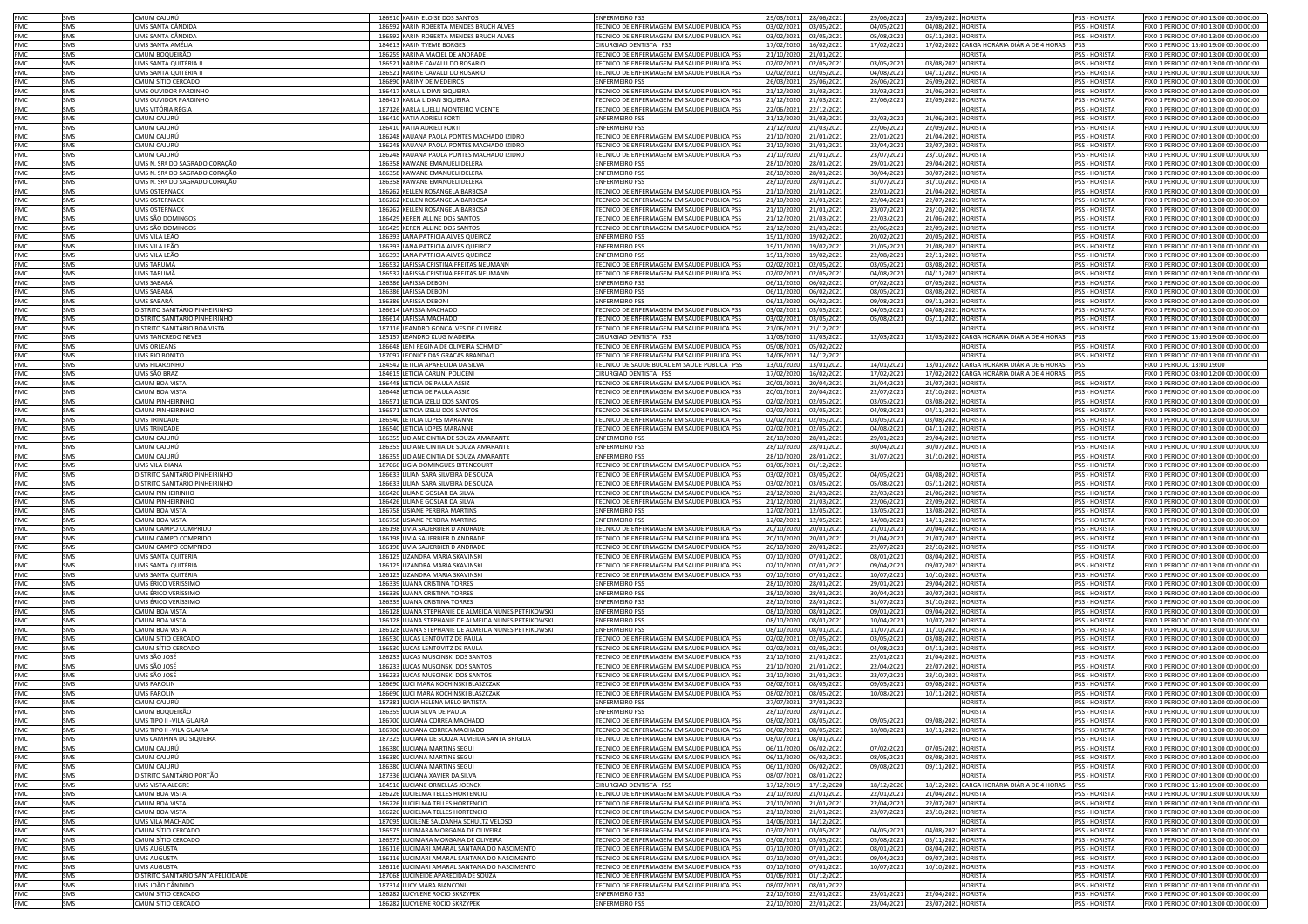| PMC        | SMS        | CMUM CAIURÚ                              | 186910 KARIN ELOISE DOS SANTOS                                   | <b>ENFERMEIRO PSS</b>                                                                    | 29/03/2021<br>28/06/2021                             | 29/06/2021               | 29/09/2021 HORISTA                             | <b>PSS - HORISTA</b>                  | FIXO 1 PERIODO 07:00 13:00 00:00 00:00                                           |
|------------|------------|------------------------------------------|------------------------------------------------------------------|------------------------------------------------------------------------------------------|------------------------------------------------------|--------------------------|------------------------------------------------|---------------------------------------|----------------------------------------------------------------------------------|
| PMC        | SMS        | UMS SANTA CÂNDIDA                        | 186592 KARIN ROBERTA MENDES BRUCH ALVES                          | TECNICO DE ENFERMAGEM EM SAUDE PUBLICA PSS                                               | 03/02/2021<br>03/05/202                              |                          |                                                | <b>PSS - HORISTA</b>                  |                                                                                  |
|            |            |                                          |                                                                  | TECNICO DE ENFERMAGEM EM SAUDE PUBLICA PSS                                               |                                                      | 04/05/2021               | 04/08/2021 HORISTA                             |                                       | FIXO 1 PERIODO 07:00 13:00 00:00 00:00<br>FIXO 1 PERIODO 07:00 13:00 00:00 00:00 |
| PMC        | SMS        | UMS SANTA CÂNDIDA                        | 186592 KARIN ROBERTA MENDES BRUCH ALVES                          |                                                                                          | 03/02/2021<br>03/05/202                              | 05/08/2021               | 05/11/2021 HORISTA                             | PSS - HORISTA                         |                                                                                  |
| PMC        | SMS        | UMS SANTA AMÉLIA                         | 184613 KARIN TYEME BORGES                                        | CIRURGIAO DENTISTA PSS                                                                   | 17/02/2020<br>16/02/202                              | 17/02/2021               | 17/02/2022 CARGA HORÁRIA DIÁRIA DE 4 HORAS     | <b>PSS</b>                            | FIXO 1 PERIODO 15:00 19:00 00:00 00:00                                           |
| PMC        | SMS        | CMUM BOQUEIRÃO                           | 186259 KARINA MACIEL DE ANDRADI                                  | TECNICO DE ENFERMAGEM EM SAUDE PUBLICA PSS                                               | 21/10/2020<br>21/01/202                              |                          | <b>HORISTA</b>                                 | PSS - HORISTA                         | FIXO 1 PERIODO 07:00 13:00 00:00 00:00                                           |
| PMC        | <b>SMS</b> | <b>UMS SANTA OUITÉRIA</b>                | 186521 KARINE CAVALLI DO ROSARIO                                 | TECNICO DE ENFERMAGEM EM SAUDE PUBLICA PSS                                               | 02/02/2021<br>02/05/202                              | 03/05/2021               | 03/08/2021 HORISTA                             | <b>PSS - HORISTA</b>                  | FIXO 1 PERIODO 07:00 13:00 00:00 00:00                                           |
| PMC        | SMS        | UMS SANTA QUITÉRIA                       | 186521 KARINE CAVALLI DO ROSARIO                                 | TECNICO DE ENFERMAGEM EM SAUDE PUBLICA PSS                                               | 02/02/2021<br>02/05/202                              | 04/08/2021               | 04/11/2021 HORISTA                             | <b>PSS - HORISTA</b>                  | FIXO 1 PERIODO 07:00 13:00 00:00 00:00                                           |
| PMC        | SMS        | CMUM SÍTIO CERCADO                       | 186890 KARINY DE MEDEIROS                                        | <b>ENFERMEIRO PSS</b>                                                                    | 26/03/2021<br>25/06/202                              | 26/06/2021               | 26/09/2021 HORISTA                             | <b>PSS - HORISTA</b>                  | FIXO 1 PERIODO 07:00 13:00 00:00 00:00                                           |
| PMC        | SMS        | UMS OUVIDOR PARDINHO                     | 186417 KARLA LIDIAN SIQUEIRA                                     | TECNICO DE ENFERMAGEM EM SAUDE PUBLICA PSS                                               | 21/12/2020<br>21/03/202                              | 22/03/2021               | 21/06/2021 HORISTA                             | PSS - HORISTA                         | FIXO 1 PERIODO 07:00 13:00 00:00 00:00                                           |
| PMC        | SMS        | UMS OUVIDOR PARDINHO                     | 186417 KARLA LIDIAN SIQUEIRA                                     | TECNICO DE ENFERMAGEM EM SAUDE PUBLICA PSS                                               | 21/12/2020<br>21/03/202                              | 22/06/2021               | 22/09/2021 HORISTA                             | PSS - HORISTA                         | FIXO 1 PERIODO 07:00 13:00 00:00 00:00                                           |
| PMC        | SMS        | UMS VITÓRIA RÉGIA                        | 187126 KARLA LUELLI MONTEIRO VICENTE                             | TECNICO DE ENFERMAGEM EM SAUDE PUBLICA PSS                                               | 22/06/2021<br>22/12/202                              |                          | <b>HORISTA</b>                                 | PSS - HORISTA                         | FIXO 1 PERIODO 07:00 13:00 00:00 00:00                                           |
| PMC        | <b>SMS</b> | CMUM CAJURÚ                              | 186410 KATIA ADRIFI LFORTI                                       | <b>ENFERMEIRO PSS</b>                                                                    | 21/12/2020<br>21/03/202                              | 22/03/2021               | 21/06/2021 HORISTA                             | <b>PSS - HORISTA</b>                  | FIXO 1 PERIODO 07:00 13:00 00:00 00:00                                           |
| PMC        |            |                                          |                                                                  | <b>FNFERMEIRO PSS</b>                                                                    |                                                      |                          |                                                |                                       |                                                                                  |
|            | SMS        | CMUM CAJURÚ                              | 186410 KATIA ADRIELI FORT                                        |                                                                                          | 21/12/2020<br>21/03/202                              | 22/06/2021               | 22/09/2021 HORISTA                             | <b>PSS - HORISTA</b>                  | FIXO 1 PERIODO 07:00 13:00 00:00 00:00                                           |
| PMC        | SMS        | CMUM CAJURÚ                              | 186248 KAUANA PAOLA PONTES MACHADO IZIDRO                        | TECNICO DE ENFERMAGEM EM SAUDE PUBLICA PSS                                               | 21/10/2020<br>21/01/202                              | 22/01/2021               | 21/04/2021 HORISTA                             | <b>PSS - HORISTA</b>                  | FIXO 1 PERIODO 07:00 13:00 00:00 00:00                                           |
| PMC        | SMS        | CMUM CAJURÚ                              | 186248 KAUANA PAOLA PONTES MACHADO IZIDRO                        | TECNICO DE ENFERMAGEM EM SAUDE PUBLICA PSS                                               | 21/10/2020<br>21/01/202                              | 22/04/2021               | 22/07/2021 HORISTA                             | <b>PSS - HORISTA</b>                  | FIXO 1 PERIODO 07:00 13:00 00:00 00:00                                           |
| PMC        | SMS        | CMUM CAJURÚ                              | 186248 KAUANA PAOLA PONTES MACHADO IZIDRO                        | TECNICO DE ENFERMAGEM EM SAUDE PUBLICA PSS                                               | 21/10/2020<br>21/01/202                              | 23/07/2021               | 23/10/2021 HORISTA                             | <b>PSS - HORISTA</b>                  | FIXO 1 PERIODO 07:00 13:00 00:00 00:00                                           |
| PMC        | SMS        | UMS N. SRª DO SAGRADO CORAÇÃO            | 186358 KAWANE EMANUELI DELERA                                    | <b>ENFERMEIRO PSS</b>                                                                    | 28/10/2020<br>28/01/202                              | 29/01/2021               | 29/04/2021 HORISTA                             | PSS - HORISTA                         | FIXO 1 PERIODO 07:00 13:00 00:00 00:00                                           |
| PMC        | SMS        | UMS N. SRª DO SAGRADO CORAÇÃO            | 186358 KAWANE EMANUELI DELERA                                    | <b>ENFERMEIRO PSS</b>                                                                    | 28/10/2020<br>28/01/2021                             | 30/04/2021               | 30/07/2021 HORISTA                             | PSS - HORISTA                         | FIXO 1 PERIODO 07:00 13:00 00:00 00:00                                           |
| PMC        | SMS        | UMS N. SRª DO SAGRADO CORAÇÃO            | 186358 KAWANE EMANUELI DELERA                                    | <b>ENFERMEIRO PSS</b>                                                                    | 28/10/2020<br>28/01/2021                             | 31/07/2021               | 31/10/2021 HORISTA                             | <b>PSS - HORISTA</b>                  | FIXO 1 PERIODO 07:00 13:00 00:00 00:00                                           |
| PMC        | SMS        | <b>UMS OSTERNACK</b>                     | 186262 KELLEN ROSANGELA BARBOSA                                  | TECNICO DE ENFERMAGEM EM SAUDE PUBLICA PSS                                               | 21/10/2020<br>21/01/2021                             | 22/01/2021               | 21/04/2021 HORISTA                             | <b>PSS - HORISTA</b>                  | 1XO 1 PERIODO 07:00 13:00 00:00 00:00                                            |
| PMC        | SMS        | <b>UMS OSTERNACK</b>                     | 186262 KELLEN ROSANGELA BARBOSA                                  | TECNICO DE ENFERMAGEM EM SAUDE PUBLICA PSS                                               | 21/10/2020<br>21/01/2021                             | 22/04/2021               | 22/07/2021 HORISTA                             | <b>PSS - HORISTA</b>                  | IXO 1 PERIODO 07:00 13:00 00:00 00:00                                            |
| PMC        | SMS        | <b>UMS OSTERNACK</b>                     | 186262 KELLEN ROSANGELA BARBOSA                                  | TECNICO DE ENFERMAGEM EM SAUDE PUBLICA PSS                                               | 21/10/2020<br>21/01/2021                             | 23/07/2021               | 23/10/2021 HORISTA                             | PSS - HORISTA                         | FIXO 1 PERIODO 07:00 13:00 00:00 00:00                                           |
|            |            |                                          |                                                                  |                                                                                          |                                                      |                          |                                                |                                       |                                                                                  |
| PMC        | SMS        | UMS SÃO DOMINGOS                         | 186429 KEREN ALLINE DOS SANTOS                                   | TECNICO DE ENFERMAGEM EM SAUDE PUBLICA PSS                                               | 21/12/2020<br>21/03/202:                             | 22/03/2021               | 21/06/2021 HORISTA                             | PSS - HORISTA                         | FIXO 1 PERIODO 07:00 13:00 00:00 00:00                                           |
| PMC        | SMS        | UMS SÃO DOMINGOS                         | 186429 KEREN ALLINE DOS SANTOS                                   | TECNICO DE ENFERMAGEM EM SAUDE PUBLICA PSS                                               | 21/12/2020<br>21/03/202                              | 22/06/2021               | 22/09/2021 HORISTA                             | PSS - HORISTA                         | FIXO 1 PERIODO 07:00 13:00 00:00 00:00                                           |
| <b>PMC</b> | SMS        | UMS VILA LEÃO                            | 186393 LANA PATRICIA ALVES QUEIROZ                               | <b>ENFERMEIRO PSS</b>                                                                    | 19/11/2020<br>19/02/2021                             | 20/02/2021               | 20/05/2021 HORISTA                             | PSS - HORISTA                         | FIXO 1 PERIODO 07:00 13:00 00:00 00:00                                           |
| PMC        | SMS        | UMS VILA LEÃO                            | 186393 LANA PATRICIA ALVES QUEIROZ                               | <b>ENFERMEIRO PSS</b>                                                                    | 19/11/2020<br>19/02/202                              | 21/05/2021               | 21/08/2021 HORISTA                             | <b>PSS - HORISTA</b>                  | FIXO 1 PERIODO 07:00 13:00 00:00 00:00                                           |
| PMC        | SMS        | UMS VILA LEÃO                            | 186393 LANA PATRICIA ALVES QUEIROZ                               | <b>ENFERMEIRO PSS</b>                                                                    | 19/11/2020<br>19/02/202                              | 22/08/2021               | 22/11/2021 HORISTA                             | PSS - HORISTA                         | FIXO 1 PERIODO 07:00 13:00 00:00 00:00                                           |
| PMC        | SMS        | UMS TARUMÃ                               | 186532 LARISSA CRISTINA FREITAS NEUMANN                          | TECNICO DE ENFERMAGEM EM SAUDE PUBLICA PSS                                               | 02/02/2021<br>02/05/2021                             | 03/05/2021               | 03/08/2021 HORISTA                             | PSS - HORISTA                         | FIXO 1 PERIODO 07:00 13:00 00:00 00:00                                           |
| PMC        | SMS        | UMS TARUMÃ                               | 186532 LARISSA CRISTINA FREITAS NEUMANN                          | TECNICO DE ENFERMAGEM EM SAUDE PUBLICA PSS                                               | 02/02/2021<br>02/05/202                              | 04/08/2021               | 04/11/2021 HORISTA                             | PSS - HORISTA                         | FIXO 1 PERIODO 07:00 13:00 00:00 00:00                                           |
| PMC        | SMS        | UMS SABARÁ                               | 186386 LARISSA DEBONI                                            | <b>ENFERMEIRO PSS</b>                                                                    | 06/11/2020<br>06/02/202                              | 07/02/2021               | 07/05/2021 HORISTA                             | PSS - HORISTA                         | IXO 1 PERIODO 07:00 13:00 00:00 00:00                                            |
| PMC        | SMS        | UMS SABARA                               | 186386 LARISSA DEBONI                                            | <b>ENFERMEIRO PSS</b>                                                                    | 06/11/2020<br>06/02/202                              | 08/05/2021               | 08/08/2021 HORISTA                             | PSS - HORISTA                         | IXO 1 PERIODO 07:00 13:00 00:00 00:00                                            |
| PMC        | SMS        | UMS SABARÁ                               |                                                                  | <b>ENFERMEIRO PSS</b>                                                                    |                                                      |                          |                                                |                                       |                                                                                  |
|            |            |                                          | 186386 LARISSA DEBONI                                            |                                                                                          | 06/11/2020<br>06/02/202                              | 09/08/2021               | 09/11/2021 HORISTA                             | PSS - HORISTA                         | IXO 1 PERIODO 07:00 13:00 00:00 00:00                                            |
| PMC        | SMS        | DISTRITO SANITÁRIO PINHEIRINHO           | 186614 LARISSA MACHADO                                           | TECNICO DE ENFERMAGEM EM SAUDE PUBLICA PSS                                               | 03/02/2021<br>03/05/202                              | 04/05/2021               | 04/08/2021 HORISTA                             | <b>PSS - HORISTA</b>                  | IXO 1 PERIODO 07:00 13:00 00:00 00:00                                            |
| PMC        | SMS        | DISTRITO SANITÁRIO PINHEIRINHO           | 186614 LARISSA MACHADO                                           | TECNICO DE ENFERMAGEM EM SAUDE PUBLICA PSS                                               | 03/02/2021<br>03/05/202                              | 05/08/2021               | 05/11/2021 HORISTA                             | PSS - HORISTA                         | FIXO 1 PERIODO 07:00 13:00 00:00 00:00                                           |
| PMC        | SMS        | DISTRITO SANITÁRIO BOA VISTA             | 187116 LEANDRO GONCALVES DE OLIVEIRA                             | TECNICO DE ENFERMAGEM EM SAUDE PUBLICA PSS                                               | 21/06/2021<br>21/12/202                              |                          | HORISTA                                        | PSS - HORISTA                         | FIXO 1 PERIODO 07:00 13:00 00:00 00:00                                           |
| PMC        | SMS        | UMS TANCREDO NEVES                       | 185157 LEANDRO KLUG MADEIRA                                      | CIRURGIAO DENTISTA PSS                                                                   | 11/03/2020<br>11/03/202                              | 12/03/2021               | 12/03/2022 CARGA HORÁRIA DIÁRIA DE 4 HORAS     | PSS                                   | FIXO 1 PERIODO 15:00 19:00 00:00 00:00                                           |
| PMC        | SMS        | UMS ORLEANS                              | 186648 LENI REGINA DE OLIVEIRA SCHMIDT                           | TECNICO DE ENFERMAGEM EM SAUDE PUBLICA PSS                                               | 05/08/2021<br>05/02/202                              |                          | HORISTA                                        | <b>PSS - HORISTA</b>                  | FIXO 1 PERIODO 07:00 13:00 00:00 00:00                                           |
| PMC        | SMS        | UMS RIO BONITO                           | 187097 LEONICE DAS GRACAS BRANDAO                                | TECNICO DE ENFERMAGEM EM SAUDE PUBLICA PSS                                               | 14/06/2021<br>14/12/202                              |                          | <b>HORISTA</b>                                 | <b>PSS - HORISTA</b>                  | FIXO 1 PERIODO 07:00 13:00 00:00 00:00                                           |
| PMC        | SMS        | UMS PILARZINHC                           | 184542 LETICIA APARECIDA DA SILVA                                | TECNICO DE SAUDE BUCAL EM SAUDE PUBLICA PSS                                              | 13/01/2020<br>13/01/202                              | 14/01/2021               | 13/01/2022 CARGA HORÁRIA DIÁRIA DE 6 HORAS     | <b>IPSS</b>                           | FIXO 1 PERIODO 13:00 19:00                                                       |
| PMC        | SMS        | UMS SÃO BRAZ                             | 184615 LETICIA CARLINI POLICENI                                  | CIRURGIAO DENTISTA PSS                                                                   | 17/02/2020<br>16/02/202                              | 17/02/2023               | 17/02/2022 CARGA HORÁRIA DIÁRIA DE 4 HORAS PSS |                                       | FIXO 1 PERIODO 08:00 12:00 00:00 00:00                                           |
| PMC        | SMS        | <b>CMUM BOA VISTA</b>                    | 186448 LETICIA DE PAULA ASSIZ                                    | TECNICO DE ENFERMAGEM EM SAUDE PUBLICA PSS                                               | 20/01/2021<br>20/04/202                              | 21/04/2021               | 21/07/2021 HORISTA                             | SS - HORISTA                          | FIXO 1 PERIODO 07:00 13:00 00:00 00:00                                           |
| PMC        | SMS        | <b>CMUM BOA VISTA</b>                    | 186448 LETICIA DE PAULA ASSIZ                                    | FECNICO DE ENFERMAGEM EM SAUDE PUBLICA PSS                                               | 20/01/2021<br>20/04/202                              | 22/07/2021               | 22/10/2021 HORISTA                             | <b>PSS - HORISTA</b>                  | IXO 1 PERIODO 07:00 13:00 00:00 00:00                                            |
|            |            |                                          |                                                                  |                                                                                          |                                                      |                          |                                                |                                       |                                                                                  |
| PMC        | SMS        | CMUM PINHEIRINHO                         | 186571 LETICIA IZELLI DOS SANTOS                                 | TECNICO DE ENFERMAGEM EM SAUDE PUBLICA PSS                                               | 02/02/2021<br>02/05/2021                             | 03/05/2021               | 03/08/2021 HORISTA                             | PSS - HORISTA                         | IXO 1 PERIODO 07:00 13:00 00:00 00:00                                            |
| PMC        | SMS        | MUM PINHFIRINHO                          | 186571 LETICIA IZELLI DOS SANTOS                                 | TECNICO DE ENFERMAGEM EM SAUDE PUBLICA PSS                                               | 02/02/2021<br>02/05/202:                             | 04/08/2021               | 04/11/2021 HORISTA                             | <b>PSS - HORISTA</b>                  | IXO 1 PERIODO 07:00 13:00 00:00 00:00                                            |
| PMC        | SMS        | UMS TRINDADE                             | 186540 LETICIA LOPES MARANNE                                     | TECNICO DE ENFERMAGEM EM SAUDE PUBLICA PSS                                               | 02/02/2021<br>02/05/2021                             | 03/05/2021               | 03/08/2021 HORISTA                             | <b>PSS - HORISTA</b>                  | IXO 1 PERIODO 07:00 13:00 00:00 00:00                                            |
| PMC        | SMS        | <b>JMS TRINDADE</b>                      | 186540   FTICIA LOPES MARANNI                                    | TECNICO DE ENFERMAGEM EM SAUDE PUBLICA PSS                                               | 02/02/2021<br>02/05/202:                             | 04/08/2021               | 04/11/2021 HORISTA                             | <b>PSS - HORISTA</b>                  | IXO 1 PERIODO 07:00 13:00 00:00 00:00                                            |
| PMC        | SMS        | CMUM CAJURÚ                              | 186355 LIDIANE CINTIA DE SOUZA AMARANTE                          | <b>ENFERMEIRO PSS</b>                                                                    | 28/10/2020<br>28/01/202                              | 29/01/2021               | 29/04/2021 HORISTA                             | <b>PSS - HORISTA</b>                  | FIXO 1 PERIODO 07:00 13:00 00:00 00:00                                           |
| PMC        | SMS        | CMUM CAJURÚ                              | 186355 LIDIANE CINTIA DE SOUZA AMARANTE                          | <b>ENFERMEIRO PSS</b>                                                                    | 28/10/2020<br>28/01/202                              | 30/04/2021               | 30/07/2021 HORISTA                             | <b>PSS - HORISTA</b>                  | FIXO 1 PERIODO 07:00 13:00 00:00 00:00                                           |
| PMC        | SMS        | CMUM CAJURI                              | 186355 LIDIANE CINTIA DE SOUZA AMARANTE                          | <b>ENFERMEIRO PS:</b>                                                                    | 28/10/2020<br>28/01/2021                             | 31/07/2021               | 31/10/2021<br><b>HORISTA</b>                   | PSS - HORISTA                         | FIXO 1 PERIODO 07:00 13:00 00:00 00:00                                           |
| PMC        | SMS        | UMS VILA DIANA                           | 187066 LIGIA DOMINGUES BITENCOURT                                | TECNICO DE ENFERMAGEM EM SAUDE PUBLICA PSS                                               | 01/06/2021<br>01/12/2021                             |                          | <b>HORISTA</b>                                 | <b>PSS - HORISTA</b>                  |                                                                                  |
|            |            |                                          |                                                                  |                                                                                          |                                                      |                          |                                                |                                       |                                                                                  |
|            |            |                                          |                                                                  |                                                                                          |                                                      |                          |                                                |                                       | FIXO 1 PERIODO 07:00 13:00 00:00 00:00                                           |
| PMC        | SMS        | DISTRITO SANITÁRIO PINHEIRINHO           | 186633 LILIAN SARA SILVEIRA DE SOUZA                             | TECNICO DE ENFERMAGEM EM SAUDE PUBLICA PSS                                               | 03/02/2021<br>03/05/202                              | 04/05/2021               | 04/08/2021 HORISTA                             | <b>PSS - HORISTA</b>                  | FIXO 1 PERIODO 07:00 13:00 00:00 00:00                                           |
| PMC        | SMS        | DISTRITO SANITÁRIO PINHEIRINHO           | 186633 LILIAN SARA SILVEIRA DE SOUZA                             | TECNICO DE ENFERMAGEM EM SAUDE PUBLICA PSS                                               | 03/02/2021<br>03/05/202                              | 05/08/2021               | 05/11/2021 HORISTA                             | PSS - HORISTA                         | FIXO 1 PERIODO 07:00 13:00 00:00 00:00                                           |
| PMC        | SMS        | <b>CMUM PINHEIRINHC</b>                  | 186426 LILIANE GOSLAR DA SILVA                                   | TECNICO DE ENFERMAGEM EM SAUDE PUBLICA PSS                                               | 21/12/2020<br>21/03/2021                             | 22/03/2021               | 21/06/2021 HORISTA                             | PSS - HORISTA                         | FIXO 1 PERIODO 07:00 13:00 00:00 00:00                                           |
| PMC        | SMS        | <b>CMUM PINHEIRINHO</b>                  | 186426 LILIANE GOSLAR DA SILVA                                   | TECNICO DE ENFERMAGEM EM SAUDE PUBLICA PSS                                               | 21/12/2020<br>21/03/202                              | 22/06/2021               | 22/09/2021 HORISTA                             | PSS - HORISTA                         | FIXO 1 PERIODO 07:00 13:00 00:00 00:00                                           |
| PMC        | SMS        | CMUM BOA VISTA                           | 186758 LISIANE PEREIRA MARTINS                                   | <b>ENFERMEIRO PSS</b>                                                                    | 12/02/2021<br>12/05/202                              | 13/05/2021               | 13/08/2021 HORISTA                             | PSS - HORISTA                         | FIXO 1 PERIODO 07:00 13:00 00:00 00:00                                           |
| PMC        | SMS        | <b>CMUM BOA VISTA</b>                    | 186758 LISIANE PEREIRA MARTINS                                   | <b>ENFERMEIRO PSS</b>                                                                    | 12/02/2021<br>12/05/202                              | 14/08/2021               | 14/11/2021 HORISTA                             | <b>PSS - HORISTA</b>                  | FIXO 1 PERIODO 07:00 13:00 00:00 00:00                                           |
|            |            |                                          | 186198 LIVIA SAUERBIER D ANDRAD                                  |                                                                                          |                                                      |                          |                                                |                                       |                                                                                  |
| PMC        | SMS<br>SMS | CMUM CAMPO COMPRIDO                      | 186198 LIVIA SAUERBIER D ANDRAD                                  | TECNICO DE ENFERMAGEM EM SAUDE PUBLICA PSS<br>TECNICO DE ENFERMAGEM EM SAUDE PUBLICA PSS | 20/10/2020<br>20/01/202                              | 21/01/2021               | 20/04/2021 HORISTA                             | PSS - HORISTA<br><b>PSS - HORISTA</b> | FIXO 1 PERIODO 07:00 13:00 00:00 00:00                                           |
| PMC        |            | CMUM CAMPO COMPRIDO                      |                                                                  |                                                                                          | 20/10/2020<br>20/01/202                              | 21/04/2021               | 21/07/2021 HORISTA                             |                                       | FIXO 1 PERIODO 07:00 13:00 00:00 00:00                                           |
| PMC        | SMS        | CMUM CAMPO COMPRIDO                      | 186198 LIVIA SAUERBIER D ANDRADE                                 | TECNICO DE ENFERMAGEM EM SAUDE PUBLICA PSS                                               | 20/10/2020<br>20/01/202                              | 22/07/2021               | 22/10/2021 HORISTA                             | <b>PSS - HORISTA</b>                  | FIXO 1 PERIODO 07:00 13:00 00:00 00:00                                           |
| PMC        | SMS        | UMS SANTA QUITÉRIA                       | 186125 LIZANDRA MARIA SKAVINSKI                                  | TECNICO DE ENFERMAGEM EM SAUDE PUBLICA PSS                                               | 07/10/2020<br>07/01/202                              | 08/01/2021               | 08/04/2021 HORISTA                             | PSS - HORISTA                         | FIXO 1 PERIODO 07:00 13:00 00:00 00:00                                           |
| PMC        | SMS        | UMS SANTA QUITÉRIA                       | 186125 LIZANDRA MARIA SKAVINSKI                                  | TECNICO DE ENFERMAGEM EM SAUDE PUBLICA PSS                                               | 07/10/2020<br>07/01/202                              | 09/04/2021               | 09/07/2021 HORISTA                             | PSS - HORISTA                         | FIXO 1 PERIODO 07:00 13:00 00:00 00:00                                           |
| PMC        | SMS        | UMS SANTA QUITÉRIA                       | 186125 LIZANDRA MARIA SKAVINSKI                                  | TECNICO DE ENFERMAGEM EM SAUDE PUBLICA PSS                                               | 07/10/2020<br>07/01/202                              | 10/07/2021               | 10/10/2021 HORISTA                             | PSS - HORISTA                         | FIXO 1 PERIODO 07:00 13:00 00:00 00:00                                           |
| PMC        | SMS        | UMS ÉRICO VERÍSSIMO                      | 186339 LUANA CRISTINA TORRES                                     | <b>ENFERMEIRO PSS</b>                                                                    | 28/10/2020<br>28/01/202                              | 29/01/2021               | 29/04/2021 HORISTA                             | <b>PSS - HORISTA</b>                  | FIXO 1 PERIODO 07:00 13:00 00:00 00:00                                           |
| PMC        | SMS        | UMS ÉRICO VERÍSSIMO                      | 186339 LUANA CRISTINA TORRES                                     | <b>ENFERMEIRO PSS</b>                                                                    | 28/10/2020<br>28/01/202                              | 30/04/2021               | 30/07/2021 HORISTA                             | <b>PSS - HORISTA</b>                  | FIXO 1 PERIODO 07:00 13:00 00:00 00:00                                           |
| PMC        | SMS        | UMS ÉRICO VERÍSSIMO                      | 186339 LUANA CRISTINA TORRES                                     | <b>ENFERMEIRO PSS</b>                                                                    | 28/10/2020<br>28/01/202                              | 31/07/2023               | 31/10/2021 HORISTA                             | PSS - HORISTA                         | FIXO 1 PERIODO 07:00 13:00 00:00 00:00                                           |
| PMC        | SMS        | CMUM BOA VISTA                           | 186128 LUANA STEPHANIE DE ALMEIDA NUNES PETRIKOWSKI              | <b>ENFERMEIRO PSS</b>                                                                    | 08/10/2020<br>08/01/202                              | 09/01/2021               | 09/04/2021 HORISTA                             | <b>PSS - HORISTA</b>                  | FIXO 1 PERIODO 07:00 13:00 00:00 00:00                                           |
| PMC        | SMS        | CMUM BOA VISTA                           | 186128 LUANA STEPHANIE DE ALMEIDA NUNES PETRIKOWSKI              | <b>ENFERMEIRO PSS</b>                                                                    | 08/10/2020<br>08/01/2021                             | 10/04/2021               | 10/07/2021 HORISTA                             | <b>PSS - HORISTA</b>                  | IXO 1 PERIODO 07:00 13:00 00:00 00:00                                            |
| PMC        | SMS        | CMUM BOA VISTA                           | 186128 LUANA STEPHANIE DE ALMEIDA NUNES PETRIKOWSKI              | <b>ENFERMEIRO PSS</b>                                                                    | 08/10/2020<br>08/01/2021                             | 11/07/2021               | 11/10/2021 HORISTA                             | <b>PSS - HORISTA</b>                  | FIXO 1 PERIODO 07:00 13:00 00:00 00:00                                           |
| PMC        | SMS        | CMUM SÍTIO CERCADO                       | 186530 LUCAS LENTOVITZ DE PAULA                                  | TECNICO DE ENFERMAGEM EM SAUDE PUBLICA PSS                                               | 02/02/2021<br>02/05/202                              | 03/05/2021               | 03/08/2021 HORISTA                             | <b>PSS - HORISTA</b>                  | IXO 1 PERIODO 07:00 13:00 00:00 00:00                                            |
| PMC        | SMS        | CMUM SÍTIO CERCADO                       | 186530 LUCAS LENTOVITZ DE PAULA                                  | TECNICO DE ENFERMAGEM EM SAUDE PUBLICA PSS                                               | 02/02/2021<br>02/05/2021                             | 04/08/2021               | 04/11/2021 HORISTA                             | <b>PSS - HORISTA</b>                  | FIXO 1 PERIODO 07:00 13:00 00:00 00:00                                           |
| PMC        | SMS        | UMS SÃO JOSE                             | 186233 LUCAS MUSCINSKI DOS SANTOS                                | TECNICO DE ENFERMAGEM EM SAUDE PUBLICA PSS                                               | 21/10/2020<br>21/01/2021                             | 22/01/2021               | 21/04/2021 HORISTA                             | <b>PSS - HORISTA</b>                  | FIXO 1 PERIODO 07:00 13:00 00:00 00:00                                           |
| PMC        | SMS        | UMS SÃO JOSÉ                             | 186233 LUCAS MUSCINSKI DOS SANTOS                                | TECNICO DE ENFERMAGEM EM SAUDE PUBLICA PSS                                               | 21/10/2020<br>21/01/2021                             | 22/04/2021               | 22/07/2021 HORISTA                             | <b>PSS - HORISTA</b>                  | FIXO 1 PERIODO 07:00 13:00 00:00 00:00                                           |
| PMC        | SMS        | UMS SÃO JOSÉ                             | 186233 LUCAS MUSCINSKI DOS SANTOS                                | TECNICO DE ENFERMAGEM EM SAUDE PUBLICA PSS                                               | 21/10/2020<br>21/01/2021                             | 23/07/2021               | 23/10/2021 HORISTA                             | <b>PSS - HORISTA</b>                  | FIXO 1 PERIODO 07:00 13:00 00:00 00:00                                           |
|            | SMS        | <b>UMS PAROLIN</b>                       |                                                                  |                                                                                          |                                                      |                          |                                                | <b>PSS - HORISTA</b>                  | FIXO 1 PERIODO 07:00 13:00 00:00 00:00                                           |
| PMC<br>PMC |            | <b>UMS PAROLIN</b>                       | 186690 LUCI MARA KOCHINSKI BLASZCZAK                             | TECNICO DE ENFERMAGEM EM SAUDE PUBLICA PSS                                               | 08/02/2021<br>08/05/2021                             | 09/05/2021               | 09/08/2021 HORISTA<br>10/11/2021 HORISTA       | <b>PSS - HORISTA</b>                  |                                                                                  |
|            | SMS<br>SMS | CMUM CAIURI                              | 186690 LUCI MARA KOCHINSKI BLASZCZAK                             | TECNICO DE ENFERMAGEM EM SAUDE PUBLICA PSS<br><b>ENFERMEIRO PSS</b>                      | 08/02/2021<br>08/05/202                              | 10/08/2021               | HORISTA                                        | PSS - HORISTA                         | FIXO 1 PERIODO 07:00 13:00 00:00 00:00                                           |
| PMC        |            |                                          | 187381 LUCIA HELENA MELO BATISTA                                 |                                                                                          | 27/07/2021<br>27/01/2022                             |                          |                                                |                                       | FIXO 1 PERIODO 07:00 13:00 00:00 00:00                                           |
| PMC        | <b>SMS</b> | CMUM BOQUEIRÃO                           | 186359 LUCIA SILVA DE PAULA                                      | <b>ENFERMEIRO PSS</b>                                                                    | 28/10/2020<br>28/01/202                              |                          | <b>HORISTA</b>                                 | <b>PSS - HORISTA</b>                  | FIXO 1 PERIODO 07:00 13:00 00:00 00:00                                           |
| PMC        | SMS        | UMS TIPO II - VILA GUAIRA                | 186700 LUCIANA CORREA MACHADO                                    | TECNICO DE ENFERMAGEM EM SAUDE PUBLICA PSS                                               | 08/02/2021<br>08/05/202                              | 09/05/2021               | 09/08/2021 HORISTA                             | PSS - HORISTA                         | FIXO 1 PERIODO 07:00 13:00 00:00 00:00                                           |
| PMC        | SMS        | UMS TIPO II - VILA GUAIRA                | 186700 LUCIANA CORREA MACHADO                                    | TECNICO DE ENFERMAGEM EM SAUDE PUBLICA PSS                                               | 08/02/2021<br>08/05/2021                             | 10/08/2021               | 10/11/2021 HORISTA                             | PSS - HORISTA                         | FIXO 1 PERIODO 07:00 13:00 00:00 00:00                                           |
| PMC        | SMS        | UMS CAMPINA DO SIQUEIRA                  | 187325 LUCIANA DE SOUZA ALMEIDA SANTA BRIGIDA                    | TECNICO DE ENFERMAGEM EM SAUDE PUBLICA PSS                                               | 08/07/2021<br>08/01/202                              |                          | HORISTA                                        | PSS - HORISTA                         | FIXO 1 PERIODO 07:00 13:00 00:00 00:00                                           |
| PMC        | SMS        | CMUM CAJURÚ                              | 186380 LUCIANA MARTINS SEGUI                                     | TECNICO DE ENFERMAGEM EM SAUDE PUBLICA PSS                                               | 06/11/2020<br>06/02/2021                             | 07/02/2021               | 07/05/2021 HORISTA                             | PSS - HORISTA                         | FIXO 1 PERIODO 07:00 13:00 00:00 00:00                                           |
| PMC        | SMS        | CMUM CAJURÚ                              | 186380 LUCIANA MARTINS SEGUI                                     | TECNICO DE ENFERMAGEM EM SAUDE PUBLICA PSS                                               | 06/11/2020<br>06/02/202                              | 08/05/2021               | 08/08/2021 HORISTA                             | PSS - HORISTA                         | IXO 1 PERIODO 07:00 13:00 00:00 00:00                                            |
| PMC        | SMS        | CMUM CAJURÚ                              | 186380 LUCIANA MARTINS SEGUI                                     | TECNICO DE ENFERMAGEM EM SAUDE PUBLICA PSS                                               | 06/11/2020<br>06/02/2021                             | 09/08/2021               | 09/11/2021 HORISTA                             | <b>PSS - HORISTA</b>                  | FIXO 1 PERIODO 07:00 13:00 00:00 00:00                                           |
| PMC        | SMS        | DISTRITO SANITÁRIO PORTÃO                | 187336 LUCIANA XAVIER DA SILVA                                   | TECNICO DE ENFERMAGEM EM SAUDE PUBLICA PSS                                               | 08/07/2021<br>08/01/2022                             |                          | <b>HORISTA</b>                                 | PSS - HORISTA                         | FIXO 1 PERIODO 07:00 13:00 00:00 00:00                                           |
|            |            |                                          |                                                                  |                                                                                          |                                                      |                          |                                                |                                       |                                                                                  |
| PMC        | SMS        | UMS VISTA ALEGRE                         | 184510 LUCIANE ORNELLAS JOENCK                                   | CIRURGIAO DENTISTA PSS                                                                   | 17/12/2019<br>17/12/2020                             | 18/12/2020               | 18/12/2021 CARGA HORÁRIA DIÁRIA DE 4 HORAS PSS |                                       | FIXO 1 PERIODO 15:00 19:00 00:00 00:00                                           |
| PMC        | SMS        | CMUM BOA VISTA                           | 186226 LUCIELMA TELLES HORTENCIO                                 | TECNICO DE ENFERMAGEM EM SAUDE PUBLICA PSS                                               | 21/10/2020<br>21/01/2021                             | 22/01/2021               | 21/04/2021 HORISTA                             | PSS - HORISTA                         | FIXO 1 PERIODO 07:00 13:00 00:00 00:00                                           |
| PMC        | SMS        | CMUM BOA VISTA                           | 186226 LUCIELMA TELLES HORTENCIO                                 | TECNICO DE ENFERMAGEM EM SAUDE PUBLICA PSS                                               | 21/10/2020<br>21/01/202:                             | 22/04/2021               | 22/07/2021 HORISTA                             | PSS - HORISTA                         | TIXO 1 PERIODO 07:00 13:00 00:00 00:00                                           |
| <b>PMC</b> | SMS        | CMUM BOA VISTA                           | 186226 LUCIELMA TELLES HORTENCIO                                 | TECNICO DE ENFERMAGEM EM SAUDE PUBLICA PSS                                               | 21/01/2021<br>21/10/2020                             | 23/07/2021               | 23/10/2021 HORISTA                             | PSS - HORISTA                         | TIXO 1 PERIODO 07:00 13:00 00:00 00:00                                           |
| PMC        | SMS        | UMS VILA MACHADO                         | 187095 LUCILENE SALDANHA SCHULTZ VELOSO                          | TECNICO DE ENFERMAGEM EM SAUDE PUBLICA PSS                                               | 14/12/2021<br>14/06/2021                             |                          | <b>HORISTA</b>                                 | PSS - HORISTA                         | FIXO 1 PERIODO 07:00 13:00 00:00 00:00                                           |
| PMC        | SMS        | CMUM SÍTIO CERCADO                       | 186575 LUCIMARA MORGANA DE OLIVEIRA                              | TECNICO DE ENFERMAGEM EM SAUDE PUBLICA PSS                                               | 03/02/2021<br>03/05/2021                             | 04/05/2021               | 04/08/2021 HORISTA                             | PSS - HORISTA                         | FIXO 1 PERIODO 07:00 13:00 00:00 00:00                                           |
| PMC        | SMS        | CMUM SÍTIO CERCADO                       | 186575 LUCIMARA MORGANA DE OLIVEIRA                              | TECNICO DE ENFERMAGEM EM SAUDE PUBLICA PSS                                               | 03/02/2021<br>03/05/2021                             | 05/08/2021               | 05/11/2021 HORISTA                             | PSS - HORISTA                         | FIXO 1 PERIODO 07:00 13:00 00:00 00:00                                           |
| PMC        | SMS        | UMS AUGUSTA                              | 186116 LUCIMARI AMARAL SANTANA DO NASCIMENTO                     | TECNICO DE ENFERMAGEM EM SAUDE PUBLICA PSS                                               | 07/10/2020<br>07/01/202                              | 08/01/2021               | 08/04/2021 HORISTA                             | PSS - HORISTA                         | FIXO 1 PERIODO 07:00 13:00 00:00 00:00                                           |
| PMC        | SMS        | UMS AUGUSTA                              | 186116 LUCIMARI AMARAL SANTANA DO NASCIMENTO                     | TECNICO DE ENFERMAGEM EM SAUDE PUBLICA PSS                                               | 07/10/2020<br>07/01/2021                             | 09/04/2021               | 09/07/2021 HORISTA                             | PSS - HORISTA                         | FIXO 1 PERIODO 07:00 13:00 00:00 00:00                                           |
| PMC        | SMS        | UMS AUGUSTA                              | 186116 LUCIMARI AMARAL SANTANA DO NASCIMENTO                     | TECNICO DE ENFERMAGEM EM SAUDE PUBLICA PSS                                               | 07/10/2020<br>07/01/2021                             | 10/07/2021               | 10/10/2021 HORISTA                             | <b>PSS - HORISTA</b>                  | FIXO 1 PERIODO 07:00 13:00 00:00 00:00                                           |
| PMC        | SMS        | DISTRITO SANITÁRIO SANTA FELICIDADE      | 187068 LUCINEIDE APARECIDA DE SOUZA                              | TECNICO DE ENFERMAGEM EM SAUDE PUBLICA PSS                                               | 01/06/2021<br>01/12/2021                             |                          | <b>HORISTA</b>                                 | PSS - HORISTA                         | FIXO 1 PERIODO 07:00 13:00 00:00 00:00                                           |
|            |            |                                          | 187314 LUCY MARA BIANCONI                                        |                                                                                          |                                                      |                          | <b>HORISTA</b>                                 |                                       |                                                                                  |
| PMC        | SMS        | UMS JOÃO CÂNDIDO                         |                                                                  | TECNICO DE ENFERMAGEM EM SAUDE PUBLICA PSS                                               | 08/07/2021<br>08/01/2022                             |                          |                                                | PSS - HORISTA                         | FIXO 1 PERIODO 07:00 13:00 00:00 00:00                                           |
| PMC<br>PMC | SMS<br>SMS | CMUM SÍTIO CERCADO<br>CMUM SÍTIO CERCADO | 186282 LUCYLENE ROCIO SKRZYPEK<br>186282 LUCYLENE ROCIO SKRZYPEK | <b>ENFERMEIRO PSS</b><br><b>ENFERMEIRO PSS</b>                                           | 22/10/2020<br>22/01/2021<br>22/10/2020<br>22/01/2021 | 23/01/2021<br>23/04/2021 | 22/04/2021 HORISTA<br>23/07/2021 HORISTA       | PSS - HORISTA<br>PSS - HORISTA        | FIXO 1 PERIODO 07:00 13:00 00:00 00:00<br>FIXO 1 PERIODO 07:00 13:00 00:00 00:00 |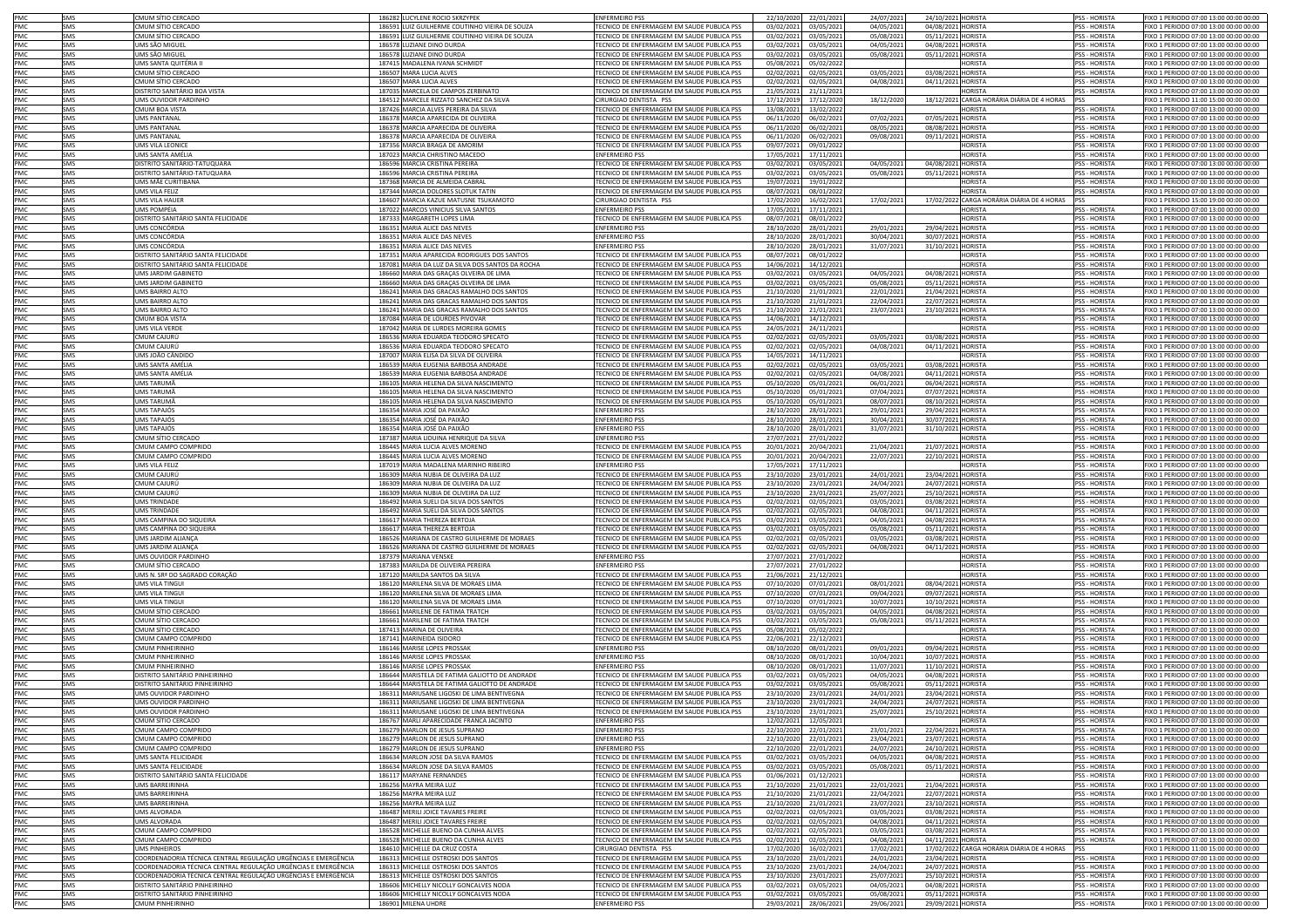| <b>PMC</b> | SMS        | CMUM SÍTIO CERCADO                                            | 186282 LUCYLENE ROCIO SKRZYPEK                                | <b>ENFERMEIRO PSS</b>                                               | 22/10/2020<br>22/01/202                              | 24/07/2023               | 24/10/2021 HORISTA                       |                                                | <b>PSS - HORISTA</b>           | FIXO 1 PERIODO 07:00 13:00 00:00 00:00                                           |
|------------|------------|---------------------------------------------------------------|---------------------------------------------------------------|---------------------------------------------------------------------|------------------------------------------------------|--------------------------|------------------------------------------|------------------------------------------------|--------------------------------|----------------------------------------------------------------------------------|
| <b>PMC</b> | SMS        | :MUM SÍTIO CERCADO                                            |                                                               | <b>FECNICO DE ENFERMAGEM EM SAUDE PUBLICA PSS</b>                   | 03/02/2021                                           | 04/05/202                |                                          |                                                | <b>PSS - HORISTA</b>           |                                                                                  |
|            |            |                                                               | 186591 LUIZ GUILHERME COUTINHO VIEIRA DE SOUZA                |                                                                     | 03/05/202                                            |                          | 04/08/2021 HORISTA                       |                                                |                                | FIXO 1 PERIODO 07:00 13:00 00:00 00:00                                           |
| PMC        | SMS        | CMUM SÍTIO CERCADO                                            | 186591 LUIZ GUILHERME COUTINHO VIEIRA DE SOUZA                | TECNICO DE ENFERMAGEM EM SAUDE PUBLICA PSS                          | 03/02/2021<br>03/05/202                              | 05/08/2021               | 05/11/2021 HORISTA                       |                                                | PSS - HORISTA                  | FIXO 1 PERIODO 07:00 13:00 00:00 00:00                                           |
| PMC        | SMS        | JMS SÃO MIGUEI                                                | 186578 LUZIANE DINO DURDA                                     | FECNICO DE ENFERMAGEM EM SAUDE PUBLICA PSS                          | 03/02/2021<br>03/05/202                              | 04/05/2021               | 04/08/2021 HORISTA                       |                                                | PSS - HORISTA                  | FIXO 1 PERIODO 07:00 13:00 00:00 00:00                                           |
| PMC        | SMS        | JMS SÃO MIGUEI                                                | 186578 LUZIANE DINO DURDA                                     | TECNICO DE ENFERMAGEM EM SAUDE PUBLICA PSS                          | 03/02/2021<br>03/05/202                              | 05/08/2021               | 05/11/2021 HORISTA                       |                                                | PSS - HORISTA                  | FIXO 1 PERIODO 07:00 13:00 00:00 00:00                                           |
| PMC        | SMS        | <b>IMS SANTA OUITÉRIA II</b>                                  | 187415 MADALENA IVANA SCHMIDT                                 | TECNICO DE ENFERMAGEM EM SAUDE PUBLICA PSS                          | 05/08/2021<br>05/02/202                              |                          |                                          | <b>HORISTA</b>                                 | <b>PSS - HORISTA</b>           | FIXO 1 PERIODO 07:00 13:00 00:00 00:00                                           |
| PMC        | SMS        | CMUM SÍTIO CERCADO                                            | 186507 MARA LUCIA ALVES                                       | TECNICO DE ENFERMAGEM EM SAUDE PUBLICA PSS                          | 02/02/2021<br>02/05/202                              | 03/05/2021               | 03/08/2021 HORISTA                       |                                                | PSS - HORISTA                  | FIXO 1 PERIODO 07:00 13:00 00:00 00:00                                           |
| PMC        | SMS        | CMUM SÍTIO CERCADO                                            | 186507 MARA LUCIA ALVES                                       | TECNICO DE ENFERMAGEM EM SAUDE PUBLICA PSS                          | 02/02/2021<br>02/05/202                              | 04/08/2021               | 04/11/2021 HORISTA                       |                                                | PSS - HORISTA                  | FIXO 1 PERIODO 07:00 13:00 00:00 00:00                                           |
| PMC        | SMS        | DISTRITO SANITÁRIO BOA VISTA                                  | 187035 MARCELA DE CAMPOS ZERBINATO                            | TECNICO DE ENFERMAGEM EM SAUDE PUBLICA PSS                          | 21/05/2021<br>21/11/202                              |                          |                                          | <b>HORISTA</b>                                 | PSS - HORISTA                  | FIXO 1 PERIODO 07:00 13:00 00:00 00:00                                           |
| PMC        | SMS        | UMS OUVIDOR PARDINHO                                          | 184512 MARCELE RIZZATO SANCHEZ DA SILVA                       | CIRURGIAO DENTISTA PSS                                              | 17/12/2019<br>17/12/202                              |                          |                                          | 18/12/2021 CARGA HORÁRIA DIÁRIA DE 4 HORAS PSS |                                | FIXO 1 PERIODO 11:00 15:00 00:00 00:00                                           |
|            |            |                                                               |                                                               |                                                                     |                                                      | 18/12/2020               |                                          |                                                |                                |                                                                                  |
| PMC        | SMS        | <b>CMUM BOA VISTA</b>                                         | 187426 MARCIA ALVES PEREIRA DA SILVA                          | TECNICO DE ENFERMAGEM EM SAUDE PUBLICA PSS                          | 13/08/2021<br>13/02/202                              |                          |                                          | <b>HORISTA</b>                                 | PSS - HORISTA                  | FIXO 1 PERIODO 07:00 13:00 00:00 00:00                                           |
| PMC        | SMS        | <b>JMS PANTANAL</b>                                           | 186378 MARCIA APARECIDA DE OLIVEIRA                           | TECNICO DE ENFERMAGEM EM SAUDE PUBLICA PSS                          | 06/11/2020<br>06/02/202                              | 07/02/2021               | 07/05/2021 HORISTA                       |                                                | <b>PSS - HORISTA</b>           | FIXO 1 PERIODO 07:00 13:00 00:00 00:00                                           |
| PMC        | SMS        | <b>JMS PANTANAL</b>                                           | 186378 MARCIA APARECIDA DE OLIVEIRA                           | TECNICO DE ENFERMAGEM EM SAUDE PUBLICA PSS                          | 06/11/2020<br>06/02/202                              | 08/05/2021               | 08/08/2021 HORISTA                       |                                                | <b>PSS - HORISTA</b>           | FIXO 1 PERIODO 07:00 13:00 00:00 00:00                                           |
| <b>PMC</b> | SMS        | <b>IMS PANTANAI</b>                                           | 186378 MARCIA APARECIDA DE OLIVEIRA                           | <b>FECNICO DE ENFERMAGEM EM SAUDE PUBLICA PSS</b>                   | 06/11/2020<br>06/02/202                              | 09/08/2021               | 09/11/2021 HORISTA                       |                                                | <b>PSS - HORISTA</b>           | FIXO 1 PERIODO 07:00 13:00 00:00 00:00                                           |
| PMC        | SMS        | JMS VILA LEONICE                                              | 187356 MARCIA BRAGA DE AMORIM                                 | <b>FECNICO DE ENFERMAGEM EM SAUDE PUBLICA PSS</b>                   | 09/07/2021<br>09/01/202                              |                          |                                          | <b>HORISTA</b>                                 | <b>PSS - HORISTA</b>           | FIXO 1 PERIODO 07:00 13:00 00:00 00:00                                           |
| PMC        | SMS        | JMS SANTA AMÉLIA                                              | 187023 MARCIA CHRISTINO MACEDO                                | <b>ENFERMEIRO PSS</b>                                               | 17/05/2021<br>17/11/202                              |                          |                                          | <b>IORISTA</b>                                 | <b>PSS - HORISTA</b>           | FIXO 1 PERIODO 07:00 13:00 00:00 00:00                                           |
| PMC        | SMS        | <b>DISTRITO SANITÁRIO-TATUQUARA</b>                           | 186596 MARCIA CRISTINA PEREIRA                                | <b>FECNICO DE ENFERMAGEM EM SAUDE PUBLICA PSS</b>                   | 03/02/2021<br>03/05/202                              | 04/05/2021               | 04/08/2021                               | <b>HORISTA</b>                                 | SS - HORISTA                   | FIXO 1 PERIODO 07:00 13:00 00:00 00:00                                           |
|            |            |                                                               | 186596 MARCIA CRISTINA PEREIRA                                |                                                                     |                                                      |                          |                                          |                                                |                                |                                                                                  |
| PMC        | SMS        | <b>DISTRITO SANITÁRIO-TATUQUARA</b>                           |                                                               | FECNICO DE ENFERMAGEM EM SAUDE PUBLICA PSS                          | 03/02/2021<br>03/05/202                              | 05/08/2021               | 05/11/2021                               | <b>HORISTA</b>                                 | PSS - HORISTA                  | FIXO 1 PERIODO 07:00 13:00 00:00 00:00                                           |
| PMC        | SMS        | IMS MÃE CURITIBANA                                            | 187368 MARCIA DE ALMEIDA CABRAL                               | ECNICO DE ENFERMAGEM EM SAUDE PUBLICA PSS                           | 19/07/2021<br>19/01/202                              |                          |                                          | <b>ORISTA</b>                                  | <b>PSS - HORISTA</b>           | FIXO 1 PERIODO 07:00 13:00 00:00 00:00                                           |
| PMC        | SMS        | JMS VILA FELIZ                                                | 187344 MARCIA DOLORES SLOTUK TATIN                            | FECNICO DE ENFERMAGEM EM SAUDE PUBLICA PSS                          | 08/07/2021<br>08/01/202                              |                          |                                          | <b>IORISTA</b>                                 | <b>PSS - HORISTA</b>           | FIXO 1 PERIODO 07:00 13:00 00:00 00:00                                           |
| PMC        | SMS        | JMS VILA HAUER                                                | 184607 MARCIA KAZUE MATUSNE TSUKAMOTO                         | <b>CIRURGIAO DENTISTA PSS</b>                                       | 17/02/2020<br>16/02/2021                             | 17/02/202:               |                                          | 17/02/2022 CARGA HORÁRIA DIÁRIA DE 4 HORAS     | <b>IPSS</b>                    | FIXO 1 PERIODO 15:00 19:00 00:00 00:00                                           |
| PMC        | SMS        | JMS POMPÉIA                                                   | 187022 MARCOS VINICIUS SILVA SANTOS                           | <b>ENFERMEIRO PSS</b>                                               | 17/05/2021<br>17/11/202                              |                          |                                          | <b>HORISTA</b>                                 | PSS - HORISTA                  | FIXO 1 PERIODO 07:00 13:00 00:00 00:00                                           |
| PMC        | SMS        | DISTRITO SANITÁRIO SANTA FELICIDADE                           | 187333 MARGARETH LOPES LIMA                                   | TECNICO DE ENFERMAGEM EM SAUDE PUBLICA PSS                          | 08/07/2021<br>08/01/202                              |                          |                                          | <b>HORISTA</b>                                 | PSS - HORISTA                  | FIXO 1 PERIODO 07:00 13:00 00:00 00:00                                           |
| PMC        | SMS        | UMS CONCÓRDIA                                                 | 186351 MARIA ALICE DAS NEVES                                  | <b>ENFERMEIRO PSS</b>                                               | 28/10/2020<br>28/01/202                              | 29/01/2021               | 29/04/2021                               | <b>HORISTA</b>                                 | <b>PSS - HORISTA</b>           | FIXO 1 PERIODO 07:00 13:00 00:00 00:00                                           |
| PMC.       | SMS        | UMS CONCÓRDIA                                                 | 186351 MARIA ALICE DAS NEVES                                  | <b>ENFERMEIRO PSS</b>                                               | 28/10/2020<br>28/01/202                              | 30/04/2021               | 30/07/2021 HORISTA                       |                                                | <b>PSS - HORISTA</b>           | FIXO 1 PERIODO 07:00 13:00 00:00 00:00                                           |
| <b>PMC</b> | SMS        | UMS CONCÓRDIA                                                 | 186351 MARIA ALICE DAS NEVES                                  | <b>ENFERMEIRO PSS</b>                                               | 28/10/2020<br>28/01/202                              | 31/07/2021               | 31/10/2021 HORISTA                       |                                                | <b>PSS - HORISTA</b>           | FIXO 1 PERIODO 07:00 13:00 00:00 00:00                                           |
| PMC        | SMS        | DISTRITO SANITÁRIO SANTA FELICIDADE                           | 187351 MARIA APARECIDA RODRIGUES DOS SANTOS                   | TECNICO DE ENFERMAGEM EM SAUDE PUBLICA PSS                          |                                                      |                          |                                          | HORISTA                                        | PSS - HORISTA                  | FIXO 1 PERIODO 07:00 13:00 00:00 00:00                                           |
|            |            |                                                               |                                                               |                                                                     | 08/07/2021<br>08/01/202                              |                          |                                          |                                                |                                |                                                                                  |
| PMC        | SMS        | DISTRITO SANITÁRIO SANTA FELICIDADE                           | 187081 MARIA DA LUZ DA SILVA DOS SANTOS DA ROCHA              | TECNICO DE ENFERMAGEM EM SAUDE PUBLICA PSS                          | 14/06/2021<br>14/12/202                              |                          |                                          | <b>HORISTA</b>                                 | PSS - HORISTA                  | FIXO 1 PERIODO 07:00 13:00 00:00 00:00                                           |
| PMC        | SMS        | UMS JARDIM GABINETO                                           | 186660 MARIA DAS GRAÇAS OLVEIRA DE LIMA                       | TECNICO DE ENFERMAGEM EM SAUDE PUBLICA PSS                          | 03/02/2021<br>03/05/202                              | 04/05/2021               | 04/08/2021                               | <b>HORISTA</b>                                 | PSS - HORISTA                  | FIXO 1 PERIODO 07:00 13:00 00:00 00:00                                           |
| PMC        | SMS        | JMS JARDIM GABINETO                                           | 186660 MARIA DAS GRAÇAS OLVEIRA DE LIMA                       | TECNICO DE ENFERMAGEM EM SAUDE PUBLICA PSS                          | 03/02/2021<br>03/05/202                              | 05/08/2021               | 05/11/2021                               | <b>HORISTA</b>                                 | PSS - HORISTA                  | FIXO 1 PERIODO 07:00 13:00 00:00 00:00                                           |
| PMC        | SMS        | JMS BAIRRO ALTO                                               | 186241 MARIA DAS GRACAS RAMALHO DOS SANTOS                    | TECNICO DE ENFERMAGEM EM SAUDE PUBLICA PSS                          | 21/10/2020<br>21/01/202                              | 22/01/2021               | 21/04/2021                               | <b>HORISTA</b>                                 | PSS - HORISTA                  | IXO 1 PERIODO 07:00 13:00 00:00 00:00                                            |
| PMC        | SMS        | JMS BAIRRO ALTO                                               | 186241 MARIA DAS GRACAS RAMALHO DOS SANTOS                    | TECNICO DE ENFERMAGEM EM SAUDE PUBLICA PSS                          | 21/10/2020<br>21/01/202                              | 22/04/2021               | 22/07/2021                               | <b>HORISTA</b>                                 | PSS - HORISTA                  | FIXO 1 PERIODO 07:00 13:00 00:00 00:00                                           |
| PMC        | SMS        | <b>JMS BAIRRO ALTO</b>                                        | 186241 MARIA DAS GRACAS RAMALHO DOS SANTOS                    | FECNICO DE ENFERMAGEM EM SAUDE PUBLICA PSS                          | 21/10/2020<br>21/01/202                              | 23/07/2021               | 23/10/2021 HORISTA                       |                                                | <b>PSS - HORISTA</b>           | FIXO 1 PERIODO 07:00 13:00 00:00 00:00                                           |
| PMC        | SMS        | CMUM BOA VISTA                                                | 187084 MARIA DE LOURDES PIVOVAR                               | TECNICO DE ENFERMAGEM EM SAUDE PUBLICA PSS                          | 14/06/2021<br>14/12/202                              |                          |                                          | HORISTA                                        | PSS - HORISTA                  | FIXO 1 PERIODO 07:00 13:00 00:00 00:00                                           |
|            |            |                                                               |                                                               |                                                                     |                                                      |                          |                                          |                                                |                                |                                                                                  |
| PMC        | SMS        | JMS VILA VERDE                                                | 187042 MARIA DE LURDES MOREIRA GOMES                          | TECNICO DE ENFERMAGEM EM SAUDE PUBLICA PSS                          | 24/05/2021<br>24/11/202                              |                          |                                          | <b>HORISTA</b>                                 | PSS - HORISTA                  | FIXO 1 PERIODO 07:00 13:00 00:00 00:00                                           |
| PMC        | SMS        | CMUM CAJURÚ                                                   | 186536 MARIA EDUARDA TEODORO SPECATO                          | TECNICO DE ENFERMAGEM EM SAUDE PUBLICA PSS                          | 02/02/2021<br>02/05/202                              | 03/05/2021               | 03/08/2021                               | <b>HORISTA</b>                                 | PSS - HORISTA                  | FIXO 1 PERIODO 07:00 13:00 00:00 00:00                                           |
| PMC        | SMS        | :MUM CAJURÙ                                                   | 186536 MARIA EDUARDA TEODORO SPECATO                          | TECNICO DE ENFERMAGEM EM SAUDE PUBLICA PSS                          | 02/02/2021<br>02/05/202                              | 04/08/2021               | 04/11/2021                               | <b>HORISTA</b>                                 | <b>PSS - HORISTA</b>           | FIXO 1 PERIODO 07:00 13:00 00:00 00:00                                           |
| PMC        | SMS        | JMS JOÃO CÂNDIDC                                              | 187007 MARIA ELISA DA SILVA DE OLIVEIRA                       | TECNICO DE ENFERMAGEM EM SAUDE PUBLICA PSS                          | 14/05/202<br>14/11/202                               |                          |                                          | <b>IORISTA</b>                                 | PSS - HORISTA                  | FIXO 1 PERIODO 07:00 13:00 00:00 00:00                                           |
| PMC        | SMS        | IMS SANTA AMÉLIA                                              | 186539 MARIA EUGENIA BARBOSA ANDRADE                          | TECNICO DE ENFERMAGEM EM SAUDE PUBLICA PSS                          | 02/02/2021<br>02/05/202                              | 03/05/2021               | 03/08/2021                               | <b>HORISTA</b>                                 | <b>PSS - HORISTA</b>           | FIXO 1 PERIODO 07:00 13:00 00:00 00:00                                           |
| PMC        | SMS        | IMS SANTA AMÉLIA                                              | 186539 MARIA EUGENIA BARBOSA ANDRADE                          | TECNICO DE ENFERMAGEM EM SAUDE PUBLICA PSS                          | 02/02/2021<br>02/05/202                              | 04/08/2023               | 04/11/2021                               | <b>HORISTA</b>                                 | PSS - HORISTA                  | FIXO 1 PERIODO 07:00 13:00 00:00 00:00                                           |
| PMC        | SMS        | IMS TARUMÃ                                                    | 186105 MARIA HELENA DA SILVA NASCIMENTO                       | <b>FECNICO DE ENFERMAGEM EM SAUDE PUBLICA PSS</b>                   | 05/10/2020<br>05/01/202                              |                          | 06/04/2021                               | <b>HORISTA</b>                                 | <b>PSS - HORISTA</b>           | FIXO 1 PERIODO 07:00 13:00 00:00 00:00                                           |
|            |            |                                                               |                                                               |                                                                     |                                                      | 06/01/2021               |                                          |                                                |                                |                                                                                  |
| PMC        | SMS        | IMS TARUMÃ                                                    | 186105 MARIA HELENA DA SILVA NASCIMENTO                       | FECNICO DE ENFERMAGEM EM SAUDE PUBLICA PSS                          | 05/10/2020<br>05/01/202                              | 07/04/2021               | 07/07/2021                               | <b>HORISTA</b>                                 | PSS - HORISTA                  | IXO 1 PERIODO 07:00 13:00 00:00 00:00                                            |
| PMC        | SMS        | IMS TARUMÃ                                                    | 186105 MARIA HELENA DA SILVA NASCIMENTO                       | <b>FECNICO DE ENFERMAGEM EM SAUDE PUBLICA PSS</b>                   | 05/10/2020<br>05/01/202                              | 08/07/2021               | 08/10/2021                               | <b>HORISTA</b>                                 | PSS - HORISTA                  | IXO 1 PERIODO 07:00 13:00 00:00 00:00                                            |
| PMC        | SMS        | IMS TAPAJÓS                                                   | 186354 MARIA JOSÉ DA PAIXÃO                                   | <b>ENFERMEIRO PSS</b>                                               | 28/10/2020<br>28/01/202                              | 29/01/2021               | 29/04/2021                               | <b>HORISTA</b>                                 | <b>PSS - HORISTA</b>           | IXO 1 PERIODO 07:00 13:00 00:00 00:00                                            |
| PMC        | SMS        | IMS TAPAJÓS                                                   | 186354 MARIA JOSÉ DA PAIXÃO                                   | <b>ENFERMEIRO PSS</b>                                               | 28/10/2020<br>28/01/202                              | 30/04/2021               | 30/07/2021                               | <b>HORISTA</b>                                 | <b>PSS - HORISTA</b>           | IXO 1 PERIODO 07:00 13:00 00:00 00:00                                            |
| PMC        | SMS        | IMS TAPAJÓS                                                   | 186354 MARIA JOSÉ DA PAIXÃO                                   | <b>ENFERMEIRO PSS</b>                                               | 28/10/2020<br>28/01/202                              | 31/07/2021               | 31/10/2021                               | <b>HORISTA</b>                                 | <b>PSS - HORISTA</b>           | IXO 1 PERIODO 07:00 13:00 00:00 00:00                                            |
| PMC        | SMS        | CMUM SÍTIO CERCADO                                            | 187387 MARIA LIDUINA HENRIQUE DA SILVA                        | <b>ENFERMEIRO PSS</b>                                               | 27/07/2021<br>27/01/202                              |                          |                                          | <b>HORISTA</b>                                 | <b>PSS - HORISTA</b>           | FIXO 1 PERIODO 07:00 13:00 00:00 00:00                                           |
|            |            |                                                               |                                                               |                                                                     |                                                      |                          |                                          |                                                |                                |                                                                                  |
| PMC        | SMS        | CMUM CAMPO COMPRIDO                                           | 186445 MARIA LUCIA ALVES MORENO                               | FECNICO DE ENFERMAGEM EM SAUDE PUBLICA PSS                          | 20/01/2021<br>20/04/202                              | 21/04/2021               | 21/07/2021                               | <b>HORISTA</b>                                 | PSS - HORISTA                  | FIXO 1 PERIODO 07:00 13:00 00:00 00:00                                           |
| PMC        | SMS        | CMUM CAMPO COMPRIDO                                           | 186445 MARIA LUCIA ALVES MORENO                               | TECNICO DE ENFERMAGEM EM SAUDE PUBLICA PSS                          | 20/01/2021<br>20/04/202                              | 22/07/2021               | 22/10/2021                               | HORISTA                                        | PSS - HORISTA                  | FIXO 1 PERIODO 07:00 13:00 00:00 00:00                                           |
| PMC        | SMS        | JMS VILA FELIZ                                                | 187019 MARIA MADALENA MARINHO RIBEIRO                         | <b>ENFERMEIRO PSS</b>                                               | 17/05/2021<br>17/11/202                              |                          |                                          | <b>HORISTA</b>                                 | <b>PSS - HORISTA</b>           | FIXO 1 PERIODO 07:00 13:00 00:00 00:00                                           |
| PMC        | SMS        | CMUM CAJURÚ                                                   | 186309 MARIA NUBIA DE OLIVEIRA DA LUZ                         | TECNICO DE ENFERMAGEM EM SAUDE PUBLICA PSS                          | 23/10/2020<br>23/01/202                              | 24/01/2021               | 23/04/2021 HORISTA                       |                                                | <b>PSS - HORISTA</b>           | FIXO 1 PERIODO 07:00 13:00 00:00 00:00                                           |
| PMC        | SMS        | CMUM CAJURÚ                                                   | 186309 MARIA NUBIA DE OLIVEIRA DA LUZ                         | <b>FECNICO DE ENFERMAGEM EM SAUDE PUBLICA PSS</b>                   | 23/10/2020<br>23/01/202                              | 24/04/2021               | 24/07/2021                               | <b>HORISTA</b>                                 | PSS - HORISTA                  | FIXO 1 PERIODO 07:00 13:00 00:00 00:00                                           |
|            |            |                                                               |                                                               |                                                                     |                                                      |                          |                                          |                                                |                                |                                                                                  |
|            |            |                                                               |                                                               |                                                                     |                                                      |                          |                                          |                                                |                                |                                                                                  |
| PMC        | SMS        | CMUM CAJURÚ                                                   | 186309 MARIA NUBIA DE OLIVEIRA DA LUZ                         | TECNICO DE ENFERMAGEM EM SAUDE PUBLICA PSS                          | 23/10/2020<br>23/01/202                              | 25/07/2021               | 25/10/2021 HORISTA                       |                                                | PSS - HORISTA                  | FIXO 1 PERIODO 07:00 13:00 00:00 00:00                                           |
| PMC        | SMS        | UMS TRINDADE                                                  | 186492 MARIA SUELI DA SILVA DOS SANTOS                        | TECNICO DE ENFERMAGEM EM SAUDE PUBLICA PSS                          | 02/02/2021<br>02/05/202                              | 03/05/2021               | 03/08/2021                               | <b>HORISTA</b>                                 | PSS - HORISTA                  | FIXO 1 PERIODO 07:00 13:00 00:00 00:00                                           |
| PMC        | SMS        | <b>JMS TRINDADE</b>                                           | 186492 MARIA SUELI DA SILVA DOS SANTOS                        | TECNICO DE ENFERMAGEM EM SAUDE PUBLICA PSS                          | 02/02/2021<br>02/05/202                              | 04/08/2021               | 04/11/2021 HORISTA                       |                                                | <b>PSS - HORISTA</b>           | FIXO 1 PERIODO 07:00 13:00 00:00 00:00                                           |
| PMC        | SMS        | JMS CAMPINA DO SIQUEIRA                                       | 186617 MARIA THEREZA BERTOJA                                  | TECNICO DE ENFERMAGEM EM SAUDE PUBLICA PSS                          | 03/02/2021<br>03/05/202                              | 04/05/2021               | 04/08/2021 HORISTA                       |                                                | PSS - HORISTA                  | FIXO 1 PERIODO 07:00 13:00 00:00 00:00                                           |
| PMC        | SMS        | JMS CAMPINA DO SIQUEIRA                                       | 186617 MARIA THEREZA BERTOJA                                  | TECNICO DE ENFERMAGEM EM SAUDE PUBLICA PSS                          | 03/02/2021<br>03/05/202                              | 05/08/2021               | 05/11/2021 HORISTA                       |                                                | PSS - HORISTA                  | FIXO 1 PERIODO 07:00 13:00 00:00 00:00                                           |
|            | SMS        | JMS JARDIM ALIANCA                                            | 186526 MARIANA DE CASTRO GUILHERME DE MORAES                  |                                                                     |                                                      |                          |                                          |                                                | <b>PSS - HORISTA</b>           |                                                                                  |
| PMC        | SMS        | JMS JARDIM ALIANCA                                            |                                                               | FECNICO DE ENFERMAGEM EM SAUDE PUBLICA PSS                          | 02/02/2021<br>02/05/202                              | 03/05/2021               | 03/08/2021 HORISTA<br>04/11/2021 HORISTA |                                                | <b>PSS - HORISTA</b>           | FIXO 1 PERIODO 07:00 13:00 00:00 00:00<br>FIXO 1 PERIODO 07:00 13:00 00:00 00:00 |
| PMC        |            |                                                               | 186526 MARIANA DE CASTRO GUILHERME DE MORAES                  | TECNICO DE ENFERMAGEM EM SAUDE PUBLICA PSS                          | 02/02/2021<br>02/05/202                              | 04/08/2021               |                                          |                                                |                                |                                                                                  |
| PMC        | SMS        | UMS OUVIDOR PARDINHO                                          | 187379 MARIANA VENSKE                                         | <b>ENFERMEIRO PSS</b>                                               | 27/01/202<br>27/07/2021                              |                          |                                          | <b>HORISTA</b>                                 | PSS - HORISTA                  | FIXO 1 PERIODO 07:00 13:00 00:00 00:00                                           |
| PMC        | SMS        | CMUM SÍTIO CERCADO                                            | 187383 MARILDA DE OLIVEIRA PEREIRA                            | <b>ENFERMEIRO PSS</b>                                               | 27/07/2021<br>27/01/202                              |                          |                                          | <b>HORISTA</b>                                 | PSS - HORISTA                  | FIXO 1 PERIODO 07:00 13:00 00:00 00:00                                           |
| PMC        | SMS        | JMS N. SRª DO SAGRADO CORAÇÃO                                 | 187120 MARILDA SANTOS DA SILVA                                | TECNICO DE ENFERMAGEM EM SAUDE PUBLICA PSS                          | 21/06/2021<br>21/12/202                              |                          |                                          | <b>HORISTA</b>                                 | <b>PSS - HORISTA</b>           | FIXO 1 PERIODO 07:00 13:00 00:00 00:00                                           |
| PMC        | SMS        | JMS VILA TINGU                                                | 186120 MARILENA SILVA DE MORAES LIMA                          | TECNICO DE ENFERMAGEM EM SAUDE PUBLICA PSS                          | 07/10/2020<br>07/01/202                              | 08/01/2021               | 08/04/2021                               | <b>HORISTA</b>                                 | PSS - HORISTA                  | FIXO 1 PERIODO 07:00 13:00 00:00 00:00                                           |
| PMC        | SMS        | JMS VILA TINGU                                                | 186120 MARILENA SILVA DE MORAES LIMA                          | TECNICO DE ENFERMAGEM EM SAUDE PUBLICA PSS                          | 07/10/2020<br>07/01/202                              | 09/04/2021               | 09/07/2021 HORISTA                       |                                                | <b>PSS - HORISTA</b>           | FIXO 1 PERIODO 07:00 13:00 00:00 00:00                                           |
| PMC        | SMS        | <b>IMS VII A TINGU</b>                                        | 186120 MARILENA SILVA DE MORAES LIMA                          | TECNICO DE ENFERMAGEM EM SAUDE PUBLICA PSS                          | 07/10/2020<br>07/01/202                              | 10/07/2021               | 10/10/2021 HORISTA                       |                                                | <b>PSS - HORISTA</b>           | FIXO 1 PERIODO 07:00 13:00 00:00 00:00                                           |
| PMC        | SMS        | :MUM SÍTIO CERCADO                                            | 186661 MARILENE DE FATIMA TRATCH                              | FECNICO DE ENFERMAGEM EM SAUDE PUBLICA PSS                          | 03/02/2021<br>03/05/202                              | 04/05/2021               | 04/08/2021 HORISTA                       |                                                | <b>PSS - HORISTA</b>           | FIXO 1 PERIODO 07:00 13:00 00:00 00:00                                           |
| PMC        | SMS        | MUM SÍTIO CERCADO                                             | 186661 MARILENE DE FATIMA TRATCH                              | FECNICO DE ENFERMAGEM EM SAUDE PUBLICA PSS                          | 03/02/2021<br>03/05/202                              | 05/08/2021               | 05/11/2021 HORISTA                       |                                                | PSS - HORISTA                  | FIXO 1 PERIODO 07:00 13:00 00:00 00:00                                           |
| PMC        | SMS        | MUM SÍTIO CERCADO                                             |                                                               | FECNICO DE ENFERMAGEM EM SAUDE PUBLICA PSS                          | 05/08/2021<br>05/02/202                              |                          |                                          | <b>IORISTA</b>                                 | <b>PSS - HORISTA</b>           | FIXO 1 PERIODO 07:00 13:00 00:00 00:00                                           |
| PMC        | SMS        |                                                               | 187413 MARINA DE OLIVEIRA                                     | FECNICO DE ENFERMAGEM EM SAUDE PUBLICA PSS                          |                                                      |                          |                                          | <b>ORISTA</b>                                  | <b>PSS - HORISTA</b>           | IXO 1 PERIODO 07:00 13:00 00:00 00:00                                            |
|            |            | MUM CAMPO COMPRIDO                                            | 187141 MARINEIDA ISIDORO                                      |                                                                     | 22/06/2021<br>22/12/2021                             |                          |                                          |                                                |                                |                                                                                  |
| PMC        | SMS        | MUM PINHEIRINHO                                               | 186146 MARISE LOPES PROSSAK                                   | <b>ENFERMEIRO PSS</b>                                               | 08/10/2020<br>08/01/202                              | 09/01/2023               | 09/04/2021 HORISTA                       |                                                | <b>PSS - HORISTA</b>           | FIXO 1 PERIODO 07:00 13:00 00:00 00:00                                           |
| PMC        | SMS        | MUM PINHFIRINHO                                               | 186146 MARISE LOPES PROSSAK                                   | <b>ENFERMEIRO PSS</b>                                               | 08/10/2020<br>08/01/202                              | 10/04/2021               | 10/07/2021 HORISTA                       |                                                | <b>PSS - HORISTA</b>           | FIXO 1 PERIODO 07:00 13:00 00:00 00:00                                           |
| PMC        | SMS        | CMUM PINHEIRINHO                                              | 186146 MARISE LOPES PROSSAK                                   | <b>ENFERMEIRO PSS</b>                                               | 08/10/2020<br>08/01/202                              | 11/07/2021               | 11/10/2021 HORISTA                       |                                                | PSS - HORISTA                  | FIXO 1 PERIODO 07:00 13:00 00:00 00:00                                           |
| PMC        | SMS        | DISTRITO SANITÁRIO PINHEIRINHO                                | 186644 MARISTELA DE FATIMA GALIOTTO DE ANDRADE                | FECNICO DE ENFERMAGEM EM SAUDE PUBLICA PSS                          | 03/02/2021<br>03/05/202                              | 04/05/2021               | 04/08/2021 HORISTA                       |                                                | PSS - HORISTA                  | FIXO 1 PERIODO 07:00 13:00 00:00 00:00                                           |
| PMC        | SMS        | DISTRITO SANITÁRIO PINHEIRINHO                                | 186644 MARISTELA DE FATIMA GALIOTTO DE ANDRADE                | FECNICO DE ENFERMAGEM EM SAUDE PUBLICA PSS                          | 03/02/2021<br>03/05/202                              | 05/08/2021               | 05/11/2021 HORISTA                       |                                                | PSS - HORISTA                  | FIXO 1 PERIODO 07:00 13:00 00:00 00:00                                           |
| PMC        | SMS        | UMS OUVIDOR PARDINHC                                          | 186311 MARIUSANE LIGOSKI DE LIMA BENTIVEGNA                   | TECNICO DE ENFERMAGEM EM SAUDE PUBLICA PSS                          | 23/10/2020<br>23/01/202                              | 24/01/2021               | 23/04/2021 HORISTA                       |                                                | <b>PSS - HORISTA</b>           | FIXO 1 PERIODO 07:00 13:00 00:00 00:00                                           |
| PMC        | SMS        | UMS OUVIDOR PARDINHC                                          | 186311 MARIUSANE LIGOSKI DE LIMA BENTIVEGNA                   | TECNICO DE ENFERMAGEM EM SAUDE PUBLICA PSS                          | 23/10/2020<br>23/01/2021                             | 24/04/2021               | 24/07/2021 HORISTA                       |                                                | <b>PSS - HORISTA</b>           | FIXO 1 PERIODO 07:00 13:00 00:00 00:00                                           |
|            | SMS        |                                                               |                                                               |                                                                     |                                                      |                          |                                          |                                                |                                |                                                                                  |
| PMC        |            | UMS OUVIDOR PARDINHO                                          | 186311 MARIUSANE LIGOSKI DE LIMA BENTIVEGNA                   | TECNICO DE ENFERMAGEM EM SAUDE PUBLICA PSS                          | 23/10/2020<br>23/01/202                              | 25/07/2021               | 25/10/2021 HORISTA                       |                                                | PSS - HORISTA                  | FIXO 1 PERIODO 07:00 13:00 00:00 00:00                                           |
| PMC        | SMS        | CMUM SÍTIO CERCADO                                            | 186767 MARLI APARECIDADE FRANCA JACINTO                       | <b>ENFERMEIRO PSS</b>                                               | 12/02/2021<br>12/05/202                              |                          |                                          | <b>HORISTA</b>                                 | PSS - HORISTA                  | FIXO 1 PERIODO 07:00 13:00 00:00 00:00                                           |
| PMC        | SMS        | CMUM CAMPO COMPRIDO                                           | 186279 MARLON DE JESUS SUPRANO                                | <b>ENFERMEIRO PSS</b>                                               | 22/10/2020<br>22/01/2021                             | 23/01/2021               | 22/04/2021 HORISTA                       |                                                | PSS - HORISTA                  | FIXO 1 PERIODO 07:00 13:00 00:00 00:00                                           |
| PMC        | SMS        | MUM CAMPO COMPRIDO                                            | 186279 MARLON DE JESUS SUPRANO                                | <b>ENFERMEIRO PSS</b>                                               | 22/10/2020<br>22/01/202                              | 23/04/2021               | 23/07/2021 HORISTA                       |                                                | PSS - HORISTA                  | FIXO 1 PERIODO 07:00 13:00 00:00 00:00                                           |
| PMC        | SMS        | CMUM CAMPO COMPRIDO                                           | 186279 MARLON DE JESUS SUPRANO                                | <b>ENFERMEIRO PSS</b>                                               | 22/10/2020<br>22/01/202                              | 24/07/2021               | 24/10/2021 HORISTA                       |                                                | PSS - HORISTA                  | FIXO 1 PERIODO 07:00 13:00 00:00 00:00                                           |
| PMC        | SMS        | JMS SANTA FELICIDADE                                          | 186634 MARLON JOSE DA SILVA RAMOS                             | TECNICO DE ENFERMAGEM EM SAUDE PUBLICA PSS                          | 03/02/2021<br>03/05/202                              | 04/05/2021               | 04/08/2021 HORISTA                       |                                                | PSS - HORISTA                  | IXO 1 PERIODO 07:00 13:00 00:00 00:00                                            |
| PMC        | SMS        | JMS SANTA FELICIDADE                                          | 186634 MARLON JOSE DA SILVA RAMOS                             | TECNICO DE ENFERMAGEM EM SAUDE PUBLICA PSS                          | 03/02/2021<br>03/05/202                              | 05/08/2021               | 05/11/2021 HORISTA                       |                                                | <b>PSS - HORISTA</b>           | FIXO 1 PERIODO 07:00 13:00 00:00 00:00                                           |
| PMC        | SMS        | <b>DISTRITO SANITÁRIO SANTA FELICIDADE</b>                    | 186117 MARYANE FERNANDES                                      | TECNICO DE ENFERMAGEM EM SAUDE PUBLICA PSS                          | 01/06/2021<br>01/12/202                              |                          |                                          | <b>HORISTA</b>                                 | PSS - HORISTA                  | FIXO 1 PERIODO 07:00 13:00 00:00 00:00                                           |
|            |            | <b>JMS BARREIRINHA</b>                                        |                                                               |                                                                     |                                                      |                          |                                          |                                                |                                |                                                                                  |
| PMC        | SMS        |                                                               | 186256 MAYRA MEIRA LUZ                                        | TECNICO DE ENFERMAGEM EM SAUDE PUBLICA PSS                          | 21/10/2020<br>21/01/202                              | 22/01/2021               | 21/04/2021 HORISTA                       |                                                | PSS - HORISTA                  | FIXO 1 PERIODO 07:00 13:00 00:00 00:00                                           |
| PMC        | SMS        | <b>JMS BARREIRINHA</b>                                        | 186256 MAYRA MEIRA LUZ                                        | TECNICO DE ENFERMAGEM EM SAUDE PUBLICA PSS                          | 21/10/2020<br>21/01/2021                             | 22/04/2021               | 22/07/2021 HORISTA                       |                                                | PSS - HORISTA                  | FIXO 1 PERIODO 07:00 13:00 00:00 00:00                                           |
| PMC        | SMS        | <b>IMS BARREIRINHA</b>                                        | 186256 MAYRA MEIRA LUZ                                        | TECNICO DE ENFERMAGEM EM SAUDE PUBLICA PSS                          | 21/10/2020<br>21/01/2021                             | 23/07/2021               | 23/10/2021 HORISTA                       |                                                | PSS - HORISTA                  | FIXO 1 PERIODO 07:00 13:00 00:00 00:00                                           |
| PMC        | SMS        | JMS ALVORADA                                                  | 186487 MERILI JOICE TAVARES FREIRE                            | TECNICO DE ENFERMAGEM EM SAUDE PUBLICA PSS                          | 02/05/202<br>02/02/2021                              | 03/05/2021               | 03/08/2021 HORISTA                       |                                                | PSS - HORISTA                  | FIXO 1 PERIODO 07:00 13:00 00:00 00:00                                           |
| <b>PMC</b> | SMS        | <b>IMS AI VORADA</b>                                          | 186487 MERILI JOICE TAVARES FREIRE                            | TECNICO DE ENFERMAGEM EM SAUDE PUBLICA PSS                          | 02/05/2021<br>02/02/2021                             | 04/08/2021               | 04/11/2021 HORISTA                       |                                                | <b>PSS - HORISTA</b>           | FIXO 1 PERIODO 07:00 13:00 00:00 00:00                                           |
| <b>PMC</b> | SMS        | MUM CAMPO COMPRIDO                                            | 186528 MICHELLE BUENO DA CUNHA ALVES                          | TECNICO DE ENFERMAGEM EM SAUDE PUBLICA PSS                          | 02/05/2021<br>02/02/2021                             | 03/05/2021               | 03/08/2021 HORISTA                       |                                                | <b>PSS - HORISTA</b>           | FIXO 1 PERIODO 07:00 13:00 00:00 00:00                                           |
| PMC        | SMS        | MUM CAMPO COMPRIDO                                            | 186528 MICHELLE BUENO DA CUNHA ALVES                          | TECNICO DE ENFERMAGEM EM SAUDE PUBLICA PSS                          | 02/02/2021<br>02/05/2021                             | 04/08/2021               | 04/11/2021 HORISTA                       |                                                | PSS - HORISTA                  | FIXO 1 PERIODO 07:00 13:00 00:00 00:00                                           |
| PMC        | SMS        | <b>JMS PINHEIROS</b>                                          | 184610 MICHELLE DA CRUZ COSTA                                 | CIRURGIAO DENTISTA PSS                                              | 17/02/2020<br>16/02/2021                             | 17/02/2021               |                                          | 17/02/2022 CARGA HORÁRIA DIÁRIA DE 4 HORAS     | <b>PSS</b>                     | FIXO 1 PERIODO 11:00 15:00 00:00 00:00                                           |
|            |            |                                                               |                                                               |                                                                     |                                                      |                          |                                          |                                                |                                |                                                                                  |
| PMC        | SMS        | OORDENADORIA TÉCNICA CENTRAL REGULAÇÃO URGÊNCIAS E EMERGÊNCIA | 186313 MICHELLE OSTROSKI DOS SANTOS                           | <b>ECNICO DE ENFERMAGEM EM SAUDE PUBLICA PSS</b>                    | 23/10/2020<br>23/01/2021                             | 24/01/2021               | 23/04/2021 HORISTA                       |                                                | PSS - HORISTA                  | IXO 1 PERIODO 07:00 13:00 00:00 00:00                                            |
| PMC        | SMS        | OORDENADORIA TÉCNICA CENTRAL REGULAÇÃO URGÊNCIAS E EMERGÊNCIA | 186313 MICHELLE OSTROSKI DOS SANTOS                           | ECNICO DE ENFERMAGEM EM SAUDE PUBLICA PSS                           | 23/10/2020<br>23/01/2021                             | 24/04/2021               | 24/07/2021 HORISTA                       |                                                | PSS - HORISTA                  | IXO 1 PERIODO 07:00 13:00 00:00 00:00                                            |
| PMC        | SMS        | OORDENADORIA TÉCNICA CENTRAL REGULAÇÃO URGÊNCIAS E EMERGÊNCIA | 186313 MICHELLE OSTROSKI DOS SANTOS                           | ECNICO DE ENFERMAGEM EM SAUDE PUBLICA PSS                           | 23/10/2020<br>23/01/2021                             | 25/07/2021               | 25/10/2021 HORISTA                       |                                                | PSS - HORISTA                  | IXO 1 PERIODO 07:00 13:00 00:00 00:00                                            |
| PMC        | SMS        | <b>DISTRITO SANITÁRIO PINHEIRINHO</b>                         | 186606 MICHELLY NICOLLY GONCALVES NODA                        | FECNICO DE ENFERMAGEM EM SAUDE PUBLICA PSS                          | 03/02/2021<br>03/05/2021                             | 04/05/2021               | 04/08/2021 HORISTA                       |                                                | PSS - HORISTA                  | TIXO 1 PERIODO 07:00 13:00 00:00 00:00                                           |
| PMC<br>PMC | SMS<br>SMS | DISTRITO SANITÁRIO PINHEIRINHO<br>CMUM PINHEIRINHO            | 186606 MICHELLY NICOLLY GONCALVES NODA<br>186901 MILENA UHDRE | TECNICO DE ENFERMAGEM EM SAUDE PUBLICA PSS<br><b>ENFERMEIRO PSS</b> | 03/02/2021<br>03/05/2021<br>29/03/2021<br>28/06/2021 | 05/08/2021<br>29/06/2021 | 05/11/2021 HORISTA<br>29/09/2021 HORISTA |                                                | PSS - HORISTA<br>PSS - HORISTA | FIXO 1 PERIODO 07:00 13:00 00:00 00:00<br>FIXO 1 PERIODO 07:00 13:00 00:00 00:00 |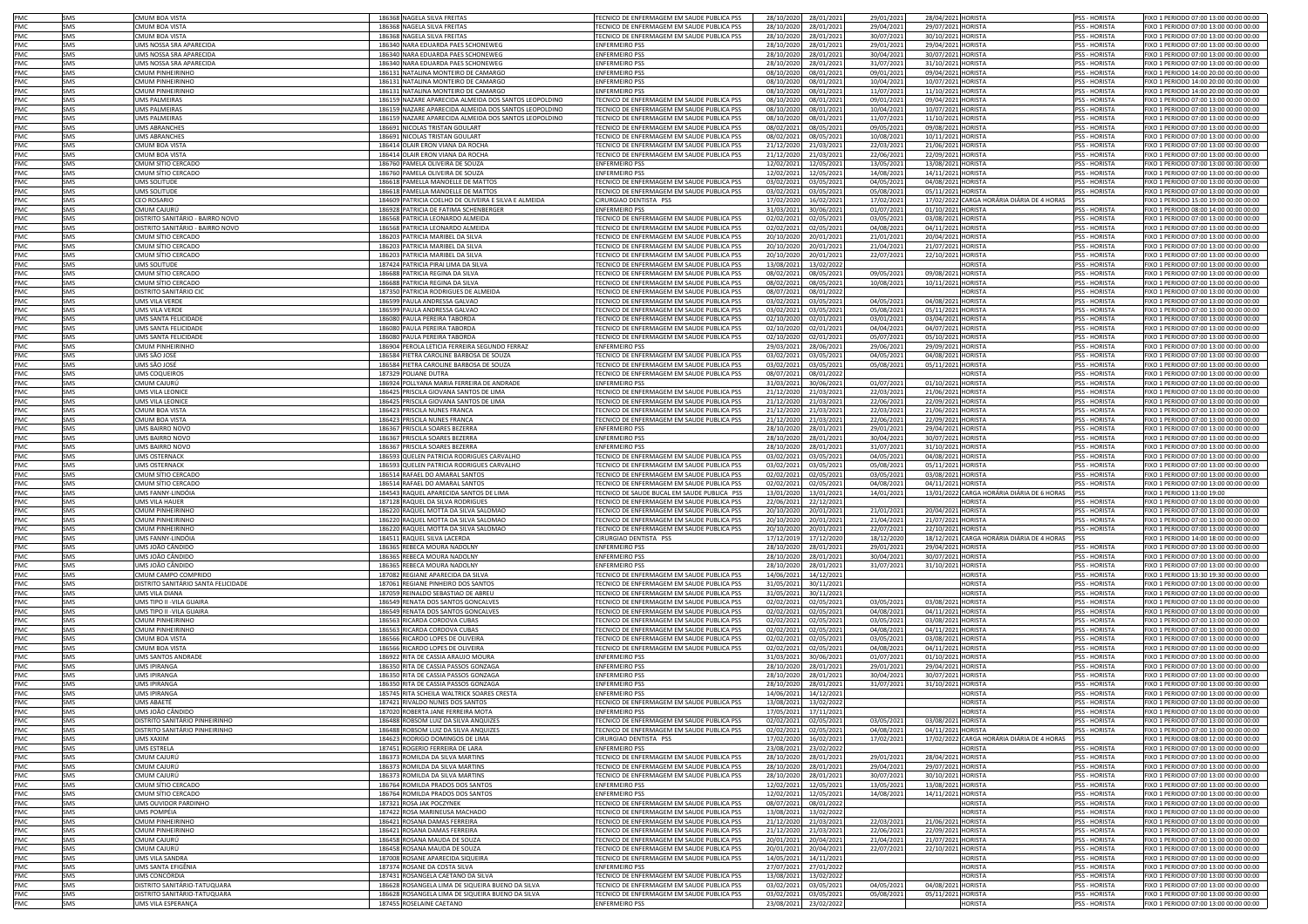| PMC               | SMS        | CMUM BOA VISTA                                    | 186368 NAGELA SILVA FREITAS                                                  | TECNICO DE ENFERMAGEM EM SAUDE PUBLICA PSS                                               | 28/10/2020<br>28/01/2021                             | 29/01/2021               | 28/04/2021 HORISTA                                | <b>PSS - HORISTA</b>                  | FIXO 1 PERIODO 07:00 13:00 00:00 00:00                                           |
|-------------------|------------|---------------------------------------------------|------------------------------------------------------------------------------|------------------------------------------------------------------------------------------|------------------------------------------------------|--------------------------|---------------------------------------------------|---------------------------------------|----------------------------------------------------------------------------------|
| PMC               | SMS        | <b>CMUM BOA VISTA</b>                             | 186368 NAGELA SILVA FREITAS                                                  | <b>FECNICO DE ENFERMAGEM EM SAUDE PUBLICA PSS</b>                                        | 28/10/2020<br>28/01/202                              | 29/04/2021               | 29/07/2021 HORISTA                                | PSS - HORISTA                         | FIXO 1 PERIODO 07:00 13:00 00:00 00:00                                           |
| PMC               | SMS        | MUM BOA VISTA                                     | 186368 NAGELA SILVA FREITAS                                                  | TECNICO DE ENFERMAGEM EM SAUDE PUBLICA PSS                                               | 28/10/2020<br>28/01/202                              | 30/07/2021               | 30/10/2021 HORISTA                                | PSS - HORISTA                         | FIXO 1 PERIODO 07:00 13:00 00:00 00:00                                           |
| PMC               | SMS        | JMS NOSSA SRA APARECIDA                           | 186340 NARA EDUARDA PAES SCHONEWEG                                           | <b>ENFERMEIRO PSS</b>                                                                    | 28/10/2020<br>28/01/202                              | 29/01/2021               | 29/04/2021<br><b>HORISTA</b>                      | PSS - HORISTA                         | FIXO 1 PERIODO 07:00 13:00 00:00 00:00                                           |
| PMC               | SMS        | <b>IMS NOSSA SRA APARECIDA</b>                    | 186340 NARA EDUARDA PAES SCHONEWEG                                           | <b>ENFERMEIRO PSS</b>                                                                    | 28/10/2020<br>28/01/202                              | 30/04/2021               | 30/07/2021<br><b>HORISTA</b>                      | <b>PSS - HORISTA</b>                  | FIXO 1 PERIODO 07:00 13:00 00:00 00:00                                           |
| PMC               | SMS        | JMS NOSSA SRA APARECIDA                           | 186340 NARA EDUARDA PAES SCHONEWEG                                           | <b>ENFERMEIRO PSS</b>                                                                    | 28/10/2020<br>28/01/202                              | 31/07/2021               | 31/10/2021<br><b>HORISTA</b>                      | PSS - HORISTA                         | FIXO 1 PERIODO 07:00 13:00 00:00 00:00                                           |
| PMC               | SMS        | MUM PINHEIRINHO                                   | 186131 NATALINA MONTEIRO DE CAMARGO                                          | <b>ENFERMEIRO PSS</b>                                                                    | 08/10/2020<br>08/01/202                              | 09/01/2021               | 09/04/2021<br><b>HORISTA</b>                      | PSS - HORISTA                         | FIXO 1 PERIODO 14:00 20:00 00:00 00:00                                           |
| PMC               | SMS        | <b>CMUM PINHEIRINHO</b>                           | 186131 NATALINA MONTEIRO DE CAMARGO                                          | <b>ENFERMEIRO PSS</b>                                                                    | 08/10/2020<br>08/01/202                              | 10/04/2021               | 10/07/2021<br><b>HORISTA</b>                      | PSS - HORISTA                         | FIXO 1 PERIODO 14:00 20:00 00:00 00:00                                           |
| PMC               | SMS        | MUM PINHFIRINHO                                   | 186131 NATALINA MONTEIRO DE CAMARGO                                          | <b>ENFERMEIRO PSS</b>                                                                    | 08/10/2020<br>08/01/202                              | 11/07/2021               | 11/10/2021<br><b>HORISTA</b>                      | <b>PSS - HORISTA</b>                  | FIXO 1 PERIODO 14:00 20:00 00:00 00:00                                           |
| PMC               | SMS        | <b>JMS PALMEIRAS</b>                              | 186159 NAZARE APARECIDA ALMEIDA DOS SANTOS LEOPOLDINO                        | TECNICO DE ENFERMAGEM EM SAUDE PUBLICA PSS                                               | 08/10/2020<br>08/01/202                              | 09/01/2021               | 09/04/2021<br><b>HORISTA</b>                      | <b>PSS - HORISTA</b>                  | FIXO 1 PERIODO 07:00 13:00 00:00 00:00                                           |
| PMC               | SMS        | <b>JMS PALMEIRAS</b>                              | 186159 NAZARE APARECIDA ALMEIDA DOS SANTOS LEOPOLDINO                        | TECNICO DE ENFERMAGEM EM SAUDE PUBLICA PSS                                               | 08/10/2020<br>08/01/202                              | 10/04/2021               | 10/07/2021 HORISTA                                | <b>PSS - HORISTA</b>                  | FIXO 1 PERIODO 07:00 13:00 00:00 00:00                                           |
| PMC               | SMS        | JMS PALMEIRAS                                     | 186159 NAZARE APARECIDA ALMEIDA DOS SANTOS LEOPOLDINO                        | TECNICO DE ENFERMAGEM EM SAUDE PUBLICA PSS                                               | 08/01/202<br>08/10/2020                              | 11/07/2021               | 11/10/2021 HORISTA                                | PSS - HORISTA                         | FIXO 1 PERIODO 07:00 13:00 00:00 00:00                                           |
| PMC               | SMS        | UMS ABRANCHES                                     | 186691 NICOLAS TRISTAN GOULART                                               | TECNICO DE ENFERMAGEM EM SAUDE PUBLICA PSS                                               | 08/02/2021<br>08/05/202                              | 09/05/2021               | 09/08/2021 HORISTA                                | <b>PSS - HORISTA</b>                  | FIXO 1 PERIODO 07:00 13:00 00:00 00:00                                           |
| PMC               | SMS        | <b>JMS ABRANCHES</b>                              | 186691 NICOLAS TRISTAN GOULART                                               | TECNICO DE ENFERMAGEM EM SAUDE PUBLICA PSS                                               | 08/02/2021<br>08/05/202                              | 10/08/2021               | 10/11/2021 HORISTA                                | PSS - HORISTA                         | FIXO 1 PERIODO 07:00 13:00 00:00 00:00                                           |
| PMC               | SMS        | <b>MUM BOA VISTA</b>                              | 186414 OLAIR ERON VIANA DA ROCHA                                             | TECNICO DE ENFERMAGEM EM SAUDE PUBLICA PSS                                               | 21/12/2020<br>21/03/202                              | 22/03/2021               | 21/06/2021 HORISTA                                | <b>PSS - HORISTA</b>                  | FIXO 1 PERIODO 07:00 13:00 00:00 00:00                                           |
| PMC               | SMS        | <b>MUM BOA VISTA</b>                              | 186414 OLAIR ERON VIANA DA ROCHA                                             | TECNICO DE ENFERMAGEM EM SAUDE PUBLICA PSS                                               | 21/03/202<br>21/12/2020                              | 22/06/2021               | 22/09/2021 HORISTA                                | <b>PSS - HORISTA</b>                  | FIXO 1 PERIODO 07:00 13:00 00:00 00:00                                           |
| <b>PMC</b>        | SMS        | :MUM SÍTIO CERCADO                                | 186760 PAMELA OLIVEIRA DE SOUZA                                              | <b>ENFERMEIRO PSS</b>                                                                    | 12/02/2021<br>12/05/202                              | 13/05/2021               | 13/08/2021 HORISTA                                | <b>PSS - HORISTA</b>                  | FIXO 1 PERIODO 07:00 13:00 00:00 00:00                                           |
| PMC               | SMS        | :MUM SÍTIO CERCADO                                | 186760 PAMELA OLIVEIRA DE SOUZA                                              | <b>ENFERMEIRO PSS</b>                                                                    | 12/02/2021<br>12/05/202                              | 14/08/2021               | 14/11/2021 HORISTA                                | <b>PSS - HORISTA</b>                  | FIXO 1 PERIODO 07:00 13:00 00:00 00:00                                           |
| PMC               | SMS        | <b>JMS SOLITUDE</b>                               | 186618 PAMELLA MANOELLE DE MATTOS                                            | <b>FECNICO DE ENFERMAGEM EM SAUDE PUBLICA PSS</b>                                        | 03/02/2021<br>03/05/202                              | 04/05/2021               | 04/08/2021 HORISTA                                | PSS - HORISTA                         | FIXO 1 PERIODO 07:00 13:00 00:00 00:00                                           |
| PMC               | SMS        | <b>JMS SOLITUDE</b>                               | 186618 PAMELLA MANOELLE DE MATTOS                                            | <b>FECNICO DE ENFERMAGEM EM SAUDE PUBLICA PSS</b>                                        | 03/02/2021<br>03/05/202                              | 05/08/2021               | 05/11/2021 HORISTA                                | PSS - HORISTA                         | FIXO 1 PERIODO 07:00 13:00 00:00 00:00                                           |
| PMC               | SMS        | <b>EO ROSARIO</b>                                 | 184609 PATRICIA COELHO DE OLIVEIRA E SILVA E ALMEIDA                         | CIRURGIAO DENTISTA PSS                                                                   | 17/02/2020<br>16/02/202                              | 17/02/2021               | 17/02/2022 CARGA HORÁRIA DIÁRIA DE 4 HORAS        | PSS                                   | FIXO 1 PERIODO 15:00 19:00 00:00 00:00                                           |
| PMC               | SMS        | MUM CAJURÚ                                        | 186928 PATRICIA DE FATIMA SCHENBERGER                                        | <b>ENFERMEIRO PSS</b>                                                                    | 31/03/2021<br>30/06/202                              | 01/07/2021               | 01/10/2021 HORISTA                                | SS - HORISTA                          | FIXO 1 PERIODO 08:00 14:00 00:00 00:00                                           |
| PMC               | SMS        | )ISTRITO SANITÁRIO - BAIRRO NOVO                  | 186568 PATRICIA LEONARDO ALMEIDA                                             | ECNICO DE ENFERMAGEM EM SAUDE PUBLICA PSS                                                | 02/02/2021<br>02/05/202                              | 03/05/2021               | 03/08/2021 HORISTA                                | <b>PSS - HORISTA</b>                  | IXO 1 PERIODO 07:00 13:00 00:00 00:00                                            |
| PMC               | SMS        | <b>DISTRITO SANITÁRIO - BAIRRO NOVO</b>           | 186568 PATRICIA LEONARDO ALMEIDA                                             | FECNICO DE ENFERMAGEM EM SAUDE PUBLICA PSS                                               | 02/02/2021<br>02/05/202                              | 04/08/2021               | 04/11/2021 HORISTA                                | <b>PSS - HORISTA</b>                  | FIXO 1 PERIODO 07:00 13:00 00:00 00:00                                           |
| PMC               | SMS        | CMUM SÍTIO CERCADO                                | 186203 PATRICIA MARIBEL DA SILVA                                             | FECNICO DE ENFERMAGEM EM SAUDE PUBLICA PSS                                               | 20/10/2020<br>20/01/202                              | 21/01/2021               | 20/04/2021 HORISTA                                | PSS - HORISTA                         | FIXO 1 PERIODO 07:00 13:00 00:00 00:00                                           |
| PMC               | SMS        | CMUM SÍTIO CERCADO                                | 186203 PATRICIA MARIBEL DA SILVA                                             | FECNICO DE ENFERMAGEM EM SAUDE PUBLICA PSS                                               | 20/10/2020<br>20/01/202                              | 21/04/2021               | 21/07/2021 HORISTA                                | PSS - HORISTA                         | FIXO 1 PERIODO 07:00 13:00 00:00 00:00                                           |
| PMC               | SMS        | CMUM SÍTIO CERCADO                                | 186203 PATRICIA MARIBEL DA SILVA                                             | TECNICO DE ENFERMAGEM EM SAUDE PUBLICA PSS                                               | 20/10/2020<br>20/01/202                              | 22/07/2021               | 22/10/2021 HORISTA                                | <b>PSS - HORISTA</b>                  | FIXO 1 PERIODO 07:00 13:00 00:00 00:00                                           |
| PMC               | SMS        | JMS SOLITUDE                                      | 187424 PATRICIA PIRAI LIMA DA SILVA                                          | TECNICO DE ENFERMAGEM EM SAUDE PUBLICA PSS                                               | 13/08/2021<br>13/02/202                              |                          | <b>HORISTA</b>                                    | <b>PSS - HORISTA</b>                  | FIXO 1 PERIODO 07:00 13:00 00:00 00:00                                           |
| <b>PMC</b>        | SMS        | CMUM SÍTIO CERCADO                                | 186688 PATRICIA REGINA DA SILVA                                              | TECNICO DE ENFERMAGEM EM SAUDE PUBLICA PSS                                               | 08/05/202<br>08/02/2021                              | 09/05/2021               | <b>HORISTA</b><br>09/08/2021                      | <b>PSS - HORISTA</b>                  | FIXO 1 PERIODO 07:00 13:00 00:00 00:00                                           |
| PMC               | SMS        | CMUM SÍTIO CERCADO                                | 186688 PATRICIA REGINA DA SILVA                                              | TECNICO DE ENFERMAGEM EM SAUDE PUBLICA PSS                                               | 08/02/2021<br>08/05/202                              | 10/08/2021               | 10/11/2021 HORISTA                                | <b>PSS - HORISTA</b>                  | FIXO 1 PERIODO 07:00 13:00 00:00 00:00                                           |
| PMC               | SMS        | DISTRITO SANITÁRIO CIC                            | 187350 PATRICIA RODRIGUES DE ALMEIDA                                         | TECNICO DE ENFERMAGEM EM SAUDE PUBLICA PSS                                               | 08/07/2021<br>08/01/202                              |                          | HORISTA                                           | <b>PSS - HORISTA</b>                  | FIXO 1 PERIODO 07:00 13:00 00:00 00:00                                           |
| PMC               | SMS        | UMS VILA VERDE                                    | 186599 PAULA ANDRESSA GALVAO                                                 | FECNICO DE ENFERMAGEM EM SAUDE PUBLICA PSS                                               | 03/02/2021<br>03/05/202                              | 04/05/2021               | <b>HORISTA</b><br>04/08/2021                      | <b>PSS - HORISTA</b>                  | FIXO 1 PERIODO 07:00 13:00 00:00 00:00                                           |
| PMC               | SMS        | JMS VILA VERDE                                    | 186599 PAULA ANDRESSA GALVAO                                                 | TECNICO DE ENFERMAGEM EM SAUDE PUBLICA PSS                                               | 03/02/2021<br>03/05/202                              | 05/08/2021               | 05/11/2021<br><b>HORISTA</b>                      | PSS - HORISTA                         | FIXO 1 PERIODO 07:00 13:00 00:00 00:00                                           |
| PMC               | SMS        | JMS SANTA FELICIDADE                              | 186080 PAULA PEREIRA TABORDA                                                 | FECNICO DE ENFERMAGEM EM SAUDE PUBLICA PSS                                               | 02/10/2020<br>02/01/202                              | 03/01/2021               | 03/04/2021<br>HORISTA                             | PSS - HORISTA                         | FIXO 1 PERIODO 07:00 13:00 00:00 00:00                                           |
| PMC               | SMS        | <b>IMS SANTA FELICIDADE</b>                       | 186080 PAULA PEREIRA TABORDA                                                 | TECNICO DE ENFERMAGEM EM SAUDE PUBLICA PSS                                               | 02/10/2020<br>02/01/202                              | 04/04/2021               | 04/07/2021<br><b>HORISTA</b>                      | <b>PSS - HORISTA</b>                  | EIXO 1 PERIODO 07:00 13:00 00:00 00:00                                           |
| PMC               | SMS        | JMS SANTA FELICIDADE                              | 186080 PAULA PEREIRA TABORDA                                                 | TECNICO DE ENFERMAGEM EM SAUDE PUBLICA PSS                                               | 02/10/2020<br>02/01/202                              | 05/07/2021               | 05/10/2021<br><b>HORISTA</b>                      | <b>PSS - HORISTA</b>                  | FIXO 1 PERIODO 07:00 13:00 00:00 00:00                                           |
| PMC               | SMS        | MUM PINHEIRINHO                                   | 186904 PEROLA LETICIA FERREIRA SEGUNDO FERRAZ                                | <b>ENFERMEIRO PSS</b>                                                                    | 28/06/202<br>29/03/2021                              | 29/06/2021               | <b>HORISTA</b><br>29/09/2021                      | PSS - HORISTA                         | FIXO 1 PERIODO 07:00 13:00 00:00 00:00                                           |
| PMC               | SMS        | UMS SÃO JOSÉ                                      | 186584 PIETRA CAROLINE BARBOSA DE SOUZA                                      | TECNICO DE ENFERMAGEM EM SAUDE PUBLICA PSS                                               | 03/02/2021<br>03/05/202                              | 04/05/2021               | 04/08/2021 HORISTA                                | PSS - HORISTA                         | FIXO 1 PERIODO 07:00 13:00 00:00 00:00                                           |
| PMC               | SMS        | JMS SÃO JOSÉ                                      | 186584 PIETRA CAROLINE BARBOSA DE SOUZA                                      | TECNICO DE ENFERMAGEM EM SAUDE PUBLICA PSS                                               | 03/02/2021<br>03/05/202                              | 05/08/2021               | 05/11/2021 HORISTA                                | PSS - HORISTA                         | FIXO 1 PERIODO 07:00 13:00 00:00 00:00                                           |
| PMC               | SMS        | UMS COQUEIROS                                     | 187329 POLIANE DUTRA                                                         | TECNICO DE ENFERMAGEM EM SAUDE PUBLICA PSS                                               | 08/07/2021<br>08/01/202                              |                          | <b>HORISTA</b>                                    | PSS - HORISTA                         | FIXO 1 PERIODO 07:00 13:00 00:00 00:00                                           |
| PMC               | SMS        | ^MUM CAIURÚ                                       | 186924 POLLYANA MARIA FERREIRA DE ANDRADE                                    | <b>ENFERMEIRO PSS</b>                                                                    | 31/03/2021<br>30/06/202                              | 01/07/2021               | <b>HORISTA</b><br>01/10/2021                      | <b>PSS - HORISTA</b>                  | FIXO 1 PERIODO 07:00 13:00 00:00 00:00                                           |
| <b>PMC</b>        | SMS        | JMS VILA LEONICE                                  | 186425 PRISCILA GIOVANA SANTOS DE LIMA                                       | TECNICO DE ENFERMAGEM EM SAUDE PUBLICA PSS                                               | 21/12/2020<br>21/03/202                              | 22/03/2021               | 21/06/2021<br><b>HORISTA</b>                      | <b>PSS - HORISTA</b>                  | FIXO 1 PERIODO 07:00 13:00 00:00 00:00                                           |
| <b>PMC</b>        | SMS        | <b>JMS VILA LEONICE</b>                           | 186425 PRISCILA GIOVANA SANTOS DE LIMA                                       | FECNICO DE ENFERMAGEM EM SAUDE PUBLICA PSS                                               | 21/12/2020<br>21/03/202                              | 22/06/2021               | <b>HORISTA</b><br>22/09/2021                      | <b>PSS - HORISTA</b>                  | FIXO 1 PERIODO 07:00 13:00 00:00 00:00                                           |
| PMC               | SMS        | MUM BOA VISTA                                     | 186423 PRISCILA NUNES FRANCA                                                 | FECNICO DE ENFERMAGEM EM SAUDE PUBLICA PSS                                               | 21/12/2020<br>21/03/202                              | 22/03/2021               | HORISTA<br>21/06/2021                             | PSS - HORISTA                         | FIXO 1 PERIODO 07:00 13:00 00:00 00:00                                           |
| PMC               | SMS        | MUM BOA VISTA                                     | 186423 PRISCILA NUNES FRANCA                                                 | <b>FECNICO DE ENFERMAGEM EM SAUDE PUBLICA PSS</b>                                        | 21/12/2020<br>21/03/202                              | 22/06/2021               | HORISTA<br>22/09/2021                             | PSS - HORISTA                         | FIXO 1 PERIODO 07:00 13:00 00:00 00:00                                           |
| PMC               | SMS        | IMS BAIRRO NOVO                                   | 186367 PRISCILA SOARES BEZERRA                                               | <b>INFERMEIRO PSS</b>                                                                    | 28/10/2020<br>28/01/202                              | 29/01/2021               | 29/04/2021<br><b>HORISTA</b>                      | PSS - HORISTA                         | FIXO 1 PERIODO 07:00 13:00 00:00 00:00                                           |
| PMC               | SMS        | MS BAIRRO NOVO                                    | 186367 PRISCILA SOARES BEZERRA                                               | <b>ENFERMEIRO PSS</b>                                                                    | 28/10/2020<br>28/01/202                              | 30/04/2021               | 30/07/2021<br><b>HORISTA</b>                      | <b>PSS - HORISTA</b>                  | FIXO 1 PERIODO 07:00 13:00 00:00 00:00                                           |
| PMC               | SMS        | IMS BAIRRO NOVO                                   | 186367 PRISCILA SOARES BEZERRA                                               | <b>ENFERMEIRO PSS</b>                                                                    | 28/10/202<br>28/01/202                               | 31/07/2021               | 31/10/2021<br>HORISTA                             | PSS - HORISTA                         | IXO 1 PERIODO 07:00 13:00 00:00 00:00                                            |
| PMC               | SMS        | <b>IMS OSTERNACK</b>                              | 186593 QUELEN PATRICIA RODRIGUES CARVALHO                                    | FCNICO DE ENFERMAGEM EM SAUDE PUBLICA PSS                                                | 03/02/2021<br>03/05/202                              | 04/05/2021               | 04/08/2021<br>HORISTA                             | <b>PSS - HORISTA</b>                  | FIXO 1 PERIODO 07:00 13:00 00:00 00:00                                           |
| PMC               | SMS        | <b>JMS OSTERNACK</b>                              | 186593 QUELEN PATRICIA RODRIGUES CARVALHO                                    | FECNICO DE ENFERMAGEM EM SAUDE PUBLICA PSS                                               | 03/02/2021<br>03/05/202                              | 05/08/2021               | HORISTA<br>05/11/2021                             | PSS - HORISTA                         | FIXO 1 PERIODO 07:00 13:00 00:00 00:00                                           |
| PMC               | SMS        | MUM SÍTIO CERCADO                                 | 186514 RAFAEL DO AMARAL SANTOS                                               | FECNICO DE ENFERMAGEM EM SAUDE PUBLICA PSS                                               | 02/02/2021<br>02/05/202                              | 03/05/2021               | <b>HORISTA</b><br>03/08/2021                      | PSS - HORISTA                         | FIXO 1 PERIODO 07:00 13:00 00:00 00:00                                           |
| PMC               | SMS        | CMUM SÍTIO CERCADO                                | 186514 RAFAEL DO AMARAL SANTOS                                               | <b>FECNICO DE ENFERMAGEM EM SAUDE PUBLICA PSS</b>                                        | 02/02/2021<br>02/05/202                              | 04/08/2021               | <b>HORISTA</b><br>04/11/2021                      | <b>PSS - HORISTA</b>                  | FIXO 1 PERIODO 07:00 13:00 00:00 00:00                                           |
| <b>PMC</b>        | SMS        | JMS FANNY-LINDÓIA                                 | 184543 RAQUEL APARECIDA SANTOS DE LIMA                                       | TECNICO DE SAUDE BUCAL EM SAUDE PUBLICA PSS                                              | 13/01/2020<br>13/01/202                              | 14/01/2021               | 13/01/2022 CARGA HORÁRIA DIÁRIA DE 6 HORAS        | <b>PSS</b>                            | FIXO 1 PERIODO 13:00 19:00                                                       |
| <b>PMC</b>        | SMS        | <b>IMS VII A HAUFR</b>                            | 187128 RAQUEL DA SILVA RODRIGUES                                             | TECNICO DE ENFERMAGEM EM SAUDE PUBLICA PSS                                               | 22/06/2021<br>22/12/202                              |                          | <b>HORISTA</b>                                    | <b>PSS - HORISTA</b>                  | FIXO 1 PERIODO 07:00 13:00 00:00 00:00                                           |
| <b>PMC</b>        | SMS        | MUM PINHFIRINHO                                   | 186220 BAOUEL MOTTA DA SILVA SALOMAC                                         | TECNICO DE ENFERMAGEM EM SAUDE PUBLICA PSS                                               | 20/10/2020<br>20/01/202                              | 21/01/2021               | 20/04/2021<br><b>HORISTA</b>                      | <b>PSS - HORISTA</b>                  | FIXO 1 PERIODO 07:00 13:00 00:00 00:00                                           |
| PMC               | SMS        | <b>CMUM PINHEIRINHO</b>                           | 186220 RAQUEL MOTTA DA SILVA SALOMAO                                         | TECNICO DE ENFERMAGEM EM SAUDE PUBLICA PSS                                               | 20/10/2020<br>20/01/202                              | 21/04/2021               | 21/07/2021<br><b>HORISTA</b>                      | PSS - HORISTA                         | FIXO 1 PERIODO 07:00 13:00 00:00 00:00                                           |
| PMC               | SMS        | MUM PINHEIRINHO                                   | 186220 RAQUEL MOTTA DA SILVA SALOMAO                                         | TECNICO DE ENFERMAGEM EM SAUDE PUBLICA PSS                                               | 20/10/2020<br>20/01/202                              | 22/07/2021               | 22/10/2021<br><b>HORISTA</b>                      | PSS - HORISTA                         | FIXO 1 PERIODO 07:00 13:00 00:00 00:00                                           |
| PMC               | SMS        | JMS FANNY-LINDÓIA                                 | 184511 RAQUEL SILVA LACERDA                                                  | CIRURGIAO DENTISTA PSS                                                                   | 17/12/2019<br>17/12/202                              | 18/12/2020               | CARGA HORÁRIA DIÁRIA DE 4 HORAS PSS<br>18/12/2021 |                                       | FIXO 1 PERIODO 14:00 18:00 00:00 00:00                                           |
| PMC               | SMS        | JMS JOÃO CÂNDIDC                                  | 186365 REBECA MOURA NADOLNY                                                  | <b>ENFERMEIRO PSS</b>                                                                    | 28/10/2020<br>28/01/202                              | 29/01/2021               | 29/04/2021 HORISTA                                | PSS - HORISTA                         | FIXO 1 PERIODO 07:00 13:00 00:00 00:00                                           |
| PMC               | SMS        | JMS JOÃO CÂNDIDC                                  | 186365 REBECA MOURA NADOLNY                                                  | <b>ENFERMEIRO PSS</b>                                                                    | 28/10/2020<br>28/01/202                              | 30/04/2021               | 30/07/2021 HORISTA                                | <b>PSS - HORISTA</b>                  | FIXO 1 PERIODO 07:00 13:00 00:00 00:00                                           |
| PMC               | SMS        | JMS JOÃO CÂNDIDC                                  | 186365 REBECA MOURA NADOLNY                                                  | <b>ENFERMEIRO PSS</b>                                                                    | 28/10/2020<br>28/01/202                              | 31/07/202:               | 31/10/2021 HORISTA                                | <b>PSS - HORISTA</b>                  | FIXO 1 PERIODO 07:00 13:00 00:00 00:00                                           |
| PMC               | SMS        | CMUM CAMPO COMPRIDO                               | 187082 REGIANE APARECIDA DA SILVA                                            | TECNICO DE ENFERMAGEM EM SAUDE PUBLICA PSS                                               | 14/06/2021<br>14/12/202                              |                          | HORISTA                                           | PSS - HORISTA                         | FIXO 1 PERIODO 13:30 19:30 00:00 00:00                                           |
| PMC               | SMS        | DISTRITO SANITÁRIO SANTA FELICIDADE               | 187061 REGIANE PINHEIRO DOS SANTOS                                           | TECNICO DE ENFERMAGEM EM SAUDE PUBLICA PSS                                               | 31/05/2021<br>30/11/202                              |                          | <b>HORISTA</b>                                    | PSS - HORISTA                         | FIXO 1 PERIODO 07:00 13:00 00:00 00:00                                           |
| PMC               | SMS        | UMS VILA DIANA                                    | 187059 REINALDO SEBASTIAO DE ABREU                                           | TECNICO DE ENFERMAGEM EM SAUDE PUBLICA PSS                                               | 31/05/2021<br>30/11/202                              |                          | HORISTA                                           | PSS - HORISTA                         | FIXO 1 PERIODO 07:00 13:00 00:00 00:00                                           |
| PMC<br>PMC        | SMS        | UMS TIPO II -VILA GUAIRA                          | 186549 RENATA DOS SANTOS GONCALVES                                           | TECNICO DE ENFERMAGEM EM SAUDE PUBLICA PSS                                               | 02/02/2021<br>02/05/202                              | 03/05/2021               | 03/08/2021 HORISTA                                | PSS - HORISTA                         | FIXO 1 PERIODO 07:00 13:00 00:00 00:00                                           |
|                   | SMS        | JMS TIPO II -VILA GUAIRA                          | 186549 RENATA DOS SANTOS GONCALVES                                           | TECNICO DE ENFERMAGEM EM SAUDE PUBLICA PSS                                               | 02/02/2021<br>02/05/202                              | 04/08/2021               | 04/11/2021 HORISTA                                | <b>PSS - HORISTA</b>                  | FIXO 1 PERIODO 07:00 13:00 00:00 00:00                                           |
| PMC<br><b>PMC</b> | SMS<br>SMS | MUM PINHEIRINHO<br>MIIM PINHEIRINHO               | 186563 RICARDA CORDOVA CUBAS                                                 | FECNICO DE ENFERMAGEM EM SAUDE PUBLICA PSS<br>FECNICO DE ENFERMAGEM EM SAUDE PUBLICA PSS | 02/02/2021<br>02/05/202                              | 03/05/2021               | 03/08/2021 HORISTA                                | PSS - HORISTA<br><b>PSS - HORISTA</b> | FIXO 1 PERIODO 07:00 13:00 00:00 00:00                                           |
| PMC               | SMS        | MUM BOA VISTA                                     | 186563 RICARDA CORDOVA CUBAS<br>186566 RICARDO LOPES DE OLIVEIRA             | <b>FECNICO DE ENFERMAGEM EM SAUDE PUBLICA PSS</b>                                        | 02/02/2021<br>02/05/202<br>02/02/2021<br>02/05/202   | 04/08/2021<br>03/05/2021 | 04/11/2021 HORISTA<br>03/08/2021 HORISTA          | PSS - HORISTA                         | FIXO 1 PERIODO 07:00 13:00 00:00 00:00<br>FIXO 1 PERIODO 07:00 13:00 00:00 00:00 |
| PMC               | SMS        | MUM BOA VISTA                                     | 186566 RICARDO LOPES DE OLIVEIRA                                             | <b>FECNICO DE ENFERMAGEM EM SAUDE PUBLICA PSS</b>                                        | 02/02/2021<br>02/05/202                              | 04/08/2021               | 04/11/2021 HORISTA                                | <b>PSS - HORISTA</b>                  | FIXO 1 PERIODO 07:00 13:00 00:00 00:00                                           |
| PMC               | SMS        | <b>JMS SANTOS ANDRADE</b>                         | 186922 RITA DE CASSIA ARAUJO MOURA                                           | <b>ENFERMEIRO PSS</b>                                                                    | 31/03/2021<br>30/06/202                              | 01/07/2021               | 01/10/2021 HORISTA                                | SS - HORISTA                          | FIXO 1 PERIODO 07:00 13:00 00:00 00:00                                           |
| PMC               | SMS        | <b>IMS IPIRANGA</b>                               | 186350 RITA DE CASSIA PASSOS GONZAGA                                         | <b>ENFERMEIRO PSS</b>                                                                    | 28/10/2020<br>28/01/202                              | 29/01/2021               | 29/04/2021<br><b>HORISTA</b>                      | <b>PSS - HORISTA</b>                  | 1XO 1 PERIODO 07:00 13:00 00:00 00:00                                            |
| PMC               | SMS        | <b>MS IPIRANGA</b>                                | 186350 RITA DE CASSIA PASSOS GONZAGA                                         | <b>ENFERMEIRO PSS</b>                                                                    | 28/10/2020<br>28/01/202                              | 30/04/2021               | 30/07/2021 HORISTA                                | <b>PSS - HORISTA</b>                  | IXO 1 PERIODO 07:00 13:00 00:00 00:00                                            |
| PMC               | SMS        | <b>JMS IPIRANGA</b>                               | 186350 RITA DE CASSIA PASSOS GONZAGA                                         | <b>ENFERMEIRO PSS</b>                                                                    | 28/10/2020<br>28/01/2021                             | 31/07/2021               | 31/10/2021 HORISTA                                | <b>PSS - HORISTA</b>                  | IXO 1 PERIODO 07:00 13:00 00:00 00:00                                            |
| PMC               | SMS        | <b>JMS IPIRANGA</b>                               | 185745 RITA SCHEILA WALTRICK SOARES CRESTA                                   | <b>ENFERMEIRO PSS</b>                                                                    | 14/06/2021<br>14/12/202                              |                          | <b>IORISTA</b>                                    | PSS - HORISTA                         | FIXO 1 PERIODO 07:00 13:00 00:00 00:00                                           |
| PMC               | SMS        | JMS ABAETÉ                                        | 187421 RIVALDO NUNES DOS SANTOS                                              | TECNICO DE ENFERMAGEM EM SAUDE PUBLICA PSS                                               | 13/08/2021<br>13/02/202                              |                          | HORISTA                                           | PSS - HORISTA                         | FIXO 1 PERIODO 07:00 13:00 00:00 00:00                                           |
| PMC               | SMS        | UMS JOÃO CÂNDIDO                                  | 187020 ROBERTA JANE FERREIRA MOTA                                            | ENFERMEIRO PSS                                                                           | 17/05/2021<br>17/11/2021                             |                          | <b>HORISTA</b>                                    | PSS - HORISTA                         | FIXO 1 PERIODO 07:00 13:00 00:00 00:00                                           |
| PMC               | SMS        | DISTRITO SANITÁRIO PINHEIRINHO                    | 186488 ROBSOM LUIZ DA SILVA ANQUIZES                                         | TECNICO DE ENFERMAGEM EM SAUDE PUBLICA PSS                                               | 02/02/2021<br>02/05/2021                             | 03/05/2021               | 03/08/2021 HORISTA                                | PSS - HORISTA                         | FIXO 1 PERIODO 07:00 13:00 00:00 00:00                                           |
| PMC               | SMS        | DISTRITO SANITÁRIO PINHEIRINHO                    | 186488 ROBSOM LUIZ DA SILVA ANQUIZES                                         | TECNICO DE ENFERMAGEM EM SAUDE PUBLICA PSS                                               | 02/02/2021<br>02/05/2021                             | 04/08/2021               | 04/11/2021 HORISTA                                | PSS - HORISTA                         | FIXO 1 PERIODO 07:00 13:00 00:00 00:00                                           |
| PMC               | SMS        | <b>UMS XAXIM</b>                                  | 184623 RODRIGO DOMINGOS DE LIMA                                              | CIRURGIAO DENTISTA PSS                                                                   | 16/02/2021<br>17/02/2020                             | 17/02/2021               | 17/02/2022 CARGA HORÁRIA DIÁRIA DE 4 HORAS PSS    |                                       | FIXO 1 PERIODO 08:00 12:00 00:00 00:00                                           |
| PMC               | SMS        | UMS ESTRELA                                       | 187451 ROGERIO FERREIRA DE LARA                                              | <b>ENFERMEIRO PSS</b>                                                                    | 23/02/202<br>23/08/2021                              |                          | HORISTA                                           | <b>PSS - HORISTA</b>                  | FIXO 1 PERIODO 07:00 13:00 00:00 00:00                                           |
| PMC               | SMS        | CMUM CAJURÚ                                       | 186373 ROMILDA DA SILVA MARTINS                                              | TECNICO DE ENFERMAGEM EM SAUDE PUBLICA PSS                                               | 28/10/2020<br>28/01/202                              | 29/01/2021               | 28/04/2021 HORISTA                                | PSS - HORISTA                         | FIXO 1 PERIODO 07:00 13:00 00:00 00:00                                           |
| PMC               | SMS        | CMUM CAJURÚ                                       | 186373 ROMILDA DA SILVA MARTINS                                              | TECNICO DE ENFERMAGEM EM SAUDE PUBLICA PSS                                               | 28/10/2020<br>28/01/202                              | 29/04/2021               | 29/07/2021 HORISTA                                | PSS - HORISTA                         | FIXO 1 PERIODO 07:00 13:00 00:00 00:00                                           |
| PMC               | SMS        | CMUM CAJURÚ                                       | 186373 ROMILDA DA SILVA MARTINS                                              | TECNICO DE ENFERMAGEM EM SAUDE PUBLICA PSS                                               | 28/10/2020<br>28/01/202                              | 30/07/2021               | 30/10/2021 HORISTA                                | PSS - HORISTA                         | FIXO 1 PERIODO 07:00 13:00 00:00 00:00                                           |
| PMC               | SMS        | CMUM SÍTIO CERCADO                                | 186764 ROMILDA PRADOS DOS SANTOS                                             | <b>ENFERMEIRO PSS</b>                                                                    | 12/02/2021<br>12/05/202                              | 13/05/2021               | 13/08/2021 HORISTA                                | <b>PSS - HORISTA</b>                  | FIXO 1 PERIODO 07:00 13:00 00:00 00:00                                           |
| PMC               | SMS        | CMUM SÍTIO CERCADO                                | 186764 ROMILDA PRADOS DOS SANTOS                                             | <b>ENFERMEIRO PSS</b>                                                                    | 12/02/2021<br>12/05/202                              | 14/08/2021               | 14/11/2021 HORISTA                                | PSS - HORISTA                         | FIXO 1 PERIODO 07:00 13:00 00:00 00:00                                           |
| PMC               | <b>SMS</b> | JMS OUVIDOR PARDINHO                              | 187321 ROSA JAK POCZYNEK                                                     | TECNICO DE ENFERMAGEM EM SAUDE PUBLICA PSS                                               | 08/07/2021<br>08/01/202                              |                          | <b>HORISTA</b>                                    | PSS - HORISTA                         | FIXO 1 PERIODO 07:00 13:00 00:00 00:00                                           |
| PMC               | SMS        | UMS POMPÉIA                                       | 187422 ROSA MARINEUSA MACHADO                                                | TECNICO DE ENFERMAGEM EM SAUDE PUBLICA PSS                                               | 13/08/2021<br>13/02/202                              |                          | <b>HORISTA</b>                                    | PSS - HORISTA                         | FIXO 1 PERIODO 07:00 13:00 00:00 00:00                                           |
| PMC               | SMS        | <b>CMUM PINHEIRINHO</b>                           | 186421 ROSANA DAMAS FERREIRA                                                 | TECNICO DE ENFERMAGEM EM SAUDE PUBLICA PSS                                               | 21/12/2020<br>21/03/2021                             | 22/03/2021               | 21/06/2021 HORISTA                                | PSS - HORISTA                         | FIXO 1 PERIODO 07:00 13:00 00:00 00:00                                           |
| PMC               | SMS        | <b>CMUM PINHEIRINHO</b>                           | 186421 ROSANA DAMAS FERREIRA                                                 | TECNICO DE ENFERMAGEM EM SAUDE PUBLICA PSS                                               | 21/12/2020<br>21/03/2021                             | 22/06/2021               | 22/09/2021 HORISTA                                | PSS - HORISTA                         | FIXO 1 PERIODO 07:00 13:00 00:00 00:00                                           |
|                   |            | CMUM CAJURÚ                                       | 186458 ROSANA MAUDA DE SOUZA                                                 | TECNICO DE ENFERMAGEM EM SAUDE PUBLICA PSS                                               | 20/01/2021<br>20/04/202                              | 21/04/2021               | 21/07/2021 HORISTA                                | <b>PSS - HORISTA</b>                  | FIXO 1 PERIODO 07:00 13:00 00:00 00:00                                           |
| PMC.              | SMS        |                                                   |                                                                              |                                                                                          |                                                      |                          |                                                   |                                       |                                                                                  |
| PMC               | SMS        | `MUM CAJURÚ                                       | 186458 ROSANA MAUDA DE SOUZA                                                 | TECNICO DE ENFERMAGEM EM SAUDE PUBLICA PSS                                               | 20/01/2021<br>20/04/202                              | 22/07/2021               | 22/10/2021 HORISTA                                | PSS - HORISTA                         | FIXO 1 PERIODO 07:00 13:00 00:00 00:00                                           |
| <b>PMC</b>        | SMS        | <b>IMS VILA SANDRA</b>                            | 187008 ROSANE APARECIDA SIQUEIRA                                             | TECNICO DE ENFERMAGEM EM SAUDE PUBLICA PSS                                               | 14/11/202<br>14/05/2021                              |                          | <b>HORISTA</b>                                    | PSS - HORISTA                         | FIXO 1 PERIODO 07:00 13:00 00:00 00:00                                           |
| PMC               | SMS        | JMS SANTA EFIGÊNIA                                | 187374 ROSANE DA COSTA SILVA                                                 | ENFERMEIRO PSS                                                                           | 27/07/2021<br>27/01/2022                             |                          | <b>HORISTA</b>                                    | PSS - HORISTA                         | FIXO 1 PERIODO 07:00 13:00 00:00 00:00                                           |
| PMC               | SMS        | JMS CONCÓRDIA                                     | 187431 ROSANGELA CAETANO DA SILVA                                            | FECNICO DE ENFERMAGEM EM SAUDE PUBLICA PSS                                               | 13/08/2021<br>13/02/2022                             |                          | <b>IORISTA</b>                                    | PSS - HORISTA                         | FIXO 1 PERIODO 07:00 13:00 00:00 00:00                                           |
| PMC               | SMS        | <b>DISTRITO SANITÁRIO-TATUQUARA</b>               | 186628 ROSANGELA LIMA DE SIQUEIRA BUENO DA SILVA                             | <b>FECNICO DE ENFERMAGEM EM SAUDE PUBLICA PSS</b>                                        | 03/02/2021<br>03/05/2021                             | 04/05/2021               | 04/08/2021 HORISTA                                | PSS - HORISTA                         | FIXO 1 PERIODO 07:00 13:00 00:00 00:00                                           |
| PMC<br>PMC        | SMS<br>SMS | ISTRITO SANITÁRIO-TATUQUARA<br>JMS VILA ESPERANÇA | 186628 ROSANGELA LIMA DE SIQUEIRA BUENO DA SILVA<br>187455 ROSELAINE CAETANO | FECNICO DE ENFERMAGEM EM SAUDE PUBLICA PSS<br><b>ENFERMEIRO PSS</b>                      | 03/02/2021<br>03/05/2021<br>23/08/2021<br>23/02/2022 | 05/08/2021               | 05/11/2021<br><b>HORISTA</b><br>HORISTA           | PSS - HORISTA<br>PSS - HORISTA        | FIXO 1 PERIODO 07:00 13:00 00:00 00:00<br>FIXO 1 PERIODO 07:00 13:00 00:00 00:00 |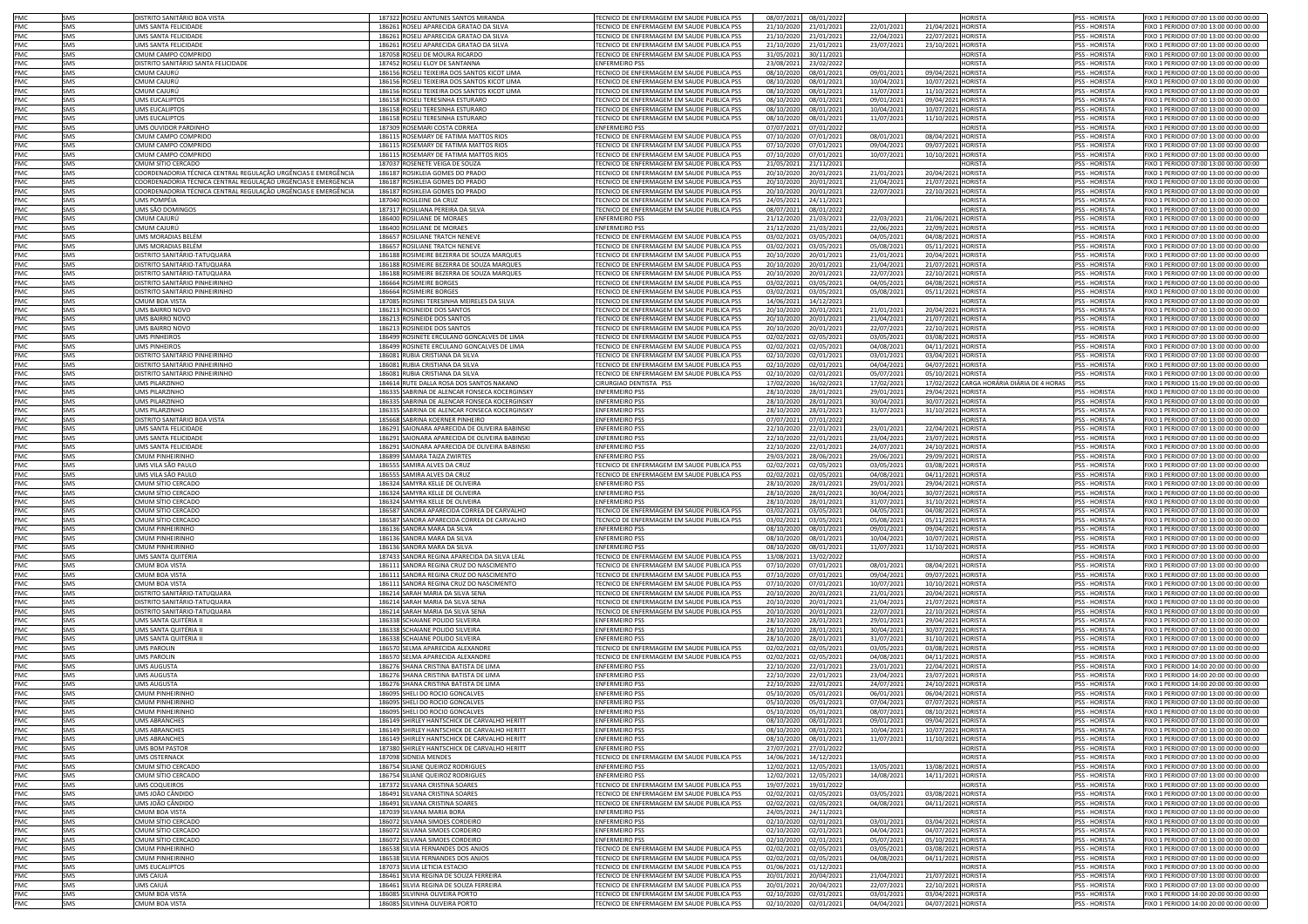| PMC        | SMS        | <b>DISTRITO SANITÁRIO BOA VISTA</b>                            | 187322 ROSELI ANTUNES SANTOS MIRANDA                             | TECNICO DE ENFERMAGEM EM SAUDE PUBLICA PSS                                               | 08/07/2021               | 08/01/2022               |                          |                                          | <b>HORISTA</b>                 | <b>PSS - HORISTA</b>           | FIXO 1 PERIODO 07:00 13:00 00:00 00:00                                           |
|------------|------------|----------------------------------------------------------------|------------------------------------------------------------------|------------------------------------------------------------------------------------------|--------------------------|--------------------------|--------------------------|------------------------------------------|--------------------------------|--------------------------------|----------------------------------------------------------------------------------|
| PMC        | SMS        | <b>UMS SANTA FFLICIDADE</b>                                    | 186261 ROSELI APARECIDA GRATAO DA SILVA                          | TECNICO DE ENFERMAGEM EM SAUDE PUBLICA PSS                                               | 21/10/2020               | 21/01/202                | 22/01/202                |                                          | <b>HORISTA</b>                 | <b>PSS - HORISTA</b>           |                                                                                  |
|            |            |                                                                |                                                                  |                                                                                          |                          |                          |                          | 21/04/2021                               |                                |                                | FIXO 1 PERIODO 07:00 13:00 00:00 00:00                                           |
| PMC        | SMS        | UMS SANTA FELICIDADE                                           | 186261 ROSELI APARECIDA GRATAO DA SILVA                          | TECNICO DE ENFERMAGEM EM SAUDE PUBLICA PSS                                               | 21/10/2020               | 21/01/2021               | 22/04/202                | 22/07/2021 HORISTA                       |                                | PSS - HORISTA                  | FIXO 1 PERIODO 07:00 13:00 00:00 00:00                                           |
| PMC        | SMS        | UMS SANTA FELICIDADE                                           | 186261 ROSELI APARECIDA GRATAO DA SILVA                          | TECNICO DE ENFERMAGEM EM SAUDE PUBLICA PSS                                               | 21/10/2020               | 21/01/2021               | 23/07/2021               | 23/10/2021                               | <b>HORISTA</b>                 | PSS - HORISTA                  | FIXO 1 PERIODO 07:00 13:00 00:00 00:00                                           |
| PMC        | SMS        | CMUM CAMPO COMPRIDO                                            | 187058 ROSELI DE MOURA RICARDO                                   | TECNICO DE ENFERMAGEM EM SAUDE PUBLICA PSS                                               | 31/05/2021               | 30/11/2021               |                          |                                          | HORISTA                        | PSS - HORISTA                  | FIXO 1 PERIODO 07:00 13:00 00:00 00:00                                           |
| PMC        | <b>SMS</b> | DISTRITO SANITÁRIO SANTA FELICIDADE                            | 187452 ROSELI ELOY DE SANTANNA                                   | <b>ENFERMEIRO PSS</b>                                                                    | 23/08/2021               | 23/02/2022               |                          |                                          | <b>HORISTA</b>                 | <b>PSS - HORISTA</b>           | FIXO 1 PERIODO 07:00 13:00 00:00 00:00                                           |
| PMC        | SMS        | CMUM CAJURÚ                                                    | 186156 ROSELI TEIXEIRA DOS SANTOS KICOT LIMA                     | TECNICO DE ENFERMAGEM EM SAUDE PUBLICA PSS                                               | 08/10/2020               | 08/01/2021               | 09/01/2021               | 09/04/2021 HORISTA                       |                                | <b>PSS - HORISTA</b>           | FIXO 1 PERIODO 07:00 13:00 00:00 00:00                                           |
| PMC        | SMS        | CMUM CAJURÚ                                                    | 186156 ROSELI TEIXEIRA DOS SANTOS KICOT LIMA                     | TECNICO DE ENFERMAGEM EM SAUDE PUBLICA PSS                                               | 08/10/2020               | 08/01/2021               | 10/04/202                | 10/07/2021 HORISTA                       |                                | <b>PSS - HORISTA</b>           | TIXO 1 PERIODO 07:00 13:00 00:00 00:00                                           |
| PMC        | SMS        | CMUM CAJURÚ                                                    | 186156 ROSELI TEIXEIRA DOS SANTOS KICOT LIMA                     | TECNICO DE ENFERMAGEM EM SAUDE PUBLICA PSS                                               | 08/10/2020               | 08/01/2021               | 11/07/2021               | 11/10/2021                               | <b>HORISTA</b>                 | PSS - HORISTA                  | FIXO 1 PERIODO 07:00 13:00 00:00 00:00                                           |
|            |            |                                                                |                                                                  |                                                                                          |                          |                          |                          |                                          |                                |                                |                                                                                  |
| PMC        | SMS        | <b>UMS EUCALIPTOS</b>                                          | 186158 ROSELI TERESINHA ESTURARO                                 | TECNICO DE ENFERMAGEM EM SAUDE PUBLICA PSS                                               | 08/10/2020               | 08/01/2021               | 09/01/2021               | 09/04/2021                               | <b>HORISTA</b>                 | PSS - HORISTA                  | FIXO 1 PERIODO 07:00 13:00 00:00 00:00                                           |
| PMC        | SMS        | <b>UMS EUCALIPTOS</b>                                          | 186158 ROSELI TERESINHA ESTURARO                                 | TECNICO DE ENFERMAGEM EM SAUDE PUBLICA PSS                                               | 08/10/2020               | 08/01/2021               | 10/04/2021               | 10/07/2021                               | <b>HORISTA</b>                 | PSS - HORISTA                  | FIXO 1 PERIODO 07:00 13:00 00:00 00:00                                           |
| PMC        | SMS        | UMS EUCALIPTOS                                                 | 186158 ROSELI TERESINHA ESTURARO                                 | TECNICO DE ENFERMAGEM EM SAUDE PUBLICA PSS                                               | 08/10/2020               | 08/01/202                | 11/07/2021               | 11/10/2021                               | <b>HORISTA</b>                 | <b>PSS - HORISTA</b>           | FIXO 1 PERIODO 07:00 13:00 00:00 00:00                                           |
| PMC        | SMS        | UMS OUVIDOR PARDINHO                                           | 187309 ROSEMARI COSTA CORREA                                     | <b>ENFERMEIRO PSS</b>                                                                    | 07/07/2021               | 07/01/202                |                          |                                          | <b>IORISTA</b>                 | <b>PSS - HORISTA</b>           | FIXO 1 PERIODO 07:00 13:00 00:00 00:00                                           |
| PMC        | SMS        | CMUM CAMPO COMPRIDO                                            | 186115 ROSEMARY DE FATIMA MATTOS RIOS                            | TECNICO DE ENFERMAGEM EM SAUDE PUBLICA PSS                                               | 07/10/2020               | 07/01/2021               | 08/01/2021               | 08/04/2021                               | <b>HORISTA</b>                 | <b>PSS - HORISTA</b>           | FIXO 1 PERIODO 07:00 13:00 00:00 00:00                                           |
| PMC        | SMS        | CMUM CAMPO COMPRIDO                                            | 186115 ROSEMARY DE FATIMA MATTOS RIOS                            | TECNICO DE ENFERMAGEM EM SAUDE PUBLICA PSS                                               | 07/10/2020               | 07/01/2021               | 09/04/2021               | 09/07/2021                               | <b>HORISTA</b>                 | <b>PSS - HORISTA</b>           | FIXO 1 PERIODO 07:00 13:00 00:00 00:00                                           |
| PMC        | SMS        | CMUM CAMPO COMPRIDO                                            |                                                                  | TECNICO DE ENFERMAGEM EM SAUDE PUBLICA PSS                                               | 07/10/2020               | 07/01/202                |                          | 10/10/2021                               | <b>HORISTA</b>                 | <b>PSS - HORISTA</b>           | TIXO 1 PERIODO 07:00 13:00 00:00 00:00                                           |
|            |            |                                                                | 186115 ROSEMARY DE FATIMA MATTOS RIOS                            |                                                                                          |                          |                          | 10/07/2021               |                                          |                                |                                |                                                                                  |
| PMC        | SMS        | CMUM SÍTIO CERCADO                                             | 187037 ROSENETE VEIGA DE SOUZA                                   | ECNICO DE ENFERMAGEM EM SAUDE PUBLICA PSS                                                | 21/05/2021               | 21/11/2021               |                          |                                          | <b>IORISTA</b>                 | PSS - HORISTA                  | FIXO 1 PERIODO 07:00 13:00 00:00 00:00                                           |
| PMC        | SMS        | COORDENADORIA TÉCNICA CENTRAL REGULAÇÃO URGÊNCIAS E EMERGÊNCIA | 186187 ROSIKLEIA GOMES DO PRADO                                  | TECNICO DE ENFERMAGEM EM SAUDE PUBLICA PSS                                               | 20/10/2020               | 20/01/2021               | 21/01/2021               | 20/04/2021                               | HORISTA                        | PSS - HORISTA                  | FIXO 1 PERIODO 07:00 13:00 00:00 00:00                                           |
| PMC        | SMS        | COORDENADORIA TÉCNICA CENTRAL REGULAÇÃO URGÊNCIAS E EMERGÊNCIA | 186187 ROSIKLEIA GOMES DO PRADO                                  | ECNICO DE ENFERMAGEM EM SAUDE PUBLICA PSS                                                | 20/10/2020               | 20/01/2021               | 21/04/2021               | 21/07/2021                               | <b>HORISTA</b>                 | <b>PSS - HORISTA</b>           | FIXO 1 PERIODO 07:00 13:00 00:00 00:00                                           |
| PMC        | SMS        | COORDENADORIA TÉCNICA CENTRAL REGULAÇÃO URGÊNCIAS E EMERGÊNCIA | 186187 ROSIKLEIA GOMES DO PRADO                                  | TECNICO DE ENFERMAGEM EM SAUDE PUBLICA PSS                                               | 20/10/2020               | 20/01/2021               | 22/07/202                | 22/10/2021 HORISTA                       |                                | <b>PSS - HORISTA</b>           | FIXO 1 PERIODO 07:00 13:00 00:00 00:00                                           |
| PMC        | SMS        | UMS POMPÉIA                                                    | 187040 ROSILEINE DA CRUZ                                         | FCNICO DE ENFERMAGEM EM SAUDE PUBLICA PSS                                                | 24/05/2021               | 24/11/2021               |                          |                                          | <b>IORISTA</b>                 | <b>PSS - HORISTA</b>           | FIXO 1 PERIODO 07:00 13:00 00:00 00:00                                           |
| PMC        | SMS        | UMS SÃO DOMINGOS                                               | 187317 ROSILIANA PEREIRA DA SILVA                                | TECNICO DE ENFERMAGEM EM SAUDE PUBLICA PSS                                               | 08/07/2021               | 08/01/2022               |                          |                                          | <b>HORISTA</b>                 | PSS - HORISTA                  | FIXO 1 PERIODO 07:00 13:00 00:00 00:00                                           |
|            |            |                                                                |                                                                  |                                                                                          |                          |                          |                          |                                          |                                |                                |                                                                                  |
| PMC        | SMS        | CMUM CAJURÚ                                                    | 186400 ROSILIANE DE MORAES                                       | <b>ENFERMEIRO PSS</b>                                                                    | 21/12/2020               | 21/03/2021               | 22/03/2021               | 21/06/2021                               | <b>HORISTA</b>                 | PSS - HORISTA                  | FIXO 1 PERIODO 07:00 13:00 00:00 00:00                                           |
| PMC        | SMS        | CMUM CAJURÚ                                                    | 186400 ROSILIANE DE MORAES                                       | <b>ENFERMEIRO PSS</b>                                                                    | 21/12/2020               | 21/03/2021               | 22/06/2021               | 22/09/2021                               | <b>HORISTA</b>                 | <b>PSS - HORISTA</b>           | FIXO 1 PERIODO 07:00 13:00 00:00 00:00                                           |
| PMC.       | SMS        | <b>UMS MORADIAS BELFM</b>                                      | 186657 ROSILIANE TRATCH NENEVE                                   | TECNICO DE ENFERMAGEM EM SAUDE PUBLICA PSS                                               | 03/02/2021               | 03/05/2021               | 04/05/2021               | 04/08/2021 HORISTA                       |                                | <b>PSS - HORISTA</b>           | FIXO 1 PERIODO 07:00 13:00 00:00 00:00                                           |
| PMC        | SMS        | UMS MORADIAS BELÉM                                             | 186657 ROSILIANE TRATCH NENEVE                                   | TECNICO DE ENFERMAGEM EM SAUDE PUBLICA PSS                                               | 03/02/2021               | 03/05/2021               | 05/08/2021               | 05/11/2021 HORISTA                       |                                | <b>PSS - HORISTA</b>           | FIXO 1 PERIODO 07:00 13:00 00:00 00:00                                           |
| PMC        | SMS        | DISTRITO SANITÁRIO-TATUQUARA                                   | 186188 ROSIMEIRE BEZERRA DE SOUZA MARQUES                        | TECNICO DE ENFERMAGEM EM SAUDE PUBLICA PSS                                               | 20/10/2020               | 20/01/202                | 21/01/2021               | 20/04/2021                               | <b>HORISTA</b>                 | PSS - HORISTA                  | FIXO 1 PERIODO 07:00 13:00 00:00 00:00                                           |
| PMC        | SMS        | DISTRITO SANITÁRIO-TATUQUARA                                   | 186188 ROSIMEIRE BEZERRA DE SOUZA MARQUES                        | TECNICO DE ENFERMAGEM EM SAUDE PUBLICA PSS                                               | 20/10/2020               | 20/01/2021               | 21/04/2021               | 21/07/2021 HORISTA                       |                                | PSS - HORISTA                  | FIXO 1 PERIODO 07:00 13:00 00:00 00:00                                           |
|            |            |                                                                |                                                                  |                                                                                          |                          |                          |                          |                                          |                                |                                |                                                                                  |
| PMC        | SMS        | DISTRITO SANITÁRIO-TATUQUARA                                   | 186188 ROSIMEIRE BEZERRA DE SOUZA MARQUES                        | TECNICO DE ENFERMAGEM EM SAUDE PUBLICA PSS                                               | 20/10/2020               | 20/01/2021               | 22/07/2021               | 22/10/2021                               | <b>HORISTA</b>                 | PSS - HORISTA                  | FIXO 1 PERIODO 07:00 13:00 00:00 00:00                                           |
| PMC        | SMS        | DISTRITO SANITÁRIO PINHEIRINHO                                 | 186664 ROSIMEIRE BORGES                                          | TECNICO DE ENFERMAGEM EM SAUDE PUBLICA PSS                                               | 03/02/2021               | 03/05/202                | 04/05/2021               | 04/08/2021                               | HORISTA                        | PSS - HORISTA                  | IXO 1 PERIODO 07:00 13:00 00:00 00:00                                            |
| PMC        | SMS        | DISTRITO SANITÁRIO PINHEIRINHO                                 | 186664 ROSIMEIRE BORGES                                          | TECNICO DE ENFERMAGEM EM SAUDE PUBLICA PSS                                               | 03/02/2021               | 03/05/2021               | 05/08/2021               | 05/11/2021                               | HORISTA                        | PSS - HORISTA                  | IXO 1 PERIODO 07:00 13:00 00:00 00:00                                            |
| PMC        | SMS        | CMUM BOA VISTA                                                 | 187085 ROSINEI TERESINHA MEIRELES DA SILVA                       | TECNICO DE ENFERMAGEM EM SAUDE PUBLICA PSS                                               | 14/06/2021               | 14/12/202                |                          |                                          | <b>IORISTA</b>                 | PSS - HORISTA                  | FIXO 1 PERIODO 07:00 13:00 00:00 00:00                                           |
| PMC        | SMS        | UMS BAIRRO NOVO                                                | 186213 ROSINEIDE DOS SANTOS                                      | TECNICO DE ENFERMAGEM EM SAUDE PUBLICA PSS                                               | 20/10/2020               | 20/01/2021               | 21/01/2021               | 20/04/2021                               | <b>HORISTA</b>                 | <b>PSS - HORISTA</b>           | FIXO 1 PERIODO 07:00 13:00 00:00 00:00                                           |
| PMC        |            |                                                                |                                                                  |                                                                                          |                          |                          |                          |                                          |                                |                                | FIXO 1 PERIODO 07:00 13:00 00:00 00:00                                           |
|            | SMS        | UMS BAIRRO NOVO                                                | 186213 ROSINEIDE DOS SANTOS                                      | TECNICO DE ENFERMAGEM EM SAUDE PUBLICA PSS                                               | 20/10/2020               | 20/01/2021               | 21/04/2021               | 21/07/2021                               | HORISTA                        | PSS - HORISTA                  |                                                                                  |
| PMC        | SMS        | UMS BAIRRO NOVO                                                | 186213 ROSINEIDE DOS SANTOS                                      | TECNICO DE ENFERMAGEM EM SAUDE PUBLICA PSS                                               | 20/10/2020               | 20/01/2021               | 22/07/2021               | 22/10/2021                               | <b>HORISTA</b>                 | PSS - HORISTA                  | FIXO 1 PERIODO 07:00 13:00 00:00 00:00                                           |
| PMC        | SMS        | <b>UMS PINHEIROS</b>                                           | 186499 ROSINETE ERCULANO GONCALVES DE LIMA                       | TECNICO DE ENFERMAGEM EM SAUDE PUBLICA PSS                                               | 02/02/2021               | 02/05/2021               | 03/05/2021               | 03/08/2021                               | <b>HORISTA</b>                 | PSS - HORISTA                  | FIXO 1 PERIODO 07:00 13:00 00:00 00:00                                           |
| PMC.       | SMS        | <b>UMS PINHEIROS</b>                                           | 186499 ROSINETE ERCULANO GONCALVES DE LIMA                       | TECNICO DE ENFERMAGEM EM SAUDE PUBLICA PSS                                               | 02/02/2021               | 02/05/2021               | 04/08/2021               | 04/11/202                                | <b>HORISTA</b>                 | <b>PSS - HORISTA</b>           | FIXO 1 PERIODO 07:00 13:00 00:00 00:00                                           |
| PMC        | SMS        | DISTRITO SANITÁRIO PINHEIRINHO                                 | 186081 RUBIA CRISTIANA DA SILVA                                  | TECNICO DE ENFERMAGEM EM SAUDE PUBLICA PSS                                               | 02/10/202                | 02/01/2021               | 03/01/2021               | 03/04/202                                | <b>HORISTA</b>                 | PSS - HORISTA                  | FIXO 1 PERIODO 07:00 13:00 00:00 00:00                                           |
| PMC        | SMS        | DISTRITO SANITÁRIO PINHEIRINHO                                 | 186081 RUBIA CRISTIANA DA SILVA                                  | TECNICO DE ENFERMAGEM EM SAUDE PUBLICA PSS                                               | 02/10/2020               | 02/01/2021               | 04/04/2021               | 04/07/2021                               | <b>HORISTA</b>                 | <b>PSS - HORISTA</b>           | EIXO 1 PERIODO 07:00 13:00 00:00 00:00                                           |
|            |            |                                                                |                                                                  |                                                                                          |                          |                          |                          |                                          |                                |                                |                                                                                  |
| PMC        | SMS        | DISTRITO SANITÁRIO PINHEIRINHO                                 | 186081 RUBIA CRISTIANA DA SILVA                                  | TECNICO DE ENFERMAGEM EM SAUDE PUBLICA PSS                                               | 02/10/2020               | 02/01/2021               | 05/07/2021               | 05/10/2021                               | HORISTA                        | <b>PSS - HORISTA</b>           | FIXO 1 PERIODO 07:00 13:00 00:00 00:00                                           |
| PMC        | SMS        | UMS PILARZINHC                                                 | 184614 RUTE DALLA ROSA DOS SANTOS NAKANO                         | CIRURGIAO DENTISTA PSS                                                                   | 17/02/2020               | 16/02/2021               | 17/02/2021               | 17/02/2022                               | ARGA HORÁRIA DIÁRIA DE 4 HORAS | PSS                            | FIXO 1 PERIODO 15:00 19:00 00:00 00:00                                           |
| PMC        | SMS        | <b>JMS PILARZINHO</b>                                          | 186335 SABRINA DE ALENCAR FONSECA KOCERGINSKY                    | <b>ENFERMEIRO PSS</b>                                                                    | 28/10/2020               | 28/01/2021               | 29/01/2021               | 29/04/2021                               | HORISTA                        | SS - HORISTA                   | FIXO 1 PERIODO 07:00 13:00 00:00 00:00                                           |
| PMC        | SMS        | <b>JMS PILARZINHO</b>                                          | 186335 SABRINA DE ALENCAR FONSECA KOCERGINSKY                    | <b>ENFERMEIRO PSS</b>                                                                    | 28/10/2020               | 28/01/2021               | 30/04/2021               | 30/07/2021                               | <b>HORISTA</b>                 | PSS - HORISTA                  | FIXO 1 PERIODO 07:00 13:00 00:00 00:00                                           |
| PMC        | SMS        | <b>JMS PILARZINHO</b>                                          | 186335 SABRINA DE ALENCAR FONSECA KOCERGINSKY                    | <b>NFERMEIRO PSS</b>                                                                     | 28/10/2020               | 28/01/2021               | 31/07/2021               | 31/10/2021                               | <b>IORISTA</b>                 | <b>PSS - HORISTA</b>           | IXO 1 PERIODO 07:00 13:00 00:00 00:00                                            |
| PMC        | SMS        | DISTRITO SANITÁRIO BOA VISTA                                   | 185668 SABRINA KOERNER PINHEIRO                                  | <b>NFERMEIRO PSS</b>                                                                     | 07/07/2021               | 07/01/2022               |                          |                                          | <b>IORISTA</b>                 | <b>PSS - HORISTA</b>           | 1XO 1 PERIODO 07:00 13:00 00:00 00:00                                            |
| PMC        | SMS        | JMS SANTA FELICIDADE                                           |                                                                  | NFERMEIRO PSS                                                                            |                          |                          |                          |                                          | <b>HORISTA</b>                 | <b>PSS - HORISTA</b>           | IXO 1 PERIODO 07:00 13:00 00:00 00:00                                            |
|            |            |                                                                | 186291 SAIONARA APARECIDA DE OLIVEIRA BABINSKI                   |                                                                                          | 22/10/2020               | 22/01/2021               | 23/01/2021               | 22/04/2021                               |                                |                                |                                                                                  |
| PMC        | SMS        | UMS SANTA FELICIDADI                                           | 186291 SAIONARA APARECIDA DE OLIVEIRA BABINSKI                   | <b>ENFERMEIRO PSS</b>                                                                    | 22/10/2020               | 22/01/2021               | 23/04/2021               | 23/07/2021                               | <b>HORISTA</b>                 | <b>PSS - HORISTA</b>           | FIXO 1 PERIODO 07:00 13:00 00:00 00:00                                           |
| PMC        | SMS        | UMS SANTA FELICIDADE                                           | 186291 SAIONARA APARECIDA DE OLIVEIRA BABINSKI                   | ENFERMEIRO PSS                                                                           | 22/10/2020               | 22/01/2021               | 24/07/2021               | 24/10/2021                               | <b>IORISTA</b>                 | <b>PSS - HORISTA</b>           | FIXO 1 PERIODO 07:00 13:00 00:00 00:00                                           |
| PMC        | SMS        | <b>CMUM PINHEIRINHO</b>                                        | 186899 SAMARA TAIZA ZWIRTES                                      | <b>ENFERMEIRO PS:</b>                                                                    | 29/03/2021               | 28/06/2021               | 29/06/2021               | 29/09/2021                               | <b>IORISTA</b>                 | PSS - HORISTA                  | FIXO 1 PERIODO 07:00 13:00 00:00 00:00                                           |
| PMC        | SMS        | UMS VILA SÃO PAULC                                             | 186555 SAMIRA ALVES DA CRUZ                                      | TECNICO DE ENFERMAGEM EM SAUDE PUBLICA PSS                                               | 02/02/2021               | 02/05/2021               | 03/05/202                | 03/08/2021                               | HORISTA                        | <b>PSS - HORISTA</b>           | FIXO 1 PERIODO 07:00 13:00 00:00 00:00                                           |
| PMC        | SMS        | UMS VILA SÃO PAULO                                             | 186555 SAMIRA ALVES DA CRUZ                                      | TECNICO DE ENFERMAGEM EM SAUDE PUBLICA PSS                                               | 02/02/2021               | 02/05/2021               | 04/08/2021               | 04/11/2021                               | <b>HORISTA</b>                 | <b>PSS - HORISTA</b>           | FIXO 1 PERIODO 07:00 13:00 00:00 00:00                                           |
| PMC        | SMS        | CMUM SÍTIO CERCADO                                             | 186324 SAMYRA KELLE DE OLIVEIRA                                  | <b>ENFERMEIRO PSS</b>                                                                    | 28/10/2020               | 28/01/2021               | 29/01/2021               | 29/04/2021                               | <b>HORISTA</b>                 | PSS - HORISTA                  | FIXO 1 PERIODO 07:00 13:00 00:00 00:00                                           |
|            |            |                                                                |                                                                  |                                                                                          |                          |                          |                          |                                          |                                |                                |                                                                                  |
| PMC        | SMS        | CMUM SÍTIO CERCADO                                             | 186324 SAMYRA KELLE DE OLIVEIRA                                  | <b>ENFERMEIRO PSS</b>                                                                    | 28/10/2020               | 28/01/2021               | 30/04/2021               | 30/07/2021                               | <b>HORISTA</b>                 | PSS - HORISTA                  | FIXO 1 PERIODO 07:00 13:00 00:00 00:00                                           |
| PMC        | SMS        | CMUM SÍTIO CERCADO                                             | 186324 SAMYRA KELLE DE OLIVEIRA                                  | <b>ENFERMEIRO PSS</b>                                                                    | 28/10/2020               | 28/01/2021               | 31/07/2021               | 31/10/2021                               | <b>HORISTA</b>                 | PSS - HORISTA                  | FIXO 1 PERIODO 07:00 13:00 00:00 00:00                                           |
| PMC        | SMS        | CMUM SÍTIO CERCADO                                             | 186587 SANDRA APARECIDA CORREA DE CARVALHO                       | TECNICO DE ENFERMAGEM EM SAUDE PUBLICA PSS                                               | 03/02/2021               | 03/05/2021               | 04/05/2021               | 04/08/2021                               | <b>HORISTA</b>                 | PSS - HORISTA                  | FIXO 1 PERIODO 07:00 13:00 00:00 00:00                                           |
| PMC        | <b>SMS</b> | CMUM SÍTIO CERCADO                                             | 186587 SANDRA APARECIDA CORREA DE CARVALHO                       | TECNICO DE ENFERMAGEM EM SAUDE PUBLICA PSS                                               | 03/02/2021               | 03/05/202                | 05/08/2021               | 05/11/2021                               | <b>HORISTA</b>                 | PSS - HORISTA                  | FIXO 1 PERIODO 07:00 13:00 00:00 00:00                                           |
| PMC        | SMS        | <b>CMUM PINHEIRINHO</b>                                        | 186136 SANDRA MARA DA SILVA                                      | <b>ENFERMEIRO PSS</b>                                                                    | 08/10/2020               | 08/01/202                | 09/01/2021               | 09/04/2021                               | <b>HORISTA</b>                 | PSS - HORISTA                  | FIXO 1 PERIODO 07:00 13:00 00:00 00:00                                           |
| PMC        | SMS        | <b>CMUM PINHEIRINHC</b>                                        | 186136 SANDRA MARA DA SILVA                                      | <b>ENFERMEIRO PSS</b>                                                                    | 08/10/2020               | 08/01/202                | 10/04/2021               | 10/07/2021                               | <b>HORISTA</b>                 | <b>PSS - HORISTA</b>           | FIXO 1 PERIODO 07:00 13:00 00:00 00:00                                           |
|            |            |                                                                |                                                                  |                                                                                          |                          |                          |                          |                                          |                                |                                |                                                                                  |
| PMC        | SMS        | <b>CMUM PINHEIRINHC</b>                                        | 186136 SANDRA MARA DA SILVA                                      | <b>ENFERMEIRO PSS</b>                                                                    | 08/10/2020               | 08/01/2021               | 11/07/2021               | 11/10/2021                               | <b>HORISTA</b>                 | <b>PSS - HORISTA</b>           | FIXO 1 PERIODO 07:00 13:00 00:00 00:00                                           |
| PMC        | SMS        | UMS SANTA QUITÉRIA                                             | 187433 SANDRA REGINA APARECIDA DA SILVA LEAL                     | TECNICO DE ENFERMAGEM EM SAUDE PUBLICA PSS                                               | 13/08/2021               | 13/02/202                |                          |                                          | <b>IORISTA</b>                 | PSS - HORISTA                  | FIXO 1 PERIODO 07:00 13:00 00:00 00:00                                           |
| PMC        | SMS        | CMUM BOA VISTA                                                 | 186111 SANDRA REGINA CRUZ DO NASCIMENTO                          | TECNICO DE ENFERMAGEM EM SAUDE PUBLICA PSS                                               | 07/10/2020               | 07/01/2021               | 08/01/2021               | 08/04/2021                               | HORISTA                        | PSS - HORISTA                  | FIXO 1 PERIODO 07:00 13:00 00:00 00:00                                           |
| PMC        | SMS        | CMUM BOA VISTA                                                 | 186111 SANDRA REGINA CRUZ DO NASCIMENTO                          | TECNICO DE ENFERMAGEM EM SAUDE PUBLICA PSS                                               | 07/10/2020               | 07/01/2021               | 09/04/2021               | 09/07/2021                               | HORISTA                        | <b>PSS - HORISTA</b>           | FIXO 1 PERIODO 07:00 13:00 00:00 00:00                                           |
| PMC        | SMS        | CMUM BOA VISTA                                                 | 186111 SANDRA REGINA CRUZ DO NASCIMENTO                          | TECNICO DE ENFERMAGEM EM SAUDE PUBLICA PSS                                               | 07/10/202                | 07/01/202                | 10/07/2021               | 10/10/2021                               | <b>HORISTA</b>                 | <b>PSS - HORISTA</b>           | FIXO 1 PERIODO 07:00 13:00 00:00 00:00                                           |
| PMC        | SMS        | DISTRITO SANITÁRIO-TATUOUARA                                   | 186214 SARAH MARIA DA SILVA SENA                                 | TECNICO DE ENFERMAGEM EM SAUDE PUBLICA PSS                                               | 20/10/2020               | 20/01/202                | 21/01/2021               | 20/04/2021                               | <b>HORISTA</b>                 | <b>PSS - HORISTA</b>           | FIXO 1 PERIODO 07:00 13:00 00:00 00:00                                           |
| PMC        | SMS        | DISTRITO SANITÁRIO-TATUOUARA                                   |                                                                  |                                                                                          |                          |                          |                          |                                          | <b>HORISTA</b>                 | <b>PSS - HORISTA</b>           |                                                                                  |
|            |            |                                                                | 186214 SARAH MARIA DA SILVA SENA                                 | TECNICO DE ENFERMAGEM EM SAUDE PUBLICA PSS                                               | 20/10/2020               | 20/01/2021               | 21/04/202                | 21/07/2021                               |                                |                                | FIXO 1 PERIODO 07:00 13:00 00:00 00:00                                           |
| PMC        | SMS        | DISTRITO SANITÁRIO-TATUQUARA                                   | 186214 SARAH MARIA DA SILVA SENA                                 | TECNICO DE ENFERMAGEM EM SAUDE PUBLICA PSS                                               | 20/10/2020               | 20/01/202                | 22/07/2021               | 22/10/2021                               | <b>HORISTA</b>                 | <b>PSS - HORISTA</b>           | FIXO 1 PERIODO 07:00 13:00 00:00 00:00                                           |
| PMC        | SMS        | UMS SANTA QUITÉRIA II                                          | 186338 SCHAIANE POLIDO SILVEIRA                                  | <b>ENFERMEIRO PSS</b>                                                                    | 28/10/2020               | 28/01/2021               | 29/01/2021               | 29/04/2021                               | <b>HORISTA</b>                 | PSS - HORISTA                  | FIXO 1 PERIODO 07:00 13:00 00:00 00:00                                           |
| PMC        | SMS        | UMS SANTA QUITÉRIA II                                          | 186338 SCHAIANE POLIDO SILVEIRA                                  | <b>ENFERMEIRO PSS</b>                                                                    | 28/10/2020               | 28/01/2021               | 30/04/2021               | 30/07/2021                               | <b>HORISTA</b>                 | PSS - HORISTA                  | FIXO 1 PERIODO 07:00 13:00 00:00 00:00                                           |
| PMC        | SMS        | JMS SANTA QUITÉRIA II                                          | 186338 SCHAIANE POLIDO SILVEIRA                                  | <b>NFERMEIRO PSS</b>                                                                     | 28/10/2020               | 28/01/2021               | 31/07/2021               | 31/10/2021                               | <b>HORISTA</b>                 | <b>PSS - HORISTA</b>           | IXO 1 PERIODO 07:00 13:00 00:00 00:00                                            |
| PMC        | SMS        | UMS PAROLIN                                                    | 186570 SELMA APARECIDA ALEXANDRE                                 | ECNICO DE ENFERMAGEM EM SAUDE PUBLICA PSS                                                | 02/02/2021               | 02/05/2021               | 03/05/202                | 03/08/2021 HORISTA                       |                                | <b>PSS - HORISTA</b>           | FIXO 1 PERIODO 07:00 13:00 00:00 00:00                                           |
| PMC        | SMS        | UMS PAROLIN                                                    | 186570 SELMA APARECIDA ALEXANDRE                                 | TECNICO DE ENFERMAGEM EM SAUDE PUBLICA PSS                                               | 02/02/2021               | 02/05/2021               | 04/08/2021               | 04/11/2021 HORISTA                       |                                | <b>PSS - HORISTA</b>           | IXO 1 PERIODO 07:00 13:00 00:00 00:00                                            |
| PMC        |            |                                                                |                                                                  |                                                                                          |                          |                          |                          | 22/04/2021 HORISTA                       |                                | <b>PSS - HORISTA</b>           |                                                                                  |
|            | SMS        | <b>UMS AUGUSTA</b>                                             | 186276 SHANA CRISTINA BATISTA DE LIMA                            | <b>ENFERMEIRO PSS</b>                                                                    | 22/10/2020               | 22/01/2021               | 23/01/2021               |                                          |                                |                                | FIXO 1 PERIODO 14:00 20:00 00:00 00:00                                           |
| PMC        | SMS        | <b>UMS AUGUSTA</b>                                             | 186276 SHANA CRISTINA BATISTA DE LIMA                            | <b>ENFERMEIRO PSS</b>                                                                    | 22/10/2020               | 22/01/2021               | 23/04/2021               | 23/07/2021 HORISTA                       |                                | <b>PSS - HORISTA</b>           | FIXO 1 PERIODO 14:00 20:00 00:00 00:00                                           |
| PMC        | SMS        | <b>UMS AUGUSTA</b>                                             | 186276 SHANA CRISTINA BATISTA DE LIMA                            | ENFERMEIRO PSS                                                                           | 22/10/2020               | 22/01/2021               | 24/07/2021               | 24/10/2021                               | <b>HORISTA</b>                 | <b>PSS - HORISTA</b>           | FIXO 1 PERIODO 14:00 20:00 00:00 00:00                                           |
| PMC        | SMS        | <b>CMUM PINHEIRINHO</b>                                        | 186095 SHELI DO ROCIO GONCALVES                                  | ENFERMEIRO PSS                                                                           | 05/10/2020               | 05/01/2021               | 06/01/202                | 06/04/2021 HORISTA                       |                                | <b>PSS - HORISTA</b>           | FIXO 1 PERIODO 07:00 13:00 00:00 00:00                                           |
| PMC        | SMS        | CMUM PINHEIRINHO                                               | 186095 SHELI DO ROCIO GONCALVES                                  | <b>ENFERMEIRO PSS</b>                                                                    | 05/10/2020               | 05/01/2021               | 07/04/2021               | 07/07/2021 HORISTA                       |                                | <b>PSS - HORISTA</b>           | FIXO 1 PERIODO 07:00 13:00 00:00 00:00                                           |
| PMC        | SMS        | CMUM PINHEIRINHO                                               | 186095 SHELI DO ROCIO GONCALVES                                  | ENFERMEIRO PSS                                                                           | 05/10/2020               | 05/01/2021               | 08/07/2021               | 08/10/2021 HORISTA                       |                                | PSS - HORISTA                  | FIXO 1 PERIODO 07:00 13:00 00:00 00:00                                           |
| PMC        | SMS        | <b>UMS ABRANCHES</b>                                           | 186149 SHIRLEY HANTSCHICK DE CARVALHO HERITT                     |                                                                                          |                          |                          |                          |                                          |                                | PSS - HORISTA                  |                                                                                  |
|            |            |                                                                |                                                                  | <b>ENFERMEIRO PSS</b>                                                                    | 08/10/2020               | 08/01/2021               | 09/01/2021               | 09/04/2021 HORISTA                       |                                |                                | FIXO 1 PERIODO 07:00 13:00 00:00 00:00                                           |
| PMC        | SMS        | <b>UMS ABRANCHES</b>                                           | 186149 SHIRLEY HANTSCHICK DE CARVALHO HERITT                     | <b>ENFERMEIRO PSS</b>                                                                    | 08/10/2020               | 08/01/2021               | 10/04/2021               | 10/07/2021 HORISTA                       |                                | PSS - HORISTA                  | FIXO 1 PERIODO 07:00 13:00 00:00 00:00                                           |
| PMC        | SMS        | UMS ABRANCHES                                                  | 186149 SHIRLEY HANTSCHICK DE CARVALHO HERITT                     | <b>ENFERMEIRO PSS</b>                                                                    | 08/10/2020               | 08/01/2021               | 11/07/2021               | 11/10/2021 HORISTA                       |                                | PSS - HORISTA                  | FIXO 1 PERIODO 07:00 13:00 00:00 00:00                                           |
| PMC        | SMS        | UMS BOM PASTOR                                                 | 187380 SHIRLEY HANTSCHICK DE CARVALHO HERITT                     | ENFERMEIRO PSS                                                                           | 27/07/2021               | 27/01/2022               |                          |                                          | <b>HORISTA</b>                 | PSS - HORISTA                  | FIXO 1 PERIODO 07:00 13:00 00:00 00:00                                           |
| PMC        | SMS        | <b>UMS OSTERNACK</b>                                           | 187098 SIDNEIA MENDES                                            | TECNICO DE ENFERMAGEM EM SAUDE PUBLICA PSS                                               | 14/06/2021               | 14/12/2021               |                          |                                          | <b>HORISTA</b>                 | PSS - HORISTA                  | FIXO 1 PERIODO 07:00 13:00 00:00 00:00                                           |
| PMC        | SMS        | CMUM SÍTIO CERCADO                                             | 186754 SILIANE QUEIROZ RODRIGUES                                 | <b>ENFERMEIRO PSS</b>                                                                    | 12/02/2021               | 12/05/2021               | 13/05/2021               | 13/08/2021                               | <b>HORISTA</b>                 | PSS - HORISTA                  | FIXO 1 PERIODO 07:00 13:00 00:00 00:00                                           |
|            | SMS        | CMUM SÍTIO CERCADO                                             | 186754 SILIANE QUEIROZ RODRIGUES                                 | <b>ENFERMEIRO PSS</b>                                                                    |                          |                          |                          | 14/11/2021                               | <b>HORISTA</b>                 | PSS - HORISTA                  |                                                                                  |
| PMC        |            |                                                                |                                                                  |                                                                                          | 12/02/2021               | 12/05/2021               | 14/08/2021               |                                          |                                |                                | FIXO 1 PERIODO 07:00 13:00 00:00 00:00                                           |
| PMC        | SMS        | UMS COQUEIROS                                                  | 187372 SILVANA CRISTINA SOARES                                   | TECNICO DE ENFERMAGEM EM SAUDE PUBLICA PSS                                               | 19/07/2021               | 19/01/2022               |                          |                                          | <b>IORISTA</b>                 | PSS - HORISTA                  | FIXO 1 PERIODO 07:00 13:00 00:00 00:00                                           |
| PMC        | SMS        | UMS JOÃO CÂNDIDO                                               | 186491 SILVANA CRISTINA SOARES                                   | TECNICO DE ENFERMAGEM EM SAUDE PUBLICA PSS                                               | 02/02/2021               | 02/05/2021               | 03/05/2021               | 03/08/2021                               | HORISTA                        | PSS - HORISTA                  | FIXO 1 PERIODO 07:00 13:00 00:00 00:00                                           |
| PMC        | SMS        | UMS JOÃO CÂNDIDO                                               | 186491 SILVANA CRISTINA SOARES                                   | TECNICO DE ENFERMAGEM EM SAUDE PUBLICA PSS                                               | 02/02/2021               | 02/05/2021               | 04/08/2021               | 04/11/2021                               | <b>HORISTA</b>                 | PSS - HORISTA                  | FIXO 1 PERIODO 07:00 13:00 00:00 00:00                                           |
| PMC        | SMS        | CMUM BOA VISTA                                                 | 187039 SILVANA MARIA BORA                                        | ENFERMEIRO PSS                                                                           | 24/05/2021               | 24/11/2021               |                          |                                          | <b>IORISTA</b>                 | PSS - HORISTA                  | FIXO 1 PERIODO 07:00 13:00 00:00 00:00                                           |
| PMC        | SMS        | CMUM SÍTIO CERCADO                                             | 186072 SILVANA SIMOES CORDEIRO                                   | <b>ENFERMEIRO PSS</b>                                                                    | 02/10/2020               | 02/01/2021               | 03/01/202                | 03/04/2021                               | <b>HORISTA</b>                 | <b>PSS - HORISTA</b>           | FIXO 1 PERIODO 07:00 13:00 00:00 00:00                                           |
| PMC        | SMS        | CMUM SÍTIO CERCADO                                             | 186072 SILVANA SIMOES CORDEIRO                                   | <b>ENFERMEIRO PSS</b>                                                                    | 02/10/2020               | 02/01/2021               | 04/04/2021               | 04/07/2021                               | <b>HORISTA</b>                 | PSS - HORISTA                  | FIXO 1 PERIODO 07:00 13:00 00:00 00:00                                           |
|            |            |                                                                |                                                                  |                                                                                          |                          |                          |                          |                                          |                                |                                |                                                                                  |
| PMC        | SMS        | CMUM SÍTIO CERCADO                                             | 186072 SILVANA SIMOES CORDEIRO                                   | <b>ENFERMEIRO PSS</b>                                                                    | 02/10/2020               | 02/01/2021               | 05/07/2021               | 05/10/2021 HORISTA                       |                                | PSS - HORISTA                  | FIXO 1 PERIODO 07:00 13:00 00:00 00:00                                           |
| PMC        | SMS        | MUM PINHEIRINHO                                                | 186538 SILVIA FERNANDES DOS ANJOS                                | TECNICO DE ENFERMAGEM EM SAUDE PUBLICA PSS                                               | 02/02/2021               | 02/05/2021               | 03/05/2021               | 03/08/2021                               | <b>HORISTA</b>                 | PSS - HORISTA                  | FIXO 1 PERIODO 07:00 13:00 00:00 00:00                                           |
|            |            |                                                                |                                                                  | TECNICO DE ENFERMAGEM EM SAUDE PUBLICA PSS                                               | 02/02/2021               | 02/05/2021               | 04/08/2021               | 04/11/2021                               | HORISTA                        | PSS - HORISTA                  | FIXO 1 PERIODO 07:00 13:00 00:00 00:00                                           |
| PMC        | SMS        | CMUM PINHEIRINHO                                               | 186538 SILVIA FERNANDES DOS ANJOS                                |                                                                                          |                          |                          |                          |                                          |                                |                                |                                                                                  |
| PMC        | SMS        | UMS EUCALIPTOS                                                 | 187073 SILVIA LETICIA ESTACIO                                    | TECNICO DE ENFERMAGEM EM SAUDE PUBLICA PSS                                               | 01/06/2021               | 01/12/2021               |                          |                                          | <b>IORISTA</b>                 | <b>PSS - HORISTA</b>           | FIXO 1 PERIODO 07:00 13:00 00:00 00:00                                           |
|            |            |                                                                |                                                                  |                                                                                          |                          |                          |                          |                                          |                                |                                |                                                                                  |
| PMC        | SMS        | UMS CAIUÁ                                                      | 186461 SILVIA REGINA DE SOUZA FERREIRA                           | TECNICO DE ENFERMAGEM EM SAUDE PUBLICA PSS                                               | 20/01/2021               | 20/04/2021               | 21/04/2021               | 21/07/2021                               | <b>HORISTA</b>                 | PSS - HORISTA                  | FIXO 1 PERIODO 07:00 13:00 00:00 00:00                                           |
| PMC        | SMS        | UMS CAIUÁ                                                      | 186461 SILVIA REGINA DE SOUZA FERREIRA                           | TECNICO DE ENFERMAGEM EM SAUDE PUBLICA PSS                                               | 20/01/2021               | 20/04/2021               | 22/07/2021               | 22/10/2021 HORISTA                       |                                | <b>PSS - HORISTA</b>           | FIXO 1 PERIODO 07:00 13:00 00:00 00:00                                           |
| PMC<br>PMC | SMS<br>SMS | CMUM BOA VISTA<br>CMUM BOA VISTA                               | 186085 SILVINHA OLIVEIRA PORTO<br>186085 SILVINHA OLIVEIRA PORTO | TECNICO DE ENFERMAGEM EM SAUDE PUBLICA PSS<br>TECNICO DE ENFERMAGEM EM SAUDE PUBLICA PSS | 02/10/2020<br>02/10/2020 | 02/01/2021<br>02/01/2021 | 03/01/2021<br>04/04/2021 | 03/04/2021 HORISTA<br>04/07/2021 HORISTA |                                | PSS - HORISTA<br>PSS - HORISTA | FIXO 1 PERIODO 14:00 20:00 00:00 00:00<br>FIXO 1 PERIODO 14:00 20:00 00:00 00:00 |